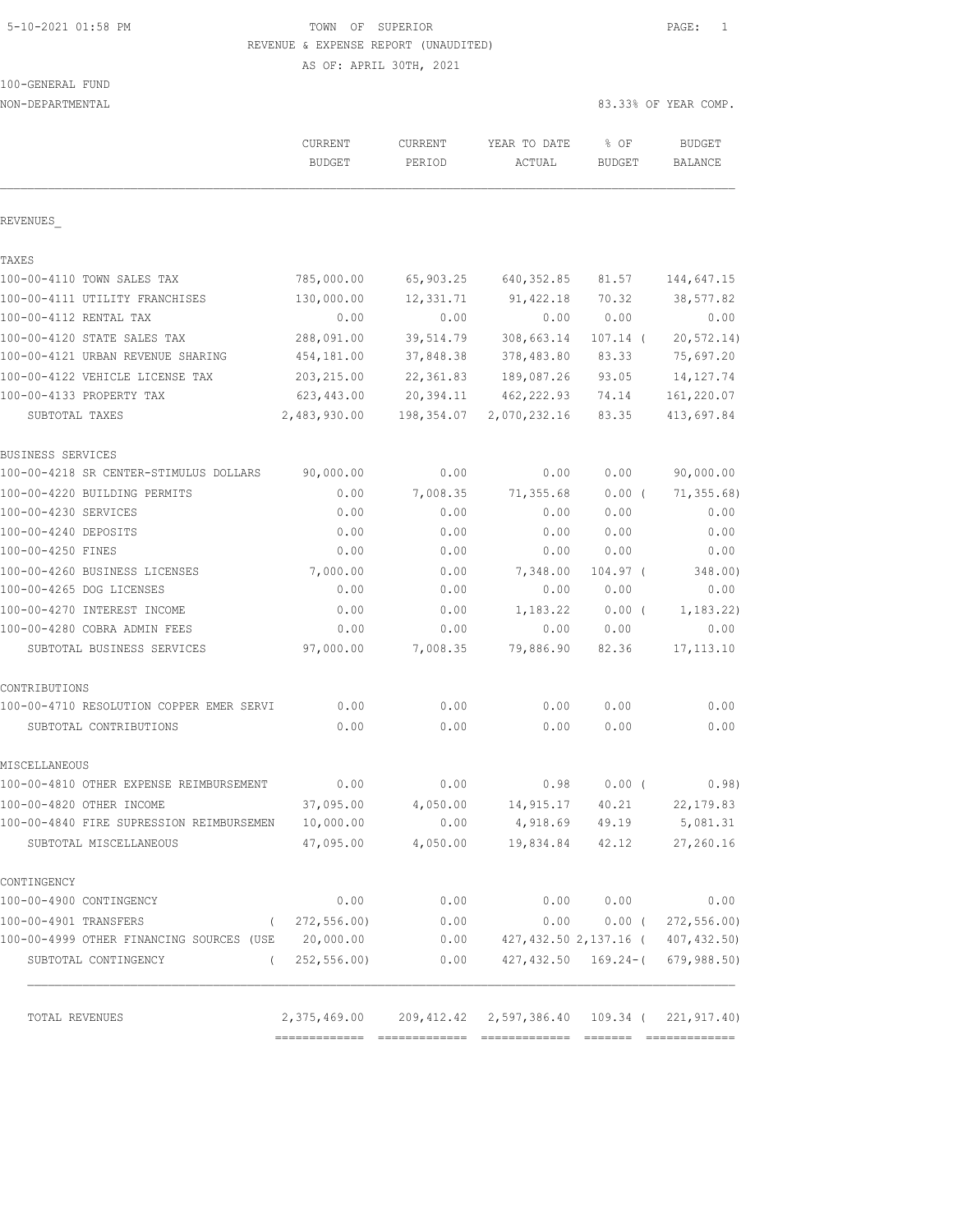# 5-10-2021 01:58 PM TOWN OF SUPERIOR PAGE: 1 REVENUE & EXPENSE REPORT (UNAUDITED)

AS OF: APRIL 30TH, 2021

| 100-GENERAL FUND |  |
|------------------|--|
|                  |  |

| NON-DEPARTMENTAL                                   |                                                                |                   |                        |                       | 83.33% OF YEAR COMP.                      |  |
|----------------------------------------------------|----------------------------------------------------------------|-------------------|------------------------|-----------------------|-------------------------------------------|--|
|                                                    | CURRENT<br><b>BUDGET</b>                                       | CURRENT<br>PERIOD | YEAR TO DATE<br>ACTUAL | % OF<br><b>BUDGET</b> | <b>BUDGET</b><br><b>BALANCE</b>           |  |
| REVENUES                                           |                                                                |                   |                        |                       |                                           |  |
| TAXES                                              |                                                                |                   |                        |                       |                                           |  |
| 100-00-4110 TOWN SALES TAX                         | 785,000.00                                                     | 65,903.25         | 640, 352.85            | 81.57                 | 144,647.15                                |  |
| 100-00-4111 UTILITY FRANCHISES                     | 130,000.00                                                     | 12,331.71         | 91,422.18              | 70.32                 | 38,577.82                                 |  |
| 100-00-4112 RENTAL TAX                             | 0.00                                                           | 0.00              | 0.00                   | 0.00                  | 0.00                                      |  |
| 100-00-4120 STATE SALES TAX                        | 288,091.00                                                     | 39,514.79         | 308,663.14             | $107.14$ (            | 20, 572.14)                               |  |
| 100-00-4121 URBAN REVENUE SHARING                  | 454,181.00                                                     | 37,848.38         | 378,483.80             | 83.33                 | 75,697.20                                 |  |
| 100-00-4122 VEHICLE LICENSE TAX                    | 203, 215.00                                                    | 22, 361.83        | 189,087.26             | 93.05                 | 14, 127. 74                               |  |
| 100-00-4133 PROPERTY TAX                           | 623,443.00                                                     | 20,394.11         | 462, 222.93            | 74.14                 | 161,220.07                                |  |
| SUBTOTAL TAXES                                     | 2,483,930.00                                                   | 198,354.07        | 2,070,232.16           | 83.35                 | 413,697.84                                |  |
| BUSINESS SERVICES                                  |                                                                |                   |                        |                       |                                           |  |
| 100-00-4218 SR CENTER-STIMULUS DOLLARS             | 90,000.00                                                      | 0.00              | 0.00                   | 0.00                  | 90,000.00                                 |  |
| 100-00-4220 BUILDING PERMITS                       | 0.00                                                           | 7,008.35          | 71,355.68              | $0.00$ (              | 71, 355.68                                |  |
| 100-00-4230 SERVICES                               | 0.00                                                           | 0.00              | 0.00                   | 0.00                  | 0.00                                      |  |
| 100-00-4240 DEPOSITS                               | 0.00                                                           | 0.00              | 0.00                   | 0.00                  | 0.00                                      |  |
| 100-00-4250 FINES                                  | 0.00                                                           | 0.00              | 0.00                   | 0.00                  | 0.00                                      |  |
| 100-00-4260 BUSINESS LICENSES                      | 7,000.00                                                       | 0.00              | 7,348.00               | $104.97$ (            | 348.00)                                   |  |
| 100-00-4265 DOG LICENSES                           | 0.00                                                           | 0.00              | 0.00                   | 0.00                  | 0.00                                      |  |
| 100-00-4270 INTEREST INCOME                        | 0.00                                                           | 0.00              | 1,183.22               | $0.00$ (              | 1, 183.22)                                |  |
| 100-00-4280 COBRA ADMIN FEES                       | 0.00                                                           | 0.00              | 0.00                   | 0.00                  | 0.00                                      |  |
| SUBTOTAL BUSINESS SERVICES                         | 97,000.00                                                      | 7,008.35          | 79,886.90              | 82.36                 | 17, 113.10                                |  |
| CONTRIBUTIONS                                      |                                                                |                   |                        |                       |                                           |  |
| 100-00-4710 RESOLUTION COPPER EMER SERVI           | 0.00                                                           | 0.00              | 0.00                   | 0.00                  | 0.00                                      |  |
| SUBTOTAL CONTRIBUTIONS                             | 0.00                                                           | 0.00              | 0.00                   | 0.00                  | 0.00                                      |  |
| MISCELLANEOUS                                      |                                                                |                   |                        |                       |                                           |  |
| 100-00-4810 OTHER EXPENSE REIMBURSEMENT            | 0.00                                                           | 0.00              | 0.98                   | 0.00(                 | 0.98)                                     |  |
| 100-00-4820 OTHER INCOME                           | 37,095.00                                                      | 4,050.00          | 14,915.17              | 40.21                 | 22, 179.83                                |  |
| 100-00-4840 FIRE SUPRESSION REIMBURSEMEN           | 10,000.00                                                      | 0.00              | 4,918.69               | 49.19                 | 5,081.31                                  |  |
| SUBTOTAL MISCELLANEOUS                             | 47,095.00                                                      | 4,050.00          | 19,834.84              | 42.12                 | 27,260.16                                 |  |
| CONTINGENCY                                        |                                                                |                   |                        |                       |                                           |  |
| 100-00-4900 CONTINGENCY                            | 0.00                                                           | 0.00              | 0.00                   | 0.00                  | 0.00                                      |  |
| 100-00-4901 TRANSFERS                              | 272, 556.00<br>$\sqrt{2}$                                      | 0.00              | 0.00                   | $0.00$ (              | 272, 556.00                               |  |
| 100-00-4999 OTHER FINANCING SOURCES (USE 20,000.00 |                                                                | 0.00              |                        |                       | 427, 432.50 2, 137.16 (407, 432.50)       |  |
| SUBTOTAL CONTINGENCY<br>$\left($                   | 252, 556.00                                                    | 0.00              |                        |                       | $427, 432, 50$ $169, 24 - (679, 988, 50)$ |  |
| TOTAL REVENUES                                     | 2, 375, 469.00 209, 412.42 2, 597, 386.40 109.34 (221, 917.40) |                   |                        |                       |                                           |  |
|                                                    |                                                                |                   |                        |                       |                                           |  |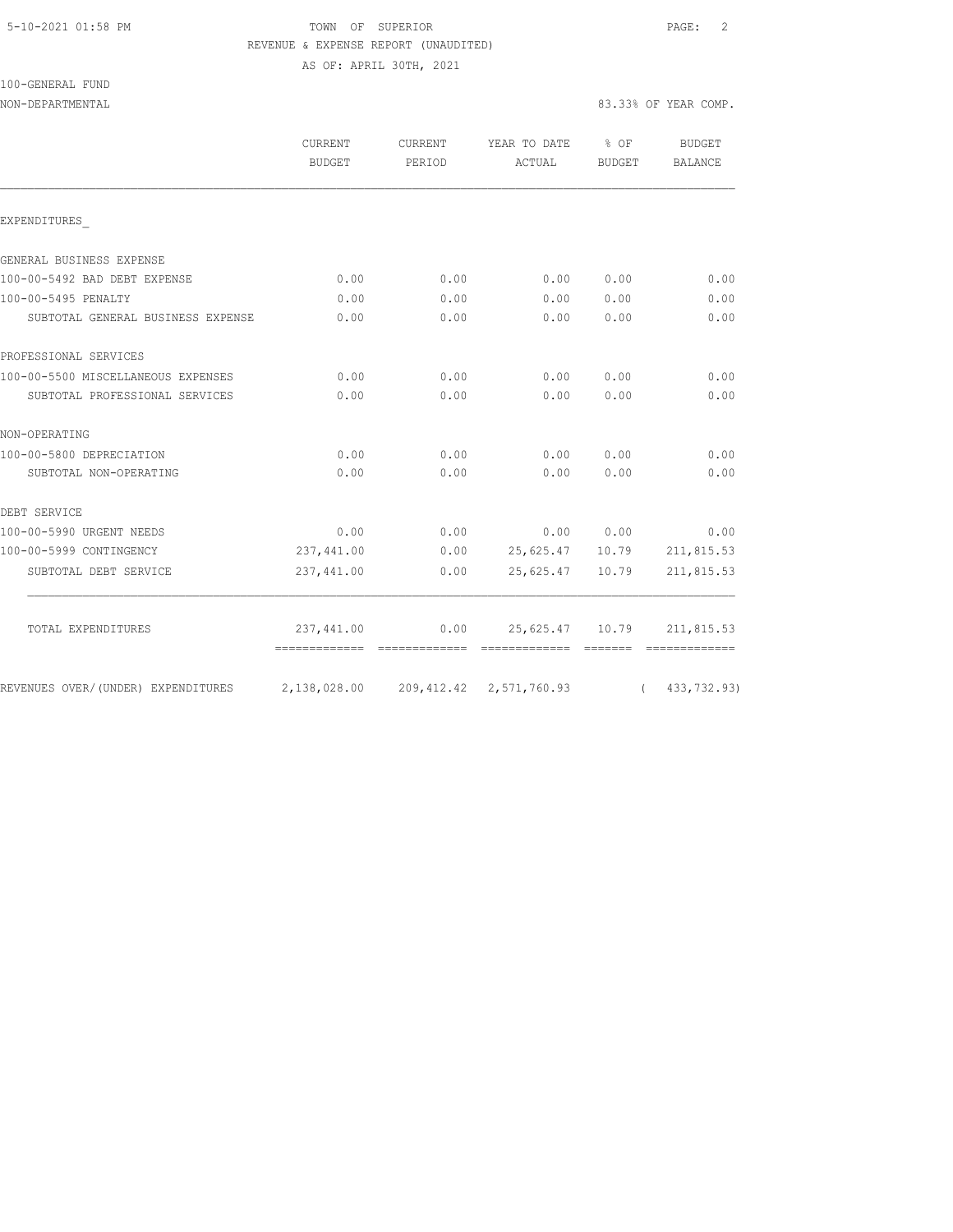100-GENERAL FUND

#### 5-10-2021 01:58 PM TOWN OF SUPERIOR PAGE: 2 REVENUE & EXPENSE REPORT (UNAUDITED) AS OF: APRIL 30TH, 2021

NON-DEPARTMENTAL 83.33% OF YEAR COMP.

|                                    | <b>CURRENT</b><br>BUDGET                          | CURRENT<br>PERIOD | YEAR TO DATE<br>ACTUAL | $8$ OF<br>BUDGET | <b>BUDGET</b><br>BALANCE |
|------------------------------------|---------------------------------------------------|-------------------|------------------------|------------------|--------------------------|
|                                    |                                                   |                   |                        |                  |                          |
| EXPENDITURES                       |                                                   |                   |                        |                  |                          |
| GENERAL BUSINESS EXPENSE           |                                                   |                   |                        |                  |                          |
| 100-00-5492 BAD DEBT EXPENSE       | 0.00                                              | 0.00              | 0.00                   | 0.00             | 0.00                     |
| 100-00-5495 PENALTY                | 0.00                                              | 0.00              | 0.00                   | 0.00             | 0.00                     |
| SUBTOTAL GENERAL BUSINESS EXPENSE  | 0.00                                              | 0.00              | 0.00                   | 0.00             | 0.00                     |
| PROFESSIONAL SERVICES              |                                                   |                   |                        |                  |                          |
| 100-00-5500 MISCELLANEOUS EXPENSES | 0.00                                              | 0.00              | 0.00                   | 0.00             | 0.00                     |
| SUBTOTAL PROFESSIONAL SERVICES     | 0.00                                              | 0.00              | 0.00                   | 0.00             | 0.00                     |
| NON-OPERATING                      |                                                   |                   |                        |                  |                          |
| 100-00-5800 DEPRECIATION           | 0.00                                              | 0.00              | 0.00                   | 0.00             | 0.00                     |
| SUBTOTAL NON-OPERATING             | 0.00                                              | 0.00              | 0.00                   | 0.00             | 0.00                     |
| DEBT SERVICE                       |                                                   |                   |                        |                  |                          |
| 100-00-5990 URGENT NEEDS           | 0.00                                              | 0.00              |                        | 0.00 0.00        | 0.00                     |
| 100-00-5999 CONTINGENCY            | 237, 441.00                                       | 0.00              | 25,625.47 10.79        |                  | 211,815.53               |
| SUBTOTAL DEBT SERVICE              | 237,441.00                                        | 0.00              | 25,625.47              | 10.79            | 211,815.53               |
| TOTAL EXPENDITURES                 | 237,441.00                                        |                   | $0.00$ 25,625.47 10.79 |                  | 211,815.53               |
|                                    |                                                   |                   |                        |                  |                          |
| REVENUES OVER/(UNDER) EXPENDITURES | 2,138,028.00 209,412.42 2,571,760.93 (433,732.93) |                   |                        |                  |                          |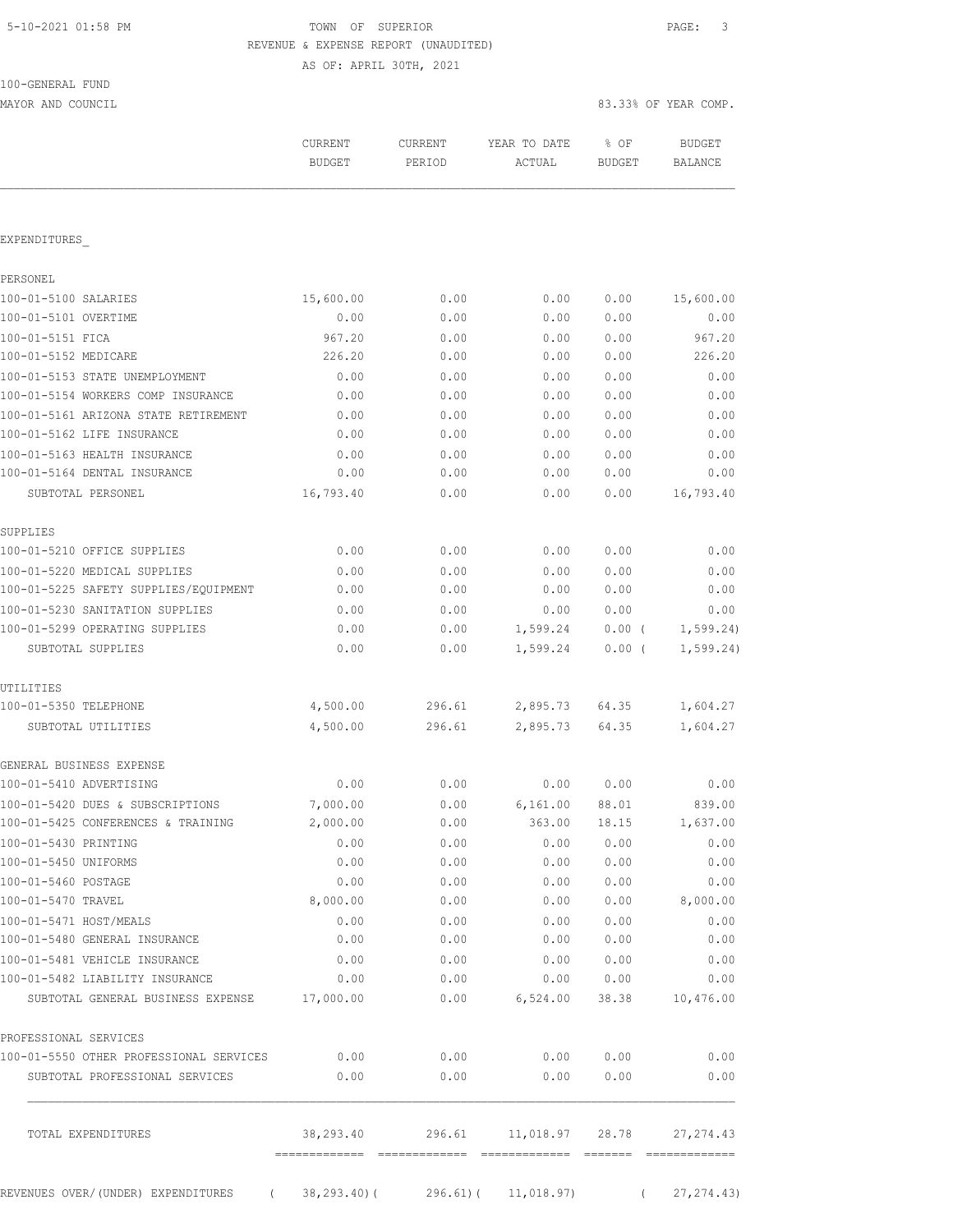# TOWN OF SUPERIOR **Example 2010** PAGE: 3 REVENUE & EXPENSE REPORT (UNAUDITED)

AS OF: APRIL 30TH, 2021

| 100-GENERAL FUND |  |
|------------------|--|
|                  |  |

MAYOR AND COUNCIL SERVICES AND COUNCIL SERVICES OF YEAR COMP.

|                                         | <b>CURRENT</b><br><b>BUDGET</b> | CURRENT<br>PERIOD | YEAR TO DATE<br>ACTUAL | % OF<br><b>BUDGET</b> | <b>BUDGET</b><br><b>BALANCE</b> |
|-----------------------------------------|---------------------------------|-------------------|------------------------|-----------------------|---------------------------------|
| EXPENDITURES                            |                                 |                   |                        |                       |                                 |
| PERSONEL                                |                                 |                   |                        |                       |                                 |
| 100-01-5100 SALARIES                    | 15,600.00                       | 0.00              | 0.00                   | 0.00                  | 15,600.00                       |
| 100-01-5101 OVERTIME                    | 0.00                            | 0.00              | 0.00                   | 0.00                  | 0.00                            |
| 100-01-5151 FICA                        | 967.20                          | 0.00              | 0.00                   | 0.00                  | 967.20                          |
| 100-01-5152 MEDICARE                    | 226.20                          | 0.00              | 0.00                   | 0.00                  | 226.20                          |
| 100-01-5153 STATE UNEMPLOYMENT          | 0.00                            | 0.00              | 0.00                   | 0.00                  | 0.00                            |
| 100-01-5154 WORKERS COMP INSURANCE      | 0.00                            | 0.00              | 0.00                   | 0.00                  | 0.00                            |
| 100-01-5161 ARIZONA STATE RETIREMENT    | 0.00                            | 0.00              | 0.00                   | 0.00                  | 0.00                            |
| 100-01-5162 LIFE INSURANCE              | 0.00                            | 0.00              | 0.00                   | 0.00                  | 0.00                            |
| 100-01-5163 HEALTH INSURANCE            | 0.00                            | 0.00              | 0.00                   | 0.00                  | 0.00                            |
| 100-01-5164 DENTAL INSURANCE            | 0.00                            | 0.00              | 0.00                   | 0.00                  | 0.00                            |
| SUBTOTAL PERSONEL                       | 16,793.40                       | 0.00              | 0.00                   | 0.00                  | 16,793.40                       |
| SUPPLIES                                |                                 |                   |                        |                       |                                 |
| 100-01-5210 OFFICE SUPPLIES             | 0.00                            | 0.00              | 0.00                   | 0.00                  | 0.00                            |
| 100-01-5220 MEDICAL SUPPLIES            | 0.00                            | 0.00              | 0.00                   | 0.00                  | 0.00                            |
| 100-01-5225 SAFETY SUPPLIES/EQUIPMENT   | 0.00                            | 0.00              | 0.00                   | 0.00                  | 0.00                            |
| 100-01-5230 SANITATION SUPPLIES         | 0.00                            | 0.00              | 0.00                   | 0.00                  | 0.00                            |
| 100-01-5299 OPERATING SUPPLIES          | 0.00                            | 0.00              | 1,599.24               | $0.00$ (              | 1, 599.24)                      |
| SUBTOTAL SUPPLIES                       | 0.00                            | 0.00              | 1,599.24               | $0.00$ (              | 1, 599.24)                      |
| UTILITIES                               |                                 |                   |                        |                       |                                 |
| 100-01-5350 TELEPHONE                   | 4,500.00                        | 296.61            | 2,895.73               | 64.35                 | 1,604.27                        |
| SUBTOTAL UTILITIES                      | 4,500.00                        | 296.61            | 2,895.73               | 64.35                 | 1,604.27                        |
| GENERAL BUSINESS EXPENSE                |                                 |                   |                        |                       |                                 |
| 100-01-5410 ADVERTISING                 | 0.00                            | 0.00              | 0.00                   | 0.00                  | 0.00                            |
| 100-01-5420 DUES & SUBSCRIPTIONS        | 7,000.00                        | 0.00              | 6, 161.00              | 88.01                 | 839.00                          |
| 100-01-5425 CONFERENCES & TRAINING      | 2,000.00                        | 0.00              | 363.00                 | 18.15                 | 1,637.00                        |
| 100-01-5430 PRINTING                    | 0.00                            | 0.00              | 0.00                   | 0.00                  | 0.00                            |
| 100-01-5450 UNIFORMS                    | 0.00                            | 0.00              | 0.00                   | 0.00                  | 0.00                            |
| 100-01-5460 POSTAGE                     | 0.00                            | 0.00              | 0.00                   | 0.00                  | 0.00                            |
| 100-01-5470 TRAVEL                      | 8,000.00                        | 0.00              | 0.00                   | 0.00                  | 8,000.00                        |
| 100-01-5471 HOST/MEALS                  | 0.00                            | 0.00              | 0.00                   | 0.00                  | 0.00                            |
| 100-01-5480 GENERAL INSURANCE           | 0.00                            | 0.00              | 0.00                   | 0.00                  | 0.00                            |
| 100-01-5481 VEHICLE INSURANCE           | 0.00                            | 0.00              | 0.00                   | 0.00                  | 0.00                            |
| 100-01-5482 LIABILITY INSURANCE         | 0.00                            | 0.00              | 0.00                   | 0.00                  | 0.00                            |
| SUBTOTAL GENERAL BUSINESS EXPENSE       | 17,000.00                       | 0.00              | 6,524.00               | 38.38                 | 10,476.00                       |
| PROFESSIONAL SERVICES                   |                                 |                   |                        |                       |                                 |
| 100-01-5550 OTHER PROFESSIONAL SERVICES | 0.00                            | 0.00              | 0.00                   | 0.00                  | 0.00                            |
| SUBTOTAL PROFESSIONAL SERVICES          | 0.00                            | 0.00              | 0.00                   | 0.00                  | 0.00                            |
|                                         |                                 |                   |                        |                       |                                 |

REVENUES OVER/(UNDER) EXPENDITURES ( 38,293.40)( 296.61)( 11,018.97) ( 27,274.43)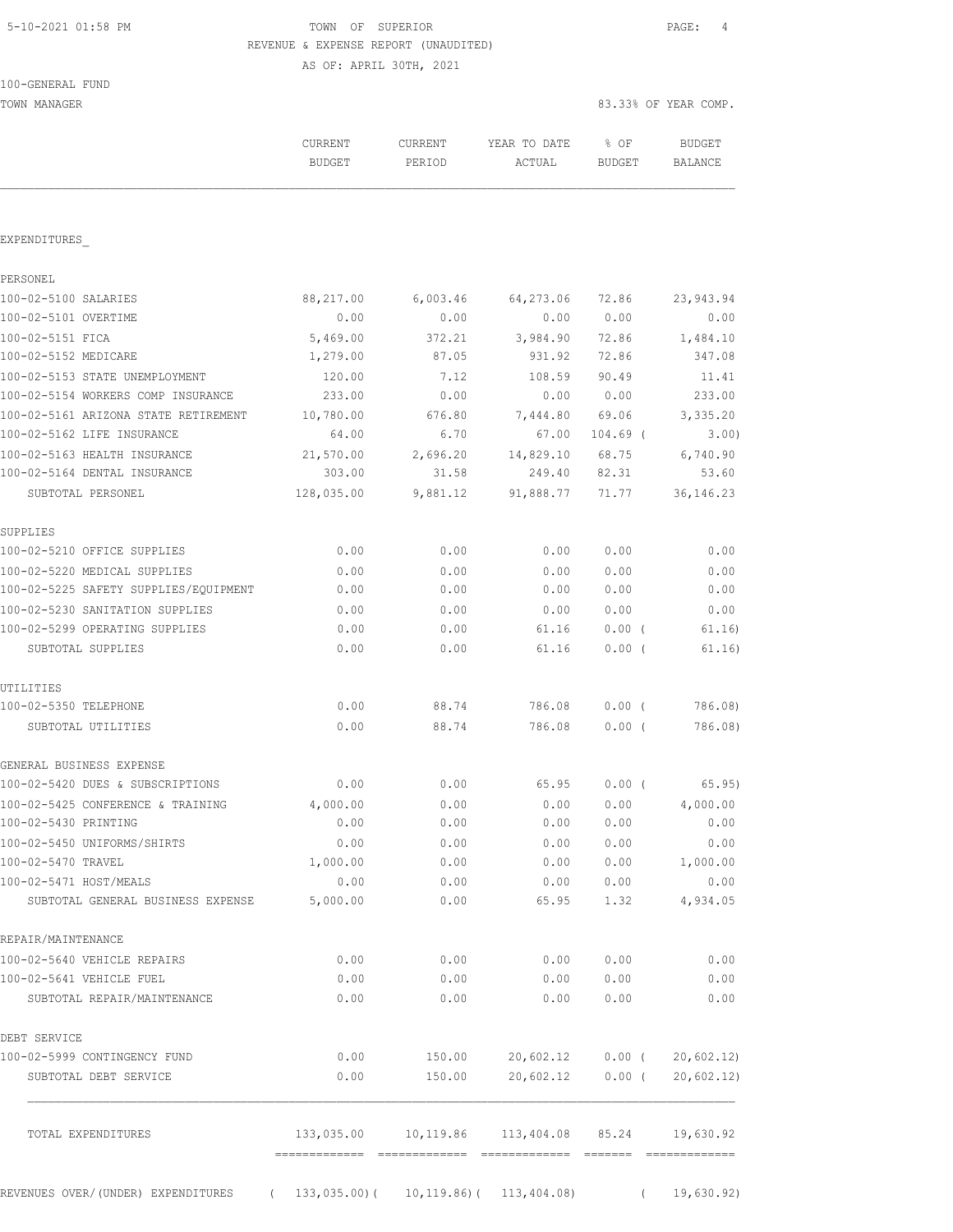# 5-10-2021 01:58 PM TOWN OF SUPERIOR PAGE: 4 REVENUE & EXPENSE REPORT (UNAUDITED)

AS OF: APRIL 30TH, 2021

TOWN MANAGER 83.33% OF YEAR COMP.

|                                                         | CURRENT<br>BUDGET | CURRENT<br>PERIOD | YEAR TO DATE<br>ACTUAL              | $8$ OF<br>BUDGET | BUDGET<br>BALANCE |
|---------------------------------------------------------|-------------------|-------------------|-------------------------------------|------------------|-------------------|
| EXPENDITURES                                            |                   |                   |                                     |                  |                   |
| PERSONEL                                                |                   |                   |                                     |                  |                   |
| 100-02-5100 SALARIES                                    |                   |                   | 88,217.00 6,003.46 64,273.06 72.86  |                  | 23,943.94         |
| 100-02-5101 OVERTIME                                    | 0.00              | 0.00              |                                     | 0.00 0.00        | 0.00              |
| 100-02-5151 FICA                                        | 5,469.00          | 372.21            | 3,984.90                            | 72.86            | 1,484.10          |
| 100-02-5152 MEDICARE                                    | 1,279.00          | 87.05             | 931.92                              | 72.86            | 347.08            |
| 100-02-5153 STATE UNEMPLOYMENT                          | 120.00            | 7.12              | 108.59                              | 90.49            | 11.41             |
| 100-02-5154 WORKERS COMP INSURANCE                      | 233.00            | 0.00              |                                     | 0.00 0.00        | 233.00            |
| 100-02-5161 ARIZONA STATE RETIREMENT                    | 10,780.00         | 676.80            | 7,444.80 69.06                      |                  | 3,335.20          |
| 100-02-5162 LIFE INSURANCE                              | 64.00             | 6.70              | 67.00                               | 104.69 (         | 3.00              |
| 100-02-5163 HEALTH INSURANCE                            | 21,570.00         | 2,696.20          | 14,829.10 68.75                     |                  | 6,740.90          |
| 100-02-5164 DENTAL INSURANCE                            | 303.00            | 31.58             | 249.40                              | 82.31            | 53.60             |
| SUBTOTAL PERSONEL                                       |                   |                   | 128,035.00 9,881.12 91,888.77 71.77 |                  | 36, 146.23        |
| SUPPLIES                                                |                   |                   |                                     |                  |                   |
| 100-02-5210 OFFICE SUPPLIES                             | 0.00              | 0.00              | 0.00                                | 0.00             | 0.00              |
| 100-02-5220 MEDICAL SUPPLIES                            | 0.00              | 0.00              | 0.00                                | 0.00             | 0.00              |
| 100-02-5225 SAFETY SUPPLIES/EQUIPMENT                   | 0.00              | 0.00              | 0.00                                | 0.00             | 0.00              |
| 100-02-5230 SANITATION SUPPLIES                         | 0.00              | 0.00              | 0.00                                | 0.00             | 0.00              |
| 100-02-5299 OPERATING SUPPLIES                          | 0.00              | 0.00              | 61.16                               | $0.00$ (         | 61.16)            |
| SUBTOTAL SUPPLIES                                       | 0.00              | 0.00              | 61.16                               | $0.00$ (         | 61.16)            |
| UTILITIES<br>100-02-5350 TELEPHONE                      | 0.00              | 88.74             | 786.08                              | $0.00$ (         | 786.08)           |
| SUBTOTAL UTILITIES                                      | 0.00              | 88.74             | 786.08                              | $0.00$ (         | 786.08)           |
| GENERAL BUSINESS EXPENSE                                |                   |                   |                                     |                  |                   |
| 100-02-5420 DUES & SUBSCRIPTIONS                        | 0.00              | 0.00              | 65.95                               | $0.00$ (         | 65.95)            |
| 100-02-5425 CONFERENCE & TRAINING                       | 4,000.00          | 0.00              | 0.00                                | 0.00             | 4,000.00          |
| 100-02-5430 PRINTING                                    | 0.00              | 0.00              | 0.00                                | 0.00             | 0.00              |
| 100-02-5450 UNIFORMS/SHIRTS                             | 0.00              | 0.00              | 0.00                                | 0.00             | 0.00              |
| 100-02-5470 TRAVEL                                      | 1,000.00          | 0.00              | 0.00                                | 0.00             | 1,000.00          |
| 100-02-5471 HOST/MEALS                                  | 0.00              | 0.00              | 0.00                                | 0.00             | 0.00              |
| SUBTOTAL GENERAL BUSINESS EXPENSE                       | 5,000.00          | 0.00              | 65.95                               | 1.32             | 4,934.05          |
| REPAIR/MAINTENANCE                                      |                   |                   |                                     |                  |                   |
| 100-02-5640 VEHICLE REPAIRS<br>100-02-5641 VEHICLE FUEL | 0.00              | 0.00              | 0.00                                | 0.00             | 0.00              |
| SUBTOTAL REPAIR/MAINTENANCE                             | 0.00<br>0.00      | 0.00<br>0.00      | 0.00<br>0.00                        | 0.00<br>0.00     | 0.00<br>0.00      |
|                                                         |                   |                   |                                     |                  |                   |
| DEBT SERVICE                                            |                   |                   |                                     |                  |                   |
| 100-02-5999 CONTINGENCY FUND                            | 0.00              | 150.00            | 20,602.12                           | $0.00$ (         | 20,602.12)        |
| SUBTOTAL DEBT SERVICE                                   | 0.00              | 150.00            | 20,602.12                           | $0.00$ (         | 20,602.12)        |
| TOTAL EXPENDITURES                                      | 133,035.00        | 10,119.86         | 113,404.08                          | 85.24            | 19,630.92         |
|                                                         |                   |                   |                                     |                  |                   |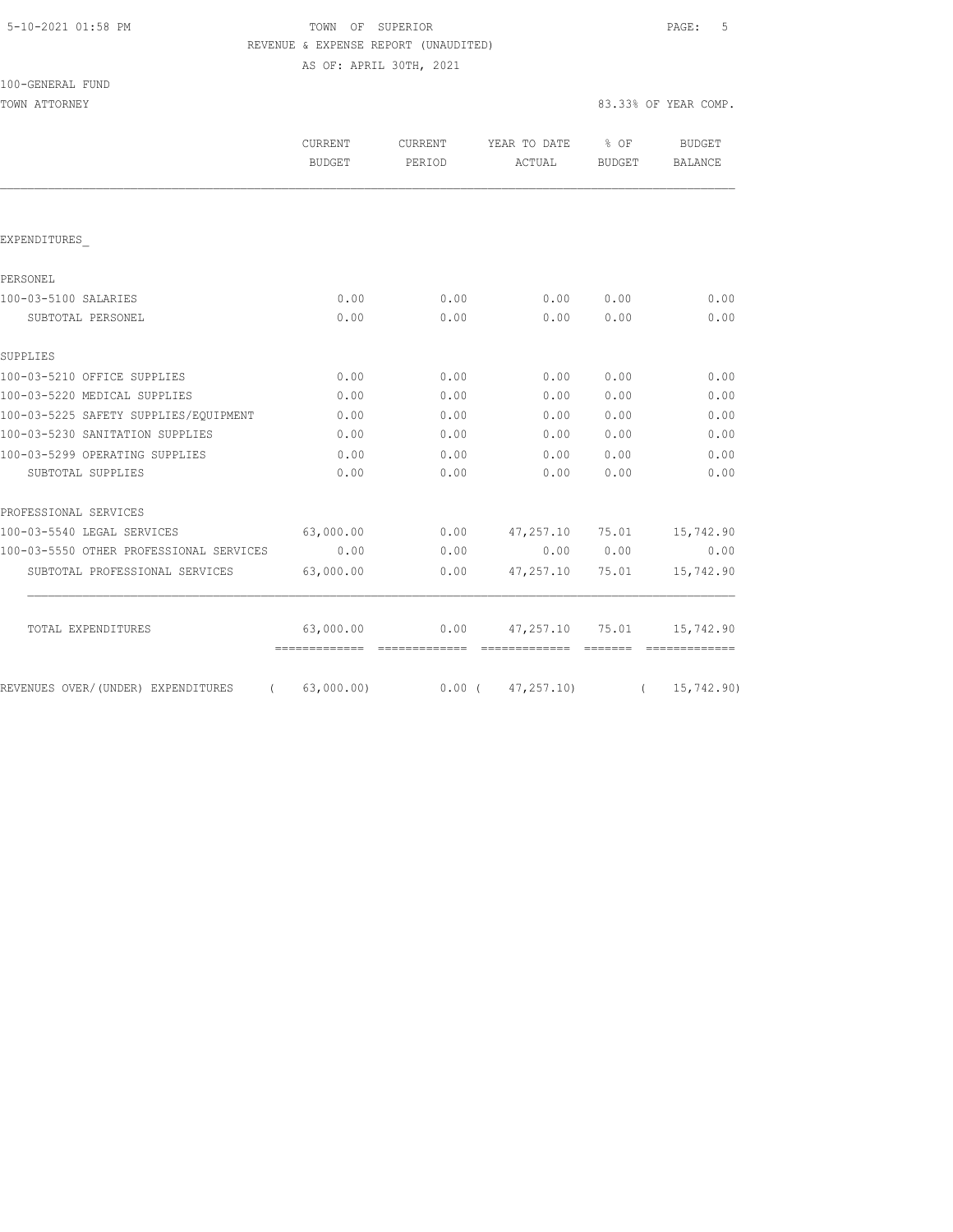| 5-10-2021 01:58 PM |  |
|--------------------|--|
|                    |  |

# TOWN OF SUPERIOR **Example 2010** PAGE: 5 REVENUE & EXPENSE REPORT (UNAUDITED)

AS OF: APRIL 30TH, 2021

| 100-GENERAL FUND |  |
|------------------|--|
|------------------|--|

|                                                 | <b>CURRENT</b><br><b>BUDGET</b> | <b>CURRENT</b><br>PERIOD | YEAR TO DATE<br>ACTUAL | % OF<br>BUDGET | <b>BUDGET</b><br>BALANCE |
|-------------------------------------------------|---------------------------------|--------------------------|------------------------|----------------|--------------------------|
|                                                 |                                 |                          |                        |                |                          |
| EXPENDITURES                                    |                                 |                          |                        |                |                          |
| PERSONEL                                        |                                 |                          |                        |                |                          |
| 100-03-5100 SALARIES                            | 0.00                            | 0.00                     | 0.00                   | 0.00           | 0.00                     |
| SUBTOTAL PERSONEL                               | 0.00                            | 0.00                     | 0.00                   | 0.00           | 0.00                     |
| SUPPLIES                                        |                                 |                          |                        |                |                          |
| 100-03-5210 OFFICE SUPPLIES                     | 0.00                            | 0.00                     | 0.00                   | 0.00           | 0.00                     |
| 100-03-5220 MEDICAL SUPPLIES                    | 0.00                            | 0.00                     | 0.00                   | 0.00           | 0.00                     |
| 100-03-5225 SAFETY SUPPLIES/EQUIPMENT           | 0.00                            | 0.00                     | 0.00                   | 0.00           | 0.00                     |
| 100-03-5230 SANITATION SUPPLIES                 | 0.00                            | 0.00                     | 0.00                   | 0.00           | 0.00                     |
| 100-03-5299 OPERATING SUPPLIES                  | 0.00                            | 0.00                     | 0.00                   | 0.00           | 0.00                     |
| SUBTOTAL SUPPLIES                               | 0.00                            | 0.00                     | 0.00                   | 0.00           | 0.00                     |
| PROFESSIONAL SERVICES                           |                                 |                          |                        |                |                          |
| 100-03-5540 LEGAL SERVICES                      | 63,000.00                       | 0.00                     | 47,257.10              | 75.01          | 15,742.90                |
| 100-03-5550 OTHER PROFESSIONAL SERVICES         | 0.00                            | 0.00                     |                        | 0.00 0.00      | 0.00                     |
| SUBTOTAL PROFESSIONAL SERVICES                  | 63,000.00                       | 0.00                     | 47,257.10              | 75.01          | 15,742.90                |
| TOTAL EXPENDITURES                              | 63,000.00                       | 0.00                     | 47,257.10              | 75.01          | 15,742.90                |
|                                                 |                                 |                          |                        |                |                          |
| REVENUES OVER/ (UNDER) EXPENDITURES<br>$\left($ | 63,000.00)                      |                          | $0.00$ ( $47,257.10$ ) | $\sqrt{2}$     | 15,742.90)               |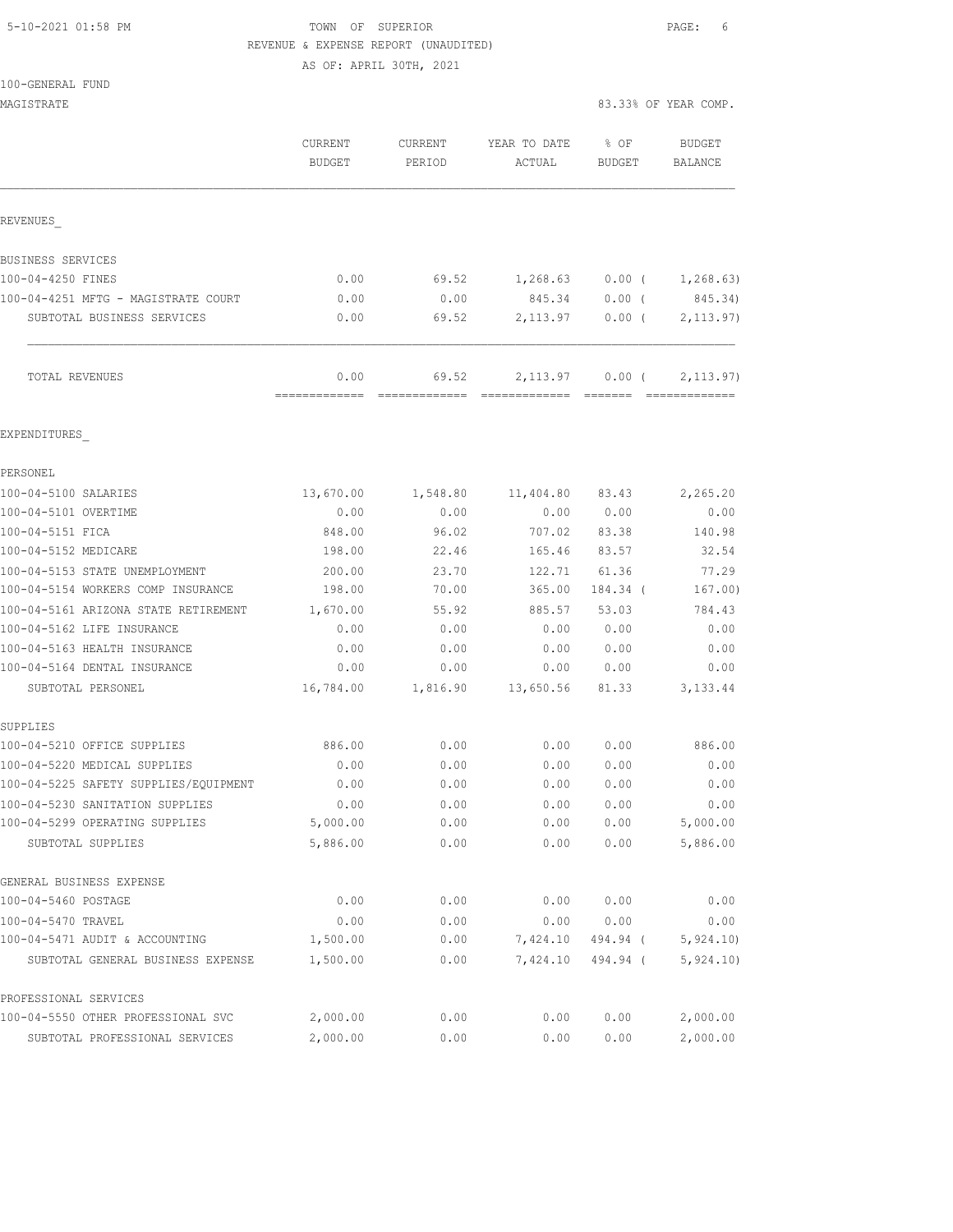## 5-10-2021 01:58 PM TOWN OF SUPERIOR PAGE: 6 REVENUE & EXPENSE REPORT (UNAUDITED)

AS OF: APRIL 30TH, 2021

| MAGISTRATE                              |                          |                   |                        |                       | 83.33% OF YEAR COMP.     |
|-----------------------------------------|--------------------------|-------------------|------------------------|-----------------------|--------------------------|
|                                         | CURRENT<br><b>BUDGET</b> | CURRENT<br>PERIOD | YEAR TO DATE<br>ACTUAL | % OF<br><b>BUDGET</b> | <b>BUDGET</b><br>BALANCE |
| REVENUES                                |                          |                   |                        |                       |                          |
| BUSINESS SERVICES                       |                          |                   |                        |                       |                          |
| 100-04-4250 FINES                       | 0.00                     | 69.52             | 1,268.63               | $0.00$ (              | 1,268.63)                |
| 100-04-4251 MFTG - MAGISTRATE COURT     | 0.00                     | 0.00              | 845.34                 | $0.00$ (              | 845.34)                  |
| SUBTOTAL BUSINESS SERVICES              | 0.00                     | 69.52             | 2, 113.97              | 0.00(                 | 2, 113.97)               |
| TOTAL REVENUES                          | 0.00<br>=============    | 69.52             | 2,113.97               | $0.00$ (              | 2, 113.97)               |
| EXPENDITURES                            |                          |                   |                        |                       |                          |
| PERSONEL                                |                          |                   |                        |                       |                          |
| 100-04-5100 SALARIES                    | 13,670.00                | 1,548.80          | 11,404.80              | 83.43                 | 2,265.20                 |
| 100-04-5101 OVERTIME                    | 0.00                     | 0.00              | 0.00                   | 0.00                  | 0.00                     |
| 100-04-5151 FICA                        | 848.00                   | 96.02             | 707.02                 | 83.38                 | 140.98                   |
| 100-04-5152 MEDICARE                    | 198.00                   | 22.46             | 165.46                 | 83.57                 | 32.54                    |
| 100-04-5153 STATE UNEMPLOYMENT          | 200.00                   | 23.70             | 122.71                 | 61.36                 | 77.29                    |
| 100-04-5154 WORKERS COMP INSURANCE      | 198.00                   | 70.00             | 365.00                 | 184.34 (              | 167.00)                  |
| 100-04-5161 ARIZONA STATE RETIREMENT    | 1,670.00                 | 55.92             | 885.57                 | 53.03                 | 784.43                   |
| 100-04-5162 LIFE INSURANCE              | 0.00                     | 0.00              | 0.00                   | 0.00                  | 0.00                     |
| 100-04-5163 HEALTH INSURANCE            | 0.00                     | 0.00              | 0.00                   | 0.00                  | 0.00                     |
| 100-04-5164 DENTAL INSURANCE            | 0.00                     | 0.00              | 0.00                   | 0.00                  | 0.00                     |
| SUBTOTAL PERSONEL                       | 16,784.00                | 1,816.90          | 13,650.56              | 81.33                 | 3, 133.44                |
| SUPPLIES<br>100-04-5210 OFFICE SUPPLIES | 886.00                   | 0.00              | 0.00                   | 0.00                  | 886.00                   |
| 100-04-5220 MEDICAL SUPPLIES            | 0.00                     | 0.00              | 0.00                   | 0.00                  | 0.00                     |
| 100-04-5225 SAFETY SUPPLIES/EQUIPMENT   | 0.00                     | 0.00              | 0.00                   | 0.00                  | 0.00                     |
| 100-04-5230 SANITATION SUPPLIES         | 0.00                     | 0.00              | 0.00                   | 0.00                  | 0.00                     |
| 100-04-5299 OPERATING SUPPLIES          | 5,000.00                 | 0.00              | 0.00                   | 0.00                  | 5,000.00                 |
| SUBTOTAL SUPPLIES                       | 5,886.00                 | 0.00              | 0.00                   | 0.00                  | 5,886.00                 |
| GENERAL BUSINESS EXPENSE                |                          |                   |                        |                       |                          |
| 100-04-5460 POSTAGE                     | 0.00                     | 0.00              | 0.00                   | 0.00                  | 0.00                     |
| 100-04-5470 TRAVEL                      | 0.00                     | 0.00              | 0.00                   | 0.00                  | 0.00                     |
| 100-04-5471 AUDIT & ACCOUNTING          | 1,500.00                 | 0.00              | 7,424.10               | 494.94 (              | 5, 924.10                |
| SUBTOTAL GENERAL BUSINESS EXPENSE       | 1,500.00                 | 0.00              | 7,424.10               | 494.94 (              | 5,924.10)                |
| PROFESSIONAL SERVICES                   |                          |                   |                        |                       |                          |
| 100-04-5550 OTHER PROFESSIONAL SVC      | 2,000.00                 | 0.00              | 0.00                   | 0.00                  | 2,000.00                 |
| SUBTOTAL PROFESSIONAL SERVICES          | 2,000.00                 | 0.00              | 0.00                   | 0.00                  | 2,000.00                 |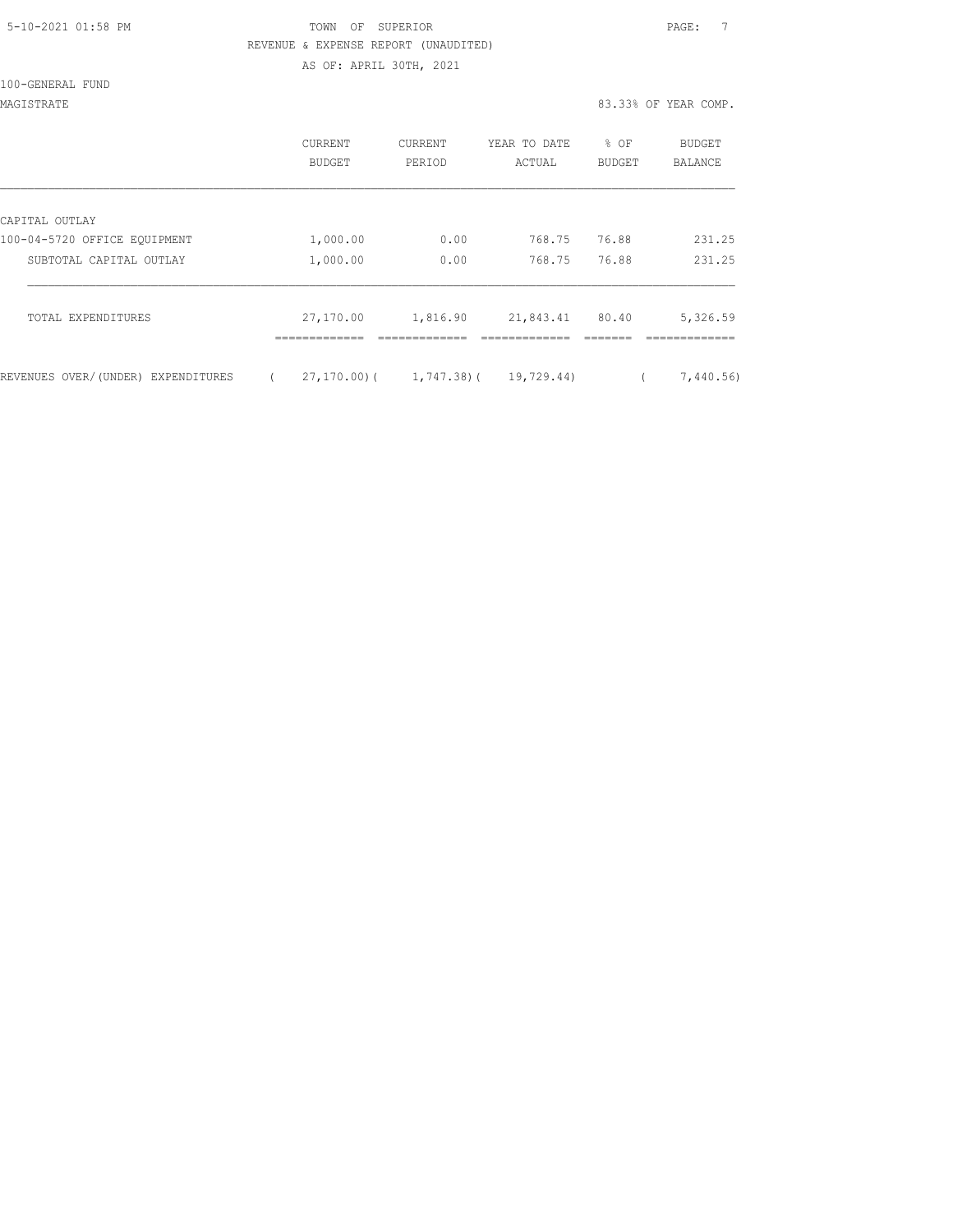| 5-10-2021 01:58 PM |  |
|--------------------|--|
|                    |  |

# TOWN OF SUPERIOR **Example 2010** PAGE: 7 REVENUE & EXPENSE REPORT (UNAUDITED)

AS OF: APRIL 30TH, 2021

100-GENERAL FUND

MAGISTRATE 83.33% OF YEAR COMP.

|                                    | CURRENT<br>BUDGET | <b>CURRENT</b><br>PERIOD      | YEAR TO DATE<br>ACTUAL | % OF<br>BUDGET | BUDGET<br>BALANCE |
|------------------------------------|-------------------|-------------------------------|------------------------|----------------|-------------------|
| CAPITAL OUTLAY                     |                   |                               |                        |                |                   |
| 100-04-5720 OFFICE EQUIPMENT       | 1,000.00          | 0.00                          | 768.75                 | 76.88          | 231.25            |
| SUBTOTAL CAPITAL OUTLAY            | 1,000.00          | 0.00                          | 768.75                 | 76.88          | 231.25            |
| TOTAL EXPENDITURES                 | 27,170.00         | 1,816.90                      | 21,843.41              | 80.40          | 5,326.59          |
| REVENUES OVER/(UNDER) EXPENDITURES |                   | $27, 170, 00$ ( 1, 747, 38) ( | 19,729.44)             |                | 7,440.56)         |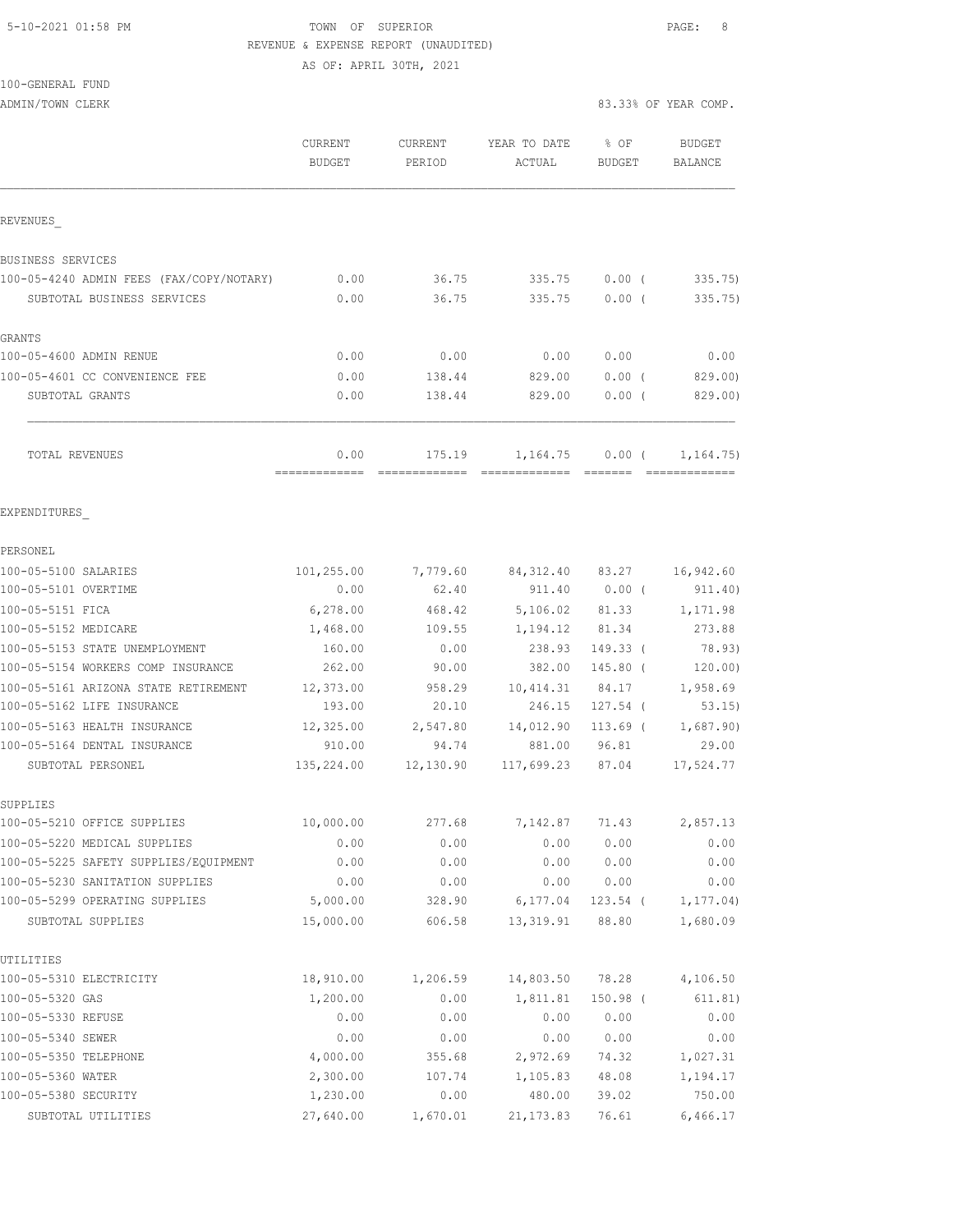#### 5-10-2021 01:58 PM TOWN OF SUPERIOR PAGE: 8 REVENUE & EXPENSE REPORT (UNAUDITED)

AS OF: APRIL 30TH, 2021

| 100-GENERAL FUND |  |  |  |
|------------------|--|--|--|
|------------------|--|--|--|

ADMIN/TOWN CLERK 83.33% OF YEAR COMP.

|                                          | CURRENT               | CURRENT   | YEAR TO DATE | % OF            | <b>BUDGET</b>  |
|------------------------------------------|-----------------------|-----------|--------------|-----------------|----------------|
|                                          | <b>BUDGET</b>         | PERIOD    | ACTUAL       | <b>BUDGET</b>   | <b>BALANCE</b> |
| REVENUES                                 |                       |           |              |                 |                |
|                                          |                       |           |              |                 |                |
| BUSINESS SERVICES                        |                       |           |              |                 |                |
| 100-05-4240 ADMIN FEES (FAX/COPY/NOTARY) | 0.00                  | 36.75     | 335.75       | $0.00$ (        | 335.75)        |
| SUBTOTAL BUSINESS SERVICES               | 0.00                  | 36.75     | 335.75       | $0.00$ (        | 335.75)        |
| GRANTS                                   |                       |           |              |                 |                |
| 100-05-4600 ADMIN RENUE                  | 0.00                  | 0.00      | 0.00         | 0.00            | 0.00           |
| 100-05-4601 CC CONVENIENCE FEE           | 0.00                  | 138.44    | 829.00       | $0.00$ (        | 829.00)        |
| SUBTOTAL GRANTS                          | 0.00                  | 138.44    | 829.00       | 0.00(           | 829.00)        |
| TOTAL REVENUES                           | 0.00<br>============= | 175.19    | 1,164.75     | $0.00$ (        | 1, 164.75)     |
| EXPENDITURES                             |                       |           |              |                 |                |
| PERSONEL                                 |                       |           |              |                 |                |
| 100-05-5100 SALARIES                     | 101,255.00            | 7,779.60  |              | 84,312.40 83.27 | 16,942.60      |
| 100-05-5101 OVERTIME                     | 0.00                  | 62.40     | 911.40       | $0.00$ (        | 911.40)        |
| 100-05-5151 FICA                         | 6,278.00              | 468.42    | 5,106.02     | 81.33           | 1,171.98       |
| 100-05-5152 MEDICARE                     | 1,468.00              | 109.55    | 1,194.12     | 81.34           | 273.88         |
| 100-05-5153 STATE UNEMPLOYMENT           | 160.00                | 0.00      | 238.93       | $149.33$ (      | 78.93)         |
| 100-05-5154 WORKERS COMP INSURANCE       | 262.00                | 90.00     | 382.00       | 145.80 (        | 120.00)        |
| 100-05-5161 ARIZONA STATE RETIREMENT     | 12,373.00             | 958.29    | 10,414.31    | 84.17           | 1,958.69       |
| 100-05-5162 LIFE INSURANCE               | 193.00                | 20.10     | 246.15       | $127.54$ (      | 53.15)         |
| 100-05-5163 HEALTH INSURANCE             | 12,325.00             | 2,547.80  | 14,012.90    | $113.69$ (      | 1,687.90)      |
| 100-05-5164 DENTAL INSURANCE             | 910.00                | 94.74     | 881.00       | 96.81           | 29.00          |
| SUBTOTAL PERSONEL                        | 135,224.00            | 12,130.90 | 117,699.23   | 87.04           | 17,524.77      |
| SUPPLIES                                 |                       |           |              |                 |                |
| 100-05-5210 OFFICE SUPPLIES              | 10,000.00             | 277.68    | 7,142.87     | 71.43           | 2,857.13       |
| 100-05-5220 MEDICAL SUPPLIES             | 0.00                  | 0.00      | 0.00         | 0.00            | 0.00           |
| 100-05-5225 SAFETY SUPPLIES/EQUIPMENT    | 0.00                  | 0.00      | 0.00         | 0.00            | 0.00           |
| 100-05-5230 SANITATION SUPPLIES          | 0.00                  | 0.00      | 0.00         | 0.00            | 0.00           |
| 100-05-5299 OPERATING SUPPLIES           | 5,000.00              | 328.90    | 6,177.04     | $123.54$ (      | 1, 177.04)     |
| SUBTOTAL SUPPLIES                        | 15,000.00             | 606.58    | 13, 319.91   | 88.80           | 1,680.09       |
| UTILITIES                                |                       |           |              |                 |                |
| 100-05-5310 ELECTRICITY                  | 18,910.00             | 1,206.59  | 14,803.50    | 78.28           | 4,106.50       |
| 100-05-5320 GAS                          | 1,200.00              | 0.00      | 1,811.81     | $150.98$ (      | 611.81)        |
| 100-05-5330 REFUSE                       | 0.00                  | 0.00      | 0.00         | 0.00            | 0.00           |
| 100-05-5340 SEWER                        | 0.00                  | 0.00      | 0.00         | 0.00            | 0.00           |
| 100-05-5350 TELEPHONE                    | 4,000.00              | 355.68    | 2,972.69     | 74.32           | 1,027.31       |
| 100-05-5360 WATER                        | 2,300.00              | 107.74    | 1,105.83     | 48.08           | 1,194.17       |
| 100-05-5380 SECURITY                     | 1,230.00              | 0.00      | 480.00       | 39.02           | 750.00         |
| SUBTOTAL UTILITIES                       | 27,640.00             | 1,670.01  | 21, 173.83   | 76.61           | 6,466.17       |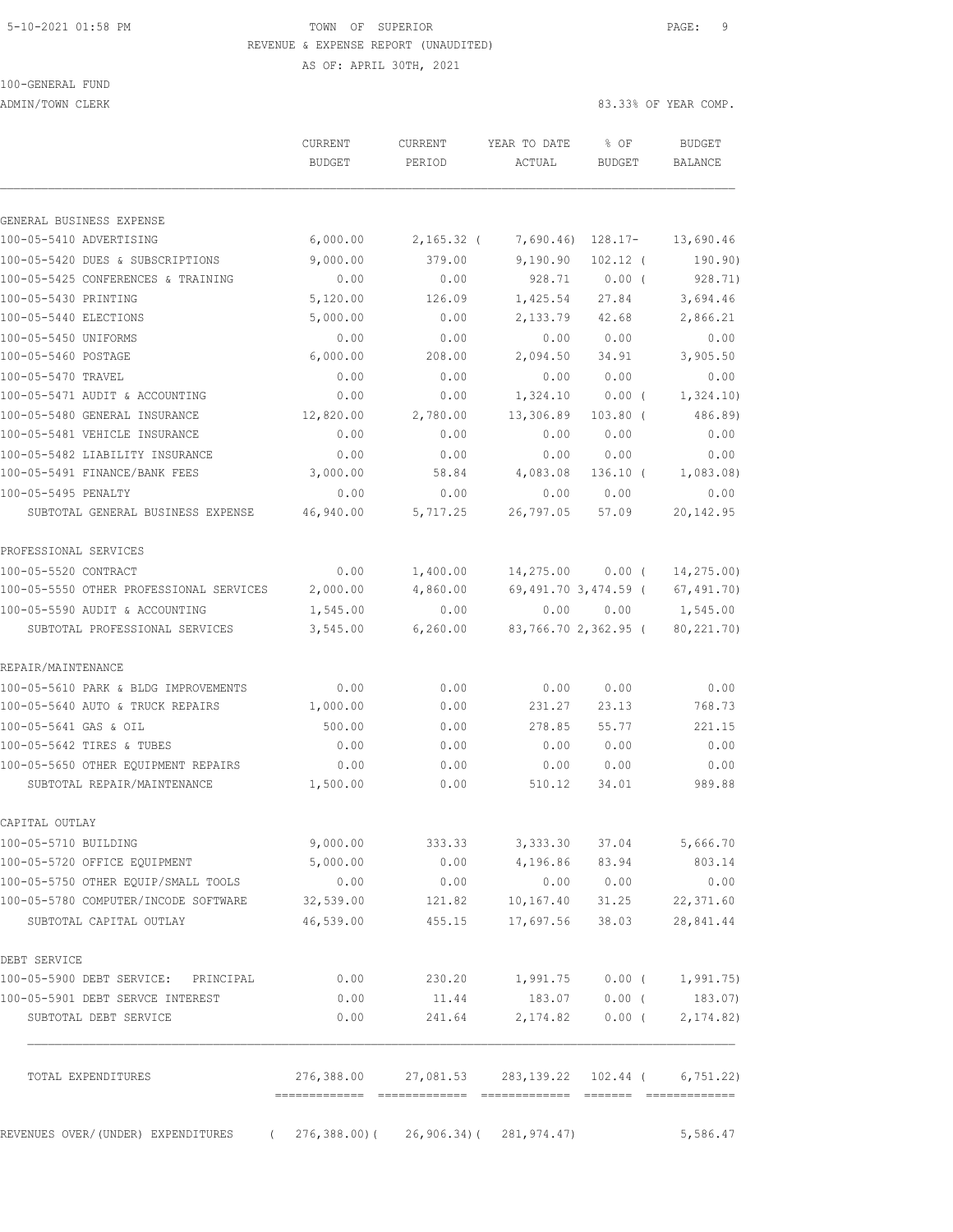## 5-10-2021 01:58 PM TOWN OF SUPERIOR PAGE: 9 REVENUE & EXPENSE REPORT (UNAUDITED)

AS OF: APRIL 30TH, 2021

# 100-GENERAL FUND

ADMIN/TOWN CLERK 83.33% OF YEAR COMP.

|                                                                        | <b>CURRENT</b><br><b>BUDGET</b> | <b>CURRENT</b><br>PERIOD                           | YEAR TO DATE<br>ACTUAL           | % OF<br><b>BUDGET</b>   | <b>BUDGET</b><br><b>BALANCE</b> |
|------------------------------------------------------------------------|---------------------------------|----------------------------------------------------|----------------------------------|-------------------------|---------------------------------|
|                                                                        |                                 |                                                    |                                  |                         |                                 |
| GENERAL BUSINESS EXPENSE                                               |                                 |                                                    |                                  |                         |                                 |
| 100-05-5410 ADVERTISING                                                | 6,000.00                        | $2,165.32$ (                                       | 7,690.46)                        | 128.17-                 | 13,690.46                       |
| 100-05-5420 DUES & SUBSCRIPTIONS                                       | 9,000.00                        | 379.00                                             | 9,190.90                         | $102.12$ (              | 190.90)                         |
| 100-05-5425 CONFERENCES & TRAINING                                     | 0.00                            | 0.00                                               | 928.71                           | $0.00$ (                | 928.71)                         |
| 100-05-5430 PRINTING                                                   | 5,120.00                        | 126.09                                             | 1,425.54                         | 27.84                   | 3,694.46                        |
| 100-05-5440 ELECTIONS                                                  | 5,000.00                        | 0.00                                               | 2,133.79                         | 42.68                   | 2,866.21                        |
| 100-05-5450 UNIFORMS                                                   | 0.00                            | 0.00                                               | 0.00                             | 0.00                    | 0.00                            |
| 100-05-5460 POSTAGE                                                    | 6,000.00                        | 208.00                                             | 2,094.50                         | 34.91                   | 3,905.50                        |
| 100-05-5470 TRAVEL                                                     | 0.00                            | 0.00                                               | 0.00                             | 0.00                    | 0.00                            |
| 100-05-5471 AUDIT & ACCOUNTING                                         | 0.00                            | 0.00                                               | 1,324.10                         | $0.00$ (                | 1,324.10)                       |
| 100-05-5480 GENERAL INSURANCE                                          | 12,820.00                       | 2,780.00                                           | 13,306.89                        | $103.80$ (              | 486.89)                         |
| 100-05-5481 VEHICLE INSURANCE                                          | 0.00                            | 0.00                                               | 0.00                             | 0.00                    | 0.00                            |
| 100-05-5482 LIABILITY INSURANCE                                        | 0.00                            | 0.00                                               | 0.00                             | 0.00                    | 0.00                            |
| 100-05-5491 FINANCE/BANK FEES                                          | 3,000.00                        | 58.84                                              | 4,083.08                         | $136.10$ (              | 1,083.08)                       |
| 100-05-5495 PENALTY                                                    | 0.00                            | 0.00                                               | 0.00                             | 0.00                    | 0.00                            |
| SUBTOTAL GENERAL BUSINESS EXPENSE                                      | 46,940.00                       | 5,717.25                                           | 26,797.05                        | 57.09                   | 20, 142.95                      |
| PROFESSIONAL SERVICES                                                  |                                 |                                                    |                                  |                         |                                 |
| 100-05-5520 CONTRACT                                                   | 0.00                            | 1,400.00                                           | 14,275.00                        | 0.00(                   | 14,275.00)                      |
| 100-05-5550 OTHER PROFESSIONAL SERVICES                                | 2,000.00                        | 4,860.00                                           |                                  | 69,491.70 3,474.59 (    | 67, 491.70                      |
| 100-05-5590 AUDIT & ACCOUNTING                                         | 1,545.00                        | 0.00                                               | 0.00                             | 0.00                    | 1,545.00                        |
| SUBTOTAL PROFESSIONAL SERVICES                                         | 3,545.00                        | 6, 260.00                                          |                                  | 83,766.70 2,362.95 (    | 80, 221.70)                     |
| REPAIR/MAINTENANCE                                                     |                                 |                                                    |                                  |                         |                                 |
| 100-05-5610 PARK & BLDG IMPROVEMENTS                                   | 0.00                            | 0.00                                               | 0.00                             | 0.00                    | 0.00                            |
| 100-05-5640 AUTO & TRUCK REPAIRS                                       | 1,000.00                        | 0.00                                               | 231.27                           | 23.13                   | 768.73                          |
| 100-05-5641 GAS & OIL                                                  | 500.00                          | 0.00                                               | 278.85                           | 55.77                   | 221.15                          |
| 100-05-5642 TIRES & TUBES                                              | 0.00                            | 0.00                                               | 0.00                             | 0.00                    | 0.00                            |
| 100-05-5650 OTHER EQUIPMENT REPAIRS                                    | 0.00                            | 0.00                                               | 0.00                             | 0.00                    | 0.00                            |
| SUBTOTAL REPAIR/MAINTENANCE                                            | 1,500.00                        | 0.00                                               | 510.12                           | 34.01                   | 989.88                          |
| CAPITAL OUTLAY                                                         |                                 |                                                    |                                  |                         |                                 |
| 100-05-5710 BUILDING                                                   | 9,000.00                        | 333.33                                             |                                  | 3,333.30 37.04 5,666.70 |                                 |
| 100-05-5720 OFFICE EQUIPMENT                                           | 5,000.00                        |                                                    | $0.00$ 4,196.86 83.94            |                         | 803.14                          |
| 100-05-5750 OTHER EQUIP/SMALL TOOLS                                    | 0.00                            | 0.00                                               |                                  | 0.00 0.00               | 0.00                            |
| 100-05-5780 COMPUTER/INCODE SOFTWARE                                   | 32,539.00                       | 121.82                                             | 10,167.40                        | 31.25                   | 22,371.60                       |
| SUBTOTAL CAPITAL OUTLAY                                                | 46,539.00                       |                                                    | 455.15 17,697.56 38.03           |                         | 28,841.44                       |
| DEBT SERVICE                                                           |                                 |                                                    |                                  |                         |                                 |
| 100-05-5900 DEBT SERVICE: PRINCIPAL                                    | 0.00                            | 230.20                                             | 1,991.75 0.00 ( 1,991.75)        |                         |                                 |
| 100-05-5901 DEBT SERVCE INTEREST                                       | 0.00                            | 11.44                                              |                                  | 183.07 0.00 (           | 183.07)                         |
| SUBTOTAL DEBT SERVICE                                                  | 0.00                            |                                                    | 241.64 2,174.82 0.00 ( 2,174.82) |                         |                                 |
|                                                                        |                                 |                                                    |                                  |                         |                                 |
| TOTAL EXPENDITURES                                                     |                                 | 276,388.00 27,081.53 283,139.22 102.44 ( 6,751.22) |                                  |                         |                                 |
| REVENUES OVER/(UNDER) EXPENDITURES (276,388.00)(26,906.34)(281,974.47) |                                 |                                                    |                                  |                         | 5,586.47                        |
|                                                                        |                                 |                                                    |                                  |                         |                                 |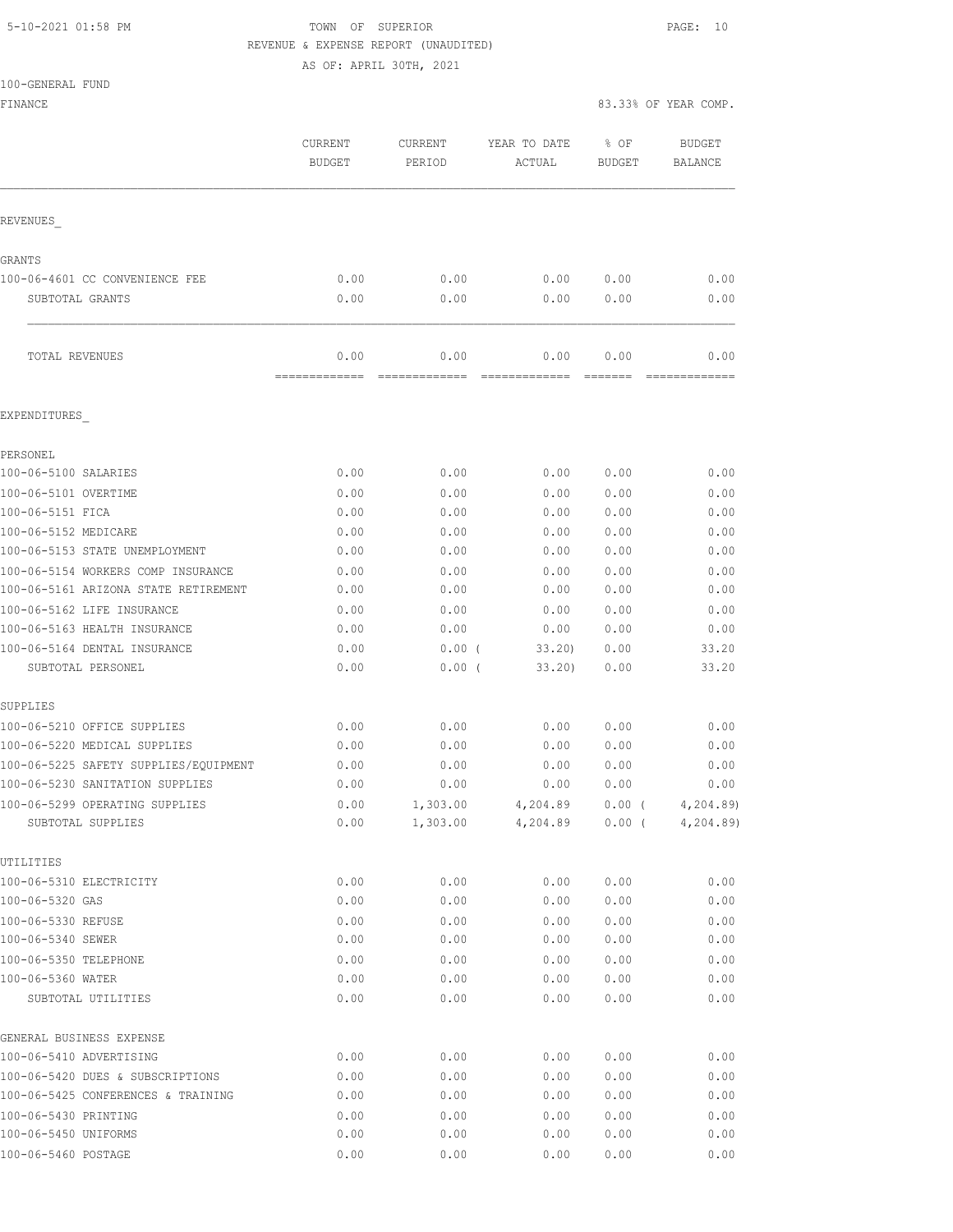## 5-10-2021 01:58 PM TOWN OF SUPERIOR PAGE: 10 REVENUE & EXPENSE REPORT (UNAUDITED)

AS OF: APRIL 30TH, 2021

|  | 100-GENERAL FUND |  |
|--|------------------|--|

| IOO-GEMERAT IOMD<br>FINANCE                         |                          |                      |                        |                       | 83.33% OF YEAR COMP.            |
|-----------------------------------------------------|--------------------------|----------------------|------------------------|-----------------------|---------------------------------|
|                                                     | CURRENT<br><b>BUDGET</b> | CURRENT<br>PERIOD    | YEAR TO DATE<br>ACTUAL | % OF<br><b>BUDGET</b> | <b>BUDGET</b><br><b>BALANCE</b> |
| REVENUES                                            |                          |                      |                        |                       |                                 |
| GRANTS                                              |                          |                      |                        |                       |                                 |
| 100-06-4601 CC CONVENIENCE FEE                      | 0.00                     | 0.00                 | 0.00                   | 0.00                  | 0.00                            |
| SUBTOTAL GRANTS                                     | 0.00                     | 0.00                 | 0.00                   | 0.00                  | 0.00                            |
| TOTAL REVENUES                                      | 0.00<br>-------------    | 0.00<br>FEEEEEEEEEEE | 0.00<br>EEEEEEEEEEEE   | 0.00<br>FEEEEE        | 0.00<br>=============           |
| EXPENDITURES                                        |                          |                      |                        |                       |                                 |
| PERSONEL                                            |                          |                      |                        |                       |                                 |
| 100-06-5100 SALARIES                                | 0.00                     | 0.00                 | 0.00                   | 0.00                  | 0.00                            |
| 100-06-5101 OVERTIME                                | 0.00                     | 0.00                 | 0.00                   | 0.00                  | 0.00                            |
| 100-06-5151 FICA                                    | 0.00                     | 0.00                 | 0.00                   | 0.00                  | 0.00                            |
| 100-06-5152 MEDICARE                                | 0.00                     | 0.00                 | 0.00                   | 0.00                  | 0.00                            |
| 100-06-5153 STATE UNEMPLOYMENT                      | 0.00                     | 0.00                 | 0.00                   | 0.00                  | 0.00                            |
| 100-06-5154 WORKERS COMP INSURANCE                  | 0.00                     | 0.00                 | 0.00                   | 0.00                  | 0.00                            |
| 100-06-5161 ARIZONA STATE RETIREMENT                | 0.00                     | 0.00                 | 0.00                   | 0.00                  | 0.00                            |
| 100-06-5162 LIFE INSURANCE                          | 0.00                     | 0.00                 | 0.00                   | 0.00                  | 0.00                            |
| 100-06-5163 HEALTH INSURANCE                        | 0.00                     | 0.00                 | 0.00                   | 0.00                  | 0.00                            |
| 100-06-5164 DENTAL INSURANCE                        | 0.00                     | 0.00(                | 33.20                  | 0.00                  | 33.20                           |
| SUBTOTAL PERSONEL                                   | 0.00                     | 0.00(                | 33.20                  | 0.00                  | 33.20                           |
| SUPPLIES                                            |                          |                      |                        |                       |                                 |
| 100-06-5210 OFFICE SUPPLIES                         | 0.00                     | 0.00                 | 0.00                   | 0.00                  | 0.00                            |
| 100-06-5220 MEDICAL SUPPLIES                        | 0.00                     | 0.00                 | 0.00                   | 0.00                  | 0.00                            |
| 100-06-5225 SAFETY SUPPLIES/EQUIPMENT               | 0.00                     | 0.00                 | 0.00                   | 0.00                  | 0.00                            |
| 100-06-5230 SANITATION SUPPLIES                     | 0.00                     | 0.00                 | 0.00                   | 0.00                  | 0.00                            |
| 100-06-5299 OPERATING SUPPLIES<br>SUBTOTAL SUPPLIES | 0.00<br>0.00             | 1,303.00<br>1,303.00 | 4,204.89<br>4,204.89   | $0.00$ (<br>$0.00$ (  | 4,204.89)<br>4, 204.89          |
|                                                     |                          |                      |                        |                       |                                 |
| UTILITIES                                           |                          |                      |                        |                       |                                 |
| 100-06-5310 ELECTRICITY<br>100-06-5320 GAS          | 0.00<br>0.00             | 0.00<br>0.00         | 0.00<br>0.00           | 0.00<br>0.00          | 0.00<br>0.00                    |
| 100-06-5330 REFUSE                                  | 0.00                     | 0.00                 | 0.00                   | 0.00                  | 0.00                            |
| 100-06-5340 SEWER                                   | 0.00                     | 0.00                 | 0.00                   | 0.00                  | 0.00                            |
| 100-06-5350 TELEPHONE                               | 0.00                     | 0.00                 | 0.00                   | 0.00                  | 0.00                            |
| 100-06-5360 WATER                                   | 0.00                     | 0.00                 | 0.00                   | 0.00                  | 0.00                            |
| SUBTOTAL UTILITIES                                  | 0.00                     | 0.00                 | 0.00                   | 0.00                  | 0.00                            |
| GENERAL BUSINESS EXPENSE                            |                          |                      |                        |                       |                                 |
| 100-06-5410 ADVERTISING                             | 0.00                     | 0.00                 | 0.00                   | 0.00                  | 0.00                            |
| 100-06-5420 DUES & SUBSCRIPTIONS                    | 0.00                     | 0.00                 | 0.00                   | 0.00                  | 0.00                            |
| 100-06-5425 CONFERENCES & TRAINING                  | 0.00                     | 0.00                 | 0.00                   | 0.00                  | 0.00                            |
| 100-06-5430 PRINTING                                | 0.00                     | 0.00                 | 0.00                   | 0.00                  | 0.00                            |
| 100-06-5450 UNIFORMS                                | 0.00                     | 0.00                 | 0.00                   | 0.00                  | 0.00                            |
| 100-06-5460 POSTAGE                                 | 0.00                     | 0.00                 | 0.00                   | 0.00                  | 0.00                            |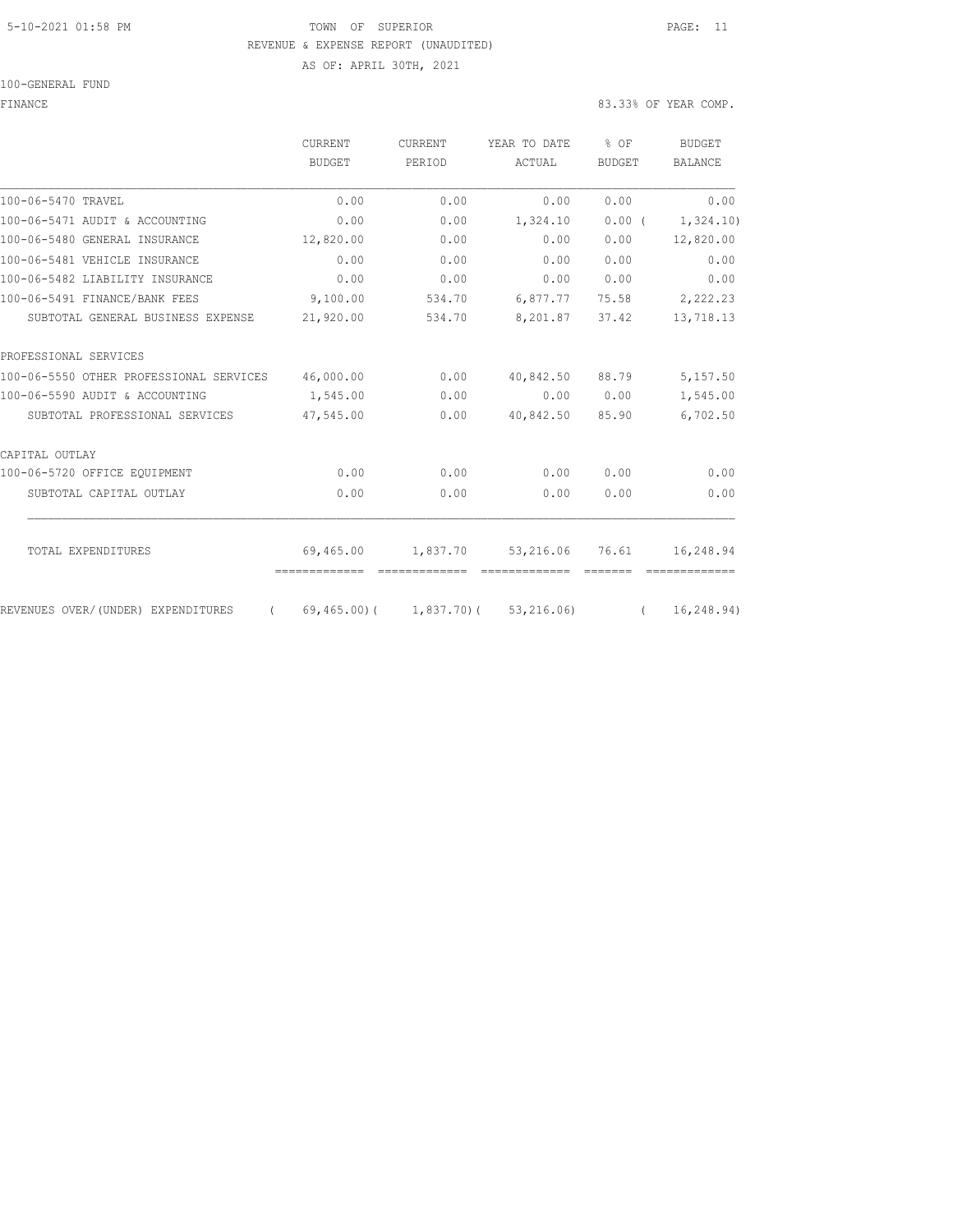### 5-10-2021 01:58 PM TOWN OF SUPERIOR PAGE: 11 REVENUE & EXPENSE REPORT (UNAUDITED)

AS OF: APRIL 30TH, 2021

#### 100-GENERAL FUND

FINANCE 83.33% OF YEAR COMP.

|                                                | CURRENT       | CURRENT  | YEAR TO DATE                             | $8$ OF        | <b>BUDGET</b>  |
|------------------------------------------------|---------------|----------|------------------------------------------|---------------|----------------|
|                                                | <b>BUDGET</b> | PERIOD   | ACTUAL                                   | <b>BUDGET</b> | <b>BALANCE</b> |
| 100-06-5470 TRAVEL                             | 0.00          | 0.00     | 0.00                                     | 0.00          | 0.00           |
| 100-06-5471 AUDIT & ACCOUNTING                 | 0.00          | 0.00     | 1,324.10                                 | 0.00(         | 1,324.10)      |
| 100-06-5480 GENERAL INSURANCE                  | 12,820.00     | 0.00     | 0.00                                     | 0.00          | 12,820.00      |
| 100-06-5481 VEHICLE INSURANCE                  | 0.00          | 0.00     | 0.00                                     | 0.00          | 0.00           |
| 100-06-5482 LIABILITY INSURANCE                | 0.00          | 0.00     | 0.00                                     | 0.00          | 0.00           |
| 100-06-5491 FINANCE/BANK FEES                  | 9,100.00      | 534.70   | 6,877.77                                 | 75.58         | 2,222.23       |
| SUBTOTAL GENERAL BUSINESS EXPENSE              | 21,920.00     | 534.70   | 8,201.87                                 | 37.42         | 13,718.13      |
| PROFESSIONAL SERVICES                          |               |          |                                          |               |                |
| 100-06-5550 OTHER PROFESSIONAL SERVICES        | 46,000.00     | 0.00     | 40,842.50                                | 88.79         | 5,157.50       |
| 100-06-5590 AUDIT & ACCOUNTING                 | 1,545.00      | 0.00     | 0.00                                     | 0.00          | 1,545.00       |
| SUBTOTAL PROFESSIONAL SERVICES                 | 47,545.00     | 0.00     | 40,842.50                                | 85.90         | 6,702.50       |
| CAPITAL OUTLAY                                 |               |          |                                          |               |                |
| 100-06-5720 OFFICE EQUIPMENT                   | 0.00          | 0.00     | 0.00                                     | 0.00          | 0.00           |
| SUBTOTAL CAPITAL OUTLAY                        | 0.00          | 0.00     | 0.00                                     | 0.00          | 0.00           |
|                                                |               |          |                                          |               |                |
| TOTAL EXPENDITURES                             | 69,465.00     | 1,837.70 | 53,216.06                                | 76.61         | 16,248.94      |
|                                                |               |          |                                          |               |                |
| REVENUES OVER/(UNDER) EXPENDITURES<br>$\left($ |               |          | $(69, 465, 00)$ ( 1,837.70) ( 53,216.06) | $\sqrt{2}$    | 16, 248.94)    |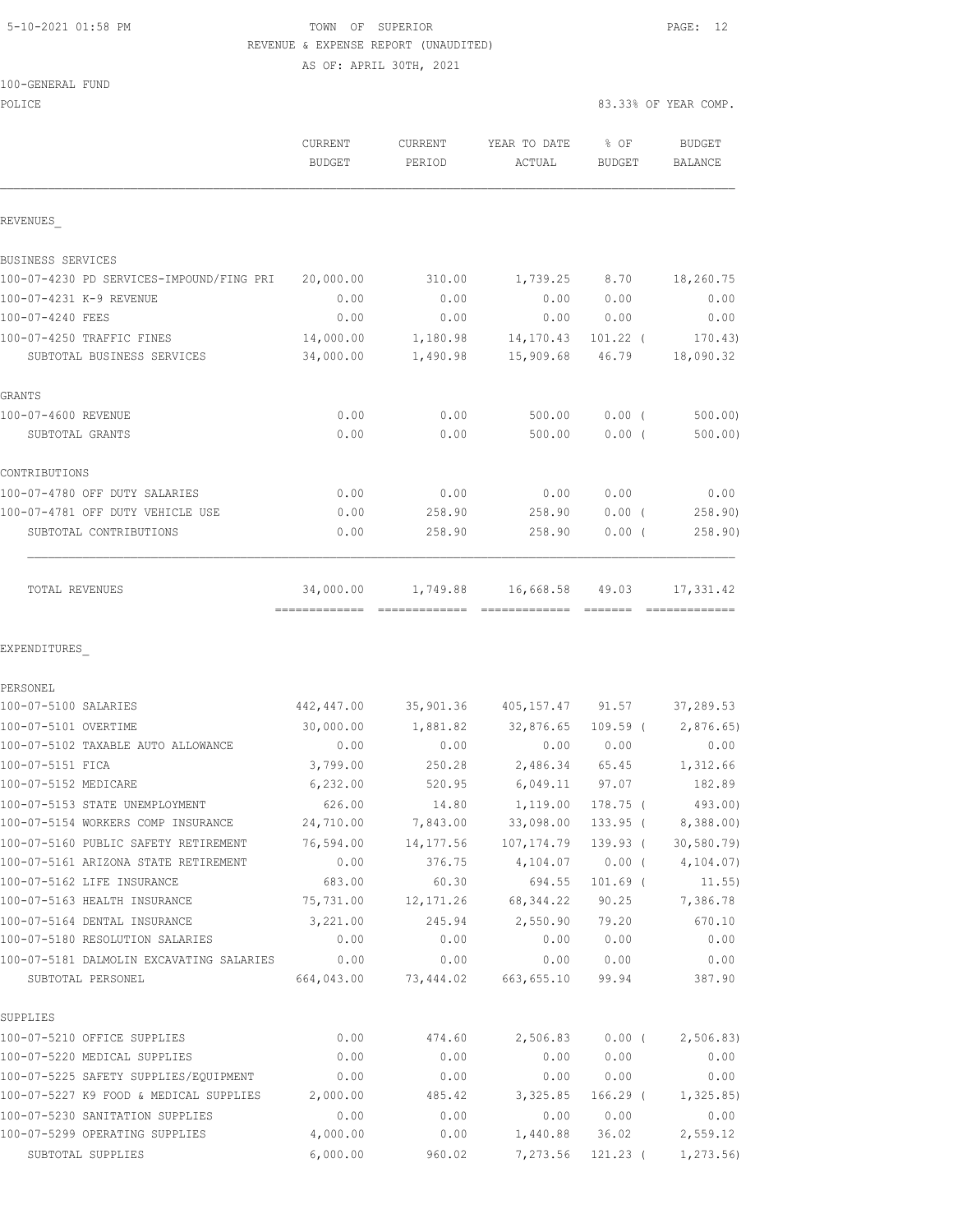## 5-10-2021 01:58 PM **TOWN** OF SUPERIOR **PAGE:** 12 REVENUE & EXPENSE REPORT (UNAUDITED)

AS OF: APRIL 30TH, 2021

| 100-GENERAL FUND |  |
|------------------|--|
|                  |  |

| POLICE                                                     |                         |                   |                                               |                | 83.33% OF YEAR COMP.       |
|------------------------------------------------------------|-------------------------|-------------------|-----------------------------------------------|----------------|----------------------------|
|                                                            | CURRENT<br>BUDGET       | CURRENT<br>PERIOD | YEAR TO DATE<br>ACTUAL                        | % OF<br>BUDGET | <b>BUDGET</b><br>BALANCE   |
| REVENUES                                                   |                         |                   |                                               |                |                            |
| BUSINESS SERVICES                                          |                         |                   |                                               |                |                            |
| 100-07-4230 PD SERVICES-IMPOUND/FING PRI 20,000.00         |                         | 310.00            | 1,739.25 8.70                                 |                | 18,260.75                  |
| 100-07-4231 K-9 REVENUE                                    | 0.00                    | 0.00              | 0.00                                          | 0.00           | 0.00                       |
| 100-07-4240 FEES                                           | 0.00                    | 0.00              | 0.00                                          | 0.00           | 0.00                       |
| 100-07-4250 TRAFFIC FINES                                  | 14,000.00               | 1,180.98          | 14,170.43                                     | $101.22$ (     | 170.43                     |
| SUBTOTAL BUSINESS SERVICES                                 | 34,000.00               | 1,490.98          | 15,909.68                                     | 46.79          | 18,090.32                  |
| GRANTS                                                     |                         |                   |                                               |                |                            |
| 100-07-4600 REVENUE                                        | 0.00                    | 0.00              | 500.00                                        | $0.00$ (       | 500.00                     |
| SUBTOTAL GRANTS                                            | 0.00                    | 0.00              | 500.00                                        | $0.00$ (       | 500.00)                    |
| CONTRIBUTIONS                                              |                         |                   |                                               |                |                            |
| 100-07-4780 OFF DUTY SALARIES                              | 0.00                    | 0.00              | 0.00                                          | 0.00           | 0.00                       |
| 100-07-4781 OFF DUTY VEHICLE USE                           | 0.00                    | 258.90            | 258.90                                        | $0.00$ (       | 258.90                     |
| SUBTOTAL CONTRIBUTIONS                                     | 0.00                    | 258.90            | 258.90                                        | $0.00$ (       | 258.90)                    |
| TOTAL REVENUES                                             | 34,000.00               |                   | 1,749.88 16,668.58 49.03                      |                | 17,331.42<br>============= |
| EXPENDITURES                                               |                         |                   |                                               |                |                            |
| PERSONEL                                                   |                         |                   |                                               |                |                            |
| 100-07-5100 SALARIES                                       | 442,447.00<br>30,000.00 |                   | 35,901.36 405,157.47 91.57                    |                | 37,289.53                  |
| 100-07-5101 OVERTIME<br>100-07-5102 TAXABLE AUTO ALLOWANCE | 0.00                    | 0.00              | 1,881.82 32,876.65 109.59 ( 2,876.65)<br>0.00 | 0.00           | 0.00                       |
| 100-07-5151 FICA                                           | 3,799.00                | 250.28            |                                               | 2,486.34 65.45 | 1,312.66                   |
| 100-07-5152 MEDICARE                                       | 6,232.00                | 520.95            | 6,049.11 97.07                                |                | 182.89                     |
| 100-07-5153 STATE UNEMPLOYMENT                             | 626.00                  | 14.80             | 1,119.00                                      | 178.75 (       | 493.00)                    |
| 100-07-5154 WORKERS COMP INSURANCE                         | 24,710.00               | 7,843.00          | 33,098.00                                     | $133.95$ (     | 8,388.00)                  |
| 100-07-5160 PUBLIC SAFETY RETIREMENT                       | 76,594.00               |                   | 14, 177.56 107, 174.79                        | 139.93 (       | 30, 580.79                 |
| 100-07-5161 ARIZONA STATE RETIREMENT                       | 0.00                    | 376.75            | 4,104.07                                      | $0.00$ (       | 4,104.07)                  |
| 100-07-5162 LIFE INSURANCE                                 | 683.00                  | 60.30             | 694.55                                        | $101.69$ (     | 11.55)                     |
| 100-07-5163 HEALTH INSURANCE                               | 75,731.00               | 12,171.26         | 68, 344.22                                    | 90.25          | 7,386.78                   |
| 100-07-5164 DENTAL INSURANCE                               | 3,221.00                | 245.94            | 2,550.90                                      | 79.20          | 670.10                     |
| 100-07-5180 RESOLUTION SALARIES                            | 0.00                    | 0.00              | 0.00                                          | 0.00           | 0.00                       |
| 100-07-5181 DALMOLIN EXCAVATING SALARIES                   | 0.00                    | 0.00              | 0.00                                          | 0.00           | 0.00                       |
| SUBTOTAL PERSONEL                                          | 664,043.00              |                   | 73,444.02 663,655.10                          | 99.94          | 387.90                     |
| SUPPLIES                                                   |                         |                   |                                               |                |                            |
| 100-07-5210 OFFICE SUPPLIES                                | 0.00                    | 474.60            | 2,506.83                                      | $0.00$ (       | 2,506.83)                  |
| 100-07-5220 MEDICAL SUPPLIES                               | 0.00                    | 0.00              | 0.00                                          | 0.00           | 0.00                       |
| 100-07-5225 SAFETY SUPPLIES/EQUIPMENT                      | 0.00                    | 0.00              | 0.00                                          | 0.00           | 0.00                       |
| 100-07-5227 K9 FOOD & MEDICAL SUPPLIES                     | 2,000.00                | 485.42            | 3,325.85                                      | 166.29 (       | 1,325.85)                  |
| 100-07-5230 SANITATION SUPPLIES                            | 0.00                    | 0.00              | 0.00                                          | 0.00           | 0.00                       |
| 100-07-5299 OPERATING SUPPLIES                             | 4,000.00                | 0.00              | 1,440.88                                      | 36.02          | 2,559.12                   |
| SUBTOTAL SUPPLIES                                          | 6,000.00                | 960.02            | 7,273.56                                      | 121.23 (       | 1,273.56)                  |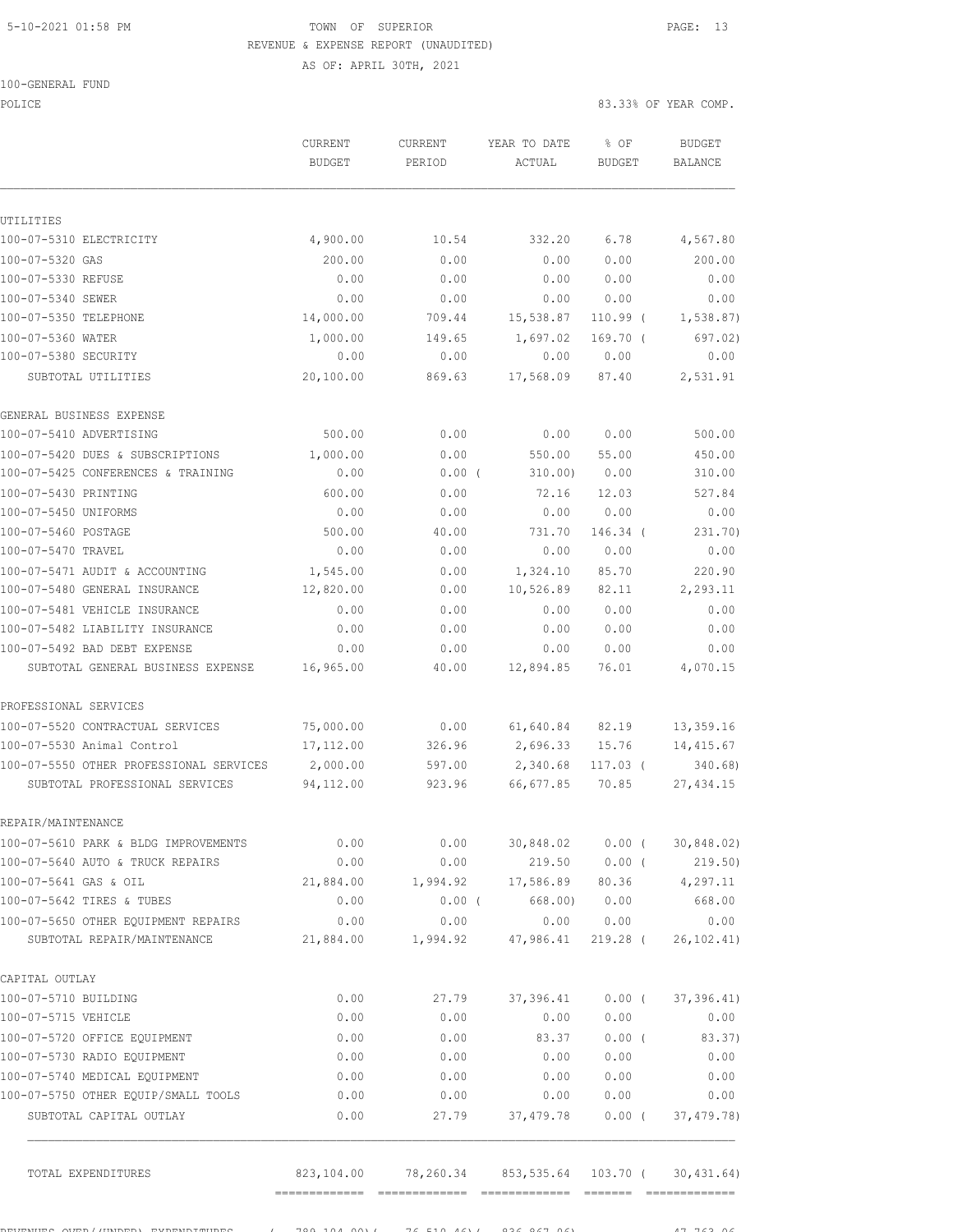## 5-10-2021 01:58 PM TOWN OF SUPERIOR PAGE: 13 REVENUE & EXPENSE REPORT (UNAUDITED)

AS OF: APRIL 30TH, 2021

POLICE 83.33% OF YEAR COMP.

|                                         | CURRENT<br><b>BUDGET</b> | CURRENT<br>PERIOD | YEAR TO DATE<br>ACTUAL | $8$ OF<br><b>BUDGET</b> | <b>BUDGET</b><br>BALANCE |
|-----------------------------------------|--------------------------|-------------------|------------------------|-------------------------|--------------------------|
|                                         |                          |                   |                        |                         |                          |
| UTILITIES                               |                          |                   |                        |                         |                          |
| 100-07-5310 ELECTRICITY                 | 4,900.00                 | 10.54             | 332.20                 | 6.78                    | 4,567.80                 |
| 100-07-5320 GAS                         | 200.00                   | 0.00              | 0.00                   | 0.00                    | 200.00                   |
| 100-07-5330 REFUSE                      | 0.00                     | 0.00              | 0.00                   | 0.00                    | 0.00                     |
| 100-07-5340 SEWER                       | 0.00                     | 0.00              | 0.00                   | 0.00                    | 0.00                     |
| 100-07-5350 TELEPHONE                   | 14,000.00                | 709.44            | 15,538.87              | $110.99$ (              | 1,538.87)                |
| 100-07-5360 WATER                       | 1,000.00                 | 149.65            | 1,697.02               | $169.70$ (              | 697.02)                  |
| 100-07-5380 SECURITY                    | 0.00                     | 0.00              | 0.00                   | 0.00                    | 0.00                     |
| SUBTOTAL UTILITIES                      | 20,100.00                | 869.63            | 17,568.09              | 87.40                   | 2,531.91                 |
| GENERAL BUSINESS EXPENSE                |                          |                   |                        |                         |                          |
| 100-07-5410 ADVERTISING                 | 500.00                   | 0.00              | 0.00                   | 0.00                    | 500.00                   |
| 100-07-5420 DUES & SUBSCRIPTIONS        | 1,000.00                 | 0.00              | 550.00                 | 55.00                   | 450.00                   |
| 100-07-5425 CONFERENCES & TRAINING      | 0.00                     | $0.00$ (          | 310.00)                | 0.00                    | 310.00                   |
| 100-07-5430 PRINTING                    | 600.00                   | 0.00              | 72.16                  | 12.03                   | 527.84                   |
| 100-07-5450 UNIFORMS                    | 0.00                     | 0.00              | 0.00                   | 0.00                    | 0.00                     |
| 100-07-5460 POSTAGE                     | 500.00                   | 40.00             | 731.70                 | 146.34 (                | 231.70)                  |
| 100-07-5470 TRAVEL                      | 0.00                     | 0.00              | 0.00                   | 0.00                    | 0.00                     |
| 100-07-5471 AUDIT & ACCOUNTING          | 1,545.00                 | 0.00              | 1,324.10               | 85.70                   | 220.90                   |
| 100-07-5480 GENERAL INSURANCE           | 12,820.00                | 0.00              | 10,526.89              | 82.11                   | 2,293.11                 |
| 100-07-5481 VEHICLE INSURANCE           | 0.00                     | 0.00              | 0.00                   | 0.00                    | 0.00                     |
| 100-07-5482 LIABILITY INSURANCE         | 0.00                     | 0.00              | 0.00                   | 0.00                    | 0.00                     |
| 100-07-5492 BAD DEBT EXPENSE            | 0.00                     | 0.00              | 0.00                   | 0.00                    | 0.00                     |
| SUBTOTAL GENERAL BUSINESS EXPENSE       | 16,965.00                | 40.00             | 12,894.85              | 76.01                   | 4,070.15                 |
| PROFESSIONAL SERVICES                   |                          |                   |                        |                         |                          |
| 100-07-5520 CONTRACTUAL SERVICES        | 75,000.00                | 0.00              | 61,640.84              | 82.19                   | 13,359.16                |
| 100-07-5530 Animal Control              | 17, 112.00               | 326.96            | 2,696.33               | 15.76                   | 14,415.67                |
| 100-07-5550 OTHER PROFESSIONAL SERVICES | 2,000.00                 | 597.00            | 2,340.68               | $117.03$ (              | 340.68                   |
| SUBTOTAL PROFESSIONAL SERVICES          | 94,112.00                | 923.96            | 66,677.85              | 70.85                   | 27, 434.15               |
| REPAIR/MAINTENANCE                      |                          |                   |                        |                         |                          |
| 100-07-5610 PARK & BLDG IMPROVEMENTS    | 0.00                     | 0.00              | 30,848.02              | $0.00$ (                | 30,848.02)               |
| 100-07-5640 AUTO & TRUCK REPAIRS        | 0.00                     | 0.00              | 219.50                 | $0.00$ (                | 219.50)                  |
| 100-07-5641 GAS & OIL                   | 21,884.00                | 1,994.92          | 17,586.89              | 80.36                   | 4,297.11                 |
| 100-07-5642 TIRES & TUBES               | 0.00                     | 0.00(             | 668.00)                | 0.00                    | 668.00                   |
| 100-07-5650 OTHER EQUIPMENT REPAIRS     | 0.00                     | 0.00              | 0.00                   | 0.00                    | 0.00                     |
| SUBTOTAL REPAIR/MAINTENANCE             | 21,884.00                | 1,994.92          | 47,986.41              | 219.28 (                | 26, 102.41)              |
| CAPITAL OUTLAY                          |                          |                   |                        |                         |                          |
| 100-07-5710 BUILDING                    | 0.00                     | 27.79             | 37,396.41              | $0.00$ (                | 37, 396.41)              |
| 100-07-5715 VEHICLE                     | 0.00                     | 0.00              | 0.00                   | 0.00                    | 0.00                     |
| 100-07-5720 OFFICE EQUIPMENT            | 0.00                     | 0.00              | 83.37                  | $0.00$ (                | 83.37)                   |
| 100-07-5730 RADIO EQUIPMENT             | 0.00                     | 0.00              | 0.00                   | 0.00                    | 0.00                     |
| 100-07-5740 MEDICAL EQUIPMENT           | 0.00                     | 0.00              | 0.00                   | 0.00                    | 0.00                     |
| 100-07-5750 OTHER EQUIP/SMALL TOOLS     | 0.00                     | 0.00              | 0.00                   | 0.00                    | 0.00                     |
| SUBTOTAL CAPITAL OUTLAY                 | 0.00                     | 27.79             | 37, 479.78             | $0.00$ (                | 37, 479.78)              |
| TOTAL EXPENDITURES                      | 823,104.00               | 78,260.34         | 853,535.64             | 103.70 (                | 30, 431.64)              |
|                                         |                          |                   |                        |                         |                          |

REVENUES OVER/(UNDER) EXPENDITURES ( 789,104.00)( 76,510.46)( 836,867.06) 47,763.06

============= ============= ============= ======= =============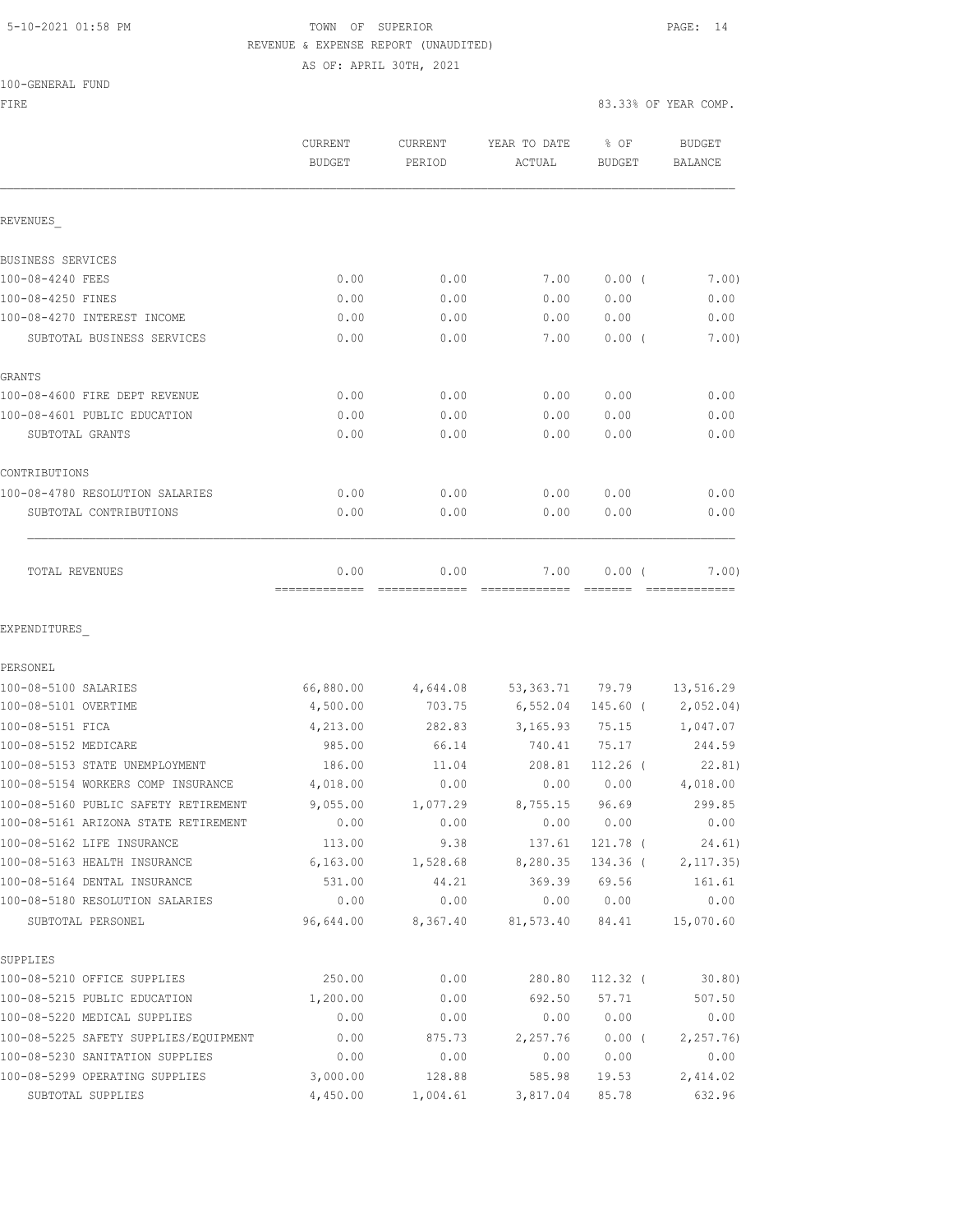### 5-10-2021 01:58 PM TOWN OF SUPERIOR PAGE: 14 REVENUE & EXPENSE REPORT (UNAUDITED) AS OF: APRIL 30TH, 2021

| 100-GENERAL FUND |  |
|------------------|--|
|------------------|--|

FIRE SERVICES IN THE SERVICE OF STRUCK AND STRUCK AND STRUCK AND STRUCK AND STRUCK AND STRUCK AND STRUCK AND STRUCK AND STRUCK AND STRUCK AND STRUCK AND STRUCK AND STRUCK AND STRUCK AND STRUCK AND STRUCK AND STRUCK AND STR

|                                       | CURRENT<br><b>BUDGET</b> | <b>CURRENT</b><br>PERIOD | YEAR TO DATE<br>ACTUAL | % OF<br><b>BUDGET</b> | <b>BUDGET</b><br>BALANCE |
|---------------------------------------|--------------------------|--------------------------|------------------------|-----------------------|--------------------------|
| REVENUES                              |                          |                          |                        |                       |                          |
| BUSINESS SERVICES                     |                          |                          |                        |                       |                          |
| 100-08-4240 FEES                      | 0.00                     | 0.00                     | 7.00                   | 0.00(                 | 7.00)                    |
| 100-08-4250 FINES                     | 0.00                     | 0.00                     | 0.00                   | 0.00                  | 0.00                     |
| 100-08-4270 INTEREST INCOME           | 0.00                     | 0.00                     | 0.00                   | 0.00                  | 0.00                     |
| SUBTOTAL BUSINESS SERVICES            | 0.00                     | 0.00                     | 7.00                   | $0.00$ (              | 7.00)                    |
| GRANTS                                |                          |                          |                        |                       |                          |
| 100-08-4600 FIRE DEPT REVENUE         | 0.00                     | 0.00                     | 0.00                   | 0.00                  | 0.00                     |
| 100-08-4601 PUBLIC EDUCATION          | 0.00                     | 0.00                     | 0.00                   | 0.00                  | 0.00                     |
| SUBTOTAL GRANTS                       | 0.00                     | 0.00                     | 0.00                   | 0.00                  | 0.00                     |
| CONTRIBUTIONS                         |                          |                          |                        |                       |                          |
| 100-08-4780 RESOLUTION SALARIES       | 0.00                     | 0.00                     | 0.00                   | 0.00                  | 0.00                     |
| SUBTOTAL CONTRIBUTIONS                | 0.00                     | 0.00                     | 0.00                   | 0.00                  | 0.00                     |
| <b>TOTAL REVENUES</b>                 | 0.00                     | 0.00                     | 7.00                   | 0.00(                 | 7.00                     |
| EXPENDITURES                          |                          |                          |                        |                       |                          |
| PERSONEL                              |                          |                          |                        |                       |                          |
| 100-08-5100 SALARIES                  | 66,880.00                | 4,644.08                 | 53, 363. 71            | 79.79                 | 13,516.29                |
| 100-08-5101 OVERTIME                  | 4,500.00                 | 703.75                   | 6,552.04               | 145.60 (              | 2,052.04)                |
| 100-08-5151 FICA                      | 4,213.00                 | 282.83                   | 3, 165.93              | 75.15                 | 1,047.07                 |
| 100-08-5152 MEDICARE                  | 985.00                   | 66.14                    | 740.41                 | 75.17                 | 244.59                   |
| 100-08-5153 STATE UNEMPLOYMENT        | 186.00                   | 11.04                    | 208.81                 | $112.26$ (            | 22.81)                   |
| 100-08-5154 WORKERS COMP INSURANCE    | 4,018.00                 | 0.00                     | 0.00                   | 0.00                  | 4,018.00                 |
| 100-08-5160 PUBLIC SAFETY RETIREMENT  | 9,055.00                 | 1,077.29                 | 8,755.15               | 96.69                 | 299.85                   |
| 100-08-5161 ARIZONA STATE RETIREMENT  | 0.00                     | 0.00                     | 0.00                   | 0.00                  | 0.00                     |
| 100-08-5162 LIFE INSURANCE            | 113.00                   | 9.38                     | 137.61                 | $121.78$ (            | 24.61)                   |
| 100-08-5163 HEALTH INSURANCE          | 6, 163.00                | 1,528.68                 | 8,280.35               | 134.36 (              | 2, 117.35)               |
| 100-08-5164 DENTAL INSURANCE          | 531.00                   | 44.21                    | 369.39                 | 69.56                 | 161.61                   |
| 100-08-5180 RESOLUTION SALARIES       | 0.00                     | 0.00                     | 0.00                   | 0.00                  | 0.00                     |
| SUBTOTAL PERSONEL                     | 96,644.00                | 8,367.40                 | 81,573.40              | 84.41                 | 15,070.60                |
| SUPPLIES                              |                          |                          |                        |                       |                          |
| 100-08-5210 OFFICE SUPPLIES           | 250.00                   | 0.00                     | 280.80                 | $112.32$ (            | 30.80)                   |
| 100-08-5215 PUBLIC EDUCATION          | 1,200.00                 | 0.00                     | 692.50                 | 57.71                 | 507.50                   |
| 100-08-5220 MEDICAL SUPPLIES          | 0.00                     | 0.00                     | 0.00                   | 0.00                  | 0.00                     |
| 100-08-5225 SAFETY SUPPLIES/EQUIPMENT | 0.00                     | 875.73                   | 2,257.76               | $0.00$ (              | 2, 257.76                |
| 100-08-5230 SANITATION SUPPLIES       | 0.00                     | 0.00                     | 0.00                   | 0.00                  | 0.00                     |
| 100-08-5299 OPERATING SUPPLIES        | 3,000.00                 | 128.88                   | 585.98                 | 19.53                 | 2,414.02                 |
| SUBTOTAL SUPPLIES                     | 4,450.00                 | 1,004.61                 | 3,817.04               | 85.78                 | 632.96                   |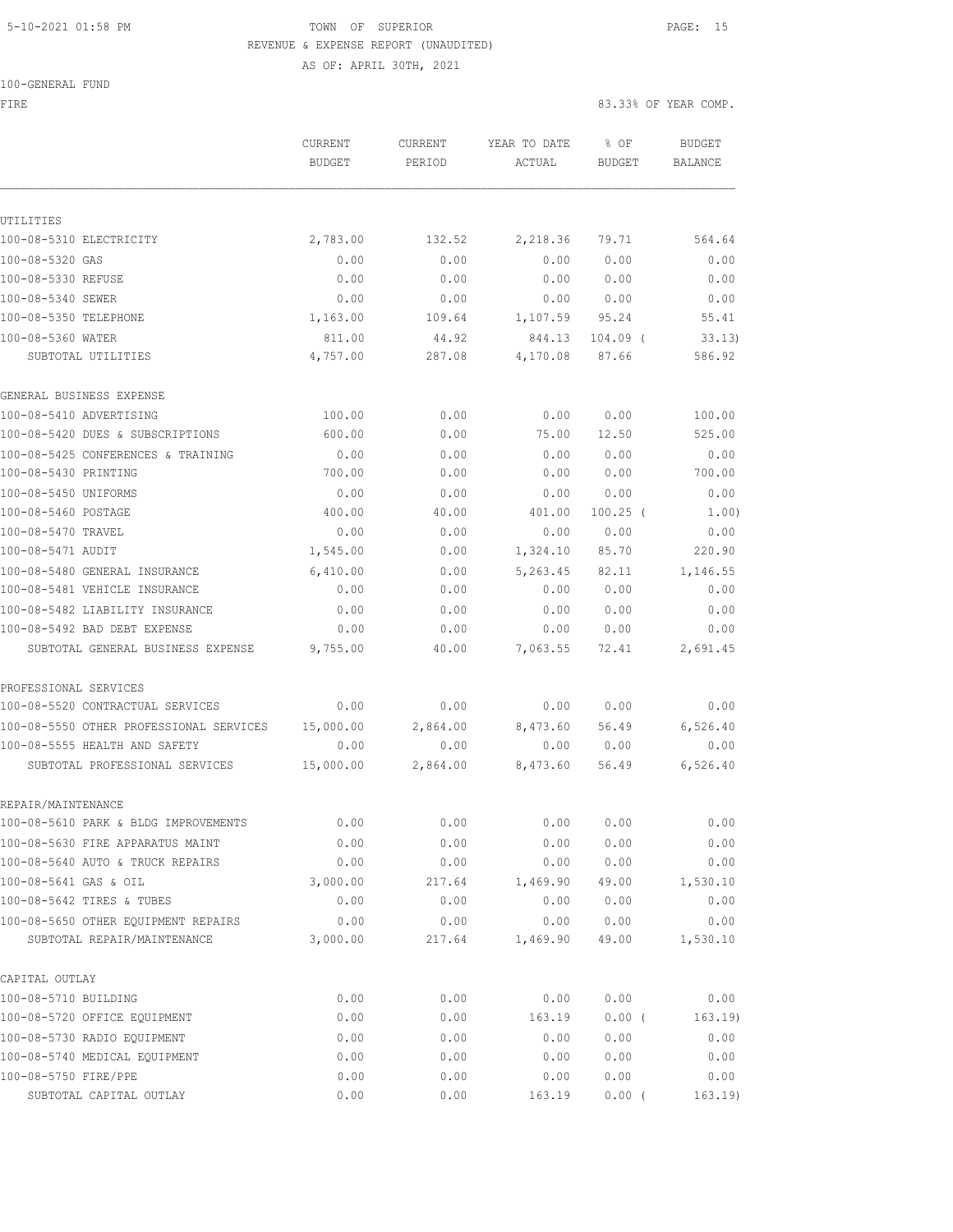# 5-10-2021 01:58 PM TOWN OF SUPERIOR PAGE: 15 REVENUE & EXPENSE REPORT (UNAUDITED)

100-GENERAL FUND

AS OF: APRIL 30TH, 2021

FIRE SERVICES IN THE SERVICE OF STRUCK AND STRUCK AND STRUCK AND STRUCK AND STRUCK AND STRUCK AND STRUCK AND STRUCK AND STRUCK AND STRUCK AND STRUCK AND STRUCK AND STRUCK AND STRUCK AND STRUCK AND STRUCK AND STRUCK AND STR

|                                         | CURRENT       | CURRENT  | YEAR TO DATE | % OF          | <b>BUDGET</b> |
|-----------------------------------------|---------------|----------|--------------|---------------|---------------|
|                                         | <b>BUDGET</b> | PERIOD   | ACTUAL       | <b>BUDGET</b> | BALANCE       |
|                                         |               |          |              |               |               |
| UTILITIES                               |               |          |              |               |               |
| 100-08-5310 ELECTRICITY                 | 2,783.00      | 132.52   | 2,218.36     | 79.71         | 564.64        |
| 100-08-5320 GAS                         | 0.00          | 0.00     | 0.00         | 0.00          | 0.00          |
| 100-08-5330 REFUSE                      | 0.00          | 0.00     | 0.00         | 0.00          | 0.00          |
| 100-08-5340 SEWER                       | 0.00          | 0.00     | 0.00         | 0.00          | 0.00          |
| 100-08-5350 TELEPHONE                   | 1,163.00      | 109.64   | 1,107.59     | 95.24         | 55.41         |
| 100-08-5360 WATER                       | 811.00        | 44.92    | 844.13       | $104.09$ (    | 33.13)        |
| SUBTOTAL UTILITIES                      | 4,757.00      | 287.08   | 4,170.08     | 87.66         | 586.92        |
| GENERAL BUSINESS EXPENSE                |               |          |              |               |               |
| 100-08-5410 ADVERTISING                 | 100.00        | 0.00     | 0.00         | 0.00          | 100.00        |
| 100-08-5420 DUES & SUBSCRIPTIONS        | 600.00        | 0.00     | 75.00        | 12.50         | 525.00        |
| 100-08-5425 CONFERENCES & TRAINING      | 0.00          | 0.00     | 0.00         | 0.00          | 0.00          |
| 100-08-5430 PRINTING                    | 700.00        | 0.00     | 0.00         | 0.00          | 700.00        |
| 100-08-5450 UNIFORMS                    | 0.00          | 0.00     | 0.00         | 0.00          | 0.00          |
| 100-08-5460 POSTAGE                     | 400.00        | 40.00    | 401.00       | $100.25$ (    | 1.00)         |
| 100-08-5470 TRAVEL                      | 0.00          | 0.00     | 0.00         | 0.00          | 0.00          |
| 100-08-5471 AUDIT                       | 1,545.00      | 0.00     | 1,324.10     | 85.70         | 220.90        |
| 100-08-5480 GENERAL INSURANCE           | 6,410.00      | 0.00     | 5,263.45     | 82.11         | 1,146.55      |
| 100-08-5481 VEHICLE INSURANCE           | 0.00          | 0.00     | 0.00         | 0.00          | 0.00          |
| 100-08-5482 LIABILITY INSURANCE         | 0.00          | 0.00     | 0.00         | 0.00          | 0.00          |
| 100-08-5492 BAD DEBT EXPENSE            | 0.00          | 0.00     | 0.00         | 0.00          | 0.00          |
| SUBTOTAL GENERAL BUSINESS EXPENSE       | 9,755.00      | 40.00    | 7,063.55     | 72.41         | 2,691.45      |
| PROFESSIONAL SERVICES                   |               |          |              |               |               |
| 100-08-5520 CONTRACTUAL SERVICES        | 0.00          | 0.00     | 0.00         | 0.00          | 0.00          |
| 100-08-5550 OTHER PROFESSIONAL SERVICES | 15,000.00     | 2,864.00 | 8,473.60     | 56.49         | 6,526.40      |
| 100-08-5555 HEALTH AND SAFETY           | 0.00          | 0.00     | 0.00         | 0.00          | 0.00          |
| SUBTOTAL PROFESSIONAL SERVICES          | 15,000.00     | 2,864.00 | 8,473.60     | 56.49         | 6,526.40      |
| REPAIR/MAINTENANCE                      |               |          |              |               |               |
| 100-08-5610 PARK & BLDG IMPROVEMENTS    | 0.00          | 0.00     | 0.00         | 0.00          | 0.00          |
| 100-08-5630 FIRE APPARATUS MAINT        | 0.00          | 0.00     | 0.00         | 0.00          | 0.00          |
| 100-08-5640 AUTO & TRUCK REPAIRS        | 0.00          | 0.00     | 0.00         | 0.00          | 0.00          |
| 100-08-5641 GAS & OIL                   | 3,000.00      | 217.64   | 1,469.90     | 49.00         | 1,530.10      |
| 100-08-5642 TIRES & TUBES               | 0.00          | 0.00     | 0.00         | 0.00          | 0.00          |
| 100-08-5650 OTHER EOUIPMENT REPAIRS     | 0.00          | 0.00     | 0.00         | 0.00          | 0.00          |
| SUBTOTAL REPAIR/MAINTENANCE             | 3,000.00      | 217.64   | 1,469.90     | 49.00         | 1,530.10      |
| CAPITAL OUTLAY                          |               |          |              |               |               |
| 100-08-5710 BUILDING                    | 0.00          | 0.00     | 0.00         | 0.00          | 0.00          |
| 100-08-5720 OFFICE EQUIPMENT            | 0.00          | 0.00     | 163.19       | 0.00(         | 163.19)       |
| 100-08-5730 RADIO EQUIPMENT             | 0.00          | 0.00     | 0.00         | 0.00          | 0.00          |
| 100-08-5740 MEDICAL EQUIPMENT           | 0.00          | 0.00     | 0.00         | 0.00          | 0.00          |
| 100-08-5750 FIRE/PPE                    | 0.00          | 0.00     | 0.00         | 0.00          | 0.00          |
| SUBTOTAL CAPITAL OUTLAY                 | 0.00          | 0.00     | 163.19       | 0.00(         | 163.19        |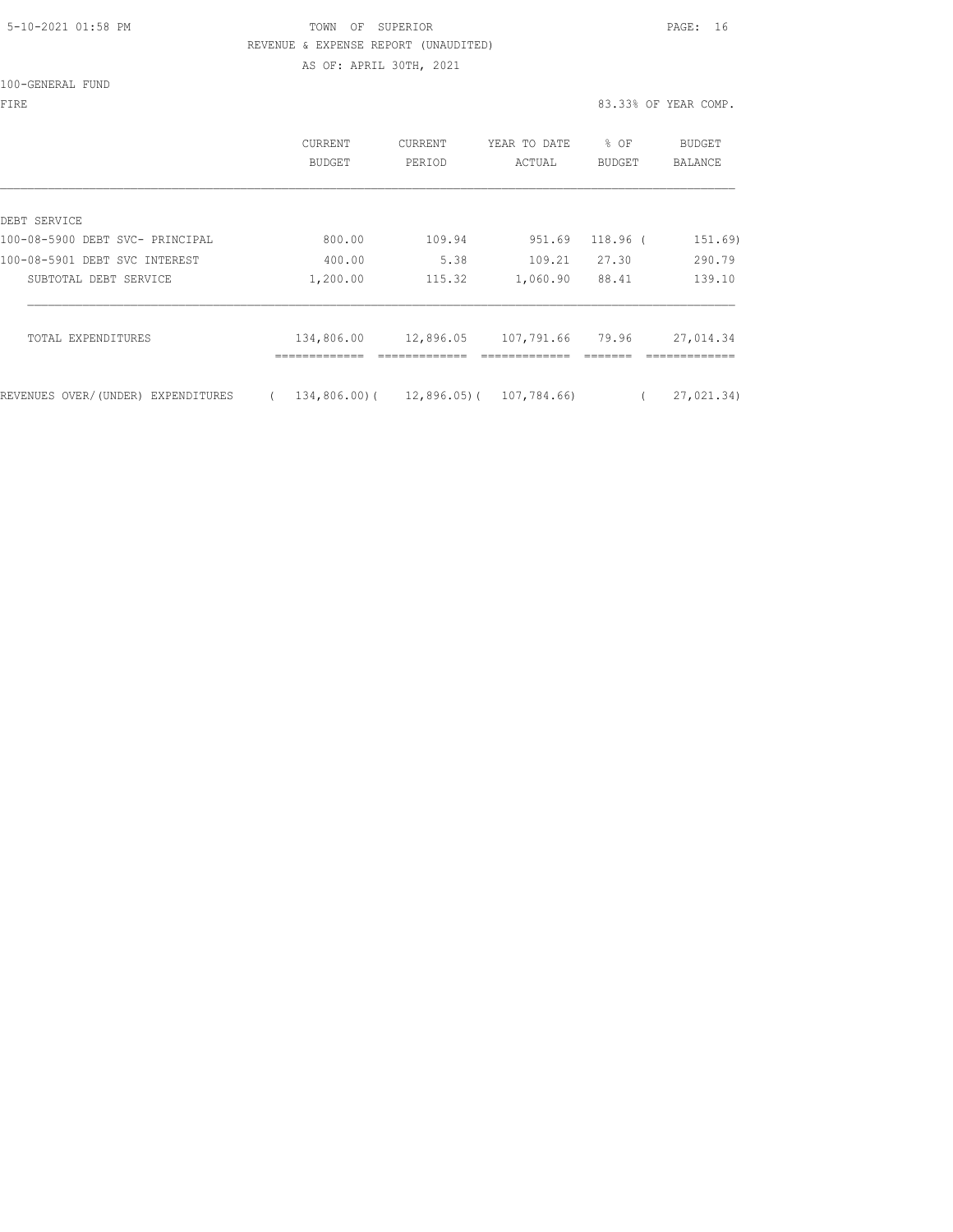#### 5-10-2021 01:58 PM TOWN OF SUPERIOR PAGE: 16 REVENUE & EXPENSE REPORT (UNAUDITED) AS OF: APRIL 30TH, 2021

100-GENERAL FUND

|                                    | <b>CURRENT</b><br><b>BUDGET</b> | CURRENT<br>PERIOD | YEAR TO DATE<br>ACTUAL | % OF<br>BUDGET | <b>BUDGET</b><br>BALANCE |
|------------------------------------|---------------------------------|-------------------|------------------------|----------------|--------------------------|
| DEBT SERVICE                       |                                 |                   |                        |                |                          |
| 100-08-5900 DEBT SVC- PRINCIPAL    | 800.00                          | 109.94            | 951.69                 | 118.96 (       | 151.69)                  |
| 100-08-5901 DEBT SVC INTEREST      | 400.00                          | 5.38              | 109.21                 | 27.30          | 290.79                   |
| SUBTOTAL DEBT SERVICE              | 1,200.00                        | 115.32            | 1,060.90               | 88.41          | 139.10                   |
| TOTAL EXPENDITURES                 | 134,806.00                      | 12,896.05         | 107,791.66             | 79.96          | 27,014.34                |
| REVENUES OVER/(UNDER) EXPENDITURES | 134,806.00)(                    | 12,896.05)(       | 107,784.66)            |                | 27,021.34)               |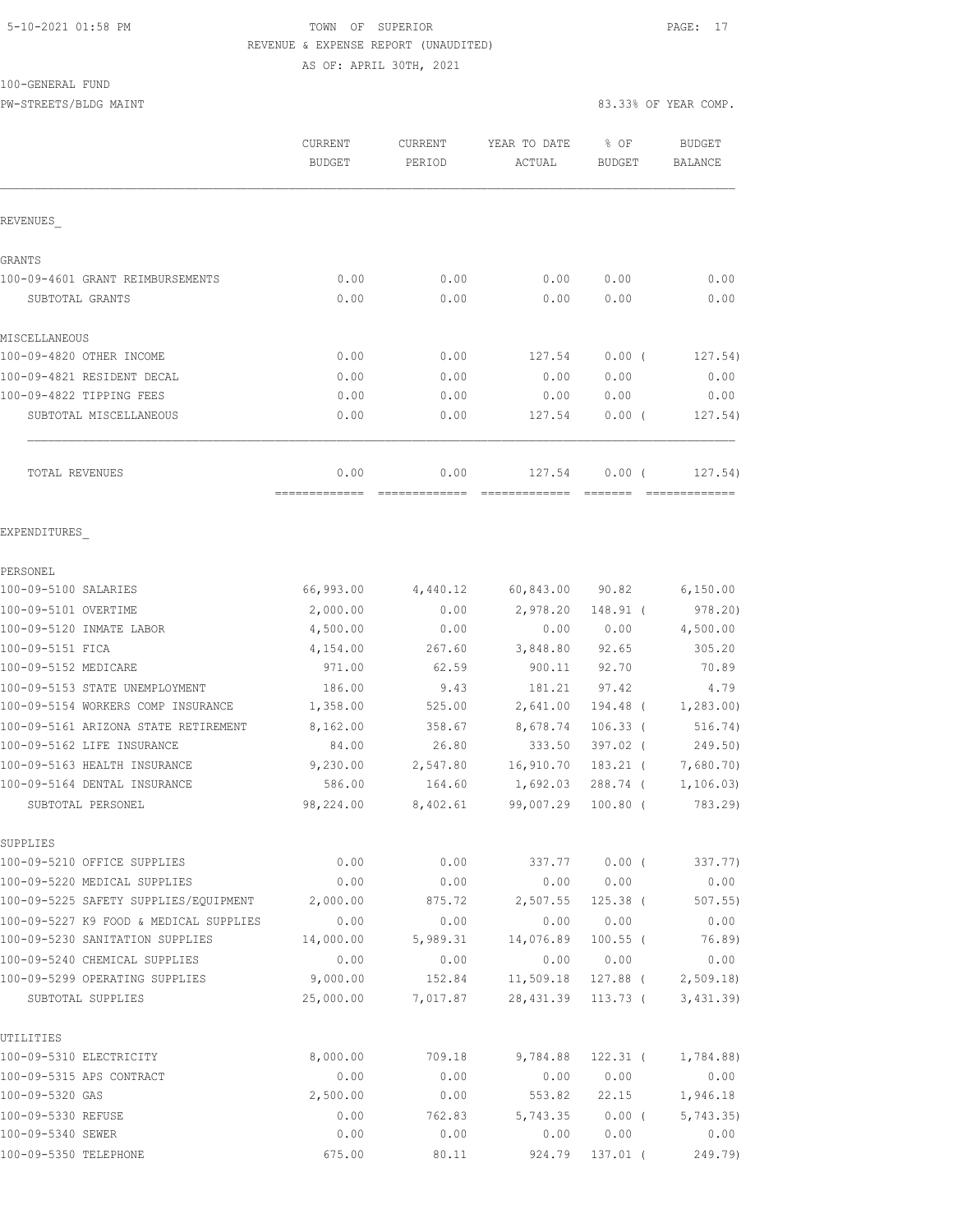### 5-10-2021 01:58 PM TOWN OF SUPERIOR PAGE: 17 REVENUE & EXPENSE REPORT (UNAUDITED)

AS OF: APRIL 30TH, 2021

100-GENERAL FUND

PW-STREETS/BLDG MAINT 83.33% OF YEAR COMP.

|                                  | <b>CURRENT</b><br>BUDGET | <b>CURRENT</b><br>PERIOD | YEAR TO DATE<br>ACTUAL       | $8$ OF<br>BUDGET | BUDGET<br>BALANCE |
|----------------------------------|--------------------------|--------------------------|------------------------------|------------------|-------------------|
| <b>REVENUES</b>                  |                          |                          |                              |                  |                   |
| <b>GRANTS</b>                    |                          |                          |                              |                  |                   |
| 100-09-4601 GRANT REIMBURSEMENTS | 0.00                     | 0.00                     | 0.00                         | 0.00             | 0.00              |
| SUBTOTAL GRANTS                  | 0.00                     | 0.00                     | 0.00                         | 0.00             | 0.00              |
| MISCELLANEOUS                    |                          |                          |                              |                  |                   |
| 100-09-4820 OTHER INCOME         | 0.00                     | 0.00                     | 127.54                       | $0.00$ (         | 127.54)           |
| 100-09-4821 RESIDENT DECAL       | 0.00                     | 0.00                     | 0.00                         | 0.00             | 0.00              |
| 100-09-4822 TIPPING FEES         | 0.00                     | 0.00                     | 0.00                         | 0.00             | 0.00              |
| SUBTOTAL MISCELLANEOUS           | 0.00                     | 0.00                     | 127.54                       | $0.00$ (         | 127.54)           |
| TOTAL REVENUES                   | 0.00                     |                          | $0.00$ 127.54 0.00 ( 127.54) |                  |                   |
|                                  | =============            | =============            | =============                | --------         | =============     |
| EXPENDITURES                     |                          |                          |                              |                  |                   |
| PERSONEL                         |                          |                          |                              |                  |                   |

| 100-09-5100 SALARIES                           | 66,993.00 | 4,440.12 | 60,843.00 | 90.82      | 6,150.00             |
|------------------------------------------------|-----------|----------|-----------|------------|----------------------|
| 100-09-5101 OVERTIME                           | 2,000.00  | 0.00     | 2,978.20  | 148.91 (   | 978.20)              |
| 100-09-5120 INMATE LABOR                       | 4,500.00  | 0.00     | 0.00      | 0.00       | 4,500.00             |
| 100-09-5151 FICA                               | 4,154.00  | 267.60   | 3,848.80  | 92.65      | 305.20               |
| 100-09-5152 MEDICARE                           | 971.00    | 62.59    | 900.11    | 92.70      | 70.89                |
| 100-09-5153 STATE UNEMPLOYMENT                 | 186.00    | 9.43     | 181.21    | 97.42      | 4.79                 |
| 100-09-5154 WORKERS COMP INSURANCE             | 1,358.00  | 525.00   | 2,641.00  | 194.48 (   | 1, 283.00            |
| 100-09-5161 ARIZONA STATE RETIREMENT           | 8,162.00  | 358.67   | 8,678.74  | $106.33$ ( | 516.74)              |
| 100-09-5162 LIFE INSURANCE                     | 84.00     | 26.80    | 333.50    | 397.02 (   | 249.50)              |
| 100-09-5163 HEALTH INSURANCE                   | 9,230.00  | 2,547.80 | 16,910.70 | 183.21 (   | 7,680.70)            |
| 100-09-5164 DENTAL INSURANCE                   | 586.00    | 164.60   | 1,692.03  | 288.74 (   | 1, 106.03)           |
| SUBTOTAL PERSONEL                              | 98,224.00 | 8,402.61 | 99,007.29 | $100.80$ ( | 783.29)              |
| SUPPLIES                                       |           |          |           |            |                      |
| 100-09-5210 OFFICE SUPPLIES                    | 0.00      | 0.00     | 337.77    | $0.00$ (   | 337.77)              |
| 100-09-5220 MEDICAL SUPPLIES                   | 0.00      | 0.00     | 0.00      | 0.00       | 0.00                 |
| 100-09-5225 SAFETY SUPPLIES/EQUIPMENT 2,000.00 |           | 875.72   | 2,507.55  | $125.38$ ( | 507.55               |
| 100-09-5227 K9 FOOD & MEDICAL SUPPLIES         | 0.00      | 0.00     | 0.00      | 0.00       | 0.00                 |
| 100-09-5230 SANITATION SUPPLIES                | 14,000.00 | 5,989.31 | 14,076.89 | $100.55$ ( | 76.89)               |
| 100-09-5240 CHEMICAL SUPPLIES                  | 0.00      | 0.00     | 0.00      | 0.00       | 0.00                 |
| 100-09-5299 OPERATING SUPPLIES                 | 9,000.00  | 152.84   | 11,509.18 |            | $127.88$ ( 2,509.18) |
| SUBTOTAL SUPPLIES                              | 25,000.00 | 7,017.87 | 28,431.39 | 113.73 (   | 3,431.39)            |
| UTILITIES                                      |           |          |           |            |                      |
| 100-09-5310 ELECTRICITY                        | 8,000.00  | 709.18   | 9,784.88  | $122.31$ ( | 1,784.88)            |
| 100-09-5315 APS CONTRACT                       | 0.00      | 0.00     | 0.00      | 0.00       | 0.00                 |
| 100-09-5320 GAS                                | 2,500.00  | 0.00     | 553.82    | 22.15      | 1,946.18             |
| 100-09-5330 REFUSE                             | 0.00      | 762.83   | 5,743.35  | $0.00$ (   | 5,743.35             |
| 100-09-5340 SEWER                              | 0.00      | 0.00     | 0.00      | 0.00       | 0.00                 |
| 100-09-5350 TELEPHONE                          | 675.00    | 80.11    | 924.79    | $137.01$ ( | 249.79)              |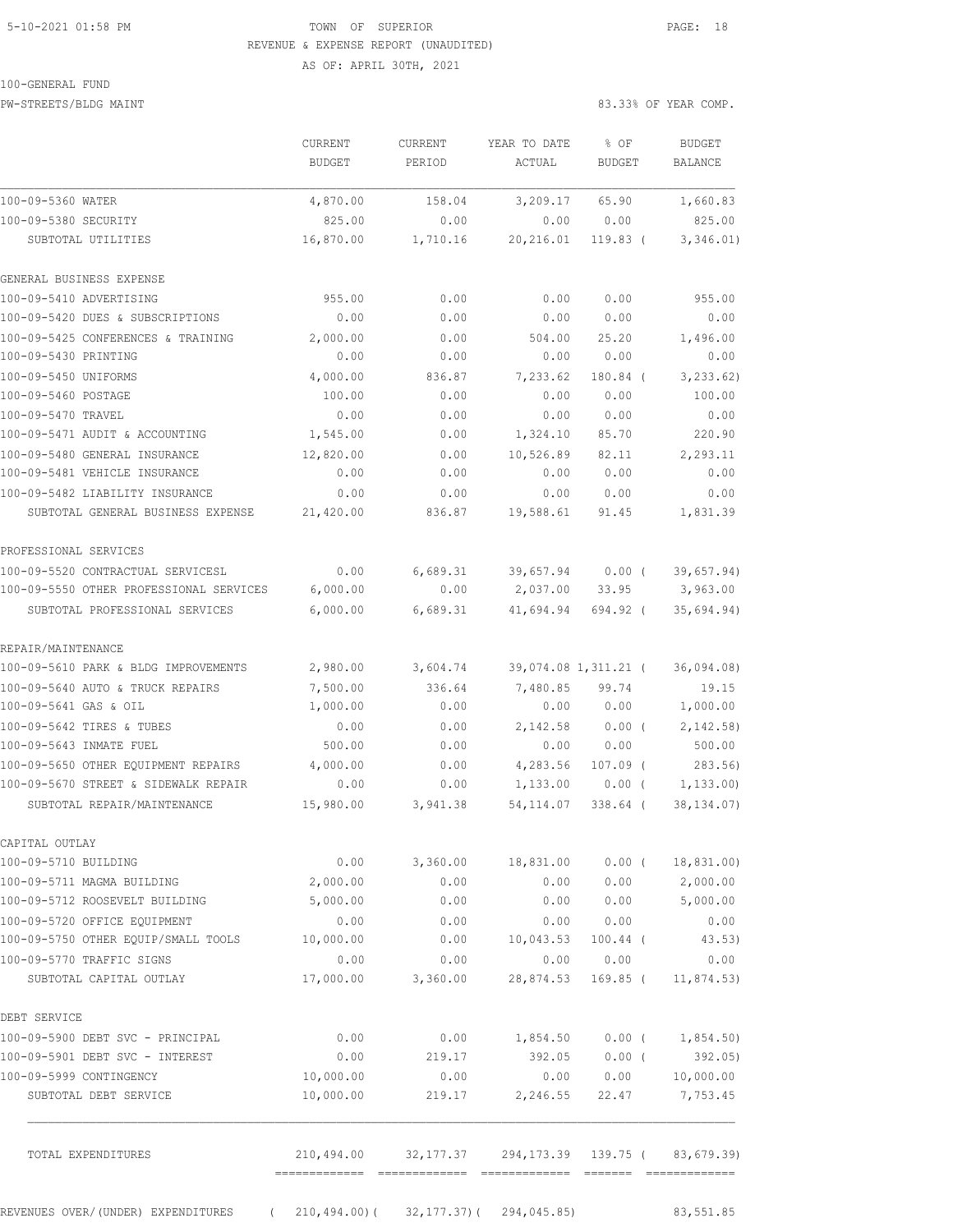### 5-10-2021 01:58 PM TOWN OF SUPERIOR PAGE: 18 REVENUE & EXPENSE REPORT (UNAUDITED) AS OF: APRIL 30TH, 2021

100-GENERAL FUND

PW-STREETS/BLDG MAINT 83.33% OF YEAR COMP.

|                                                                          | <b>CURRENT</b><br>BUDGET | <b>CURRENT</b><br>PERIOD                           | YEAR TO DATE<br>ACTUAL               | % OF<br><b>BUDGET</b>  | <b>BUDGET</b><br>BALANCE  |
|--------------------------------------------------------------------------|--------------------------|----------------------------------------------------|--------------------------------------|------------------------|---------------------------|
| 100-09-5360 WATER                                                        | 4,870.00                 | 158.04                                             | 3,209.17                             | 65.90                  | 1,660.83                  |
| 100-09-5380 SECURITY                                                     | 825.00                   | 0.00                                               | 0.00                                 | 0.00                   | 825.00                    |
| SUBTOTAL UTILITIES                                                       | 16,870.00                | 1,710.16                                           | 20,216.01                            | $119.83$ (             | 3,346.01)                 |
| GENERAL BUSINESS EXPENSE                                                 |                          |                                                    |                                      |                        |                           |
| 100-09-5410 ADVERTISING                                                  | 955.00                   | 0.00                                               | 0.00                                 | 0.00                   | 955.00                    |
| 100-09-5420 DUES & SUBSCRIPTIONS                                         | 0.00                     | 0.00                                               | 0.00                                 | 0.00                   | 0.00                      |
| 100-09-5425 CONFERENCES & TRAINING                                       | 2,000.00                 | 0.00                                               | 504.00                               | 25.20                  | 1,496.00                  |
| 100-09-5430 PRINTING                                                     | 0.00                     | 0.00                                               | 0.00                                 | 0.00                   | 0.00                      |
| 100-09-5450 UNIFORMS                                                     | 4,000.00                 | 836.87                                             | 7,233.62                             | 180.84 (               | 3, 233.62)                |
| 100-09-5460 POSTAGE                                                      | 100.00                   | 0.00                                               | 0.00                                 | 0.00                   | 100.00                    |
| 100-09-5470 TRAVEL                                                       | 0.00                     | 0.00                                               | 0.00                                 | 0.00                   | 0.00                      |
| 100-09-5471 AUDIT & ACCOUNTING                                           | 1,545.00                 | 0.00                                               | 1,324.10                             | 85.70                  | 220.90                    |
| 100-09-5480 GENERAL INSURANCE                                            | 12,820.00                | 0.00                                               | 10,526.89                            | 82.11                  | 2,293.11                  |
| 100-09-5481 VEHICLE INSURANCE                                            | 0.00                     | 0.00                                               | 0.00                                 | 0.00                   | 0.00                      |
| 100-09-5482 LIABILITY INSURANCE<br>SUBTOTAL GENERAL BUSINESS EXPENSE     | 0.00<br>21,420.00        | 0.00<br>836.87                                     | 0.00<br>19,588.61                    | 0.00<br>91.45          | 0.00<br>1,831.39          |
|                                                                          |                          |                                                    |                                      |                        |                           |
| PROFESSIONAL SERVICES                                                    |                          |                                                    |                                      |                        |                           |
| 100-09-5520 CONTRACTUAL SERVICESL                                        | 0.00                     | 6,689.31                                           | 39,657.94                            | $0.00$ (               | 39,657.94)                |
| 100-09-5550 OTHER PROFESSIONAL SERVICES                                  | 6,000.00                 | 0.00                                               | 2,037.00                             | 33.95                  | 3,963.00                  |
| SUBTOTAL PROFESSIONAL SERVICES                                           | 6,000.00                 | 6,689.31                                           | 41,694.94                            | 694.92 (               | 35,694.94)                |
| REPAIR/MAINTENANCE                                                       |                          |                                                    |                                      |                        |                           |
| 100-09-5610 PARK & BLDG IMPROVEMENTS                                     | 2,980.00                 | 3,604.74                                           |                                      | 39,074.08 1,311.21 (   | 36,094.08)                |
| 100-09-5640 AUTO & TRUCK REPAIRS                                         | 7,500.00                 | 336.64                                             | 7,480.85                             | 99.74                  | 19.15                     |
| 100-09-5641 GAS & OIL                                                    | 1,000.00                 | 0.00                                               | 0.00                                 | 0.00                   | 1,000.00                  |
| 100-09-5642 TIRES & TUBES                                                | 0.00                     | 0.00                                               | 2,142.58                             | 0.00(                  | 2,142.58                  |
| 100-09-5643 INMATE FUEL                                                  | 500.00                   | 0.00                                               | 0.00                                 | 0.00                   | 500.00                    |
| 100-09-5650 OTHER EQUIPMENT REPAIRS                                      | 4,000.00                 | 0.00                                               | 4,283.56                             | $107.09$ (             | 283.56                    |
| 100-09-5670 STREET & SIDEWALK REPAIR<br>SUBTOTAL REPAIR/MAINTENANCE      | 0.00<br>15,980.00        | 0.00<br>3,941.38                                   | 1,133.00<br>54, 114.07               | $0.00$ (<br>$338.64$ ( | 1, 133.00<br>38, 134.07)  |
|                                                                          |                          |                                                    |                                      |                        |                           |
| CAPITAL OUTLAY<br>100-09-5710 BUILDING                                   | 0.00                     |                                                    | 3,360.00 18,831.00 0.00 ( 18,831.00) |                        |                           |
| 100-09-5711 MAGMA BUILDING                                               | 2,000.00                 | 0.00                                               | 0.00                                 | 0.00                   | 2,000.00                  |
| 100-09-5712 ROOSEVELT BUILDING                                           | 5,000.00                 | 0.00                                               | 0.00                                 | 0.00                   | 5,000.00                  |
| 100-09-5720 OFFICE EQUIPMENT                                             | 0.00                     | 0.00                                               | 0.00                                 | 0.00                   | 0.00                      |
| 100-09-5750 OTHER EQUIP/SMALL TOOLS                                      | 10,000.00                | 0.00                                               | 10,043.53                            | $100.44$ (             | 43.53)                    |
| 100-09-5770 TRAFFIC SIGNS                                                | 0.00                     | 0.00                                               | 0.00                                 | 0.00                   | 0.00                      |
| SUBTOTAL CAPITAL OUTLAY                                                  | 17,000.00                | 3,360.00                                           | 28,874.53                            | 169.85 (               | 11,874.53)                |
| DEBT SERVICE                                                             |                          |                                                    |                                      |                        |                           |
| 100-09-5900 DEBT SVC - PRINCIPAL                                         | 0.00                     |                                                    | $0.00$ 1,854.50 0.00 ( 1,854.50)     |                        |                           |
| 100-09-5901 DEBT SVC - INTEREST                                          | 0.00                     | 219.17                                             |                                      | 392.05 0.00 (          | 392.05)                   |
| 100-09-5999 CONTINGENCY                                                  | 10,000.00                | 0.00                                               |                                      |                        | $0.00$ $0.00$ $10,000.00$ |
| SUBTOTAL DEBT SERVICE                                                    | 10,000.00                | 219.17                                             | 2,246.55                             | 22.47                  | 7,753.45                  |
| TOTAL EXPENDITURES                                                       |                          | 210,494.00 32,177.37 294,173.39 139.75 (83,679.39) |                                      |                        |                           |
| REVENUES OVER/(UNDER) EXPENDITURES (210,494.00) (32,177.37) (294,045.85) |                          |                                                    |                                      |                        | 83,551.85                 |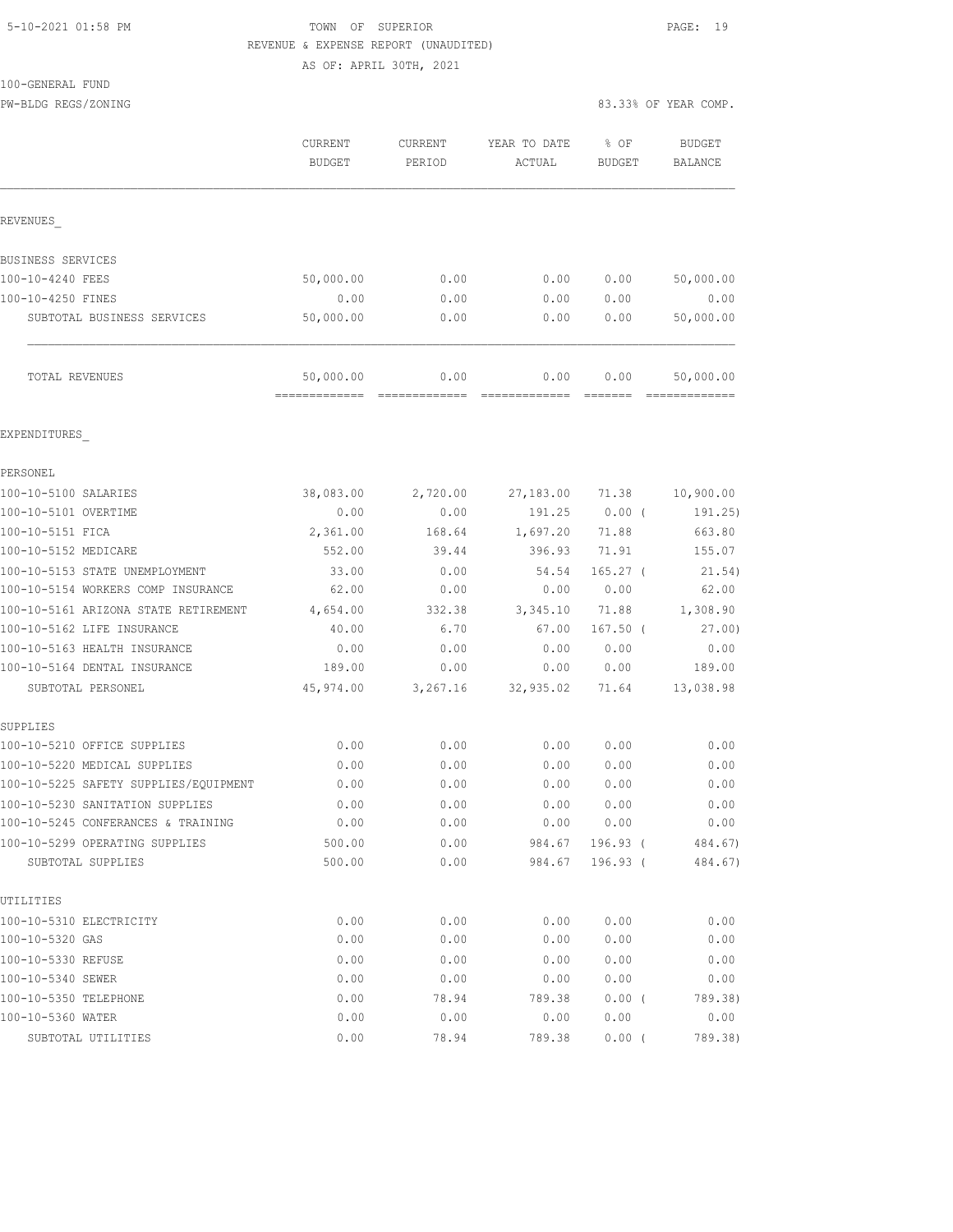#### 5-10-2021 01:58 PM TOWN OF SUPERIOR PAGE: 19 REVENUE & EXPENSE REPORT (UNAUDITED) AS OF: APRIL 30TH, 2021

100-GENERAL FUND

PW-BLDG REGS/ZONING 83.33% OF YEAR COMP.

|                            | CURRENT<br><b>BUDGET</b> | <b>CURRENT</b><br>PERIOD | YEAR TO DATE<br>ACTUAL | % OF<br>BUDGET | BUDGET<br><b>BALANCE</b> |
|----------------------------|--------------------------|--------------------------|------------------------|----------------|--------------------------|
| REVENUES                   |                          |                          |                        |                |                          |
| BUSINESS SERVICES          |                          |                          |                        |                |                          |
| 100-10-4240 FEES           | 50,000.00                | 0.00                     | 0.00                   | 0.00           | 50,000.00                |
| 100-10-4250 FINES          | 0.00                     | 0.00                     | 0.00                   | 0.00           | 0.00                     |
| SUBTOTAL BUSINESS SERVICES | 50,000.00                | 0.00                     | 0.00                   | 0.00           | 50,000.00                |
| TOTAL REVENUES             | 50,000.00                | 0.00                     | 0.00                   | 0.00           | 50,000.00                |

EXPENDITURES\_

| PERSONEL                              |           |          |           |            |           |
|---------------------------------------|-----------|----------|-----------|------------|-----------|
| 100-10-5100 SALARIES                  | 38,083.00 | 2,720.00 | 27,183.00 | 71.38      | 10,900.00 |
| 100-10-5101 OVERTIME                  | 0.00      | 0.00     | 191.25    | 0.00(      | 191.25)   |
| 100-10-5151 FICA                      | 2,361.00  | 168.64   | 1,697.20  | 71.88      | 663.80    |
| 100-10-5152 MEDICARE                  | 552.00    | 39.44    | 396.93    | 71.91      | 155.07    |
| 100-10-5153 STATE UNEMPLOYMENT        | 33.00     | 0.00     | 54.54     | $165.27$ ( | 21.54)    |
| 100-10-5154 WORKERS COMP INSURANCE    | 62.00     | 0.00     | 0.00      | 0.00       | 62.00     |
| 100-10-5161 ARIZONA STATE RETIREMENT  | 4,654.00  | 332.38   | 3,345.10  | 71.88      | 1,308.90  |
| 100-10-5162 LIFE INSURANCE            | 40.00     | 6.70     | 67.00     | $167.50$ ( | 27.00     |
| 100-10-5163 HEALTH INSURANCE          | 0.00      | 0.00     | 0.00      | 0.00       | 0.00      |
| 100-10-5164 DENTAL INSURANCE          | 189.00    | 0.00     | 0.00      | 0.00       | 189.00    |
| SUBTOTAL PERSONEL                     | 45,974.00 | 3,267.16 | 32,935.02 | 71.64      | 13,038.98 |
| SUPPLIES                              |           |          |           |            |           |
| 100-10-5210 OFFICE SUPPLIES           | 0.00      | 0.00     | 0.00      | 0.00       | 0.00      |
| 100-10-5220 MEDICAL SUPPLIES          | 0.00      | 0.00     | 0.00      | 0.00       | 0.00      |
| 100-10-5225 SAFETY SUPPLIES/EQUIPMENT | 0.00      | 0.00     | 0.00      | 0.00       | 0.00      |
| 100-10-5230 SANITATION SUPPLIES       | 0.00      | 0.00     | 0.00      | 0.00       | 0.00      |
| 100-10-5245 CONFERANCES & TRAINING    | 0.00      | 0.00     | 0.00      | 0.00       | 0.00      |
| 100-10-5299 OPERATING SUPPLIES        | 500.00    | 0.00     | 984.67    | $196.93$ ( | 484.67)   |
| SUBTOTAL SUPPLIES                     | 500.00    | 0.00     | 984.67    | $196.93$ ( | 484.67)   |
| UTILITIES                             |           |          |           |            |           |
| 100-10-5310 ELECTRICITY               | 0.00      | 0.00     | 0.00      | 0.00       | 0.00      |
| 100-10-5320 GAS                       | 0.00      | 0.00     | 0.00      | 0.00       | 0.00      |
| 100-10-5330 REFUSE                    | 0.00      | 0.00     | 0.00      | 0.00       | 0.00      |
| 100-10-5340 SEWER                     | 0.00      | 0.00     | 0.00      | 0.00       | 0.00      |
| 100-10-5350 TELEPHONE                 | 0.00      | 78.94    | 789.38    | 0.00(      | 789.38)   |
| 100-10-5360 WATER                     | 0.00      | 0.00     | 0.00      | 0.00       | 0.00      |
| SUBTOTAL UTILITIES                    | 0.00      | 78.94    | 789.38    | 0.00(      | 789.38)   |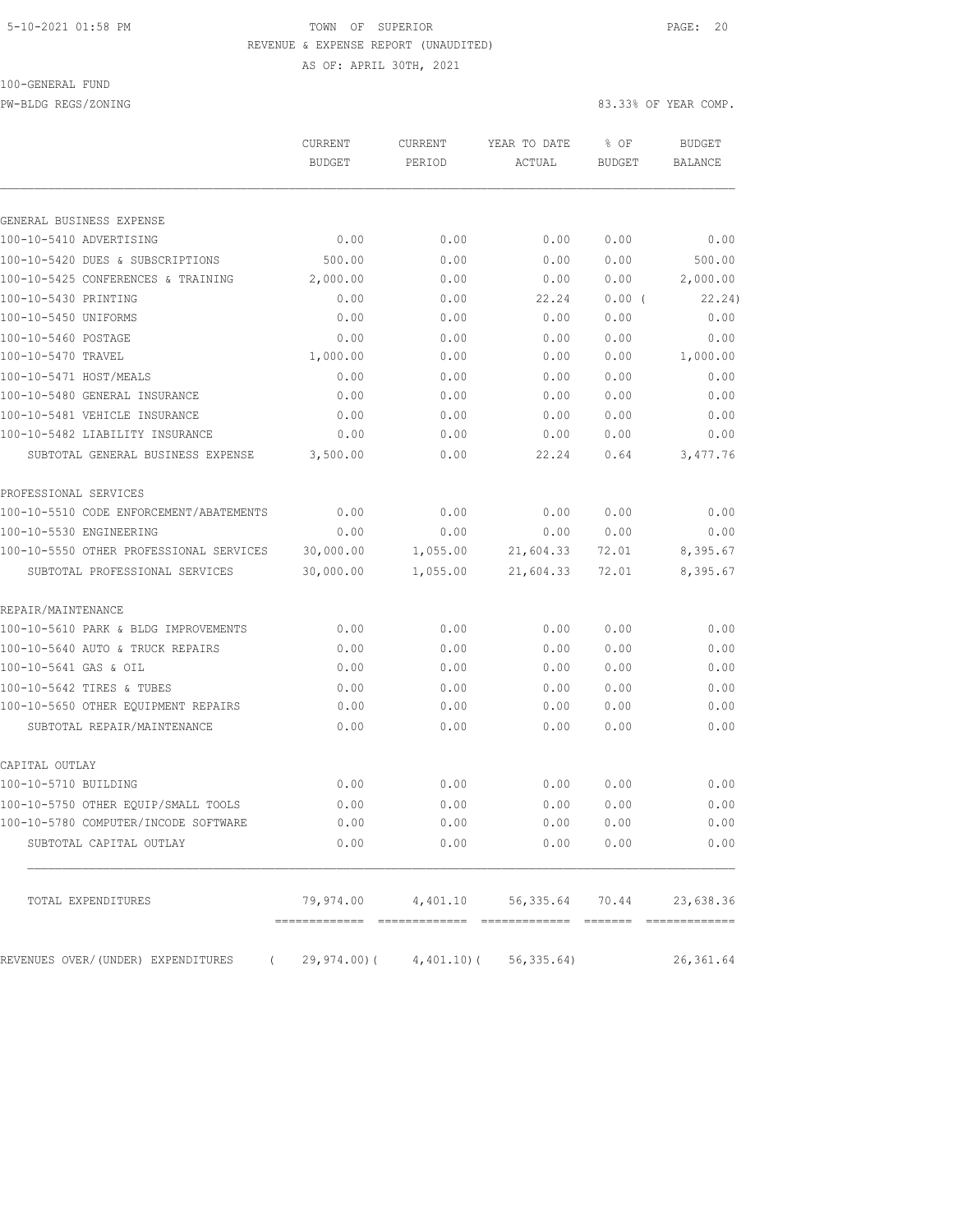#### 5-10-2021 01:58 PM TOWN OF SUPERIOR PAGE: 20 REVENUE & EXPENSE REPORT (UNAUDITED) AS OF: APRIL 30TH, 2021

100-GENERAL FUND

PW-BLDG REGS/ZONING 83.33% OF YEAR COMP.

|                                         | CURRENT<br><b>BUDGET</b> | CURRENT<br>PERIOD                     | YEAR TO DATE<br>ACTUAL             | % OF<br><b>BUDGET</b> | <b>BUDGET</b><br><b>BALANCE</b> |
|-----------------------------------------|--------------------------|---------------------------------------|------------------------------------|-----------------------|---------------------------------|
|                                         |                          |                                       |                                    |                       |                                 |
| GENERAL BUSINESS EXPENSE                |                          |                                       |                                    |                       |                                 |
| 100-10-5410 ADVERTISING                 | 0.00                     | 0.00                                  | 0.00                               | 0.00                  | 0.00                            |
| 100-10-5420 DUES & SUBSCRIPTIONS        | 500.00                   | 0.00                                  | 0.00                               | 0.00                  | 500.00                          |
| 100-10-5425 CONFERENCES & TRAINING      | 2,000.00                 | 0.00                                  | 0.00                               | 0.00                  | 2,000.00                        |
| 100-10-5430 PRINTING                    | 0.00                     | 0.00                                  | 22.24                              | 0.00(                 | 22.24)                          |
| 100-10-5450 UNIFORMS                    | 0.00                     | 0.00                                  | 0.00                               | 0.00                  | 0.00                            |
| 100-10-5460 POSTAGE                     | 0.00                     | 0.00                                  | 0.00                               | 0.00                  | 0.00                            |
| 100-10-5470 TRAVEL                      | 1,000.00                 | 0.00                                  | 0.00                               | 0.00                  | 1,000.00                        |
| 100-10-5471 HOST/MEALS                  | 0.00                     | 0.00                                  | 0.00                               | 0.00                  | 0.00                            |
| 100-10-5480 GENERAL INSURANCE           | 0.00                     | 0.00                                  | 0.00                               | 0.00                  | 0.00                            |
| 100-10-5481 VEHICLE INSURANCE           | 0.00                     | 0.00                                  | 0.00                               | 0.00                  | 0.00                            |
| 100-10-5482 LIABILITY INSURANCE         | 0.00                     | 0.00                                  | 0.00                               | 0.00                  | 0.00                            |
| SUBTOTAL GENERAL BUSINESS EXPENSE       | 3,500.00                 | 0.00                                  | 22.24                              | 0.64                  | 3,477.76                        |
| PROFESSIONAL SERVICES                   |                          |                                       |                                    |                       |                                 |
| 100-10-5510 CODE ENFORCEMENT/ABATEMENTS | 0.00                     | 0.00                                  | 0.00                               | 0.00                  | 0.00                            |
| 100-10-5530 ENGINEERING                 | 0.00                     | 0.00                                  | 0.00                               | 0.00                  | 0.00                            |
| 100-10-5550 OTHER PROFESSIONAL SERVICES | 30,000.00                | 1,055.00                              | 21,604.33                          | 72.01                 | 8,395.67                        |
| SUBTOTAL PROFESSIONAL SERVICES          | 30,000.00                | 1,055.00                              | 21,604.33                          | 72.01                 | 8,395.67                        |
| REPAIR/MAINTENANCE                      |                          |                                       |                                    |                       |                                 |
| 100-10-5610 PARK & BLDG IMPROVEMENTS    | 0.00                     | 0.00                                  | 0.00                               | 0.00                  | 0.00                            |
| 100-10-5640 AUTO & TRUCK REPAIRS        | 0.00                     | 0.00                                  | 0.00                               | 0.00                  | 0.00                            |
| 100-10-5641 GAS & OIL                   | 0.00                     | 0.00                                  | 0.00                               | 0.00                  | 0.00                            |
| 100-10-5642 TIRES & TUBES               | 0.00                     | 0.00                                  | 0.00                               | 0.00                  | 0.00                            |
| 100-10-5650 OTHER EQUIPMENT REPAIRS     | 0.00                     | 0.00                                  | 0.00                               | 0.00                  | 0.00                            |
| SUBTOTAL REPAIR/MAINTENANCE             | 0.00                     | 0.00                                  | 0.00                               | 0.00                  | 0.00                            |
| CAPITAL OUTLAY                          |                          |                                       |                                    |                       |                                 |
| 100-10-5710 BUILDING                    | 0.00                     | 0.00                                  | 0.00                               | 0.00                  | 0.00                            |
| 100-10-5750 OTHER EQUIP/SMALL TOOLS     | 0.00                     | 0.00                                  | 0.00                               | 0.00                  | 0.00                            |
| 100-10-5780 COMPUTER/INCODE SOFTWARE    | 0.00                     | 0.00                                  | 0.00                               | 0.00                  | 0.00                            |
| SUBTOTAL CAPITAL OUTLAY                 | 0.00                     | 0.00                                  | 0.00                               | 0.00                  | 0.00                            |
| TOTAL EXPENDITURES                      |                          |                                       | 79,974.00 4,401.10 56,335.64 70.44 |                       | 23,638.36                       |
| REVENUES OVER/(UNDER) EXPENDITURES      |                          | (29, 974.00) (4, 401.10) (56, 335.64) |                                    |                       | 26,361.64                       |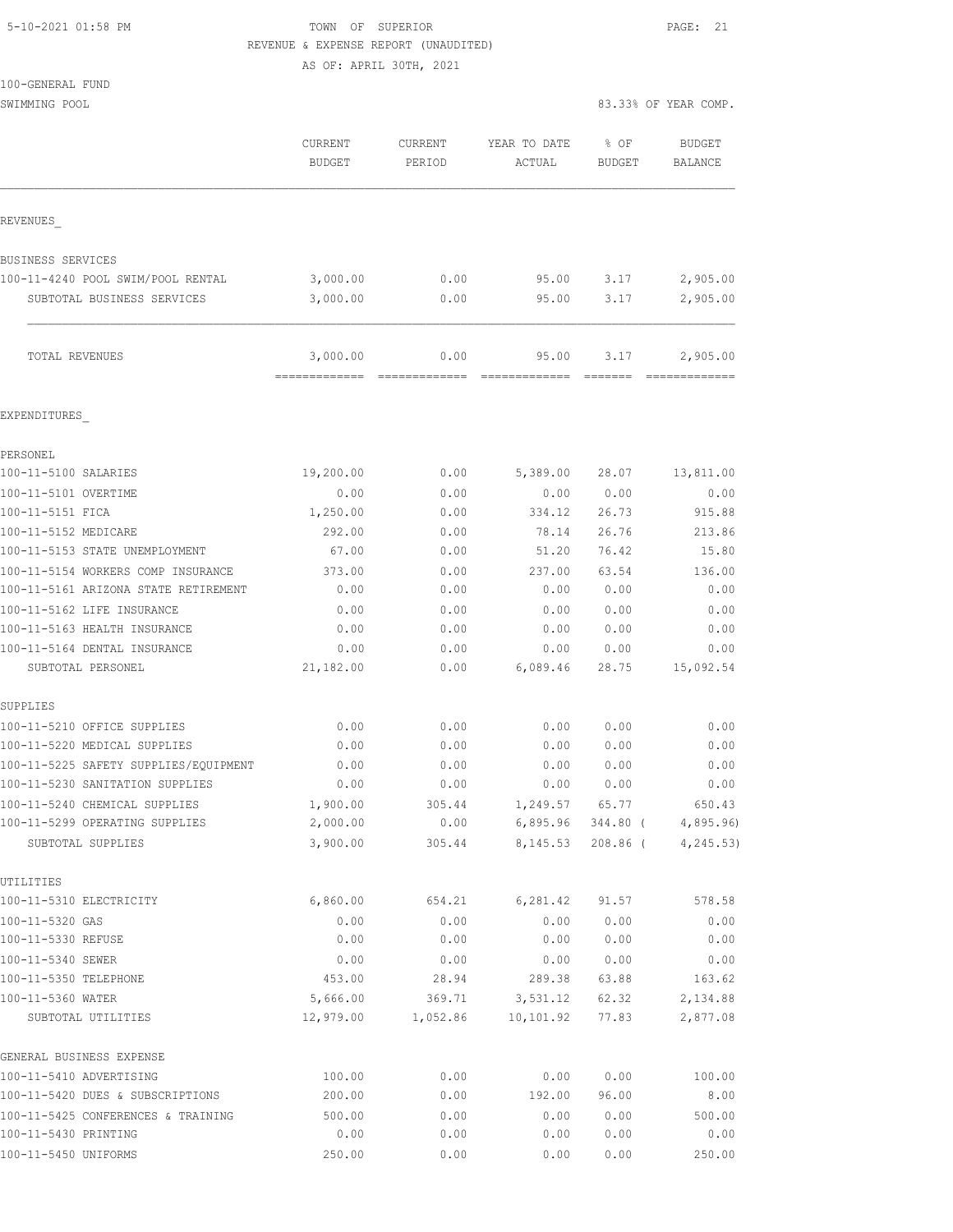| 5-10-2021 01:58 PM |  |
|--------------------|--|
|                    |  |

# TOWN OF SUPERIOR **PAGE:** 21 REVENUE & EXPENSE REPORT (UNAUDITED)

AS OF: APRIL 30TH, 2021

| 100-GENERAL FUND |  |
|------------------|--|

SWIMMING POOL SOLUTION COMPLETE STATES AND RELEASE ON A STRUCTURE OF STRUCTURE STATES OF YEAR COMP.

|                                                     | CURRENT<br><b>BUDGET</b>  | CURRENT<br>PERIOD | YEAR TO DATE<br>ACTUAL | % OF<br><b>BUDGET</b> | <b>BUDGET</b><br>BALANCE |
|-----------------------------------------------------|---------------------------|-------------------|------------------------|-----------------------|--------------------------|
|                                                     |                           |                   |                        |                       |                          |
| REVENUES                                            |                           |                   |                        |                       |                          |
| BUSINESS SERVICES                                   |                           |                   |                        |                       |                          |
| 100-11-4240 POOL SWIM/POOL RENTAL                   | 3,000.00                  | 0.00              | 95.00                  | 3.17                  | 2,905.00                 |
| SUBTOTAL BUSINESS SERVICES                          | 3,000.00                  | 0.00              | 95.00                  | 3.17                  | 2,905.00                 |
| TOTAL REVENUES                                      | 3,000.00<br>------------- | 0.00              | 95.00                  | 3.17                  | 2,905.00<br>-----------  |
| EXPENDITURES                                        |                           |                   |                        |                       |                          |
| PERSONEL                                            |                           |                   |                        |                       |                          |
| 100-11-5100 SALARIES                                | 19,200.00                 | 0.00              | 5,389.00               | 28.07                 | 13,811.00                |
| 100-11-5101 OVERTIME                                | 0.00                      | 0.00              | 0.00                   | 0.00                  | 0.00                     |
| 100-11-5151 FICA                                    | 1,250.00                  | 0.00              | 334.12                 | 26.73                 | 915.88                   |
| 100-11-5152 MEDICARE                                | 292.00                    | 0.00              | 78.14                  | 26.76                 | 213.86                   |
| 100-11-5153 STATE UNEMPLOYMENT                      | 67.00                     | 0.00              | 51.20                  | 76.42                 | 15.80                    |
| 100-11-5154 WORKERS COMP INSURANCE                  | 373.00                    | 0.00              | 237.00                 | 63.54                 | 136.00                   |
| 100-11-5161 ARIZONA STATE RETIREMENT                | 0.00                      | 0.00              | 0.00                   | 0.00                  | 0.00                     |
| 100-11-5162 LIFE INSURANCE                          | 0.00                      | 0.00              | 0.00                   | 0.00                  | 0.00                     |
| 100-11-5163 HEALTH INSURANCE                        | 0.00                      | 0.00              | 0.00                   | 0.00                  | 0.00                     |
| 100-11-5164 DENTAL INSURANCE                        | 0.00                      | 0.00              | 0.00                   | 0.00                  | 0.00                     |
| SUBTOTAL PERSONEL                                   | 21,182.00                 | 0.00              | 6,089.46               | 28.75                 | 15,092.54                |
| SUPPLIES                                            |                           |                   |                        |                       |                          |
| 100-11-5210 OFFICE SUPPLIES                         | 0.00                      | 0.00              | 0.00                   | 0.00                  | 0.00                     |
| 100-11-5220 MEDICAL SUPPLIES                        | 0.00                      | 0.00              | 0.00                   | 0.00                  | 0.00                     |
| 100-11-5225 SAFETY SUPPLIES/EQUIPMENT               | 0.00                      | 0.00              | 0.00                   | 0.00                  | 0.00                     |
| 100-11-5230 SANITATION SUPPLIES                     | 0.00                      | 0.00              | 0.00                   | 0.00                  | 0.00                     |
| 100-11-5240 CHEMICAL SUPPLIES                       | 1,900.00                  | 305.44            | 1,249.57               | 65.77                 | 650.43                   |
| 100-11-5299 OPERATING SUPPLIES<br>SUBTOTAL SUPPLIES | 2,000.00<br>3,900.00      | 0.00<br>305.44    | 6,895.96<br>8,145.53   | 344.80 (<br>208.86 (  | 4,895.96)<br>4, 245.53)  |
| UTILITIES                                           |                           |                   |                        |                       |                          |
| 100-11-5310 ELECTRICITY                             | 6,860.00                  | 654.21            | 6, 281.42              | 91.57                 | 578.58                   |
| 100-11-5320 GAS                                     | 0.00                      | 0.00              | 0.00                   | 0.00                  | 0.00                     |
| 100-11-5330 REFUSE                                  | 0.00                      | 0.00              | 0.00                   | 0.00                  | 0.00                     |
| 100-11-5340 SEWER                                   | 0.00                      | 0.00              | 0.00                   | 0.00                  | 0.00                     |
| 100-11-5350 TELEPHONE                               | 453.00                    | 28.94             | 289.38                 | 63.88                 | 163.62                   |
| 100-11-5360 WATER                                   | 5,666.00                  | 369.71            | 3,531.12               | 62.32                 | 2,134.88                 |
| SUBTOTAL UTILITIES                                  | 12,979.00                 | 1,052.86          | 10, 101.92             | 77.83                 | 2,877.08                 |
| GENERAL BUSINESS EXPENSE                            |                           |                   |                        |                       |                          |
| 100-11-5410 ADVERTISING                             | 100.00                    | 0.00              | 0.00                   | 0.00                  | 100.00                   |
| 100-11-5420 DUES & SUBSCRIPTIONS                    | 200.00                    | 0.00              | 192.00                 | 96.00                 | 8.00                     |
| 100-11-5425 CONFERENCES & TRAINING                  | 500.00                    | 0.00              | 0.00                   | 0.00                  | 500.00                   |
| 100-11-5430 PRINTING                                | 0.00                      | 0.00              | 0.00                   | 0.00                  | 0.00                     |
| 100-11-5450 UNIFORMS                                | 250.00                    | 0.00              | 0.00                   | 0.00                  | 250.00                   |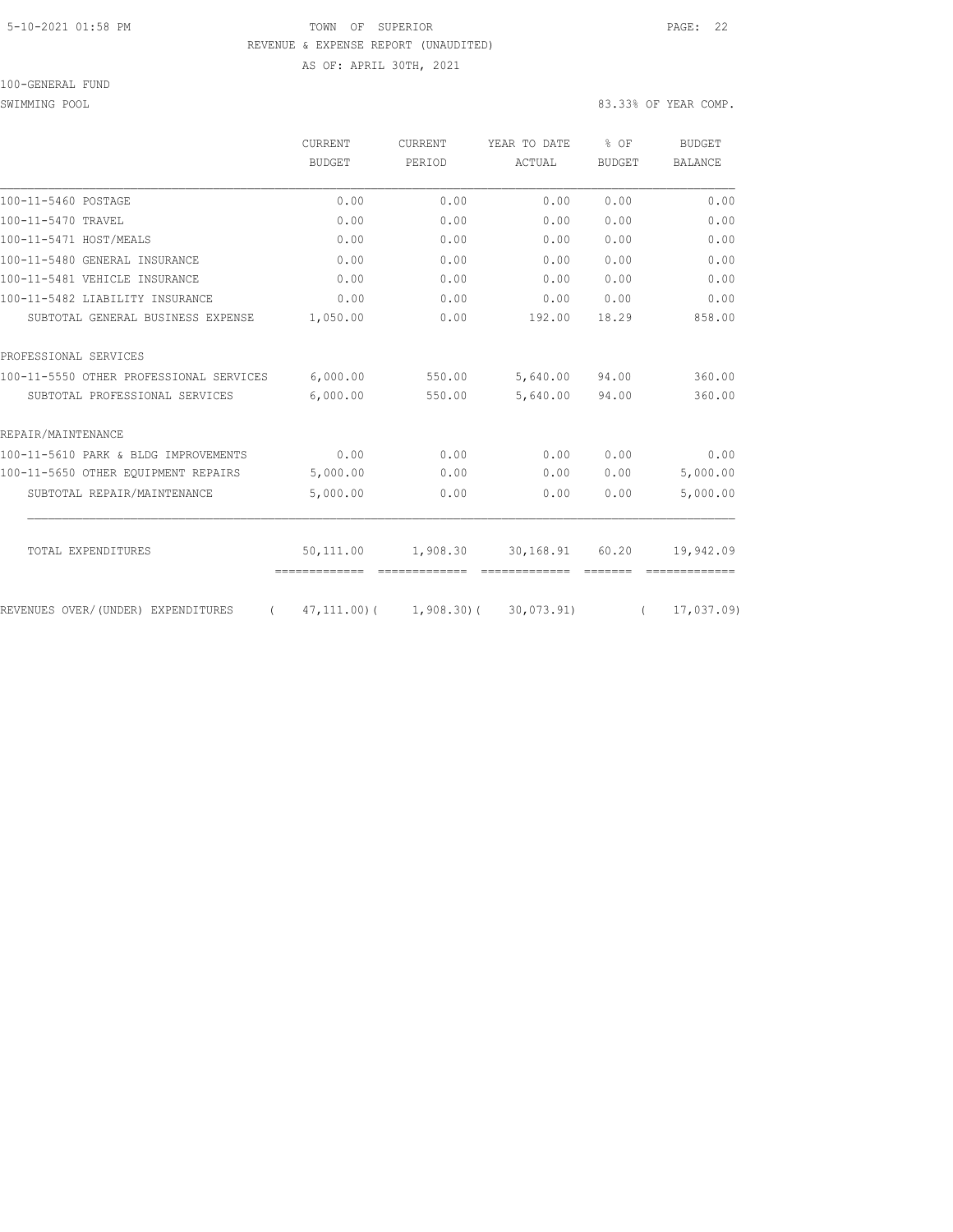#### 5-10-2021 01:58 PM TOWN OF SUPERIOR PAGE: 22 REVENUE & EXPENSE REPORT (UNAUDITED) AS OF: APRIL 30TH, 2021

100-GENERAL FUND

SWIMMING POOL SOLUTION COMPLETE STATES AND RELEASE ON A STRUCTURE OF STRUCTURE STATES OF YEAR COMP.

|                                                | <b>CURRENT</b> | <b>CURRENT</b>              |               | YEAR TO DATE  | \$OF           | <b>BUDGET</b> |
|------------------------------------------------|----------------|-----------------------------|---------------|---------------|----------------|---------------|
|                                                | BUDGET         | PERIOD                      | ACTUAL        | <b>BUDGET</b> | <b>BALANCE</b> |               |
| 100-11-5460 POSTAGE                            | 0.00           | 0.00                        | 0.00          | 0.00          | 0.00           |               |
| 100-11-5470 TRAVEL                             | 0.00           | 0.00                        | 0.00          | 0.00          | 0.00           |               |
| 100-11-5471 HOST/MEALS                         | 0.00           | 0.00                        | 0.00          | 0.00          | 0.00           |               |
| 100-11-5480 GENERAL INSURANCE                  | 0.00           | 0.00                        | 0.00          | 0.00          | 0.00           |               |
| 100-11-5481 VEHICLE INSURANCE                  | 0.00           | 0.00                        | 0.00          | 0.00          | 0.00           |               |
| 100-11-5482 LIABILITY INSURANCE                | 0.00           | 0.00                        | 0.00          | 0.00          | 0.00           |               |
| SUBTOTAL GENERAL BUSINESS EXPENSE              | 1,050.00       | 0.00                        | 192.00        | 18.29         | 858.00         |               |
| PROFESSIONAL SERVICES                          |                |                             |               |               |                |               |
| 100-11-5550 OTHER PROFESSIONAL SERVICES        | 6,000.00       | 550.00                      | 5,640.00      | 94.00         | 360.00         |               |
| SUBTOTAL PROFESSIONAL SERVICES                 | 6,000.00       | 550.00                      | 5,640.00      | 94.00         | 360.00         |               |
| REPAIR/MAINTENANCE                             |                |                             |               |               |                |               |
| 100-11-5610 PARK & BLDG IMPROVEMENTS           | 0.00           | 0.00                        | 0.00          | 0.00          | 0.00           |               |
| 100-11-5650 OTHER EQUIPMENT REPAIRS            | 5,000.00       | 0.00                        | 0.00          | 0.00          | 5,000.00       |               |
| SUBTOTAL REPAIR/MAINTENANCE                    | 5,000.00       | 0.00                        | 0.00          | 0.00          | 5,000.00       |               |
| TOTAL EXPENDITURES                             | 50,111.00      | 1,908.30                    | 30,168.91     | 60.20         | 19,942.09      |               |
|                                                | -------------  | -------------               | ============= | =======       |                |               |
| REVENUES OVER/(UNDER) EXPENDITURES<br>$\left($ |                | $47, 111, 00$ ( 1,908.30) ( | 30,073.91)    | $\sqrt{2}$    | 17,037.09)     |               |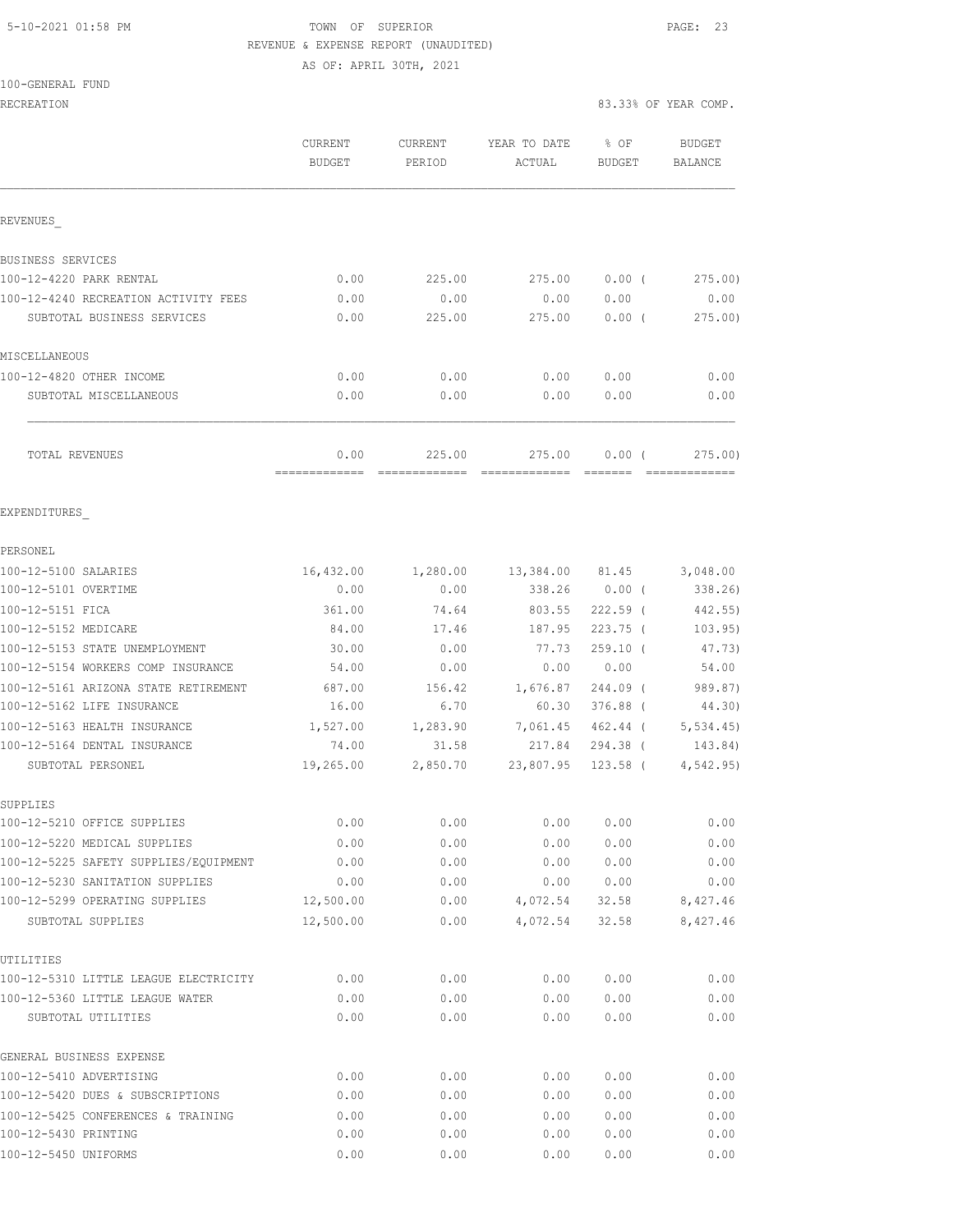### 5-10-2021 01:58 PM TOWN OF SUPERIOR PAGE: 23 REVENUE & EXPENSE REPORT (UNAUDITED)

AS OF: APRIL 30TH, 2021

#### 100-GENERAL FUND

|                                                       | CURRENT<br><b>BUDGET</b> | CURRENT<br>PERIOD | YEAR TO DATE<br>ACTUAL | % OF<br><b>BUDGET</b> | <b>BUDGET</b><br><b>BALANCE</b> |
|-------------------------------------------------------|--------------------------|-------------------|------------------------|-----------------------|---------------------------------|
| REVENUES                                              |                          |                   |                        |                       |                                 |
| BUSINESS SERVICES                                     |                          |                   |                        |                       |                                 |
| 100-12-4220 PARK RENTAL                               | 0.00                     | 225.00            | 275.00                 | $0.00$ (              | 275.00)                         |
| 100-12-4240 RECREATION ACTIVITY FEES                  | 0.00                     | 0.00              | 0.00                   | 0.00                  | 0.00                            |
| SUBTOTAL BUSINESS SERVICES                            | 0.00                     | 225.00            | 275.00                 | $0.00$ (              | 275.00                          |
| MISCELLANEOUS                                         |                          |                   |                        |                       |                                 |
| 100-12-4820 OTHER INCOME                              | 0.00                     | 0.00              | 0.00                   | 0.00                  | 0.00                            |
| SUBTOTAL MISCELLANEOUS                                | 0.00                     | 0.00              | 0.00                   | 0.00                  | 0.00                            |
| TOTAL REVENUES                                        | 0.00<br>-------------    | 225.00            | 275.00                 | 0.00(<br>--------     | 275.00                          |
| EXPENDITURES                                          |                          |                   |                        |                       |                                 |
| PERSONEL                                              |                          |                   |                        |                       |                                 |
| 100-12-5100 SALARIES                                  | 16,432.00                | 1,280.00          | 13,384.00 81.45        |                       | 3,048.00                        |
| 100-12-5101 OVERTIME                                  | 0.00                     | 0.00              | 338.26                 | $0.00$ (              | 338.26                          |
| 100-12-5151 FICA                                      | 361.00                   | 74.64             | 803.55                 | $222.59$ (            | 442.55)                         |
| 100-12-5152 MEDICARE                                  | 84.00                    | 17.46             | 187.95                 | $223.75$ (            | 103.95)                         |
| 100-12-5153 STATE UNEMPLOYMENT                        | 30.00                    | 0.00              | 77.73                  | $259.10$ (            | 47.73)                          |
| 100-12-5154 WORKERS COMP INSURANCE                    | 54.00                    | 0.00              | 0.00                   | 0.00                  | 54.00                           |
| 100-12-5161 ARIZONA STATE RETIREMENT                  | 687.00                   | 156.42            | 1,676.87               | 244.09 (              | 989.87)                         |
| 100-12-5162 LIFE INSURANCE                            | 16.00                    | 6.70              | 60.30                  | $376.88$ (            | 44.30)                          |
| 100-12-5163 HEALTH INSURANCE                          | 1,527.00                 | 1,283.90          | 7,061.45               | 462.44 (              | 5, 534.45                       |
| 100-12-5164 DENTAL INSURANCE<br>SUBTOTAL PERSONEL     | 74.00<br>19,265.00       | 31.58<br>2,850.70 | 217.84<br>23,807.95    | 294.38 (<br>123.58 (  | 143.84)<br>4,542.95             |
| SUPPLIES                                              |                          |                   |                        |                       |                                 |
| 100-12-5210 OFFICE SUPPLIES                           | 0.00                     | 0.00              | 0.00                   | 0.00                  | 0.00                            |
| 100-12-5220 MEDICAL SUPPLIES                          | 0.00                     | 0.00              | 0.00                   | 0.00                  | 0.00                            |
| 100-12-5225 SAFETY SUPPLIES/EQUIPMENT                 | 0.00                     | 0.00              | 0.00                   | 0.00                  | 0.00                            |
| 100-12-5230 SANITATION SUPPLIES                       | 0.00                     | 0.00              | 0.00                   | 0.00                  | 0.00                            |
| 100-12-5299 OPERATING SUPPLIES                        | 12,500.00                | 0.00              | 4,072.54               | 32.58                 | 8,427.46                        |
| SUBTOTAL SUPPLIES                                     | 12,500.00                | 0.00              | 4,072.54               | 32.58                 | 8,427.46                        |
| UTILITIES                                             |                          |                   |                        |                       |                                 |
| 100-12-5310 LITTLE LEAGUE ELECTRICITY                 | 0.00                     | 0.00              | 0.00                   | 0.00                  | 0.00                            |
| 100-12-5360 LITTLE LEAGUE WATER<br>SUBTOTAL UTILITIES | 0.00<br>0.00             | 0.00<br>0.00      | 0.00<br>0.00           | 0.00<br>0.00          | 0.00<br>0.00                    |
| GENERAL BUSINESS EXPENSE                              |                          |                   |                        |                       |                                 |
| 100-12-5410 ADVERTISING                               | 0.00                     | 0.00              | 0.00                   | 0.00                  | 0.00                            |
| 100-12-5420 DUES & SUBSCRIPTIONS                      | 0.00                     | 0.00              | 0.00                   | 0.00                  | 0.00                            |
| 100-12-5425 CONFERENCES & TRAINING                    | 0.00                     | 0.00              | 0.00                   | 0.00                  | 0.00                            |
| 100-12-5430 PRINTING                                  | 0.00                     | 0.00              | 0.00                   | 0.00                  | 0.00                            |
| 100-12-5450 UNIFORMS                                  | 0.00                     | 0.00              | 0.00                   | 0.00                  | 0.00                            |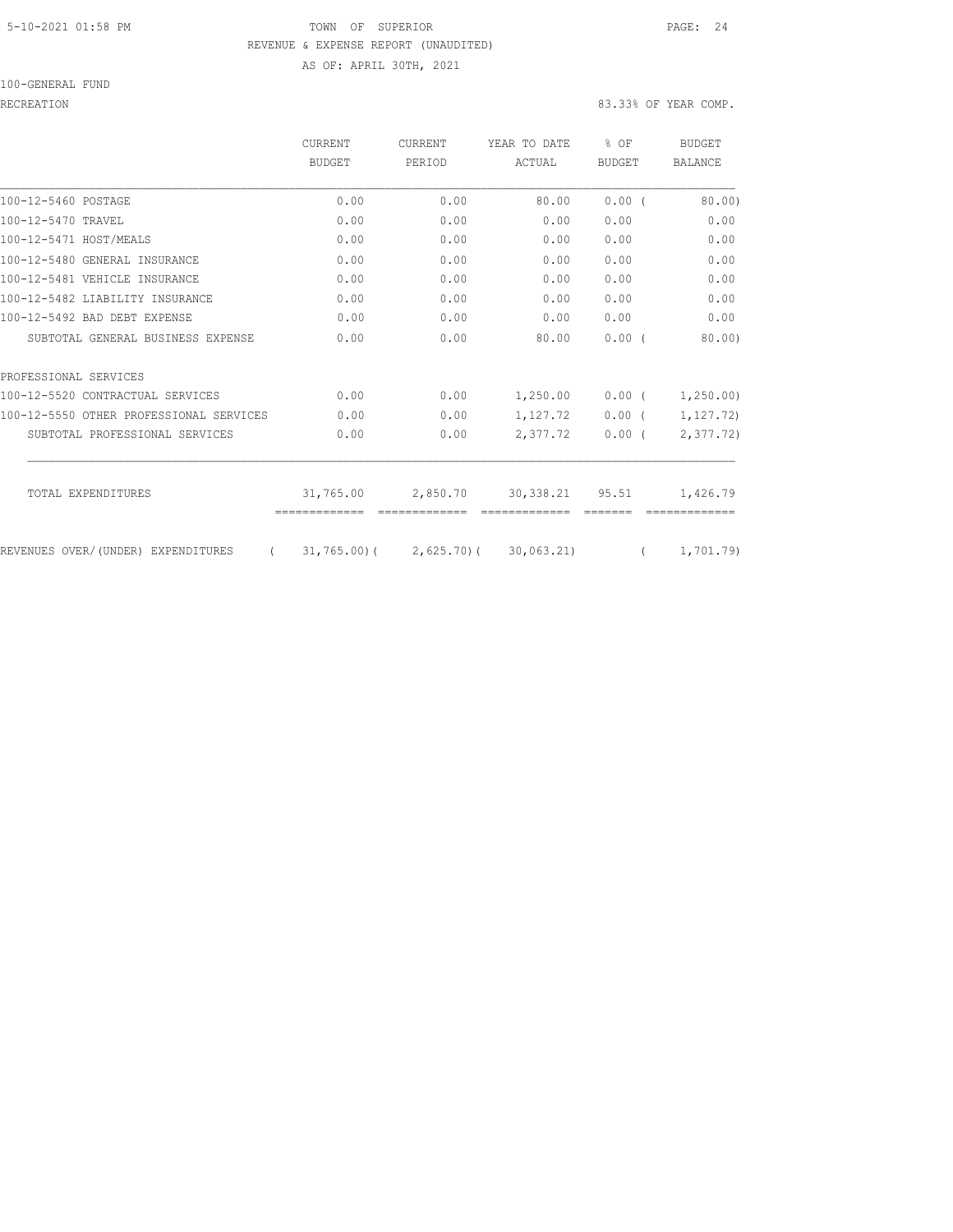#### 5-10-2021 01:58 PM TOWN OF SUPERIOR PAGE: 24 REVENUE & EXPENSE REPORT (UNAUDITED) AS OF: APRIL 30TH, 2021

100-GENERAL FUND

|                                         | CURRENT<br><b>BUDGET</b> | <b>CURRENT</b><br>PERIOD  | YEAR TO DATE<br>ACTUAL | % OF<br><b>BUDGET</b> | <b>BUDGET</b><br>BALANCE |
|-----------------------------------------|--------------------------|---------------------------|------------------------|-----------------------|--------------------------|
| 100-12-5460 POSTAGE                     | 0.00                     | 0.00                      | 80.00                  | 0.00(                 | 80.00                    |
| 100-12-5470 TRAVEL                      | 0.00                     | 0.00                      | 0.00                   | 0.00                  | 0.00                     |
| 100-12-5471 HOST/MEALS                  | 0.00                     | 0.00                      | 0.00                   | 0.00                  | 0.00                     |
| 100-12-5480 GENERAL INSURANCE           | 0.00                     | 0.00                      | 0.00                   | 0.00                  | 0.00                     |
| 100-12-5481 VEHICLE INSURANCE           | 0.00                     | 0.00                      | 0.00                   | 0.00                  | 0.00                     |
| 100-12-5482 LIABILITY INSURANCE         | 0.00                     | 0.00                      | 0.00                   | 0.00                  | 0.00                     |
| 100-12-5492 BAD DEBT EXPENSE            | 0.00                     | 0.00                      | 0.00                   | 0.00                  | 0.00                     |
| SUBTOTAL GENERAL BUSINESS EXPENSE       | 0.00                     | 0.00                      | 80.00                  | 0.00(                 | 80.00                    |
| PROFESSIONAL SERVICES                   |                          |                           |                        |                       |                          |
| 100-12-5520 CONTRACTUAL SERVICES        | 0.00                     | 0.00                      | 1,250.00               | 0.00(                 | 1, 250.00                |
| 100-12-5550 OTHER PROFESSIONAL SERVICES | 0.00                     | 0.00                      | 1,127.72               | $0.00$ (              | 1, 127.72)               |
| SUBTOTAL PROFESSIONAL SERVICES          | 0.00                     | 0.00                      | 2,377.72               | 0.00(                 | 2, 377, 72)              |
| TOTAL EXPENDITURES                      | 31,765.00                | 2,850.70                  | 30, 338.21             | 95.51                 | 1,426.79                 |
| REVENUES OVER/(UNDER) EXPENDITURES      |                          | $31,765.00$ ( 2,625.70) ( | 30,063,21)             |                       | 1,701.79)                |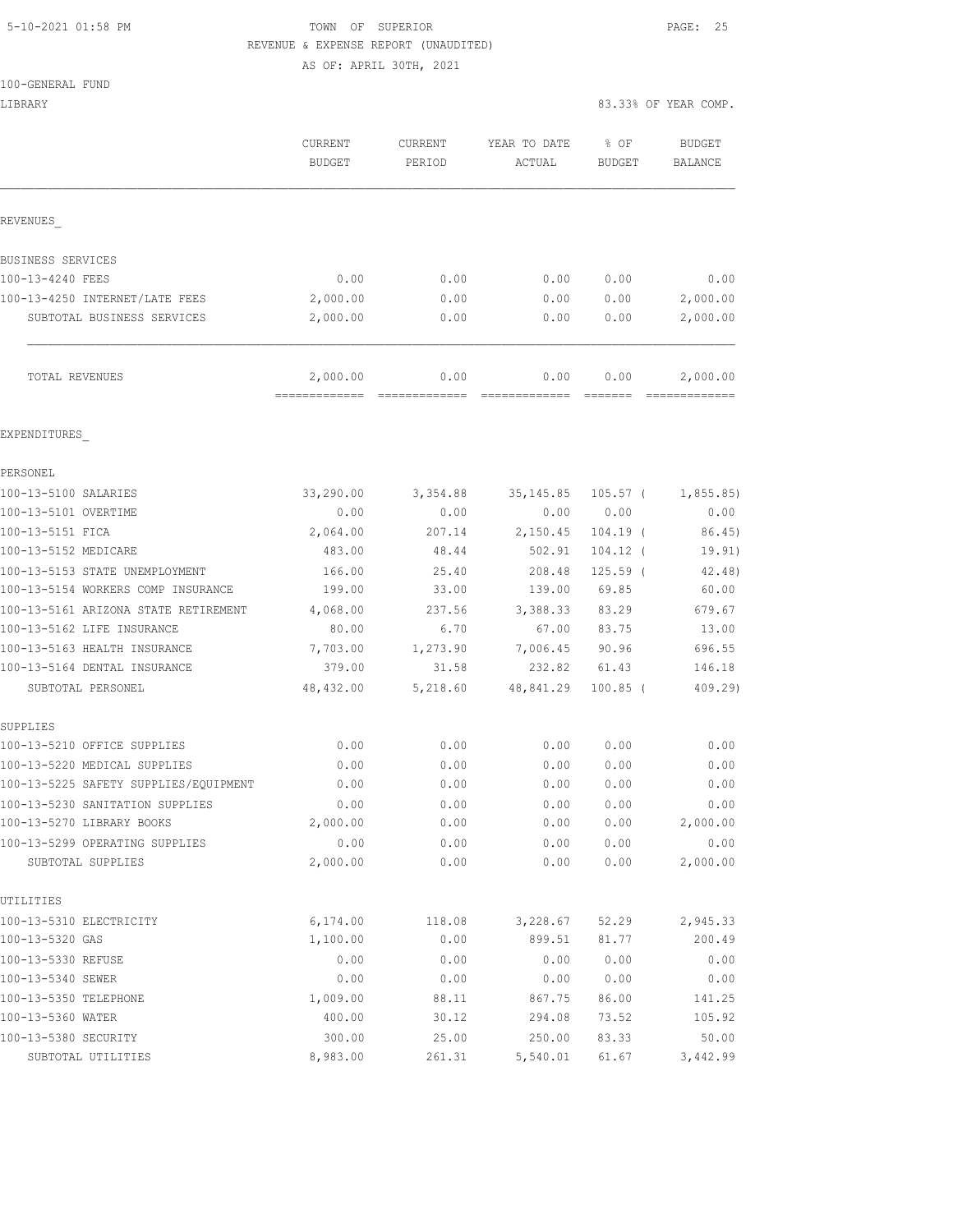# 5-10-2021 01:58 PM TOWN OF SUPERIOR PAGE: 25 REVENUE & EXPENSE REPORT (UNAUDITED)

AS OF: APRIL 30TH, 2021

|  |  |  | 100-GENERAL FUND |  |
|--|--|--|------------------|--|
|--|--|--|------------------|--|

| LIBRARY                                                               |                           |                   |                        |                       | 83.33% OF YEAR COMP.     |
|-----------------------------------------------------------------------|---------------------------|-------------------|------------------------|-----------------------|--------------------------|
|                                                                       | CURRENT<br><b>BUDGET</b>  | CURRENT<br>PERIOD | YEAR TO DATE<br>ACTUAL | % OF<br><b>BUDGET</b> | <b>BUDGET</b><br>BALANCE |
| REVENUES                                                              |                           |                   |                        |                       |                          |
| BUSINESS SERVICES                                                     |                           |                   |                        |                       |                          |
| 100-13-4240 FEES                                                      | 0.00                      | 0.00              | 0.00                   | 0.00                  | 0.00                     |
| 100-13-4250 INTERNET/LATE FEES                                        | 2,000.00                  | 0.00              | 0.00                   | 0.00                  | 2,000.00                 |
| SUBTOTAL BUSINESS SERVICES                                            | 2,000.00                  | 0.00              | 0.00                   | 0.00                  | 2,000.00                 |
| TOTAL REVENUES                                                        | 2,000.00<br>============= | 0.00              | 0.00                   | 0.00                  | 2,000.00                 |
| EXPENDITURES                                                          |                           |                   |                        |                       |                          |
| PERSONEL                                                              |                           |                   |                        |                       |                          |
| 100-13-5100 SALARIES                                                  | 33,290.00                 | 3,354.88          | 35, 145.85             | $105.57$ (            | 1, 855.85)               |
| 100-13-5101 OVERTIME                                                  | 0.00                      | 0.00              | 0.00                   | 0.00                  | 0.00                     |
| 100-13-5151 FICA                                                      | 2,064.00                  | 207.14            | 2,150.45               | $104.19$ (            | 86.45)                   |
| 100-13-5152 MEDICARE                                                  | 483.00                    | 48.44             | 502.91                 | $104.12$ (            | 19.91)                   |
| 100-13-5153 STATE UNEMPLOYMENT                                        | 166.00                    | 25.40             | 208.48                 | $125.59$ (            | 42.48)                   |
| 100-13-5154 WORKERS COMP INSURANCE                                    | 199.00                    | 33.00             | 139.00                 | 69.85                 | 60.00                    |
| 100-13-5161 ARIZONA STATE RETIREMENT                                  | 4,068.00                  | 237.56            | 3,388.33               | 83.29                 | 679.67                   |
| 100-13-5162 LIFE INSURANCE                                            | 80.00                     | 6.70              | 67.00                  | 83.75                 | 13.00                    |
| 100-13-5163 HEALTH INSURANCE                                          | 7,703.00                  | 1,273.90          | 7,006.45               | 90.96                 | 696.55                   |
| 100-13-5164 DENTAL INSURANCE                                          | 379.00                    | 31.58             | 232.82                 | 61.43                 | 146.18                   |
| SUBTOTAL PERSONEL                                                     | 48,432.00                 | 5,218.60          | 48,841.29              | $100.85$ (            | 409.29                   |
| SUPPLIES<br>100-13-5210 OFFICE SUPPLIES                               | 0.00                      | 0.00              | 0.00                   | 0.00                  | 0.00                     |
|                                                                       |                           |                   |                        |                       |                          |
| 100-13-5220 MEDICAL SUPPLIES<br>100-13-5225 SAFETY SUPPLIES/EQUIPMENT | 0.00<br>0.00              | 0.00<br>0.00      | 0.00<br>0.00           | 0.00<br>0.00          | 0.00<br>0.00             |
| 100-13-5230 SANITATION SUPPLIES                                       | 0.00                      | 0.00              | 0.00                   | 0.00                  | 0.00                     |
| 100-13-5270 LIBRARY BOOKS                                             | 2,000.00                  | 0.00              | 0.00                   | 0.00                  | 2,000.00                 |
| 100-13-5299 OPERATING SUPPLIES                                        | 0.00                      | 0.00              | 0.00                   | 0.00                  | 0.00                     |
| SUBTOTAL SUPPLIES                                                     | 2,000.00                  | 0.00              | 0.00                   | 0.00                  | 2,000.00                 |
| UTILITIES                                                             |                           |                   |                        |                       |                          |
| 100-13-5310 ELECTRICITY                                               | 6,174.00                  | 118.08            | 3,228.67               | 52.29                 | 2,945.33                 |
| 100-13-5320 GAS                                                       | 1,100.00                  | 0.00              | 899.51                 | 81.77                 | 200.49                   |
| 100-13-5330 REFUSE                                                    | 0.00                      | 0.00              | 0.00                   | 0.00                  | 0.00                     |
| 100-13-5340 SEWER                                                     | 0.00                      | 0.00              | 0.00                   | 0.00                  | 0.00                     |
| 100-13-5350 TELEPHONE                                                 | 1,009.00                  | 88.11             | 867.75                 | 86.00                 | 141.25                   |
| 100-13-5360 WATER                                                     | 400.00                    | 30.12             | 294.08                 | 73.52                 | 105.92                   |
| 100-13-5380 SECURITY                                                  | 300.00                    | 25.00             | 250.00                 | 83.33                 | 50.00                    |
| SUBTOTAL UTILITIES                                                    | 8,983.00                  | 261.31            | 5,540.01               | 61.67                 | 3,442.99                 |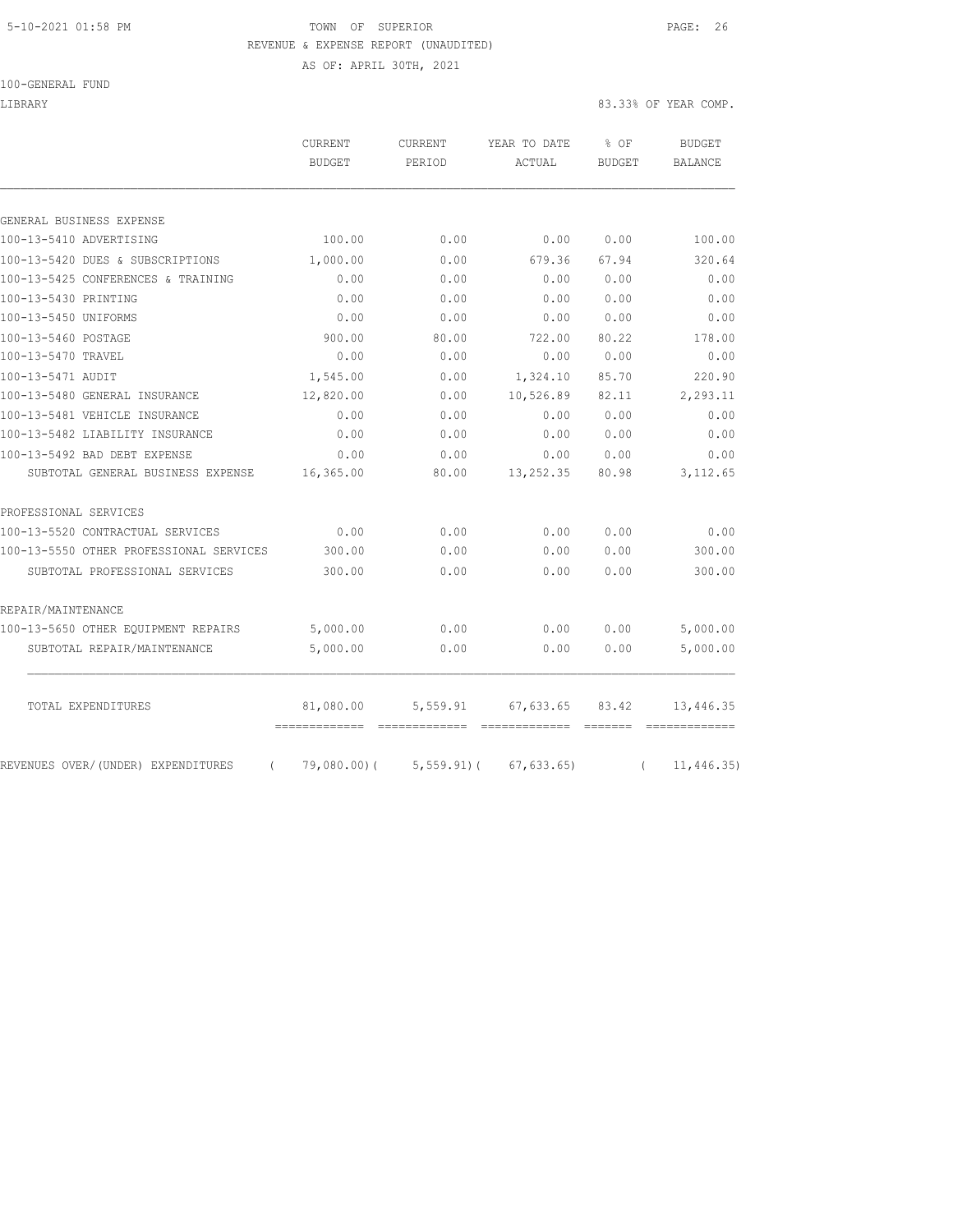#### 5-10-2021 01:58 PM TOWN OF SUPERIOR PAGE: 26 REVENUE & EXPENSE REPORT (UNAUDITED) AS OF: APRIL 30TH, 2021

100-GENERAL FUND

LIBRARY 83.33% OF YEAR COMP.

|                                                             | <b>CURRENT</b><br><b>BUDGET</b> | CURRENT<br>PERIOD | YEAR TO DATE<br>ACTUAL | % OF<br>BUDGET | <b>BUDGET</b><br>BALANCE |
|-------------------------------------------------------------|---------------------------------|-------------------|------------------------|----------------|--------------------------|
|                                                             |                                 |                   |                        |                |                          |
| GENERAL BUSINESS EXPENSE                                    | 100.00                          | 0.00              | 0.00                   | 0.00           | 100.00                   |
| 100-13-5410 ADVERTISING<br>100-13-5420 DUES & SUBSCRIPTIONS |                                 | 0.00              | 679.36                 | 67.94          | 320.64                   |
| 100-13-5425 CONFERENCES & TRAINING                          | 1,000.00<br>0.00                | 0.00              | 0.00                   | 0.00           | 0.00                     |
| 100-13-5430 PRINTING                                        | 0.00                            | 0.00              | 0.00                   | 0.00           | 0.00                     |
| 100-13-5450 UNIFORMS                                        | 0.00                            | 0.00              | 0.00                   | 0.00           | 0.00                     |
| 100-13-5460 POSTAGE                                         | 900.00                          | 80.00             | 722.00                 | 80.22          | 178.00                   |
| 100-13-5470 TRAVEL                                          | 0.00                            | 0.00              | 0.00                   | 0.00           | 0.00                     |
| 100-13-5471 AUDIT                                           | 1,545.00                        | 0.00              | 1,324.10               | 85.70          | 220.90                   |
| 100-13-5480 GENERAL INSURANCE                               | 12,820.00                       | 0.00              | 10,526.89              | 82.11          | 2,293.11                 |
| 100-13-5481 VEHICLE INSURANCE                               | 0.00                            | 0.00              | 0.00                   | 0.00           | 0.00                     |
| 100-13-5482 LIABILITY INSURANCE                             | 0.00                            | 0.00              | 0.00                   | 0.00           | 0.00                     |
| 100-13-5492 BAD DEBT EXPENSE                                | 0.00                            | 0.00              | 0.00                   | 0.00           | 0.00                     |
| SUBTOTAL GENERAL BUSINESS EXPENSE                           | 16,365.00                       | 80.00             | 13, 252.35             | 80.98          | 3, 112.65                |
| PROFESSIONAL SERVICES                                       |                                 |                   |                        |                |                          |
| 100-13-5520 CONTRACTUAL SERVICES                            | 0.00                            | 0.00              | 0.00                   | 0.00           | 0.00                     |
| 100-13-5550 OTHER PROFESSIONAL SERVICES                     | 300.00                          | 0.00              | 0.00                   | 0.00           | 300.00                   |
| SUBTOTAL PROFESSIONAL SERVICES                              | 300.00                          | 0.00              | 0.00                   | 0.00           | 300.00                   |
| REPAIR/MAINTENANCE                                          |                                 |                   |                        |                |                          |
| 100-13-5650 OTHER EQUIPMENT REPAIRS                         | 5,000.00                        | 0.00              | 0.00                   | 0.00           | 5,000.00                 |
| SUBTOTAL REPAIR/MAINTENANCE                                 | 5,000.00                        | 0.00              | 0.00                   | 0.00           | 5,000.00                 |
|                                                             |                                 |                   | 67,633.65              | 83.42          | 13,446.35                |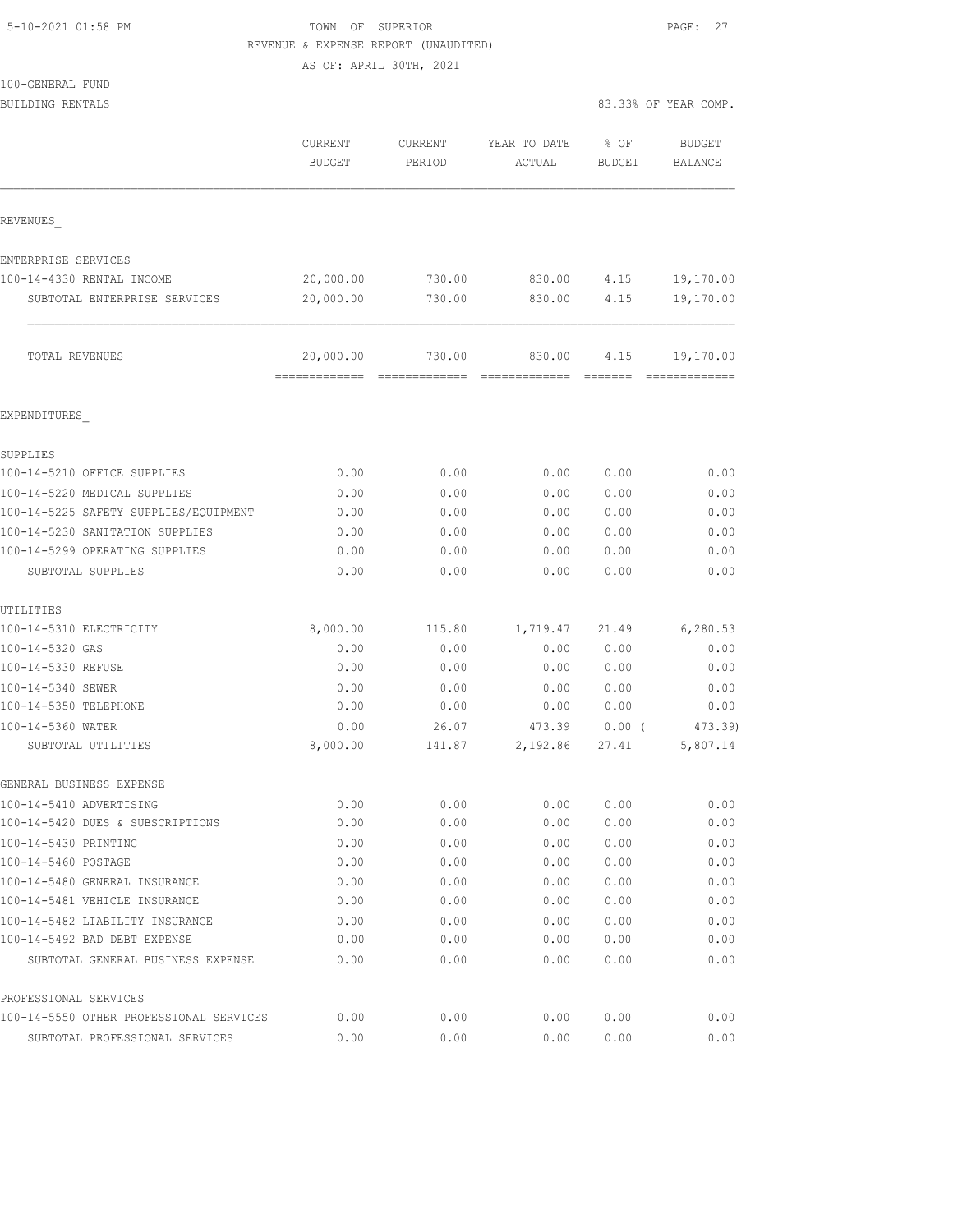| 5-10-2021 01:58 PM |  |
|--------------------|--|
|                    |  |

# TOWN OF SUPERIOR **PAGE: 27** REVENUE & EXPENSE REPORT (UNAUDITED)

AS OF: APRIL 30TH, 2021

|                              |               | AS OF: APRIL 30TH, 2021 |              |               |                      |
|------------------------------|---------------|-------------------------|--------------|---------------|----------------------|
| 100-GENERAL FUND             |               |                         |              |               |                      |
| <b>BUILDING RENTALS</b>      |               |                         |              |               | 83.33% OF YEAR COMP. |
|                              | CURRENT       | CURRENT                 | YEAR TO DATE | % OF          | <b>BUDGET</b>        |
|                              | <b>BUDGET</b> | PERIOD                  | ACTUAL       | <b>BUDGET</b> | BALANCE              |
| <b>REVENUES</b>              |               |                         |              |               |                      |
| ENTERPRISE SERVICES          |               |                         |              |               |                      |
| 100-14-4330 RENTAL INCOME    | 20,000.00     | 730.00                  | 830.00       | 4.15          | 19,170.00            |
| SUBTOTAL ENTERPRISE SERVICES | 20,000.00     | 730.00                  | 830.00       | 4.15          | 19,170.00            |
|                              |               |                         |              |               |                      |

| 83.33% OF YEAR COMP. |  |  |  |
|----------------------|--|--|--|
|----------------------|--|--|--|

|                                         | CURRENT<br><b>BUDGET</b>                  | CURRENT<br>PERIOD | YEAR TO DATE<br>ACTUAL | % OF<br><b>BUDGET</b> | <b>BUDGET</b><br>BALANCE |
|-----------------------------------------|-------------------------------------------|-------------------|------------------------|-----------------------|--------------------------|
| REVENUES                                |                                           |                   |                        |                       |                          |
| ENTERPRISE SERVICES                     |                                           |                   |                        |                       |                          |
| 100-14-4330 RENTAL INCOME               | 20,000.00                                 | 730.00            | 830.00                 | 4.15                  | 19,170.00                |
| SUBTOTAL ENTERPRISE SERVICES            | 20,000.00                                 | 730.00            | 830.00                 | 4.15                  | 19,170.00                |
| TOTAL REVENUES                          | 20,000.00<br>-------------- ------------- | 730.00            | 830.00                 | 4.15                  | 19,170.00                |
| EXPENDITURES                            |                                           |                   |                        |                       |                          |
| SUPPLIES                                |                                           |                   |                        |                       |                          |
| 100-14-5210 OFFICE SUPPLIES             | 0.00                                      | 0.00              | 0.00                   | 0.00                  | 0.00                     |
| 100-14-5220 MEDICAL SUPPLIES            | 0.00                                      | 0.00              | 0.00                   | 0.00                  | 0.00                     |
| 100-14-5225 SAFETY SUPPLIES/EQUIPMENT   | 0.00                                      | 0.00              | 0.00                   | 0.00                  | 0.00                     |
| 100-14-5230 SANITATION SUPPLIES         | 0.00                                      | 0.00              | 0.00                   | 0.00                  | 0.00                     |
| 100-14-5299 OPERATING SUPPLIES          | 0.00                                      | 0.00              | 0.00                   | 0.00                  | 0.00                     |
| SUBTOTAL SUPPLIES                       | 0.00                                      | 0.00              | 0.00                   | 0.00                  | 0.00                     |
| UTILITIES                               |                                           |                   |                        |                       |                          |
| 100-14-5310 ELECTRICITY                 | 8,000.00                                  | 115.80            | 1,719.47               | 21.49                 | 6,280.53                 |
| 100-14-5320 GAS                         | 0.00                                      | 0.00              | 0.00                   | 0.00                  | 0.00                     |
| 100-14-5330 REFUSE                      | 0.00                                      | 0.00              | 0.00                   | 0.00                  | 0.00                     |
| 100-14-5340 SEWER                       | 0.00                                      | 0.00              | 0.00                   | 0.00                  | 0.00                     |
| 100-14-5350 TELEPHONE                   | 0.00                                      | 0.00              | 0.00                   | 0.00                  | 0.00                     |
| 100-14-5360 WATER<br>SUBTOTAL UTILITIES | 0.00<br>8,000.00                          | 26.07<br>141.87   | 473.39<br>2,192.86     | $0.00$ (<br>27.41     | 473.39)<br>5,807.14      |
| GENERAL BUSINESS EXPENSE                |                                           |                   |                        |                       |                          |
| 100-14-5410 ADVERTISING                 | 0.00                                      | 0.00              | 0.00                   | 0.00                  | 0.00                     |
| 100-14-5420 DUES & SUBSCRIPTIONS        | 0.00                                      | 0.00              | 0.00                   | 0.00                  | 0.00                     |
| 100-14-5430 PRINTING                    | 0.00                                      | 0.00              | 0.00                   | 0.00                  | 0.00                     |
| 100-14-5460 POSTAGE                     | 0.00                                      | 0.00              | 0.00                   | 0.00                  | 0.00                     |
| 100-14-5480 GENERAL INSURANCE           | 0.00                                      | 0.00              | 0.00                   | 0.00                  | 0.00                     |
| 100-14-5481 VEHICLE INSURANCE           | 0.00                                      | 0.00              | 0.00                   | 0.00                  | 0.00                     |
| 100-14-5482 LIABILITY INSURANCE         | 0.00                                      | 0.00              | 0.00                   | 0.00                  | 0.00                     |
| 100-14-5492 BAD DEBT EXPENSE            | 0.00                                      | 0.00              | 0.00                   | 0.00                  | 0.00                     |
| SUBTOTAL GENERAL BUSINESS EXPENSE       | 0.00                                      | 0.00              | 0.00                   | 0.00                  | 0.00                     |
| PROFESSIONAL SERVICES                   |                                           |                   |                        |                       |                          |
| 100-14-5550 OTHER PROFESSIONAL SERVICES | 0.00                                      | 0.00              | 0.00                   | 0.00                  | 0.00                     |

SUBTOTAL PROFESSIONAL SERVICES 0.00 0.00 0.00 0.00 0.00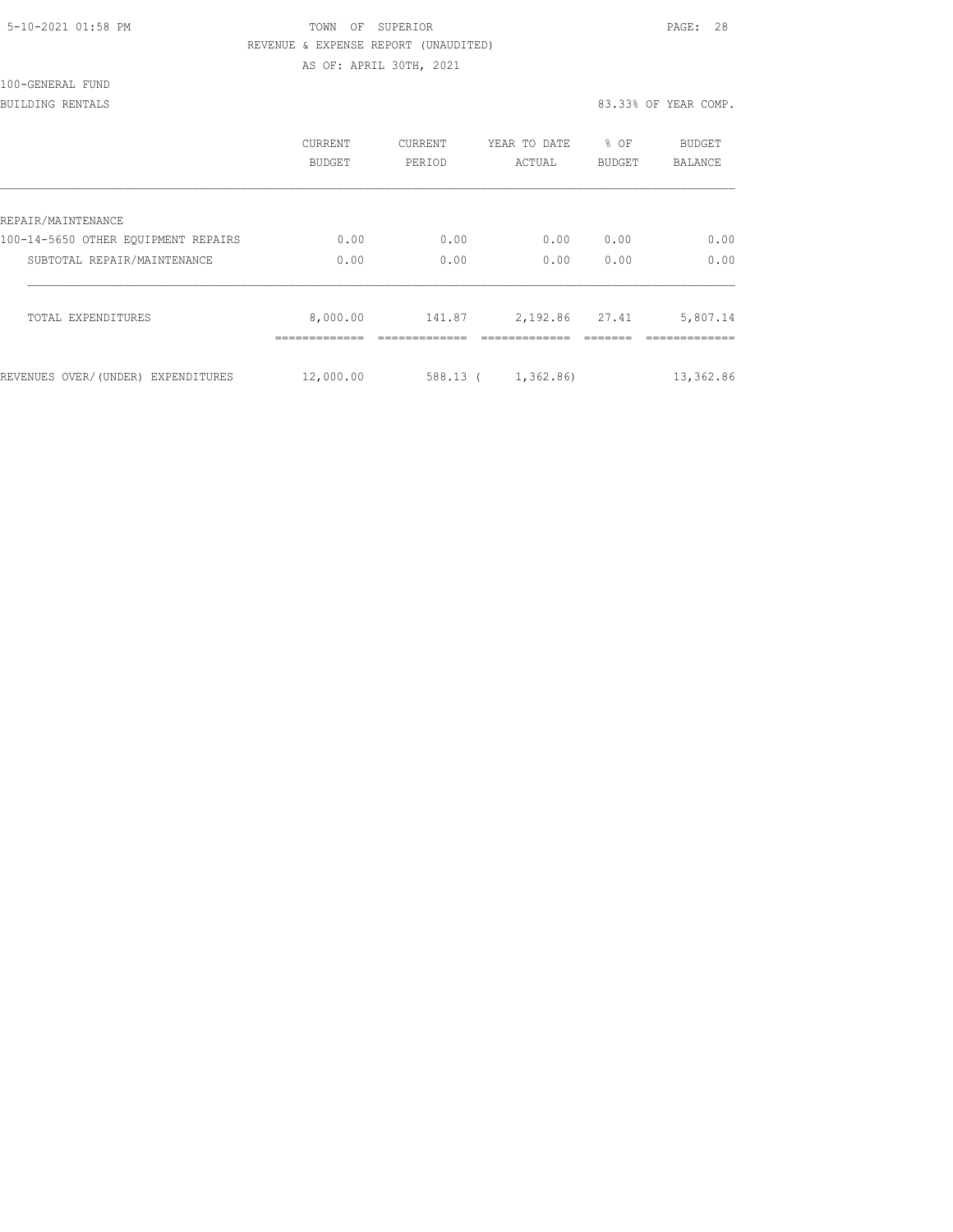| 5-10-2021 01:58 PM |  |
|--------------------|--|
|                    |  |

# TOWN OF SUPERIOR **Example 2010** PAGE: 28 REVENUE & EXPENSE REPORT (UNAUDITED)

AS OF: APRIL 30TH, 2021

| 100-GENERAL FUND |  |
|------------------|--|
|                  |  |

#### BUILDING RENTALS 83.33% OF YEAR COMP.

|                                     | CURRENT<br><b>BUDGET</b> | <b>CURRENT</b><br>PERIOD | YEAR TO DATE<br>ACTUAL | % OF<br><b>BUDGET</b> | <b>BUDGET</b><br><b>BALANCE</b> |
|-------------------------------------|--------------------------|--------------------------|------------------------|-----------------------|---------------------------------|
| REPAIR/MAINTENANCE                  |                          |                          |                        |                       |                                 |
| 100-14-5650 OTHER EOUIPMENT REPAIRS | 0.00                     | 0.00                     | 0.00                   | 0.00                  | 0.00                            |
| SUBTOTAL REPAIR/MAINTENANCE         | 0.00                     | 0.00                     | 0.00                   | 0.00                  | 0.00                            |
| TOTAL EXPENDITURES                  | 8,000.00<br>-----------  | 141.87                   | 2, 192.86 27.41        |                       | 5,807.14                        |
| REVENUES OVER/(UNDER) EXPENDITURES  | 12,000.00                | 588.13 (                 | 1,362.86)              |                       | 13,362.86                       |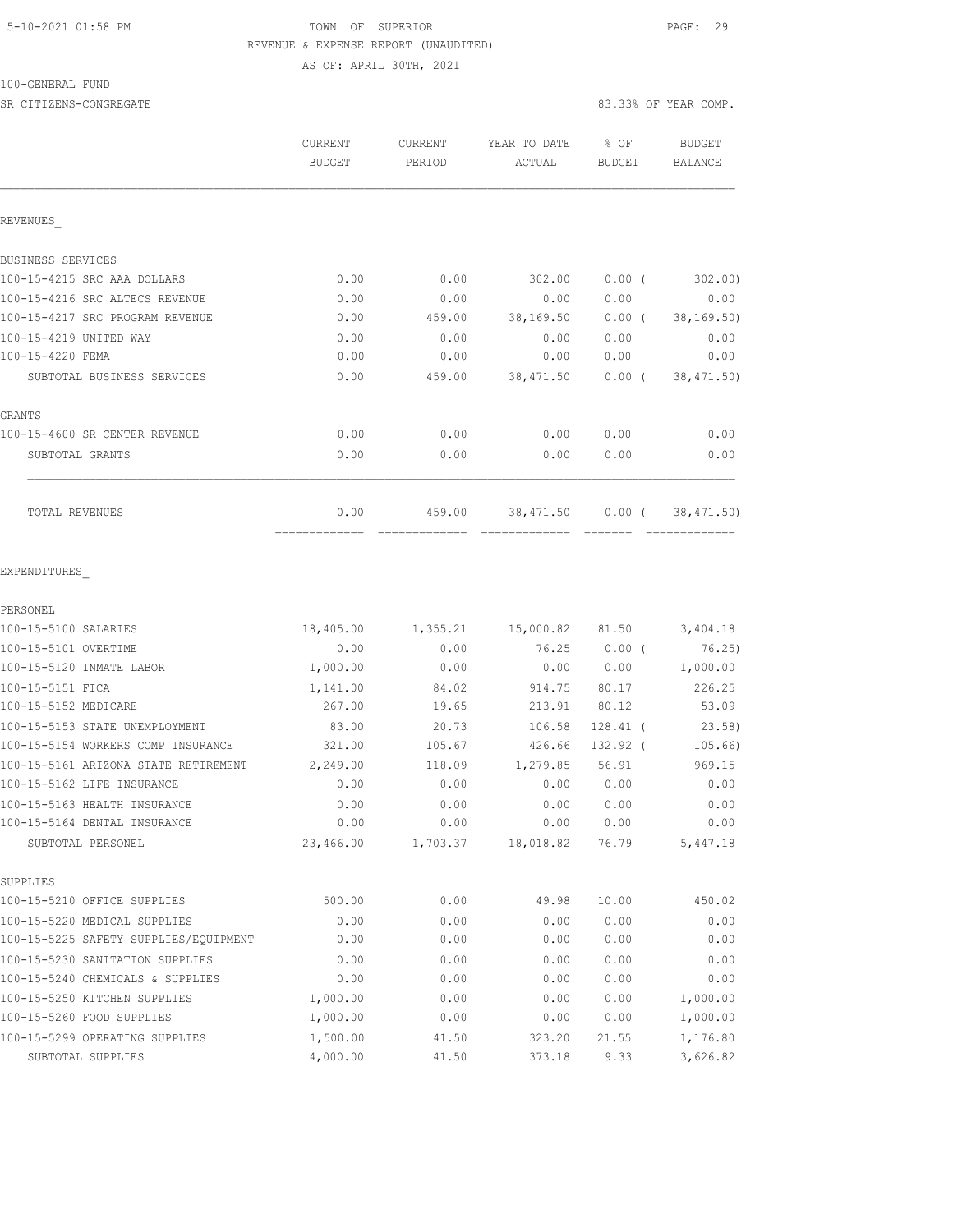### 5-10-2021 01:58 PM **TOWN** OF SUPERIOR **PAGE: 29**  REVENUE & EXPENSE REPORT (UNAUDITED) AS OF: APRIL 30TH, 2021

100-GENERAL FUND

| SR CITIZENS-CONGREGATE                |                          |                   |                          |                         | 83.33% OF YEAR COMP. |
|---------------------------------------|--------------------------|-------------------|--------------------------|-------------------------|----------------------|
|                                       | CURRENT<br><b>BUDGET</b> | CURRENT<br>PERIOD | YEAR TO DATE<br>ACTUAL   | $8$ OF<br><b>BUDGET</b> | BUDGET<br>BALANCE    |
| REVENUES                              |                          |                   |                          |                         |                      |
| BUSINESS SERVICES                     |                          |                   |                          |                         |                      |
| 100-15-4215 SRC AAA DOLLARS           | 0.00                     | 0.00              | 302.00                   | $0.00$ (                | 302.00               |
| 100-15-4216 SRC ALTECS REVENUE        | 0.00                     | 0.00              | 0.00                     | 0.00                    | 0.00                 |
| 100-15-4217 SRC PROGRAM REVENUE       | 0.00                     | 459.00            | 38,169.50                | $0.00$ (                | 38, 169.50)          |
| 100-15-4219 UNITED WAY                | 0.00                     | 0.00              | 0.00                     | 0.00                    | 0.00                 |
| 100-15-4220 FEMA                      | 0.00                     | 0.00              | 0.00                     | 0.00                    | 0.00                 |
| SUBTOTAL BUSINESS SERVICES            | 0.00                     | 459.00            | 38, 471.50               | $0.00$ (                | 38, 471.50)          |
| GRANTS                                |                          |                   |                          |                         |                      |
| 100-15-4600 SR CENTER REVENUE         | 0.00                     | 0.00              | 0.00                     | 0.00                    | 0.00                 |
| SUBTOTAL GRANTS                       | 0.00                     | 0.00              | 0.00                     | 0.00                    | 0.00                 |
| TOTAL REVENUES                        | 0.00                     | 459.00            | 38,471.50                | 0.00(                   | 38, 471.50)          |
| EXPENDITURES                          |                          |                   |                          |                         |                      |
| PERSONEL                              |                          |                   |                          |                         |                      |
| 100-15-5100 SALARIES                  | 18,405.00                | 1,355.21          | 15,000.82 81.50 3,404.18 |                         |                      |
| 100-15-5101 OVERTIME                  | 0.00                     | 0.00              |                          | 76.25 0.00 (            | 76.25)               |
| 100-15-5120 INMATE LABOR              | 1,000.00                 | 0.00              | 0.00                     | 0.00                    | 1,000.00             |
| 100-15-5151 FICA                      | 1,141.00                 | 84.02             | 914.75                   | 80.17                   | 226.25               |
| 100-15-5152 MEDICARE                  | 267.00                   | 19.65             | 213.91                   | 80.12                   | 53.09                |
| 100-15-5153 STATE UNEMPLOYMENT        | 83.00                    | 20.73             | 106.58                   | $128.41$ (              | 23.58)               |
| 100-15-5154 WORKERS COMP INSURANCE    | 321.00                   | 105.67            | 426.66                   | 132.92 (                | 105.66)              |
| 100-15-5161 ARIZONA STATE RETIREMENT  | 2,249.00                 | 118.09            | 1,279.85                 | 56.91                   | 969.15               |
| 100-15-5162 LIFE INSURANCE            | 0.00                     | 0.00              | 0.00                     | 0.00                    | 0.00                 |
| 100-15-5163 HEALTH INSURANCE          | 0.00                     | 0.00              | 0.00                     | 0.00                    | 0.00                 |
| 100-15-5164 DENTAL INSURANCE          | 0.00                     | 0.00              | 0.00                     | 0.00                    | 0.00                 |
| SUBTOTAL PERSONEL                     | 23,466.00                | 1,703.37          | 18,018.82                | 76.79                   | 5,447.18             |
| SUPPLIES                              |                          |                   |                          |                         |                      |
| 100-15-5210 OFFICE SUPPLIES           | 500.00                   | 0.00              | 49.98                    | 10.00                   | 450.02               |
| 100-15-5220 MEDICAL SUPPLIES          | 0.00                     | 0.00              | 0.00                     | 0.00                    | 0.00                 |
| 100-15-5225 SAFETY SUPPLIES/EQUIPMENT | 0.00                     | 0.00              | 0.00                     | 0.00                    | 0.00                 |
| 100-15-5230 SANITATION SUPPLIES       | 0.00                     | 0.00              | 0.00                     | 0.00                    | 0.00                 |
| 100-15-5240 CHEMICALS & SUPPLIES      | 0.00                     | 0.00              | 0.00                     | 0.00                    | 0.00                 |
| 100-15-5250 KITCHEN SUPPLIES          | 1,000.00                 | 0.00              | 0.00                     | 0.00                    | 1,000.00             |

100-15-5260 FOOD SUPPLIES 1,000.00 0.00 0.00 0.00 1,000.00 100-15-5299 OPERATING SUPPLIES 1,500.00 41.50 323.20 21.55 1,176.80 SUBTOTAL SUPPLIES 4,000.00 41.50 373.18 9.33 3,626.82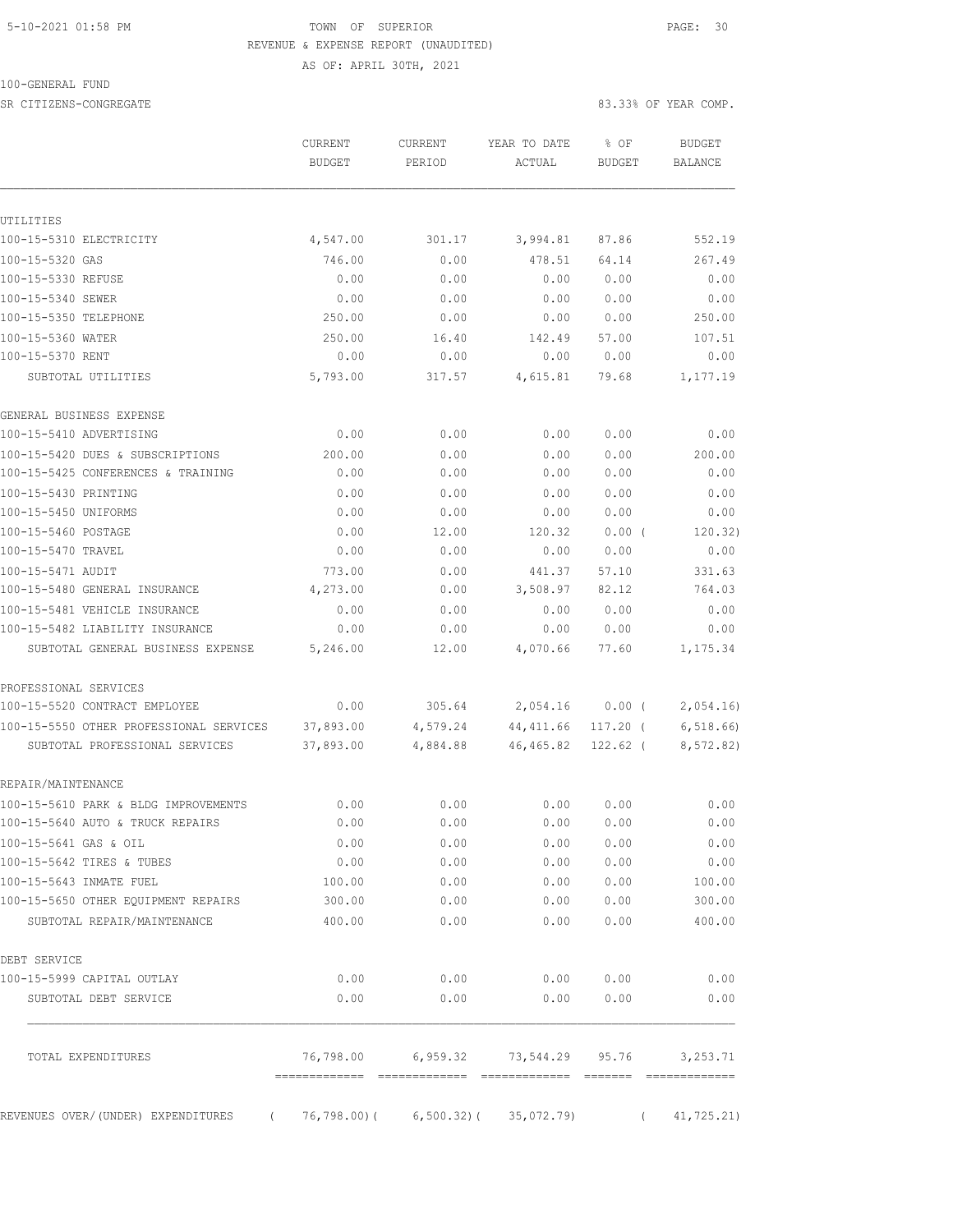#### 5-10-2021 01:58 PM TOWN OF SUPERIOR PAGE: 30 REVENUE & EXPENSE REPORT (UNAUDITED) AS OF: APRIL 30TH, 2021

100-GENERAL FUND

SR CITIZENS-CONGREGATE 83.33% OF YEAR COMP.

|                                                                           | <b>BUDGET</b>          | PERIOD               | ACTUAL                 | <b>BUDGET</b>          |                       |
|---------------------------------------------------------------------------|------------------------|----------------------|------------------------|------------------------|-----------------------|
|                                                                           |                        |                      |                        |                        | <b>BALANCE</b>        |
|                                                                           |                        |                      |                        |                        |                       |
| UTILITIES<br>100-15-5310 ELECTRICITY                                      | 4,547.00               | 301.17               | 3,994.81               | 87.86                  | 552.19                |
| 100-15-5320 GAS                                                           | 746.00                 | 0.00                 | 478.51                 | 64.14                  | 267.49                |
| 100-15-5330 REFUSE                                                        | 0.00                   | 0.00                 | 0.00                   | 0.00                   | 0.00                  |
| 100-15-5340 SEWER                                                         | 0.00                   | 0.00                 | 0.00                   | 0.00                   | 0.00                  |
| 100-15-5350 TELEPHONE                                                     | 250.00                 | 0.00                 | 0.00                   | 0.00                   | 250.00                |
| 100-15-5360 WATER                                                         | 250.00                 | 16.40                | 142.49                 | 57.00                  | 107.51                |
| 100-15-5370 RENT                                                          | 0.00                   | 0.00                 | 0.00                   | 0.00                   | 0.00                  |
| SUBTOTAL UTILITIES                                                        | 5,793.00               | 317.57               | 4,615.81               | 79.68                  | 1,177.19              |
| GENERAL BUSINESS EXPENSE                                                  |                        |                      |                        |                        |                       |
| 100-15-5410 ADVERTISING                                                   | 0.00                   | 0.00                 | 0.00                   | 0.00                   | 0.00                  |
| 100-15-5420 DUES & SUBSCRIPTIONS                                          | 200.00                 | 0.00                 | 0.00                   | 0.00                   | 200.00                |
| 100-15-5425 CONFERENCES & TRAINING                                        | 0.00                   | 0.00                 | 0.00                   | 0.00                   | 0.00                  |
| 100-15-5430 PRINTING                                                      | 0.00                   | 0.00                 | 0.00                   | 0.00                   | 0.00                  |
| 100-15-5450 UNIFORMS                                                      | 0.00                   | 0.00                 | 0.00                   | 0.00                   | 0.00                  |
| 100-15-5460 POSTAGE                                                       | 0.00                   | 12.00                | 120.32                 | $0.00$ (               | 120.32)               |
| 100-15-5470 TRAVEL                                                        | 0.00                   | 0.00                 | 0.00                   | 0.00                   | 0.00                  |
| 100-15-5471 AUDIT                                                         | 773.00                 | 0.00                 | 441.37                 | 57.10                  | 331.63                |
| 100-15-5480 GENERAL INSURANCE                                             | 4,273.00               | 0.00                 | 3,508.97               | 82.12                  | 764.03                |
| 100-15-5481 VEHICLE INSURANCE                                             | 0.00                   | 0.00                 | 0.00                   | 0.00                   | 0.00                  |
| 100-15-5482 LIABILITY INSURANCE                                           | 0.00                   | 0.00                 | 0.00                   | 0.00                   | 0.00                  |
| SUBTOTAL GENERAL BUSINESS EXPENSE                                         | 5,246.00               | 12.00                | 4,070.66               | 77.60                  | 1,175.34              |
| PROFESSIONAL SERVICES                                                     |                        |                      |                        |                        |                       |
| 100-15-5520 CONTRACT EMPLOYEE                                             | 0.00                   | 305.64               | 2,054.16               | $0.00$ (               | 2,054.16              |
| 100-15-5550 OTHER PROFESSIONAL SERVICES<br>SUBTOTAL PROFESSIONAL SERVICES | 37,893.00<br>37,893.00 | 4,579.24<br>4,884.88 | 44,411.66<br>46,465.82 | 117.20 (<br>$122.62$ ( | 6,518.66<br>8,572.82) |
| REPAIR/MAINTENANCE                                                        |                        |                      |                        |                        |                       |
| 100-15-5610 PARK & BLDG IMPROVEMENTS                                      | 0.00                   | 0.00                 | 0.00                   | 0.00                   | 0.00                  |
| 100-15-5640 AUTO & TRUCK REPAIRS                                          | 0.00                   | 0.00                 | 0.00                   | 0.00                   | 0.00                  |
| 100-15-5641 GAS & OIL                                                     | 0.00                   | 0.00                 | 0.00                   | 0.00                   | 0.00                  |
| 100-15-5642 TIRES & TUBES                                                 | 0.00                   | 0.00                 | 0.00                   | 0.00                   | 0.00                  |
| 100-15-5643 INMATE FUEL                                                   | 100.00                 | 0.00                 | 0.00                   | 0.00                   | 100.00                |
| 100-15-5650 OTHER EQUIPMENT REPAIRS                                       | 300.00                 | 0.00                 | 0.00                   | 0.00                   | 300.00                |
| SUBTOTAL REPAIR/MAINTENANCE                                               | 400.00                 | 0.00                 | 0.00                   | 0.00                   | 400.00                |
| DEBT SERVICE                                                              |                        |                      |                        |                        |                       |
| 100-15-5999 CAPITAL OUTLAY                                                | 0.00                   | 0.00                 | 0.00                   | 0.00                   | 0.00                  |
| SUBTOTAL DEBT SERVICE                                                     | 0.00                   | 0.00                 | 0.00                   | 0.00                   | 0.00                  |
| TOTAL EXPENDITURES                                                        | 76,798.00              |                      | 6,959.32 73,544.29     | 95.76                  | 3, 253.71             |
| REVENUES OVER/(UNDER) EXPENDITURES<br>$\left($                            | 76,798.00)(            | $6,500.32$ ) (       | 35,072.79              | $\left($               | 41, 725.21)           |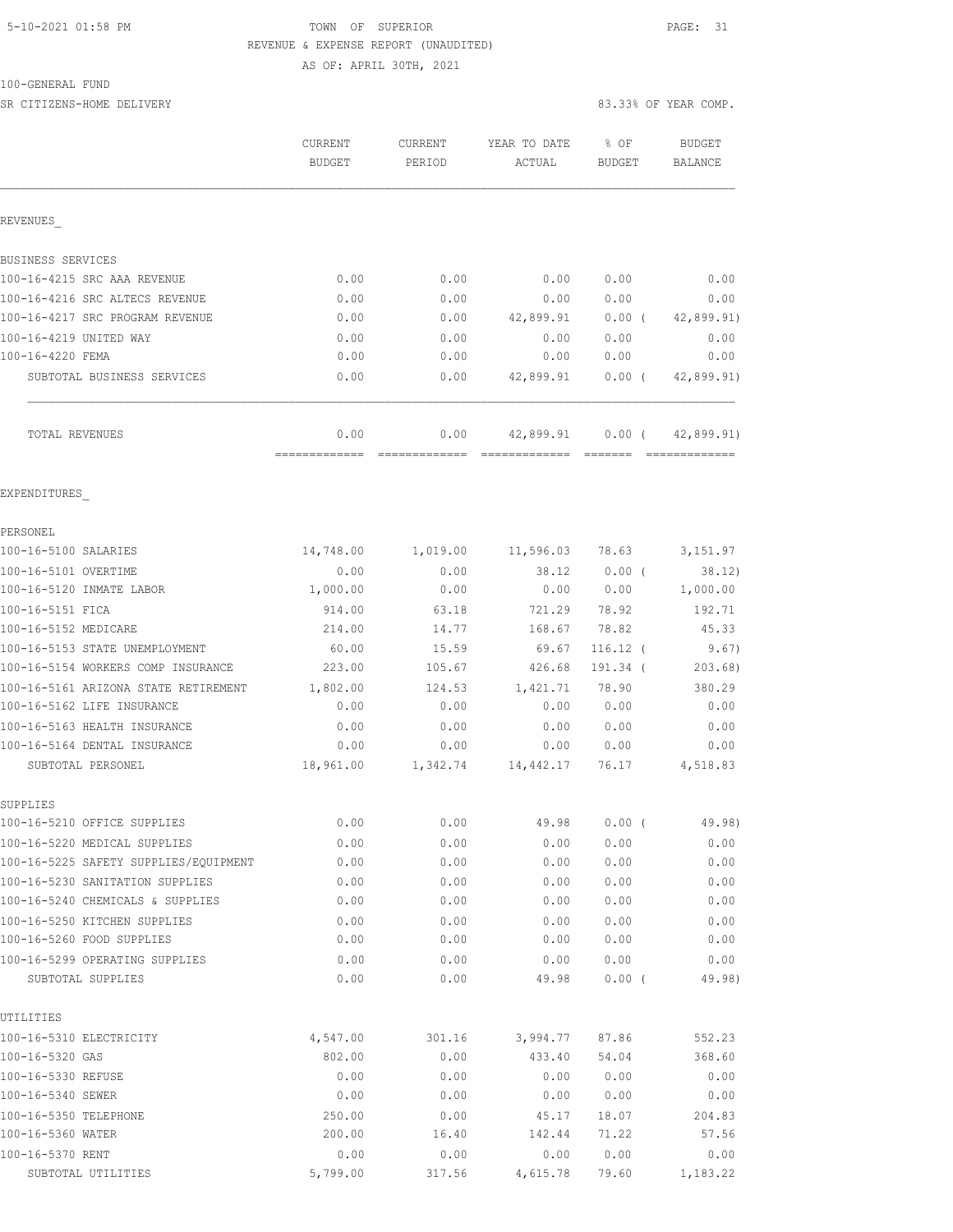#### 5-10-2021 01:58 PM TOWN OF SUPERIOR PAGE: 31 REVENUE & EXPENSE REPORT (UNAUDITED) AS OF: APRIL 30TH, 2021

100-GENERAL FUND

SR CITIZENS-HOME DELIVERY 83.33% OF YEAR COMP.

|                                                                     | CURRENT<br><b>BUDGET</b> | CURRENT<br>PERIOD | YEAR TO DATE<br>ACTUAL   | % OF<br><b>BUDGET</b> | <b>BUDGET</b><br>BALANCE   |
|---------------------------------------------------------------------|--------------------------|-------------------|--------------------------|-----------------------|----------------------------|
| REVENUES                                                            |                          |                   |                          |                       |                            |
| BUSINESS SERVICES                                                   |                          |                   |                          |                       |                            |
| 100-16-4215 SRC AAA REVENUE                                         | 0.00                     | 0.00              | 0.00                     | 0.00                  | 0.00                       |
| 100-16-4216 SRC ALTECS REVENUE                                      | 0.00                     | 0.00              | 0.00                     | 0.00                  | 0.00                       |
| 100-16-4217 SRC PROGRAM REVENUE                                     | 0.00                     | 0.00              |                          | 42,899.91 0.00 (      | 42,899.91)                 |
| 100-16-4219 UNITED WAY                                              | 0.00                     | 0.00              | 0.00                     | 0.00                  | 0.00                       |
| 100-16-4220 FEMA                                                    | 0.00                     | 0.00              | 0.00                     | 0.00                  | 0.00                       |
| SUBTOTAL BUSINESS SERVICES                                          | 0.00                     | 0.00              | 42,899.91                | $0.00$ (              | 42,899.91)                 |
| TOTAL REVENUES                                                      | 0.00                     | 0.00              |                          |                       | 42,899.91 0.00 (42,899.91) |
| EXPENDITURES                                                        |                          |                   |                          |                       |                            |
| PERSONEL                                                            |                          |                   |                          |                       |                            |
| 100-16-5100 SALARIES                                                | 14,748.00                |                   | 1,019.00 11,596.03 78.63 |                       | 3,151.97                   |
| 100-16-5101 OVERTIME                                                | 0.00                     | 0.00              |                          | 38.12 0.00 (          | 38.12)                     |
| 100-16-5120 INMATE LABOR                                            | 1,000.00                 | 0.00              |                          | 0.00 0.00             | 1,000.00                   |
| 100-16-5151 FICA                                                    | 914.00                   | 63.18             |                          | 721.29 78.92          | 192.71                     |
| 100-16-5152 MEDICARE                                                | 214.00                   | 14.77             | 168.67                   | 78.82                 | 45.33                      |
| 100-16-5153 STATE UNEMPLOYMENT                                      | 60.00                    | 15.59             | 69.67                    | $116.12$ (            | 9.67)                      |
| 100-16-5154 WORKERS COMP INSURANCE                                  | 223.00                   | 105.67            | 426.68                   | 191.34 (              | 203.68)                    |
| 100-16-5161 ARIZONA STATE RETIREMENT                                | 1,802.00                 | 124.53            | 1,421.71                 | 78.90                 | 380.29                     |
| 100-16-5162 LIFE INSURANCE                                          | 0.00                     | 0.00              | 0.00                     | 0.00                  | 0.00                       |
| 100-16-5163 HEALTH INSURANCE                                        | 0.00                     | 0.00              | 0.00                     | 0.00                  | 0.00                       |
| 100-16-5164 DENTAL INSURANCE                                        | 0.00                     | 0.00              | 0.00                     | 0.00                  | 0.00                       |
| SUBTOTAL PERSONEL                                                   | 18,961.00                | 1,342.74          | 14, 442.17 76.17         |                       | 4,518.83                   |
| SUPPLIES                                                            |                          |                   |                          |                       |                            |
| 100-16-5210 OFFICE SUPPLIES                                         | 0.00                     | 0.00              | 49.98                    | 0.00(                 | 49.98)                     |
| 100-16-5220 MEDICAL SUPPLIES                                        | 0.00                     | 0.00              | 0.00                     | 0.00                  | 0.00                       |
| 100-16-5225 SAFETY SUPPLIES/EQUIPMENT                               | 0.00                     | 0.00              | 0.00                     | 0.00                  | 0.00                       |
| 100-16-5230 SANITATION SUPPLIES<br>100-16-5240 CHEMICALS & SUPPLIES | 0.00<br>0.00             | 0.00              | 0.00<br>0.00             | 0.00                  | 0.00                       |
|                                                                     |                          | 0.00              | 0.00                     | 0.00                  | 0.00                       |
| 100-16-5250 KITCHEN SUPPLIES<br>100-16-5260 FOOD SUPPLIES           | 0.00<br>0.00             | 0.00<br>0.00      | 0.00                     | 0.00<br>0.00          | 0.00<br>0.00               |
| 100-16-5299 OPERATING SUPPLIES                                      | 0.00                     | 0.00              | 0.00                     | 0.00                  | 0.00                       |
| SUBTOTAL SUPPLIES                                                   | 0.00                     | 0.00              | 49.98                    | 0.00(                 | 49.98)                     |
| UTILITIES                                                           |                          |                   |                          |                       |                            |
| 100-16-5310 ELECTRICITY                                             | 4,547.00                 | 301.16            | 3,994.77                 | 87.86                 | 552.23                     |
| 100-16-5320 GAS                                                     | 802.00                   | 0.00              | 433.40                   | 54.04                 | 368.60                     |
| 100-16-5330 REFUSE                                                  | 0.00                     | 0.00              | 0.00                     | 0.00                  | 0.00                       |
| 100-16-5340 SEWER                                                   | 0.00                     | 0.00              | 0.00                     | 0.00                  | 0.00                       |
| 100-16-5350 TELEPHONE                                               | 250.00                   | 0.00              | 45.17                    | 18.07                 | 204.83                     |
| 100-16-5360 WATER                                                   | 200.00                   | 16.40             | 142.44                   | 71.22                 | 57.56                      |
| 100-16-5370 RENT                                                    | 0.00                     | 0.00              | 0.00                     | 0.00                  | 0.00                       |
| SUBTOTAL UTILITIES                                                  | 5,799.00                 | 317.56            | 4,615.78                 | 79.60                 | 1,183.22                   |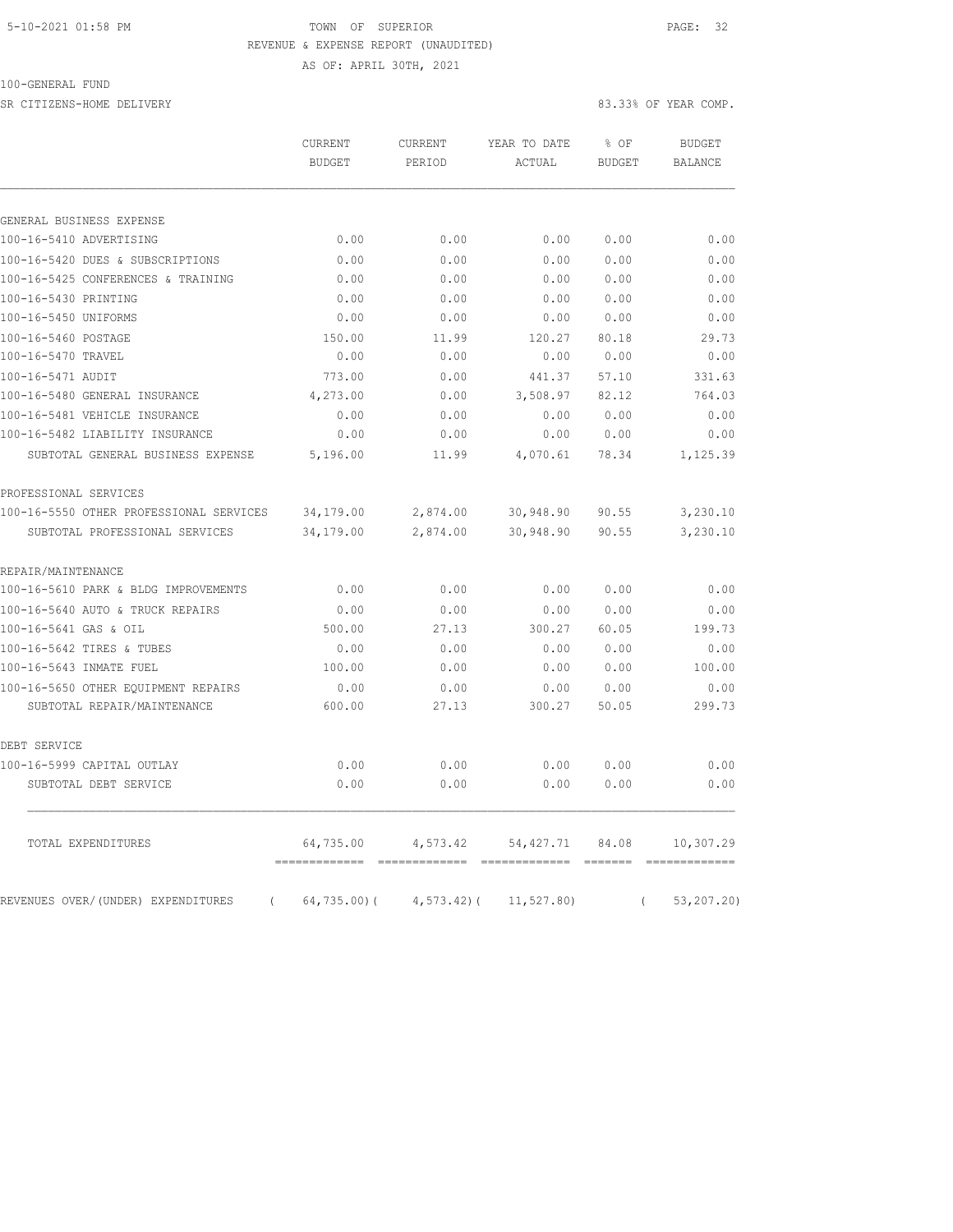#### 5-10-2021 01:58 PM TOWN OF SUPERIOR PAGE: 32 REVENUE & EXPENSE REPORT (UNAUDITED)

AS OF: APRIL 30TH, 2021

SR CITIZENS-HOME DELIVERY 83.33% OF YEAR COMP.

|                                                | <b>CURRENT</b><br><b>BUDGET</b> | <b>CURRENT</b><br>PERIOD | YEAR TO DATE<br>ACTUAL | % OF<br><b>BUDGET</b> | <b>BUDGET</b><br><b>BALANCE</b> |
|------------------------------------------------|---------------------------------|--------------------------|------------------------|-----------------------|---------------------------------|
|                                                |                                 |                          |                        |                       |                                 |
| GENERAL BUSINESS EXPENSE                       |                                 |                          |                        |                       |                                 |
| 100-16-5410 ADVERTISING                        | 0.00                            | 0.00                     | 0.00                   | 0.00                  | 0.00                            |
| 100-16-5420 DUES & SUBSCRIPTIONS               | 0.00                            | 0.00                     | 0.00                   | 0.00                  | 0.00                            |
| 100-16-5425 CONFERENCES & TRAINING             | 0.00                            | 0.00                     | 0.00                   | 0.00                  | 0.00                            |
| 100-16-5430 PRINTING                           | 0.00                            | 0.00                     | 0.00                   | 0.00                  | 0.00                            |
| 100-16-5450 UNIFORMS                           | 0.00                            | 0.00                     | 0.00                   | 0.00                  | 0.00                            |
| 100-16-5460 POSTAGE                            | 150.00                          | 11.99                    | 120.27                 | 80.18                 | 29.73                           |
| 100-16-5470 TRAVEL                             | 0.00                            | 0.00                     | 0.00                   | 0.00                  | 0.00                            |
| 100-16-5471 AUDIT                              | 773.00                          | 0.00                     | 441.37                 | 57.10                 | 331.63                          |
| 100-16-5480 GENERAL INSURANCE                  | 4,273.00                        | 0.00                     | 3,508.97               | 82.12                 | 764.03                          |
| 100-16-5481 VEHICLE INSURANCE                  | 0.00                            | 0.00                     | 0.00                   | 0.00                  | 0.00                            |
| 100-16-5482 LIABILITY INSURANCE                | 0.00                            | 0.00                     | 0.00                   | 0.00                  | 0.00                            |
| SUBTOTAL GENERAL BUSINESS EXPENSE              | 5,196.00                        | 11.99                    | 4,070.61               | 78.34                 | 1,125.39                        |
| PROFESSIONAL SERVICES                          |                                 |                          |                        |                       |                                 |
| 100-16-5550 OTHER PROFESSIONAL SERVICES        | 34,179.00                       | 2,874.00                 | 30,948.90              | 90.55                 | 3,230.10                        |
| SUBTOTAL PROFESSIONAL SERVICES                 | 34,179.00                       | 2,874.00                 | 30,948.90              | 90.55                 | 3,230.10                        |
| REPAIR/MAINTENANCE                             |                                 |                          |                        |                       |                                 |
| 100-16-5610 PARK & BLDG IMPROVEMENTS           | 0.00                            | 0.00                     | 0.00                   | 0.00                  | 0.00                            |
| 100-16-5640 AUTO & TRUCK REPAIRS               | 0.00                            | 0.00                     | 0.00                   | 0.00                  | 0.00                            |
| 100-16-5641 GAS & OIL                          | 500.00                          | 27.13                    | 300.27                 | 60.05                 | 199.73                          |
| 100-16-5642 TIRES & TUBES                      | 0.00                            | 0.00                     | 0.00                   | 0.00                  | 0.00                            |
| 100-16-5643 INMATE FUEL                        | 100.00                          | 0.00                     | 0.00                   | 0.00                  | 100.00                          |
| 100-16-5650 OTHER EOUIPMENT REPAIRS            | 0.00                            | 0.00                     | 0.00                   | 0.00                  | 0.00                            |
| SUBTOTAL REPAIR/MAINTENANCE                    | 600.00                          | 27.13                    | 300.27                 | 50.05                 | 299.73                          |
| DEBT SERVICE                                   |                                 |                          |                        |                       |                                 |
| 100-16-5999 CAPITAL OUTLAY                     | 0.00                            | 0.00                     | 0.00                   | 0.00                  | 0.00                            |
| SUBTOTAL DEBT SERVICE                          | 0.00                            | 0.00                     | 0.00                   | 0.00                  | 0.00                            |
| TOTAL EXPENDITURES                             | 64,735.00                       | 4,573.42                 | 54, 427.71             | 84.08                 | 10,307.29                       |
| REVENUES OVER/(UNDER) EXPENDITURES<br>$\left($ | $64, 735.00$ (                  | $4, 573.42$ ) (          | 11, 527.80             | $\left($              | 53, 207.20                      |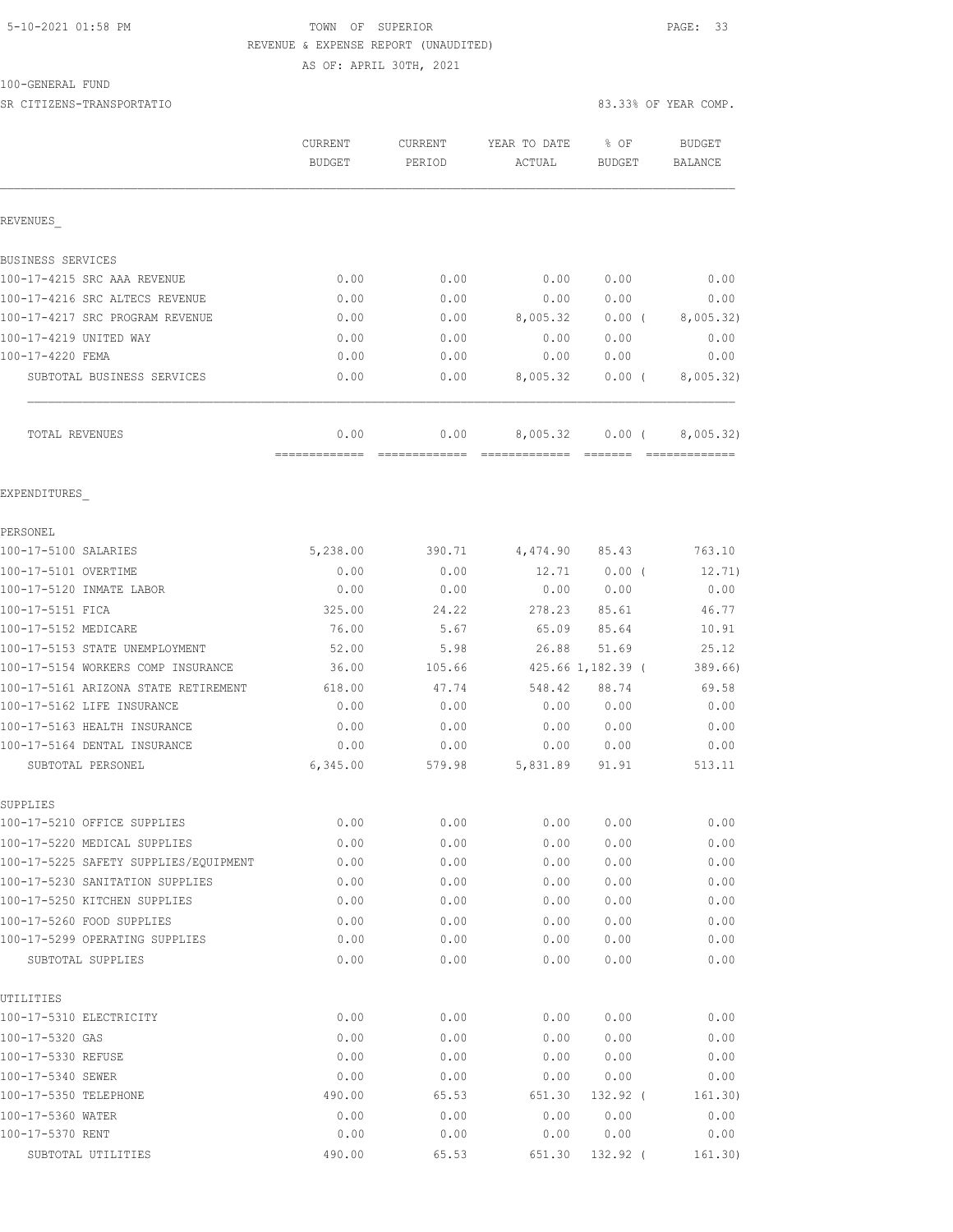### 5-10-2021 01:58 PM TOWN OF SUPERIOR PAGE: 33 REVENUE & EXPENSE REPORT (UNAUDITED)

AS OF: APRIL 30TH, 2021

# 100-GENERAL FUND

|                                                     | CURRENT<br><b>BUDGET</b> | <b>CURRENT</b><br>PERIOD | YEAR TO DATE<br>ACTUAL               | % OF<br><b>BUDGET</b> | <b>BUDGET</b><br>BALANCE                                                                                                                                                                                                                                                                                                                                                                                                                                                                                  |
|-----------------------------------------------------|--------------------------|--------------------------|--------------------------------------|-----------------------|-----------------------------------------------------------------------------------------------------------------------------------------------------------------------------------------------------------------------------------------------------------------------------------------------------------------------------------------------------------------------------------------------------------------------------------------------------------------------------------------------------------|
| REVENUES                                            |                          |                          |                                      |                       |                                                                                                                                                                                                                                                                                                                                                                                                                                                                                                           |
| BUSINESS SERVICES                                   |                          |                          |                                      |                       |                                                                                                                                                                                                                                                                                                                                                                                                                                                                                                           |
| 100-17-4215 SRC AAA REVENUE                         | 0.00                     | 0.00                     | 0.00                                 | 0.00                  | 0.00                                                                                                                                                                                                                                                                                                                                                                                                                                                                                                      |
| 100-17-4216 SRC ALTECS REVENUE                      | 0.00                     | 0.00                     | 0.00                                 | 0.00                  | 0.00                                                                                                                                                                                                                                                                                                                                                                                                                                                                                                      |
| 100-17-4217 SRC PROGRAM REVENUE                     | 0.00                     | 0.00                     | 8,005.32                             | $0.00$ (              | 8,005.32)                                                                                                                                                                                                                                                                                                                                                                                                                                                                                                 |
| 100-17-4219 UNITED WAY                              | 0.00                     | 0.00                     | 0.00                                 | 0.00                  | 0.00                                                                                                                                                                                                                                                                                                                                                                                                                                                                                                      |
| 100-17-4220 FEMA                                    | 0.00                     | 0.00                     | 0.00                                 | 0.00                  | 0.00                                                                                                                                                                                                                                                                                                                                                                                                                                                                                                      |
| SUBTOTAL BUSINESS SERVICES                          | 0.00                     | 0.00                     | 8,005.32                             | $0.00$ (              | 8,005.32)                                                                                                                                                                                                                                                                                                                                                                                                                                                                                                 |
| TOTAL REVENUES                                      | 0.00<br>=============    | 0.00<br>=============    | 8,005.32<br>======================== | $0.00$ (              | 8,005.32)<br>$\begin{array}{c} \multicolumn{2}{c} {\textbf{1}} & \multicolumn{2}{c} {\textbf{2}} & \multicolumn{2}{c} {\textbf{3}} & \multicolumn{2}{c} {\textbf{4}} \\ \multicolumn{2}{c} {\textbf{5}} & \multicolumn{2}{c} {\textbf{6}} & \multicolumn{2}{c} {\textbf{7}} & \multicolumn{2}{c} {\textbf{8}} & \multicolumn{2}{c} {\textbf{9}} \\ \multicolumn{2}{c} {\textbf{1}} & \multicolumn{2}{c} {\textbf{1}} & \multicolumn{2}{c} {\textbf{1}} & \multicolumn{2}{c} {\textbf{1}} & \multicolumn{$ |
| EXPENDITURES                                        |                          |                          |                                      |                       |                                                                                                                                                                                                                                                                                                                                                                                                                                                                                                           |
| PERSONEL                                            |                          |                          |                                      |                       |                                                                                                                                                                                                                                                                                                                                                                                                                                                                                                           |
| 100-17-5100 SALARIES                                | 5,238.00                 | 390.71                   | 4,474.90                             | 85.43                 | 763.10                                                                                                                                                                                                                                                                                                                                                                                                                                                                                                    |
| 100-17-5101 OVERTIME                                | 0.00                     | 0.00                     | 12.71                                | $0.00$ (              | 12.71)                                                                                                                                                                                                                                                                                                                                                                                                                                                                                                    |
| 100-17-5120 INMATE LABOR                            | 0.00                     | 0.00                     | 0.00                                 | 0.00                  | 0.00                                                                                                                                                                                                                                                                                                                                                                                                                                                                                                      |
| 100-17-5151 FICA                                    | 325.00                   | 24.22                    | 278.23                               | 85.61                 | 46.77                                                                                                                                                                                                                                                                                                                                                                                                                                                                                                     |
| 100-17-5152 MEDICARE                                | 76.00                    | 5.67                     | 65.09                                | 85.64                 | 10.91                                                                                                                                                                                                                                                                                                                                                                                                                                                                                                     |
| 100-17-5153 STATE UNEMPLOYMENT                      | 52.00                    | 5.98                     | 26.88                                | 51.69                 | 25.12                                                                                                                                                                                                                                                                                                                                                                                                                                                                                                     |
| 100-17-5154 WORKERS COMP INSURANCE                  | 36.00                    | 105.66                   |                                      | 425.66 1,182.39 (     | 389.66)                                                                                                                                                                                                                                                                                                                                                                                                                                                                                                   |
| 100-17-5161 ARIZONA STATE RETIREMENT                | 618.00                   | 47.74                    | 548.42                               | 88.74                 | 69.58                                                                                                                                                                                                                                                                                                                                                                                                                                                                                                     |
| 100-17-5162 LIFE INSURANCE                          | 0.00                     | 0.00                     | 0.00                                 | 0.00                  | 0.00                                                                                                                                                                                                                                                                                                                                                                                                                                                                                                      |
| 100-17-5163 HEALTH INSURANCE                        | 0.00                     | 0.00                     | 0.00                                 | 0.00                  | 0.00                                                                                                                                                                                                                                                                                                                                                                                                                                                                                                      |
| 100-17-5164 DENTAL INSURANCE                        | 0.00                     | 0.00                     | 0.00                                 | 0.00                  | 0.00                                                                                                                                                                                                                                                                                                                                                                                                                                                                                                      |
| SUBTOTAL PERSONEL                                   | 6,345.00                 | 579.98                   | 5,831.89                             | 91.91                 | 513.11                                                                                                                                                                                                                                                                                                                                                                                                                                                                                                    |
| SUPPLIES                                            |                          |                          |                                      |                       |                                                                                                                                                                                                                                                                                                                                                                                                                                                                                                           |
| 100-17-5210 OFFICE SUPPLIES                         | 0.00                     | 0.00                     | 0.00                                 | 0.00                  | 0.00                                                                                                                                                                                                                                                                                                                                                                                                                                                                                                      |
| 100-17-5220 MEDICAL SUPPLIES                        | 0.00                     | 0.00                     | 0.00                                 | 0.00                  | 0.00                                                                                                                                                                                                                                                                                                                                                                                                                                                                                                      |
| 100-17-5225 SAFETY SUPPLIES/EQUIPMENT               | 0.00                     | 0.00                     | 0.00                                 | 0.00                  | 0.00                                                                                                                                                                                                                                                                                                                                                                                                                                                                                                      |
| 100-17-5230 SANITATION SUPPLIES                     | 0.00                     | 0.00                     | 0.00                                 | 0.00                  | 0.00                                                                                                                                                                                                                                                                                                                                                                                                                                                                                                      |
| 100-17-5250 KITCHEN SUPPLIES                        | 0.00                     | 0.00                     | 0.00                                 | 0.00                  | 0.00                                                                                                                                                                                                                                                                                                                                                                                                                                                                                                      |
| 100-17-5260 FOOD SUPPLIES                           | 0.00                     | 0.00                     | 0.00                                 | 0.00                  | 0.00                                                                                                                                                                                                                                                                                                                                                                                                                                                                                                      |
| 100-17-5299 OPERATING SUPPLIES<br>SUBTOTAL SUPPLIES | 0.00<br>0.00             | 0.00<br>0.00             | 0.00<br>0.00                         | 0.00<br>0.00          | 0.00<br>0.00                                                                                                                                                                                                                                                                                                                                                                                                                                                                                              |
| UTILITIES                                           |                          |                          |                                      |                       |                                                                                                                                                                                                                                                                                                                                                                                                                                                                                                           |
| 100-17-5310 ELECTRICITY                             | 0.00                     | 0.00                     | 0.00                                 | 0.00                  | 0.00                                                                                                                                                                                                                                                                                                                                                                                                                                                                                                      |
| 100-17-5320 GAS                                     | 0.00                     | 0.00                     | 0.00                                 | 0.00                  | 0.00                                                                                                                                                                                                                                                                                                                                                                                                                                                                                                      |
| 100-17-5330 REFUSE                                  | 0.00                     | 0.00                     | 0.00                                 | 0.00                  | 0.00                                                                                                                                                                                                                                                                                                                                                                                                                                                                                                      |
| 100-17-5340 SEWER                                   | 0.00                     | 0.00                     | 0.00                                 | 0.00                  | 0.00                                                                                                                                                                                                                                                                                                                                                                                                                                                                                                      |
| 100-17-5350 TELEPHONE                               | 490.00                   | 65.53                    | 651.30                               | 132.92 (              | 161.30)                                                                                                                                                                                                                                                                                                                                                                                                                                                                                                   |
| 100-17-5360 WATER                                   | 0.00                     | 0.00                     | 0.00                                 | 0.00                  | 0.00                                                                                                                                                                                                                                                                                                                                                                                                                                                                                                      |
| 100-17-5370 RENT                                    | 0.00                     | 0.00                     | 0.00                                 | 0.00                  | 0.00                                                                                                                                                                                                                                                                                                                                                                                                                                                                                                      |

SUBTOTAL UTILITIES 490.00 65.53 651.30 132.92 ( 161.30)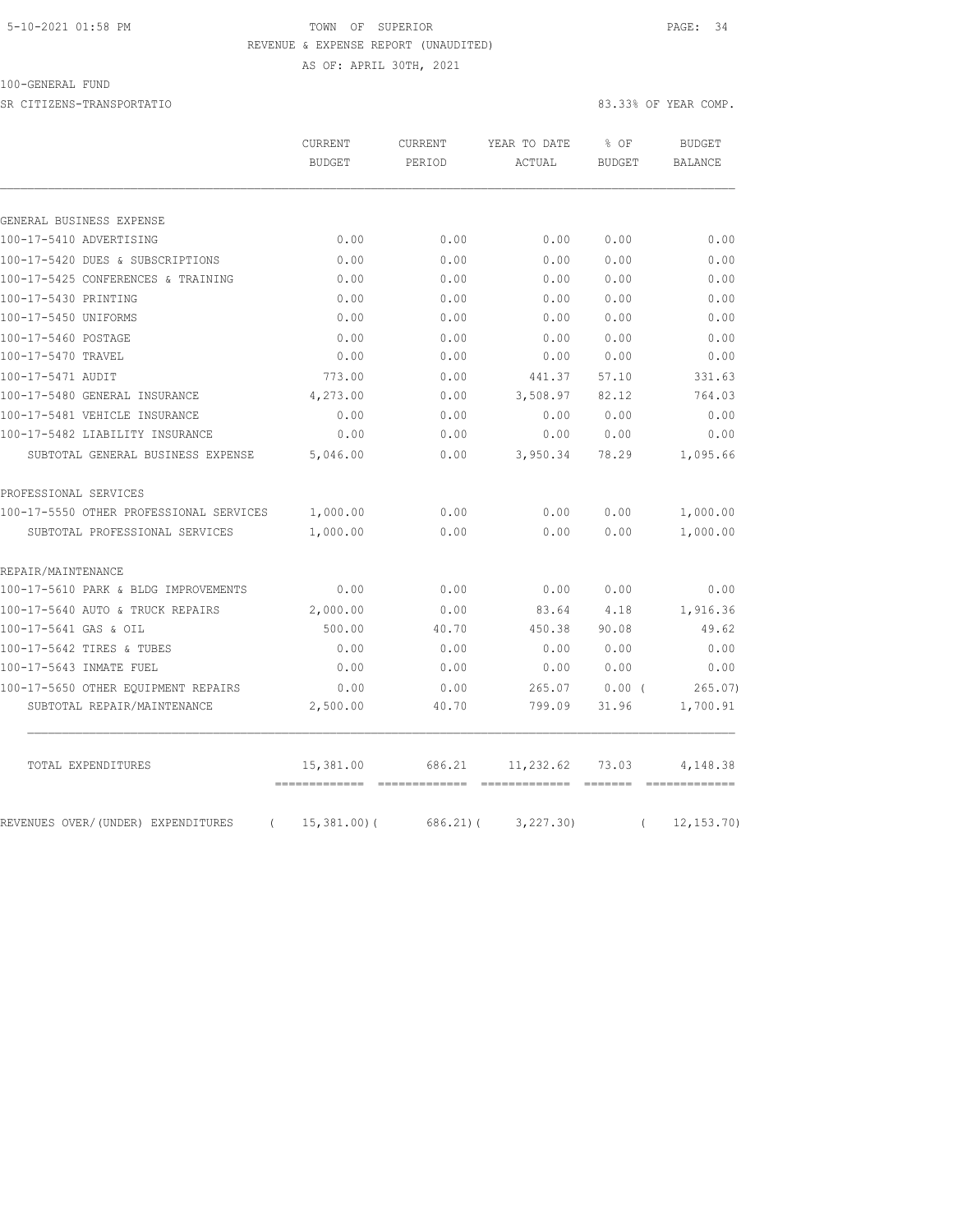#### 5-10-2021 01:58 PM TOWN OF SUPERIOR PAGE: 34 REVENUE & EXPENSE REPORT (UNAUDITED) AS OF: APRIL 30TH, 2021

#### 100-GENERAL FUND

SR CITIZENS-TRANSPORTATIO 83.33% OF YEAR COMP.

| GENERAL BUSINESS EXPENSE<br>100-17-5410 ADVERTISING<br>0.00<br>0.00<br>0.00<br>0.00<br>100-17-5420 DUES & SUBSCRIPTIONS<br>0.00<br>0.00<br>0.00<br>0.00<br>100-17-5425 CONFERENCES & TRAINING<br>0.00<br>0.00<br>0.00<br>0.00<br>100-17-5430 PRINTING<br>0.00<br>0.00<br>0.00<br>0.00<br>100-17-5450 UNIFORMS<br>0.00<br>0.00<br>0.00<br>0.00<br>100-17-5460 POSTAGE<br>0.00<br>0.00<br>0.00<br>0.00<br>100-17-5470 TRAVEL<br>0.00<br>0.00<br>0.00<br>0.00<br>100-17-5471 AUDIT<br>773.00<br>0.00<br>441.37<br>57.10<br>100-17-5480 GENERAL INSURANCE<br>4,273.00<br>3,508.97<br>0.00<br>82.12<br>100-17-5481 VEHICLE INSURANCE<br>0.00<br>0.00<br>0.00<br>0.00<br>100-17-5482 LIABILITY INSURANCE<br>0.00<br>0.00<br>0.00<br>0.00<br>SUBTOTAL GENERAL BUSINESS EXPENSE<br>5,046.00<br>3,950.34<br>78.29<br>0.00<br>PROFESSIONAL SERVICES<br>0.00<br>0.00<br>0.00<br>100-17-5550 OTHER PROFESSIONAL SERVICES<br>1,000.00<br>1,000.00<br>0.00<br>0.00<br>0.00<br>SUBTOTAL PROFESSIONAL SERVICES | BALANCE    |
|------------------------------------------------------------------------------------------------------------------------------------------------------------------------------------------------------------------------------------------------------------------------------------------------------------------------------------------------------------------------------------------------------------------------------------------------------------------------------------------------------------------------------------------------------------------------------------------------------------------------------------------------------------------------------------------------------------------------------------------------------------------------------------------------------------------------------------------------------------------------------------------------------------------------------------------------------------------------------------------------|------------|
|                                                                                                                                                                                                                                                                                                                                                                                                                                                                                                                                                                                                                                                                                                                                                                                                                                                                                                                                                                                                |            |
|                                                                                                                                                                                                                                                                                                                                                                                                                                                                                                                                                                                                                                                                                                                                                                                                                                                                                                                                                                                                |            |
|                                                                                                                                                                                                                                                                                                                                                                                                                                                                                                                                                                                                                                                                                                                                                                                                                                                                                                                                                                                                | 0.00       |
|                                                                                                                                                                                                                                                                                                                                                                                                                                                                                                                                                                                                                                                                                                                                                                                                                                                                                                                                                                                                | 0.00       |
|                                                                                                                                                                                                                                                                                                                                                                                                                                                                                                                                                                                                                                                                                                                                                                                                                                                                                                                                                                                                | 0.00       |
|                                                                                                                                                                                                                                                                                                                                                                                                                                                                                                                                                                                                                                                                                                                                                                                                                                                                                                                                                                                                | 0.00       |
|                                                                                                                                                                                                                                                                                                                                                                                                                                                                                                                                                                                                                                                                                                                                                                                                                                                                                                                                                                                                | 0.00       |
|                                                                                                                                                                                                                                                                                                                                                                                                                                                                                                                                                                                                                                                                                                                                                                                                                                                                                                                                                                                                | 0.00       |
|                                                                                                                                                                                                                                                                                                                                                                                                                                                                                                                                                                                                                                                                                                                                                                                                                                                                                                                                                                                                | 0.00       |
|                                                                                                                                                                                                                                                                                                                                                                                                                                                                                                                                                                                                                                                                                                                                                                                                                                                                                                                                                                                                | 331.63     |
|                                                                                                                                                                                                                                                                                                                                                                                                                                                                                                                                                                                                                                                                                                                                                                                                                                                                                                                                                                                                | 764.03     |
|                                                                                                                                                                                                                                                                                                                                                                                                                                                                                                                                                                                                                                                                                                                                                                                                                                                                                                                                                                                                | 0.00       |
|                                                                                                                                                                                                                                                                                                                                                                                                                                                                                                                                                                                                                                                                                                                                                                                                                                                                                                                                                                                                | 0.00       |
|                                                                                                                                                                                                                                                                                                                                                                                                                                                                                                                                                                                                                                                                                                                                                                                                                                                                                                                                                                                                | 1,095.66   |
|                                                                                                                                                                                                                                                                                                                                                                                                                                                                                                                                                                                                                                                                                                                                                                                                                                                                                                                                                                                                |            |
|                                                                                                                                                                                                                                                                                                                                                                                                                                                                                                                                                                                                                                                                                                                                                                                                                                                                                                                                                                                                | 1,000.00   |
|                                                                                                                                                                                                                                                                                                                                                                                                                                                                                                                                                                                                                                                                                                                                                                                                                                                                                                                                                                                                | 1,000.00   |
| REPAIR/MAINTENANCE                                                                                                                                                                                                                                                                                                                                                                                                                                                                                                                                                                                                                                                                                                                                                                                                                                                                                                                                                                             |            |
| 100-17-5610 PARK & BLDG IMPROVEMENTS<br>0.00<br>0.00<br>0.00<br>0.00                                                                                                                                                                                                                                                                                                                                                                                                                                                                                                                                                                                                                                                                                                                                                                                                                                                                                                                           | 0.00       |
| 100-17-5640 AUTO & TRUCK REPAIRS<br>2,000.00<br>0.00<br>83.64<br>4.18                                                                                                                                                                                                                                                                                                                                                                                                                                                                                                                                                                                                                                                                                                                                                                                                                                                                                                                          | 1,916.36   |
| 100-17-5641 GAS & OIL<br>500.00<br>40.70<br>450.38<br>90.08                                                                                                                                                                                                                                                                                                                                                                                                                                                                                                                                                                                                                                                                                                                                                                                                                                                                                                                                    | 49.62      |
| 0.00<br>0.00<br>100-17-5642 TIRES & TUBES<br>0.00<br>0.00                                                                                                                                                                                                                                                                                                                                                                                                                                                                                                                                                                                                                                                                                                                                                                                                                                                                                                                                      | 0.00       |
| 100-17-5643 INMATE FUEL<br>0.00<br>0.00<br>0.00<br>0.00                                                                                                                                                                                                                                                                                                                                                                                                                                                                                                                                                                                                                                                                                                                                                                                                                                                                                                                                        | 0.00       |
| 100-17-5650 OTHER EQUIPMENT REPAIRS<br>0.00<br>0.00<br>265.07<br>$0.00$ (                                                                                                                                                                                                                                                                                                                                                                                                                                                                                                                                                                                                                                                                                                                                                                                                                                                                                                                      | 265.07     |
| SUBTOTAL REPAIR/MAINTENANCE<br>2,500.00<br>40.70<br>31.96<br>799.09                                                                                                                                                                                                                                                                                                                                                                                                                                                                                                                                                                                                                                                                                                                                                                                                                                                                                                                            | 1,700.91   |
| 15,381.00<br>686.21<br>11,232.62<br>TOTAL EXPENDITURES<br>73.03                                                                                                                                                                                                                                                                                                                                                                                                                                                                                                                                                                                                                                                                                                                                                                                                                                                                                                                                | 4,148.38   |
| 15,381.00(<br>3, 227.30<br>REVENUES OVER/ (UNDER) EXPENDITURES<br>$686.21$ ) (<br>$\left($<br>$\left($                                                                                                                                                                                                                                                                                                                                                                                                                                                                                                                                                                                                                                                                                                                                                                                                                                                                                         | 12, 153.70 |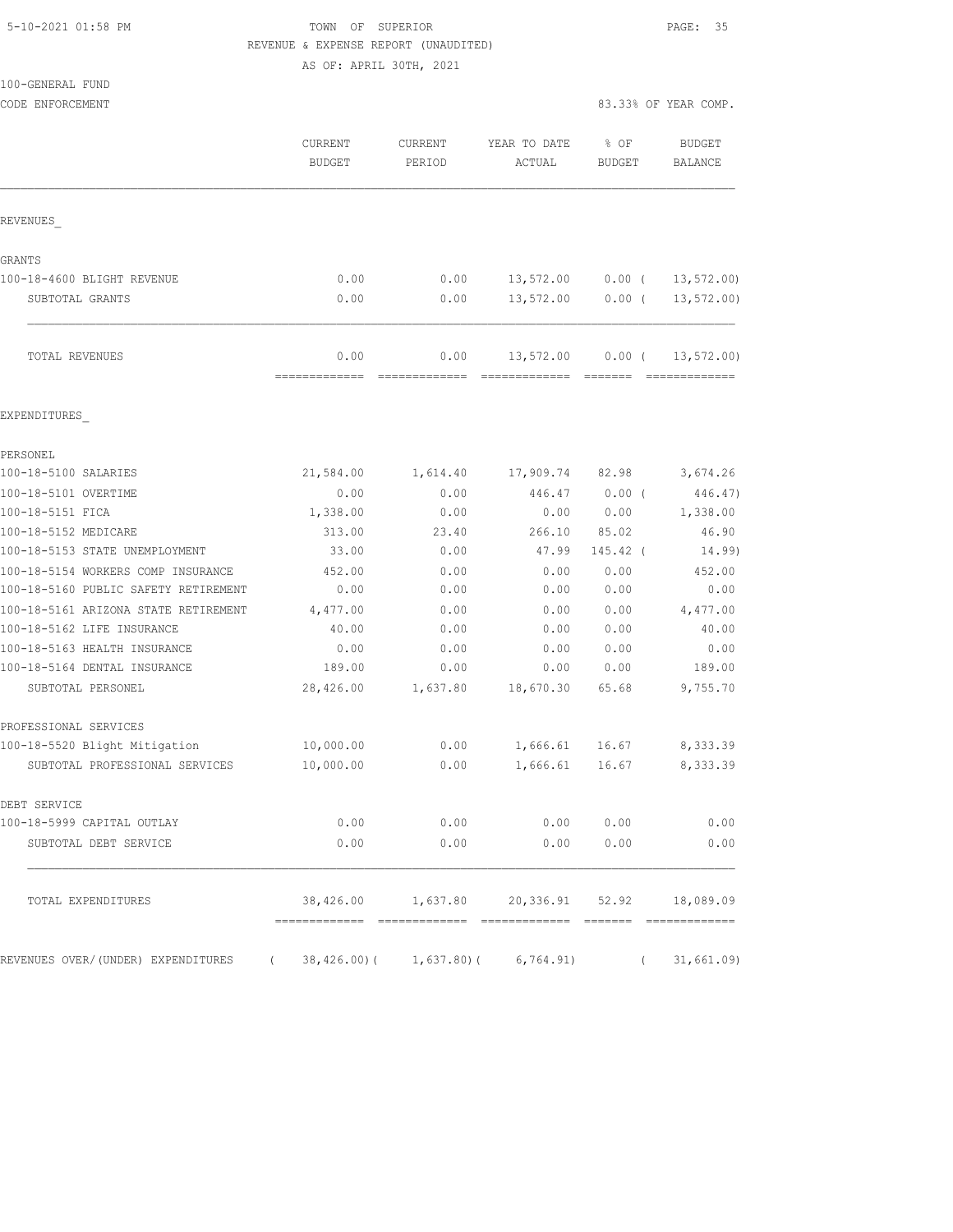#### 5-10-2021 01:58 PM TOWN OF SUPERIOR PAGE: 35 REVENUE & EXPENSE REPORT (UNAUDITED)

AS OF: APRIL 30TH, 2021

| 100-GENERAL FUND                     |                                                       |                   |                                                      |                       |                          |
|--------------------------------------|-------------------------------------------------------|-------------------|------------------------------------------------------|-----------------------|--------------------------|
| CODE ENFORCEMENT                     |                                                       |                   |                                                      |                       | 83.33% OF YEAR COMP.     |
|                                      | CURRENT<br><b>BUDGET</b>                              | CURRENT<br>PERIOD | YEAR TO DATE<br>ACTUAL                               | % OF<br><b>BUDGET</b> | <b>BUDGET</b><br>BALANCE |
| REVENUES                             |                                                       |                   |                                                      |                       |                          |
| GRANTS                               |                                                       |                   |                                                      |                       |                          |
| 100-18-4600 BLIGHT REVENUE           | 0.00                                                  | 0.00              | 13,572.00                                            | $0.00$ (              | 13, 572.00               |
| SUBTOTAL GRANTS                      | 0.00                                                  | 0.00              | 13,572.00                                            | $0.00$ (              | 13, 572.00               |
| TOTAL REVENUES                       | 0.00                                                  | 0.00              | 13,572.00                                            | $0.00$ (              | 13,572.00)               |
| EXPENDITURES                         |                                                       |                   |                                                      |                       |                          |
| PERSONEL                             |                                                       |                   |                                                      |                       |                          |
| 100-18-5100 SALARIES                 | 21,584.00                                             | 1,614.40          | 17,909.74                                            | 82.98                 | 3,674.26                 |
| 100-18-5101 OVERTIME                 | 0.00                                                  | 0.00              | 446.47                                               | $0.00$ (              | 446.47)                  |
| 100-18-5151 FICA                     | 1,338.00                                              | 0.00              | 0.00                                                 | 0.00                  | 1,338.00                 |
| 100-18-5152 MEDICARE                 | 313.00                                                | 23.40             | 266.10                                               | 85.02                 | 46.90                    |
| 100-18-5153 STATE UNEMPLOYMENT       | 33.00                                                 | 0.00              | 47.99                                                | 145.42 (              | 14.99)                   |
| 100-18-5154 WORKERS COMP INSURANCE   | 452.00                                                | 0.00              | 0.00                                                 | 0.00                  | 452.00                   |
| 100-18-5160 PUBLIC SAFETY RETIREMENT | 0.00                                                  | 0.00              | 0.00                                                 | 0.00                  | 0.00                     |
| 100-18-5161 ARIZONA STATE RETIREMENT | 4,477.00                                              | 0.00              | 0.00                                                 | 0.00                  | 4,477.00                 |
| 100-18-5162 LIFE INSURANCE           | 40.00                                                 | 0.00              | 0.00                                                 | 0.00                  | 40.00                    |
| 100-18-5163 HEALTH INSURANCE         | 0.00                                                  | 0.00              | 0.00                                                 | 0.00                  | 0.00                     |
| 100-18-5164 DENTAL INSURANCE         | 189.00                                                | 0.00              | 0.00                                                 | 0.00                  | 189.00                   |
| SUBTOTAL PERSONEL                    | 28,426.00                                             | 1,637.80          | 18,670.30                                            | 65.68                 | 9,755.70                 |
| PROFESSIONAL SERVICES                |                                                       |                   |                                                      |                       |                          |
| 100-18-5520 Blight Mitigation        | 10,000.00                                             | 0.00              | 1,666.61                                             | 16.67                 | 8,333.39                 |
| SUBTOTAL PROFESSIONAL SERVICES       | 10,000.00                                             | 0.00              | 1,666.61                                             | 16.67                 | 8,333.39                 |
| DEBT SERVICE                         |                                                       |                   |                                                      |                       |                          |
| 100-18-5999 CAPITAL OUTLAY           | 0.00                                                  | 0.00              | 0.00                                                 | 0.00                  | 0.00                     |
| SUBTOTAL DEBT SERVICE                | 0.00                                                  | 0.00              |                                                      | 0.00 0.00             | 0.00                     |
| TOTAL EXPENDITURES                   |                                                       |                   | 38,426.00   1,637.80   20,336.91   52.92   18,089.09 |                       |                          |
| REVENUES OVER/(UNDER) EXPENDITURES   | $(38,426.00)$ $(1,637.80)$ $(6,764.91)$ $(31,661.09)$ |                   |                                                      |                       |                          |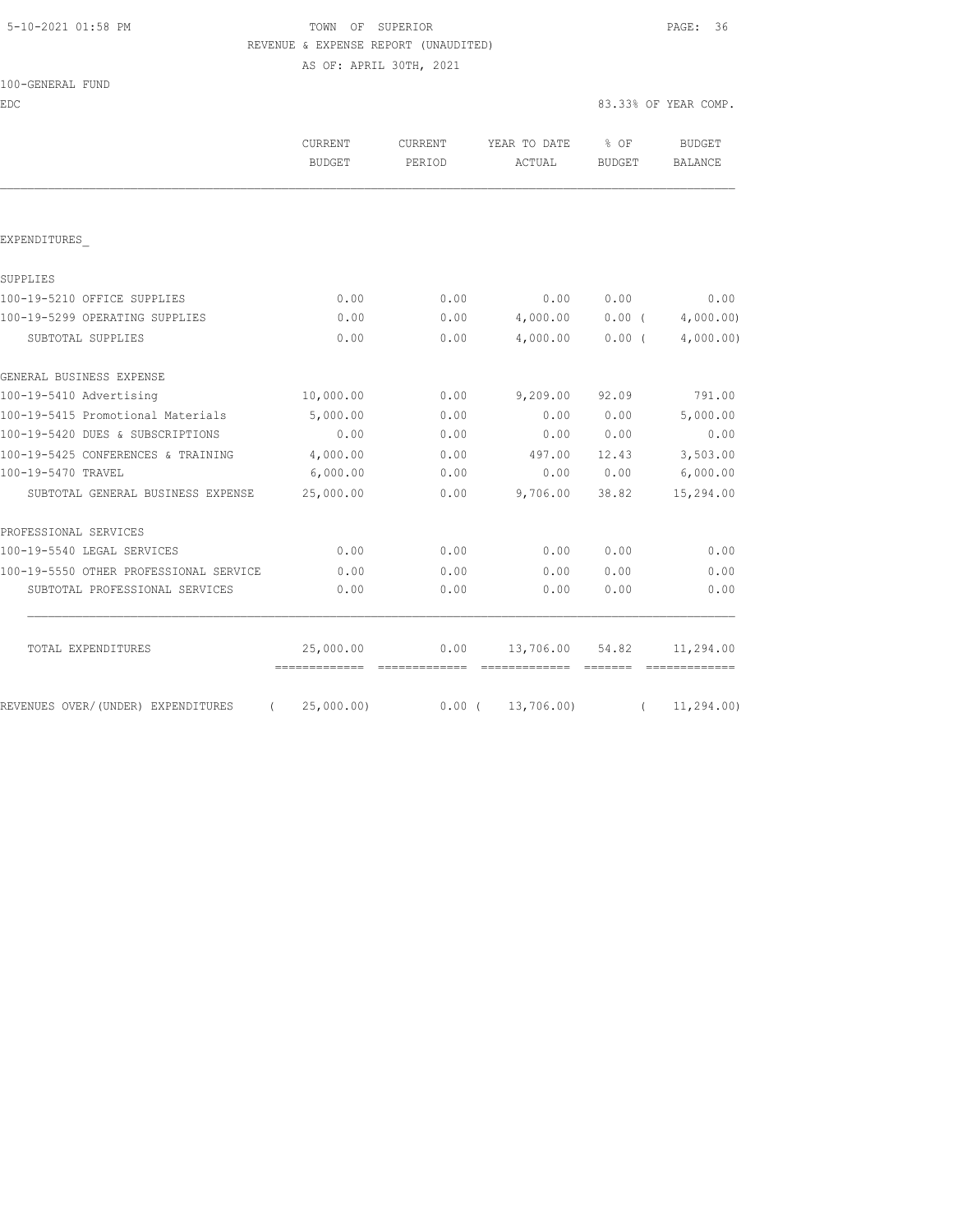|  | 5-10-2021 01:58 PM |  |  |
|--|--------------------|--|--|
|  |                    |  |  |

# TOWN OF SUPERIOR **Example 2010** PAGE: 36 REVENUE & EXPENSE REPORT (UNAUDITED)

AS OF: APRIL 30TH, 2021

| 100-GENERAL FUND |
|------------------|
|------------------|

EDC 83.33% OF YEAR COMP.

| <b>CURRENT</b><br>BUDGET | CURRENT<br>PERIOD | YEAR TO DATE<br>ACTUAL | % OF<br>BUDGET | <b>BUDGET</b><br>BALANCE |
|--------------------------|-------------------|------------------------|----------------|--------------------------|
|                          |                   |                        |                |                          |
|                          |                   |                        |                |                          |
|                          |                   |                        |                |                          |
| 0.00                     | 0.00              | 0.00                   | 0.00           | 0.00                     |
| 0.00                     | 0.00              |                        |                | $0.00$ ( $4,000.00$ )    |
| 0.00                     | 0.00              |                        | $0.00$ (       | 4,000.00)                |
|                          |                   |                        |                |                          |
| 10,000.00                | 0.00              | 9,209.00               | 92.09          | 791.00                   |
| 5,000.00                 | 0.00              | 0.00                   | 0.00           | 5,000.00                 |
| 0.00                     | 0.00              | 0.00                   | 0.00           | 0.00                     |
| 4,000.00                 | 0.00              | 497.00                 | 12.43          | 3,503.00                 |
| 6,000.00                 | 0.00              | 0.00                   | 0.00           | 6,000.00                 |
| 25,000.00                | 0.00              | 9,706.00               | 38.82          | 15,294.00                |
|                          |                   |                        |                |                          |
| 0.00                     | 0.00              | 0.00                   | 0.00           | 0.00                     |
| 0.00                     | 0.00              | 0.00                   | 0.00           | 0.00                     |
| 0.00                     | 0.00              | 0.00                   | 0.00           | 0.00                     |
|                          |                   |                        |                |                          |
|                          |                   |                        |                | 4,000.00<br>4,000.00     |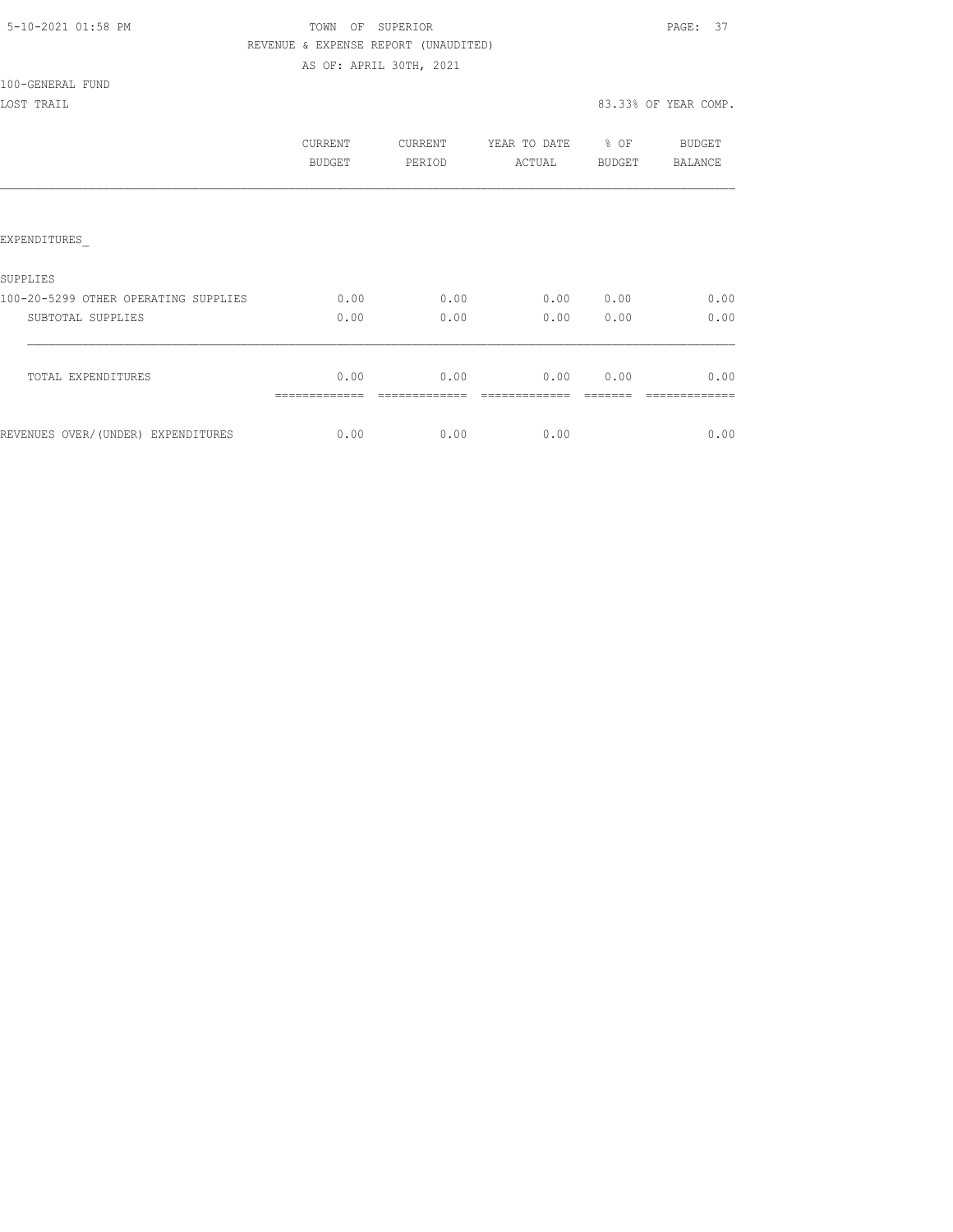| 5-10-2021 01:58 PM |  |
|--------------------|--|
|                    |  |

# TOWN OF SUPERIOR **Example 2018** PAGE: 37 REVENUE & EXPENSE REPORT (UNAUDITED)

AS OF: APRIL 30TH, 2021

100-GENERAL FUND

|                                      | CURRENT<br>BUDGET | CURRENT<br>PERIOD | YEAR TO DATE<br>ACTUAL | % OF<br>BUDGET | BUDGET<br><b>BALANCE</b> |
|--------------------------------------|-------------------|-------------------|------------------------|----------------|--------------------------|
|                                      |                   |                   |                        |                |                          |
| EXPENDITURES                         |                   |                   |                        |                |                          |
| SUPPLIES                             |                   |                   |                        |                |                          |
| 100-20-5299 OTHER OPERATING SUPPLIES | 0.00              | 0.00              | 0.00                   | 0.00           | 0.00                     |
| SUBTOTAL SUPPLIES                    | 0.00              | 0.00              | 0.00                   | 0.00           | 0.00                     |
| TOTAL EXPENDITURES                   | 0.00              | 0.00              | 0.00                   | 0.00           | 0.00                     |
| REVENUES OVER/(UNDER) EXPENDITURES   | 0.00              | 0.00              | 0.00                   |                | 0.00                     |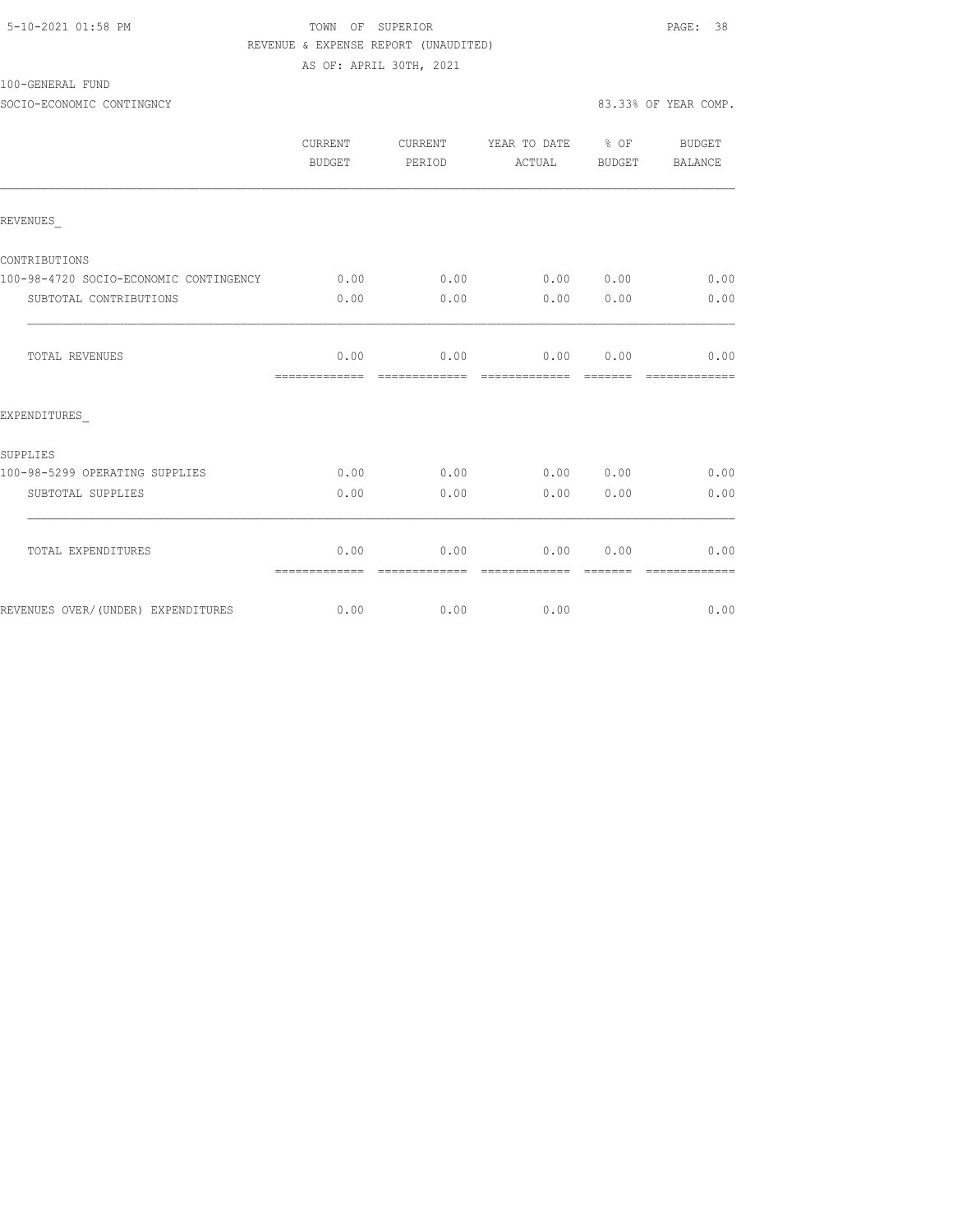|  | 5-10-2021 01:58 PM |  |
|--|--------------------|--|
|  |                    |  |

## TOWN OF SUPERIOR **Example 2010** PAGE: 38 REVENUE & EXPENSE REPORT (UNAUDITED) AS OF: APRIL 30TH, 2021

100-GENERAL FUND

SOCIO-ECONOMIC CONTINGNCY 83.33% OF YEAR COMP.

|                                        | CURRENT<br>BUDGET     | CURRENT<br>PERIOD | YEAR TO DATE % OF<br>ACTUAL | BUDGET | BUDGET<br>BALANCE |
|----------------------------------------|-----------------------|-------------------|-----------------------------|--------|-------------------|
| REVENUES                               |                       |                   |                             |        |                   |
| CONTRIBUTIONS                          |                       |                   |                             |        |                   |
| 100-98-4720 SOCIO-ECONOMIC CONTINGENCY | 0.00                  | 0.00              | 0.00 0.00                   |        | 0.00              |
| SUBTOTAL CONTRIBUTIONS                 | 0.00                  | 0.00              | 0.00                        | 0.00   | 0.00              |
| TOTAL REVENUES                         | 0.00<br>============= | 0.00              | 0.00<br>-------------       | 0.00   | 0.00              |
| EXPENDITURES                           |                       |                   |                             |        |                   |
| SUPPLIES                               |                       |                   |                             |        |                   |
| 100-98-5299 OPERATING SUPPLIES         | 0.00                  | 0.00              | 0.00 0.00                   |        | 0.00              |
| SUBTOTAL SUPPLIES                      | 0.00                  | 0.00              | 0.00                        | 0.00   | 0.00              |
| TOTAL EXPENDITURES                     | 0.00<br>============= | 0.00              | 0.00<br>-------------       | 0.00   | 0.00              |
| REVENUES OVER/(UNDER) EXPENDITURES     | 0.00                  | 0.00              | 0.00                        |        | 0.00              |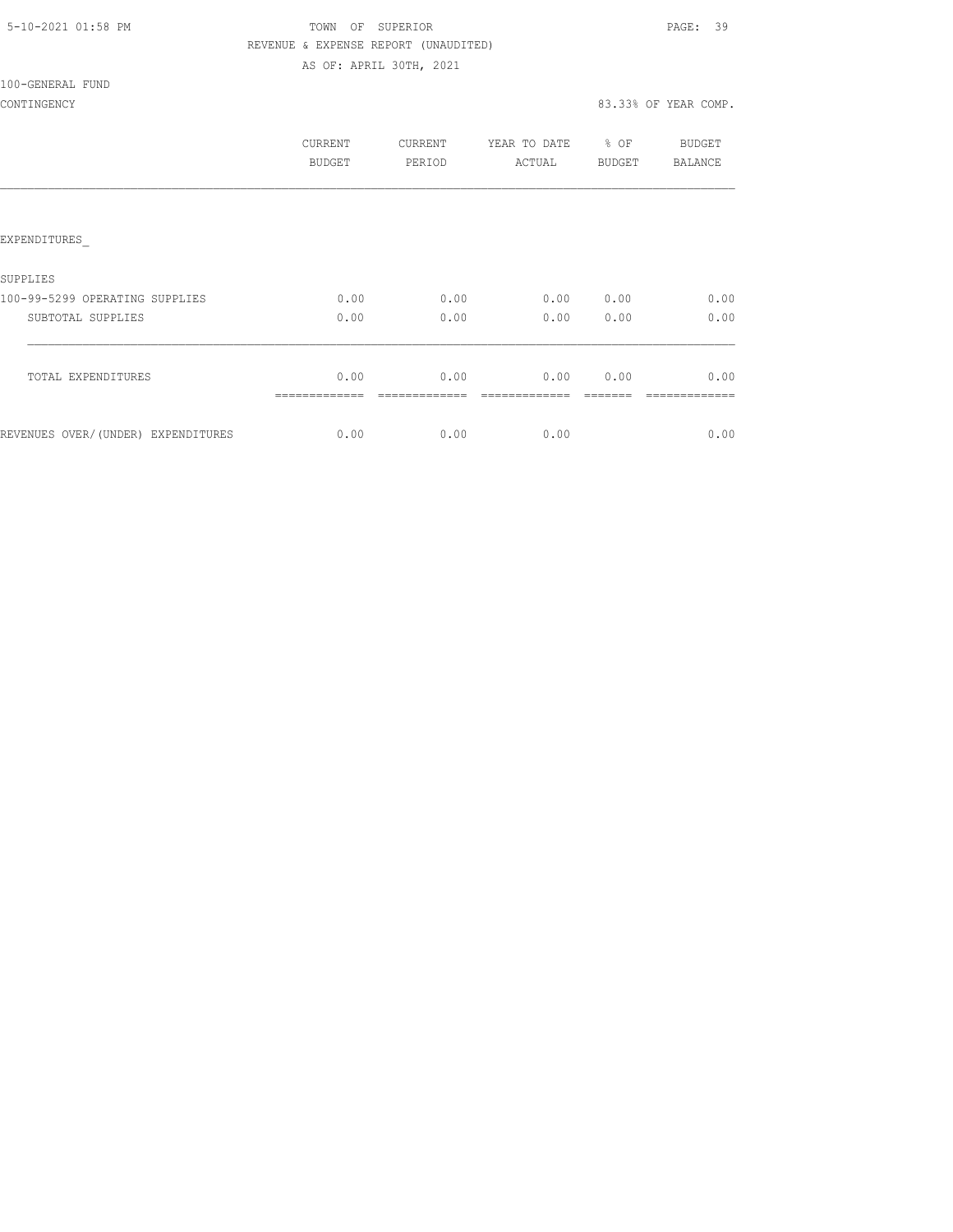| 5-10-2021 01:58 PM |  |
|--------------------|--|
|                    |  |

## TOWN OF SUPERIOR **Example 2010** PAGE: 39 REVENUE & EXPENSE REPORT (UNAUDITED) AS OF: APRIL 30TH, 2021

100-GENERAL FUND

|                                     | CURRENT<br>BUDGET | CURRENT<br>PERIOD | YEAR TO DATE<br>ACTUAL | % OF<br><b>BUDGET</b> | <b>BUDGET</b><br>BALANCE |
|-------------------------------------|-------------------|-------------------|------------------------|-----------------------|--------------------------|
| EXPENDITURES                        |                   |                   |                        |                       |                          |
| <b>SUPPLIES</b>                     |                   |                   |                        |                       |                          |
| 100-99-5299 OPERATING SUPPLIES      | 0.00              | 0.00              | 0.00                   | 0.00                  | 0.00                     |
| SUBTOTAL SUPPLIES                   | 0.00              | 0.00              | 0.00                   | 0.00                  | 0.00                     |
| TOTAL EXPENDITURES                  | 0.00              | 0.00              | 0.00                   | 0.00                  | 0.00                     |
| REVENUES OVER/ (UNDER) EXPENDITURES | 0.00              | 0.00              | 0.00                   |                       | 0.00                     |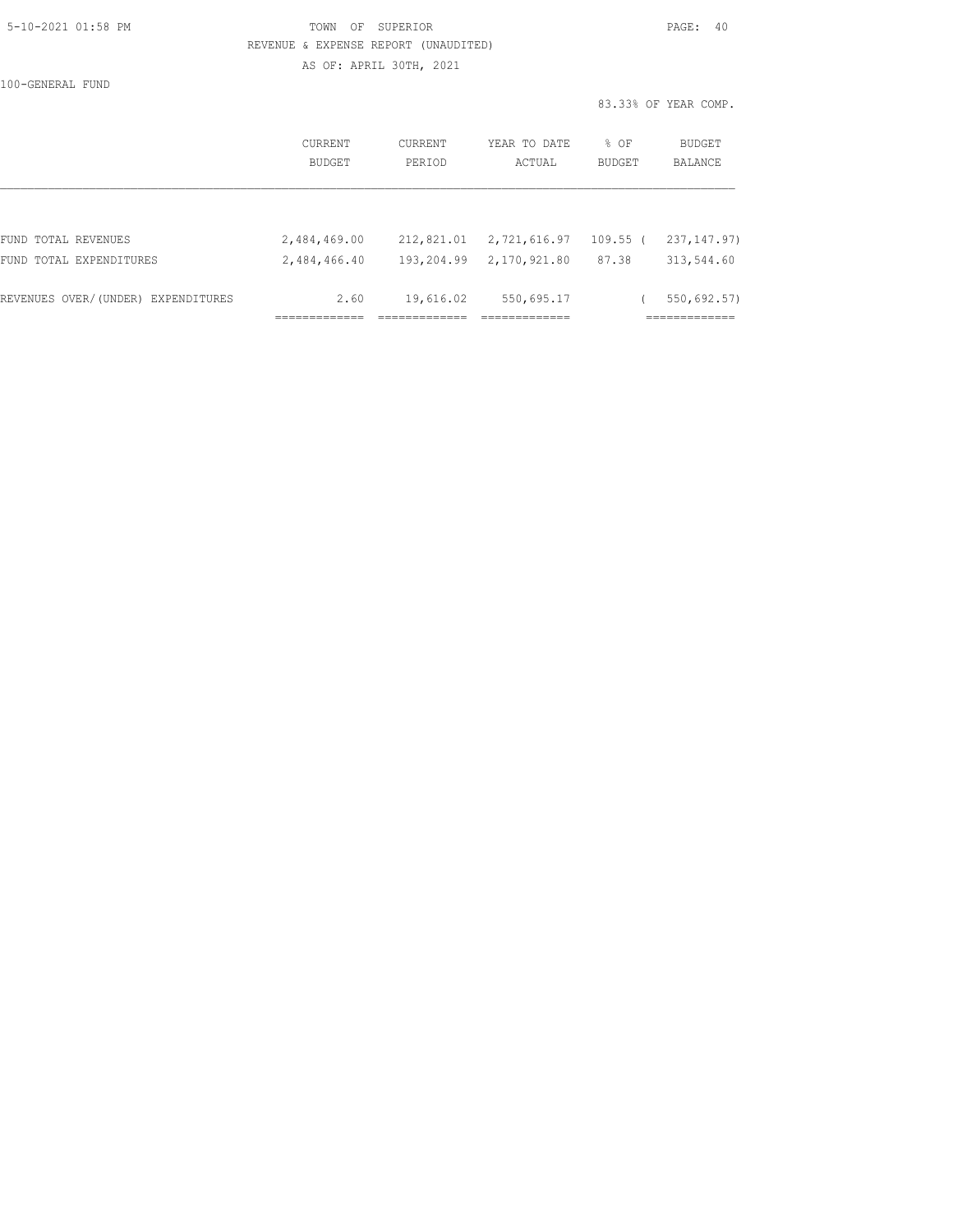| 5-10-2021 01:58 PM |  |
|--------------------|--|
|                    |  |

## TOWN OF SUPERIOR **Example 2010** PAGE: 40 REVENUE & EXPENSE REPORT (UNAUDITED) AS OF: APRIL 30TH, 2021

100-GENERAL FUND

|                                    | CURRENT<br>BUDGET | CURRENT<br>PERIOD | YEAR TO DATE<br>ACTUAL | % OF<br><b>BUDGET</b> | <b>BUDGET</b><br><b>BALANCE</b> |
|------------------------------------|-------------------|-------------------|------------------------|-----------------------|---------------------------------|
|                                    |                   |                   |                        |                       |                                 |
| FUND TOTAL REVENUES                | 2,484,469.00      | 212,821.01        | 2,721,616.97           | $109.55$ (            | 237, 147, 97)                   |
| FUND TOTAL EXPENDITURES            | 2,484,466.40      | 193,204.99        | 2,170,921.80           | 87.38                 | 313,544.60                      |
| REVENUES OVER/(UNDER) EXPENDITURES | 2.60              | 19,616.02         | 550,695.17             |                       | 550,692.57)                     |
|                                    |                   |                   |                        |                       |                                 |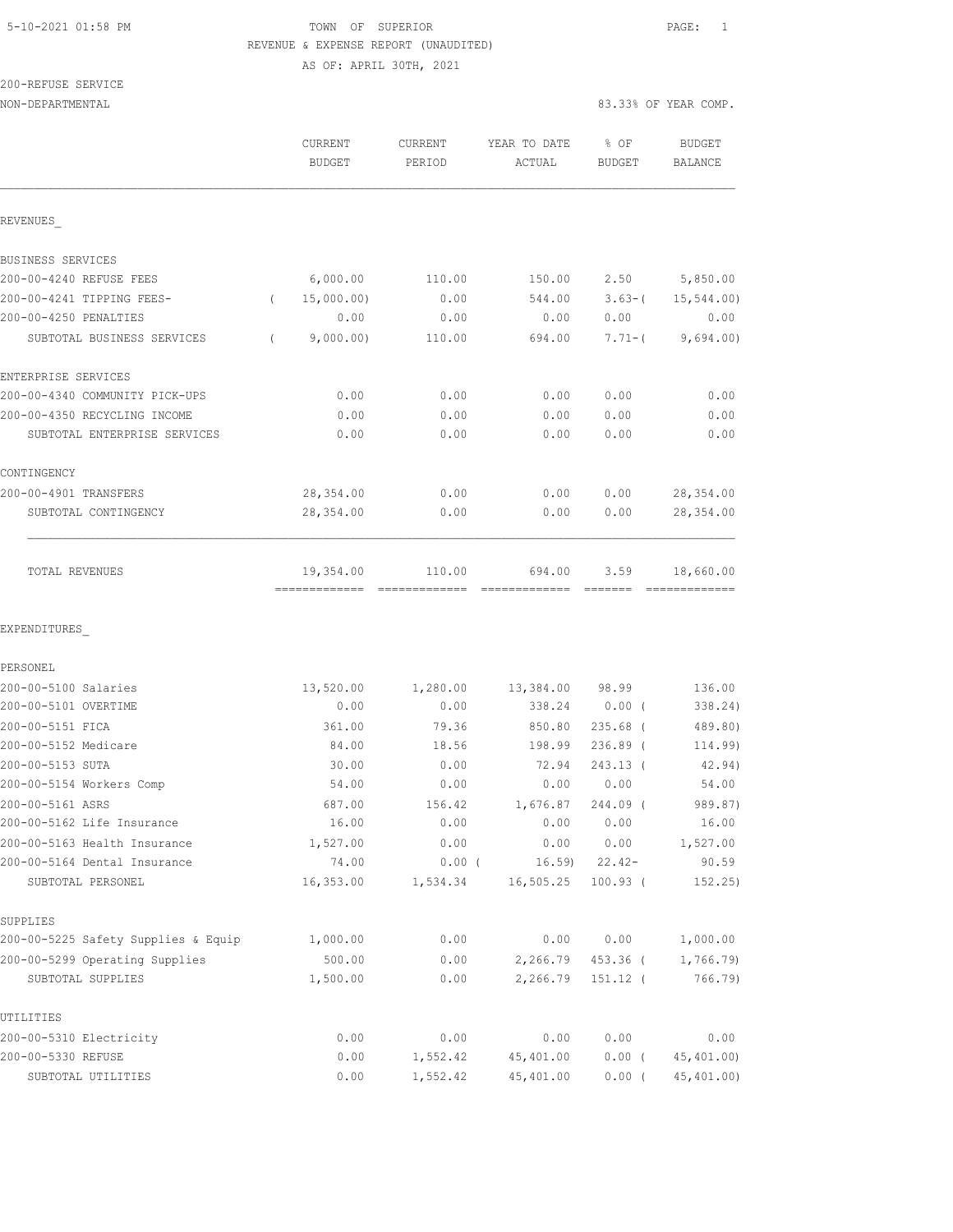# 5-10-2021 01:58 PM TOWN OF SUPERIOR PAGE: 1 REVENUE & EXPENSE REPORT (UNAUDITED)

AS OF: APRIL 30TH, 2021

| 200-REFUSE SERVICE |  |
|--------------------|--|
|                    |  |

|                                                | <b>CURRENT</b><br><b>BUDGET</b> | <b>CURRENT</b><br>PERIOD | YEAR TO DATE<br>ACTUAL | % OF<br><b>BUDGET</b> | <b>BUDGET</b><br><b>BALANCE</b> |
|------------------------------------------------|---------------------------------|--------------------------|------------------------|-----------------------|---------------------------------|
| REVENUES                                       |                                 |                          |                        |                       |                                 |
| BUSINESS SERVICES                              |                                 |                          |                        |                       |                                 |
| 200-00-4240 REFUSE FEES                        | 6,000.00                        | 110.00                   | 150.00                 | 2.50                  | 5,850.00                        |
| 200-00-4241 TIPPING FEES-                      | 15,000.00)<br>$\left($          | 0.00                     | 544.00                 | $3.63-$ (             | $15, 544.00$ )                  |
| 200-00-4250 PENALTIES                          | 0.00                            | 0.00                     | 0.00                   | 0.00                  | 0.00                            |
| SUBTOTAL BUSINESS SERVICES                     | 9,000.00)<br>$\left($           | 110.00                   | 694.00                 | $7.71 - ($            | 9,694.00)                       |
| ENTERPRISE SERVICES                            |                                 |                          |                        |                       |                                 |
| 200-00-4340 COMMUNITY PICK-UPS                 | 0.00                            | 0.00                     | 0.00                   | 0.00                  | 0.00                            |
| 200-00-4350 RECYCLING INCOME                   | 0.00                            | 0.00                     | 0.00                   | 0.00                  | 0.00                            |
| SUBTOTAL ENTERPRISE SERVICES                   | 0.00                            | 0.00                     | 0.00                   | 0.00                  | 0.00                            |
| CONTINGENCY                                    |                                 |                          |                        |                       |                                 |
| 200-00-4901 TRANSFERS                          | 28,354.00                       | 0.00                     | 0.00                   | 0.00                  | 28, 354.00                      |
| SUBTOTAL CONTINGENCY                           | 28,354.00                       | 0.00                     | 0.00                   | 0.00                  | 28,354.00                       |
| TOTAL REVENUES                                 | 19,354.00                       | 110.00                   | 694.00                 | 3.59                  | 18,660.00                       |
| EXPENDITURES                                   |                                 |                          |                        |                       |                                 |
| PERSONEL                                       |                                 |                          |                        |                       |                                 |
| 200-00-5100 Salaries                           | 13,520.00                       | 1,280.00                 | 13,384.00              | 98.99                 | 136.00                          |
| 200-00-5101 OVERTIME                           | 0.00                            | 0.00                     | 338.24                 | $0.00$ (              | 338.24)                         |
| 200-00-5151 FICA                               | 361.00                          | 79.36                    | 850.80                 | $235.68$ (            | 489.80)                         |
| 200-00-5152 Medicare                           | 84.00                           | 18.56                    | 198.99                 | $236.89$ (            | 114.99)                         |
| 200-00-5153 SUTA                               | 30.00                           | 0.00                     | 72.94                  | 243.13 (              | 42.94)                          |
| 200-00-5154 Workers Comp                       | 54.00                           | 0.00                     | 0.00                   | 0.00                  | 54.00                           |
| 200-00-5161 ASRS<br>200-00-5162 Life Insurance | 687.00<br>16.00                 | 156.42<br>0.00           | 1,676.87<br>0.00       | 244.09 (<br>0.00      | 989.87)<br>16.00                |
| 200-00-5163 Health Insurance                   | 1,527.00                        | 0.00                     | 0.00                   | 0.00                  | 1,527.00                        |
| 200-00-5164 Dental Insurance                   | 74.00                           | $0.00$ (                 | 16.59                  | $22.42-$              | 90.59                           |
| SUBTOTAL PERSONEL                              | 16,353.00                       | 1,534.34                 | 16, 505.25             | $100.93$ (            | 152.25                          |
| SUPPLIES                                       |                                 |                          |                        |                       |                                 |
| 200-00-5225 Safety Supplies & Equip            | 1,000.00                        | 0.00                     | 0.00                   | 0.00                  | 1,000.00                        |
| 200-00-5299 Operating Supplies                 | 500.00                          | 0.00                     | 2,266.79               | 453.36 (              | 1,766.79)                       |
| SUBTOTAL SUPPLIES                              | 1,500.00                        | 0.00                     | 2,266.79               | 151.12 (              | 766.79)                         |
| UTILITIES                                      |                                 |                          |                        |                       |                                 |
| 200-00-5310 Electricity                        | 0.00                            | 0.00                     | 0.00                   | 0.00                  | 0.00                            |
| 200-00-5330 REFUSE                             | 0.00                            | 1,552.42                 | 45, 401.00             | $0.00$ (              | 45, 401.00)                     |
| SUBTOTAL UTILITIES                             | 0.00                            | 1,552.42                 | 45,401.00              | $0.00$ (              | 45,401.00)                      |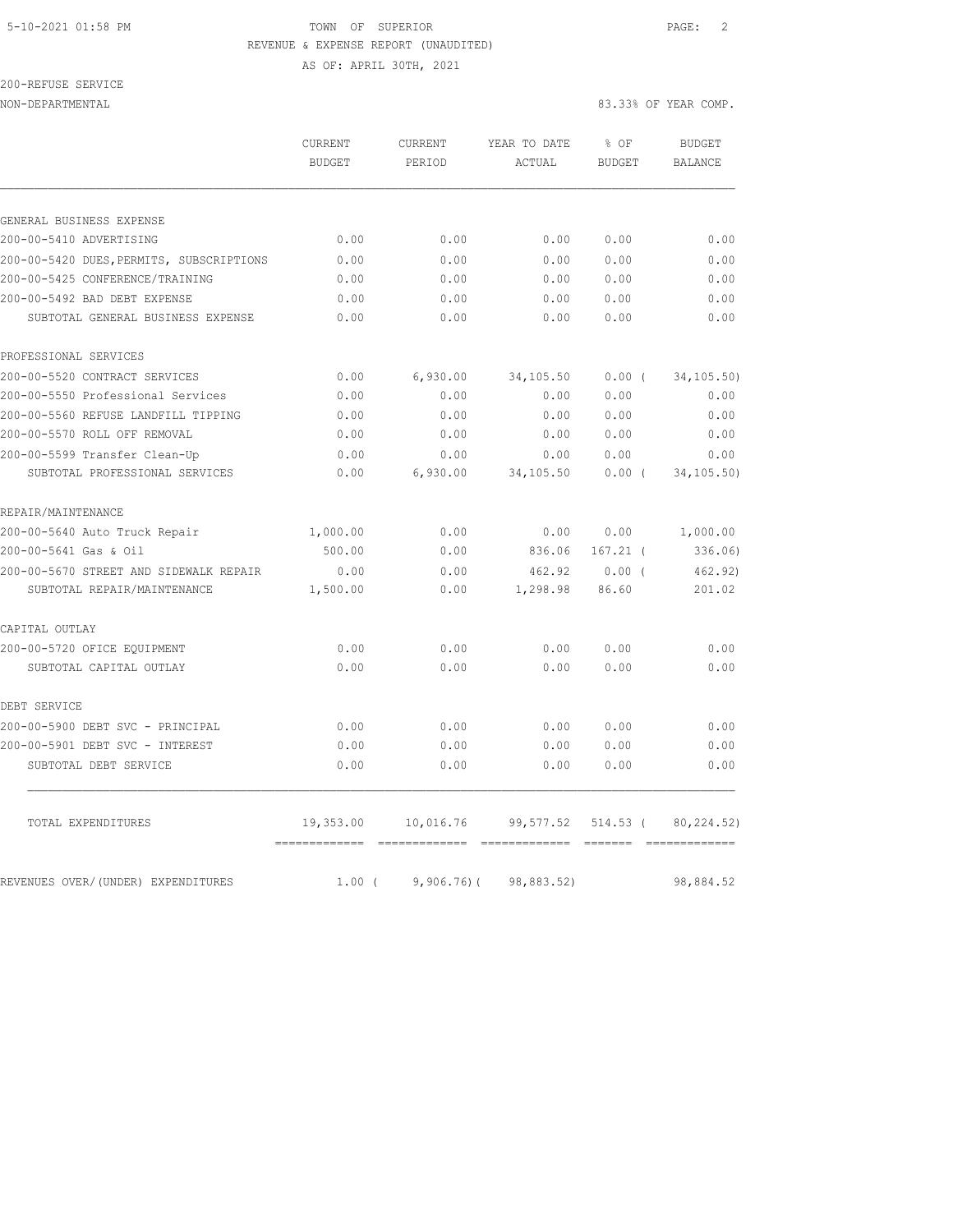## 5-10-2021 01:58 PM TOWN OF SUPERIOR PAGE: 2 REVENUE & EXPENSE REPORT (UNAUDITED) AS OF: APRIL 30TH, 2021

200-REFUSE SERVICE

NON-DEPARTMENTAL 83.33% OF YEAR COMP.

| <b>BUDGET</b> | <b>CURRENT</b><br>PERIOD | YEAR TO DATE<br>ACTUAL | % OF<br><b>BUDGET</b> | <b>BUDGET</b><br><b>BALANCE</b> |
|---------------|--------------------------|------------------------|-----------------------|---------------------------------|
|               |                          |                        |                       |                                 |
|               |                          |                        |                       |                                 |
| 0.00          | 0.00                     | 0.00                   | 0.00                  | 0.00                            |
| 0.00          | 0.00                     | 0.00                   | 0.00                  | 0.00                            |
| 0.00          | 0.00                     | 0.00                   | 0.00                  | 0.00                            |
| 0.00          | 0.00                     | 0.00                   | 0.00                  | 0.00                            |
| 0.00          | 0.00                     | 0.00                   | 0.00                  | 0.00                            |
|               |                          |                        |                       |                                 |
| 0.00          | 6,930.00                 | 34,105.50              | $0.00$ (              | 34, 105.50)                     |
| 0.00          | 0.00                     | 0.00                   | 0.00                  | 0.00                            |
| 0.00          | 0.00                     | 0.00                   | 0.00                  | 0.00                            |
| 0.00          | 0.00                     | 0.00                   | 0.00                  | 0.00                            |
| 0.00          | 0.00                     | 0.00                   | 0.00                  | 0.00                            |
| 0.00          | 6,930.00                 | 34,105.50              | $0.00$ (              | 34,105.50)                      |
|               |                          |                        |                       |                                 |
| 1,000.00      | 0.00                     | 0.00                   | 0.00                  | 1,000.00                        |
| 500.00        | 0.00                     | 836.06                 | $167.21$ (            | 336.06                          |
| 0.00          | 0.00                     | 462.92                 | 0.00(                 | 462.92)                         |
| 1,500.00      | 0.00                     | 1,298.98               | 86.60                 | 201.02                          |
|               |                          |                        |                       |                                 |
| 0.00          | 0.00                     | 0.00                   | 0.00                  | 0.00                            |
| 0.00          | 0.00                     | 0.00                   | 0.00                  | 0.00                            |
|               |                          |                        |                       |                                 |
| 0.00          | 0.00                     | 0.00                   | 0.00                  | 0.00                            |
| 0.00          | 0.00                     | 0.00                   | 0.00                  | 0.00                            |
| 0.00          | 0.00                     | 0.00                   | 0.00                  | 0.00                            |
| 19,353.00     | 10,016.76                | 99,577.52              | 514.53 (              | 80,224.52)                      |
|               |                          |                        |                       |                                 |

REVENUES OVER/(UNDER) EXPENDITURES 1.00 ( 9,906.76) ( 98,883.52) 98,884.52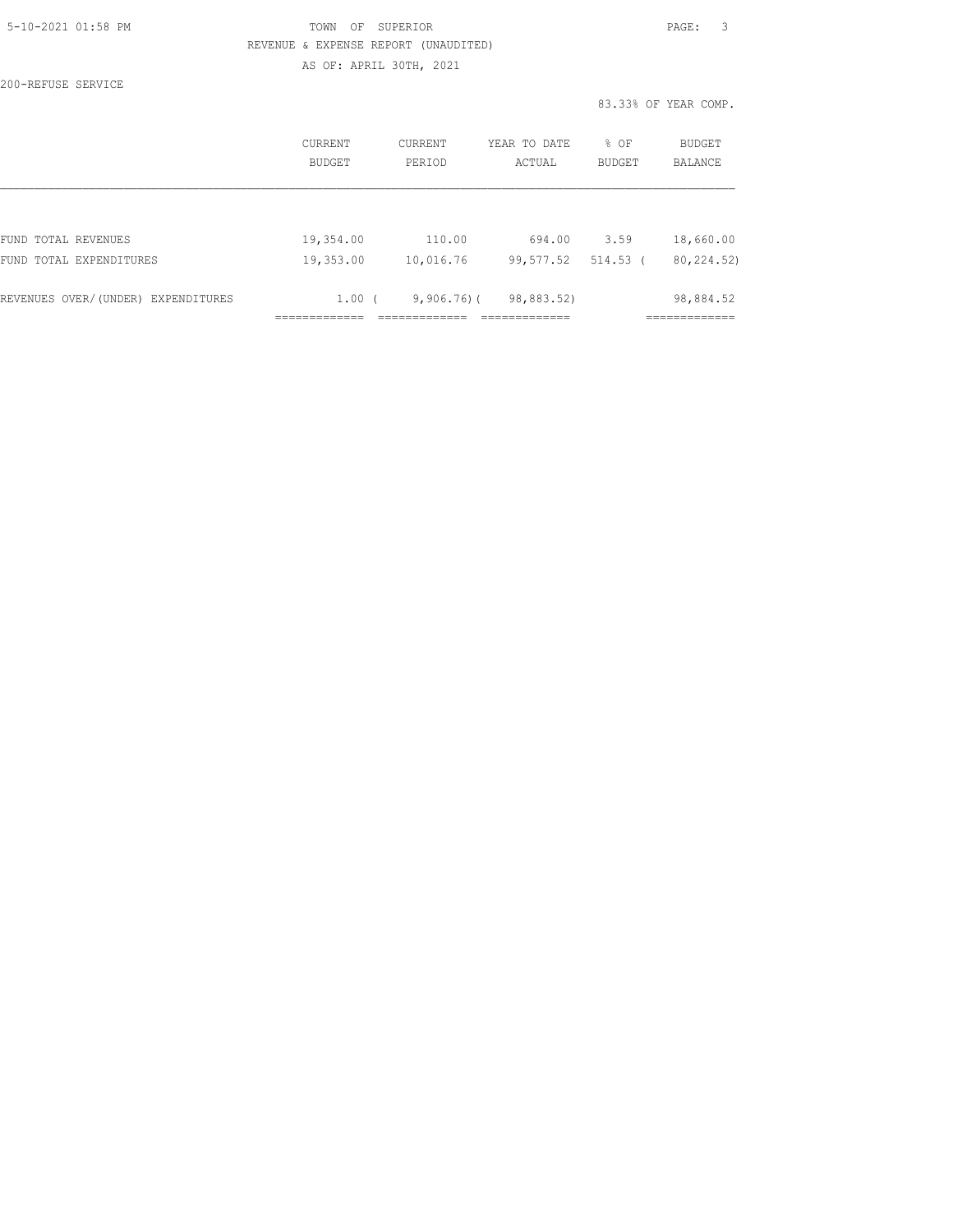| 5-10-2021 01:58 PM |  |
|--------------------|--|
|                    |  |

200-REFUSE SERVICE

## TOWN OF SUPERIOR **Example 2010** PAGE: 3 REVENUE & EXPENSE REPORT (UNAUDITED) AS OF: APRIL 30TH, 2021

|                                    |                   |               | _____________ |          | ------------         |  |
|------------------------------------|-------------------|---------------|---------------|----------|----------------------|--|
| REVENUES OVER/(UNDER) EXPENDITURES | 1.00 <sub>0</sub> | $9,906,76$ )( | 98,883.52)    |          | 98,884.52            |  |
| FUND TOTAL EXPENDITURES            | 19,353.00         | 10,016.76     | 99,577.52     | 514.53 ( | 80, 224.52)          |  |
| FUND TOTAL REVENUES                | 19,354.00         | 110.00        | 694.00        | 3.59     | 18,660.00            |  |
|                                    |                   |               |               |          |                      |  |
|                                    | BUDGET            | PERIOD        | ACTUAL        | BUDGET   | BALANCE              |  |
|                                    | CURRENT           | CURRENT       | YEAR TO DATE  | % OF     | BUDGET               |  |
|                                    |                   |               |               |          | 83.33% OF YEAR COMP. |  |
|                                    |                   |               |               |          |                      |  |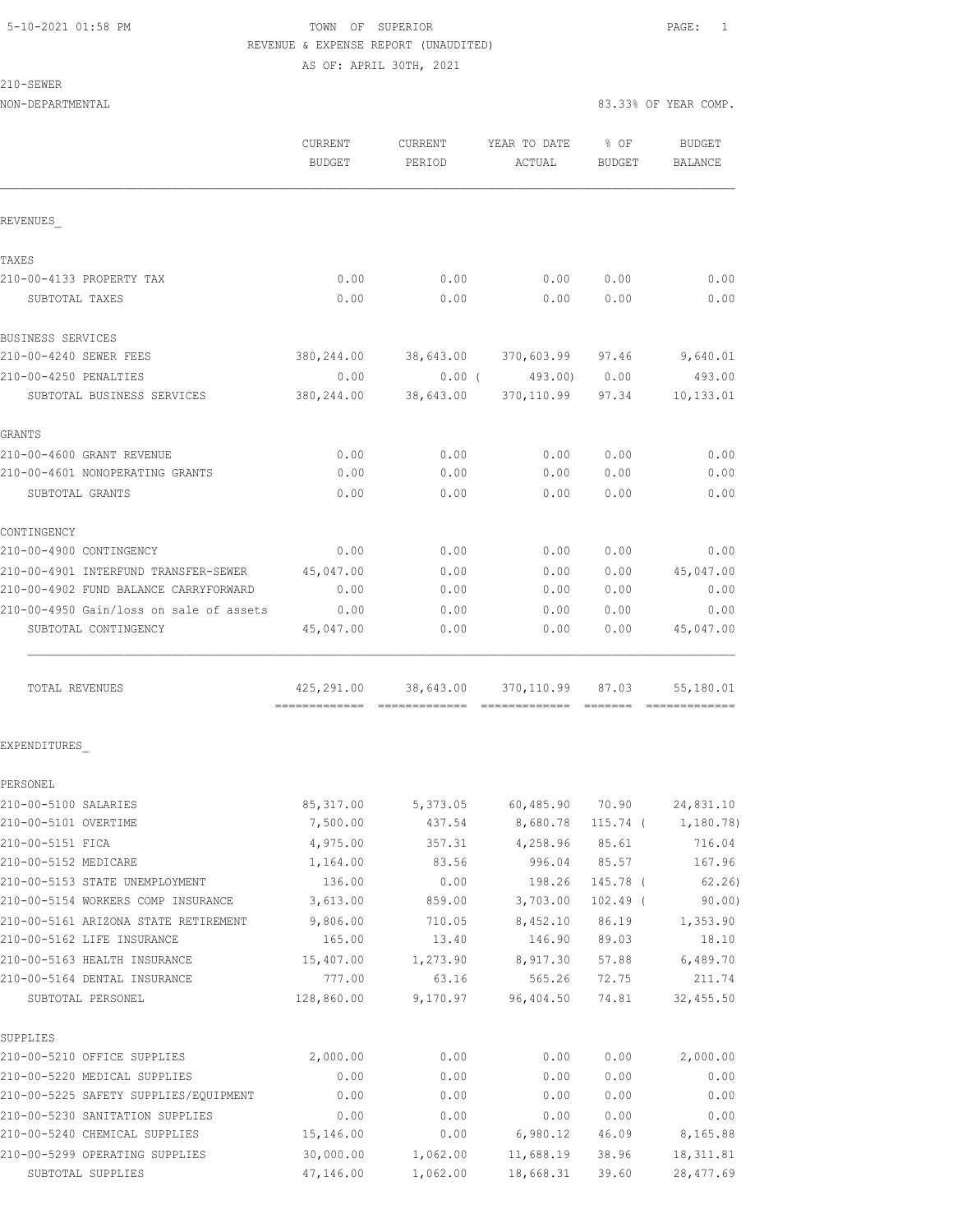# 5-10-2021 01:58 PM TOWN OF SUPERIOR PAGE: 1 REVENUE & EXPENSE REPORT (UNAUDITED)

AS OF: APRIL 30TH, 2021

| ×,<br>٠ |  |
|---------|--|
|---------|--|

|                                                              | CURRENT<br><b>BUDGET</b> | CURRENT<br>PERIOD | YEAR TO DATE<br>ACTUAL                | $8$ OF<br><b>BUDGET</b> | BUDGET<br>BALANCE           |
|--------------------------------------------------------------|--------------------------|-------------------|---------------------------------------|-------------------------|-----------------------------|
| REVENUES                                                     |                          |                   |                                       |                         |                             |
| TAXES                                                        |                          |                   |                                       |                         |                             |
| 210-00-4133 PROPERTY TAX                                     | 0.00                     | 0.00              | 0.00                                  | 0.00                    | 0.00                        |
| SUBTOTAL TAXES                                               | 0.00                     | 0.00              | 0.00                                  | 0.00                    | 0.00                        |
| BUSINESS SERVICES                                            |                          |                   |                                       |                         |                             |
| 210-00-4240 SEWER FEES                                       | 380,244.00               | 38,643.00         | 370,603.99 97.46                      |                         | 9,640.01                    |
| 210-00-4250 PENALTIES                                        | 0.00                     |                   | $0.00$ ( $493.00$ )                   | 0.00                    | 493.00                      |
| SUBTOTAL BUSINESS SERVICES                                   | 380,244.00               | 38,643.00         | 370,110.99 97.34                      |                         | 10,133.01                   |
| GRANTS                                                       |                          |                   |                                       |                         |                             |
| 210-00-4600 GRANT REVENUE                                    | 0.00                     | 0.00              | 0.00                                  | 0.00                    | 0.00                        |
| 210-00-4601 NONOPERATING GRANTS                              | 0.00                     | 0.00              | 0.00                                  | 0.00                    | 0.00                        |
| SUBTOTAL GRANTS                                              | 0.00                     | 0.00              | 0.00                                  | 0.00                    | 0.00                        |
| CONTINGENCY                                                  |                          |                   |                                       |                         |                             |
| 210-00-4900 CONTINGENCY                                      | 0.00                     | 0.00              | 0.00                                  | 0.00                    | 0.00                        |
| 210-00-4901 INTERFUND TRANSFER-SEWER                         | 45,047.00                | 0.00              | 0.00                                  | 0.00                    | 45,047.00                   |
| 210-00-4902 FUND BALANCE CARRYFORWARD                        | 0.00                     | 0.00              | 0.00                                  | 0.00                    | 0.00                        |
| 210-00-4950 Gain/loss on sale of assets                      | 0.00                     | 0.00              | 0.00                                  | 0.00                    | 0.00                        |
| SUBTOTAL CONTINGENCY                                         | 45,047.00                | 0.00              | 0.00                                  | 0.00                    | 45,047.00                   |
| TOTAL REVENUES                                               |                          |                   | 425,291.00 38,643.00 370,110.99 87.03 |                         | 55,180.01                   |
| EXPENDITURES                                                 |                          |                   |                                       |                         |                             |
| PERSONEL                                                     |                          |                   |                                       |                         |                             |
| 210-00-5100 SALARIES                                         | 85, 317.00               |                   | 5,373.05 60,485.90 70.90              |                         | 24,831.10                   |
| 210-00-5101 OVERTIME                                         | 7,500.00                 | 437.54            |                                       |                         | 8,680.78 115.74 ( 1,180.78) |
| 210-00-5151 FICA                                             | 4,975.00                 | 357.31            | 4,258.96                              | 85.61                   | 716.04                      |
| 210-00-5152 MEDICARE                                         | 1,164.00                 | 83.56             | 996.04                                | 85.57                   | 167.96                      |
| 210-00-5153 STATE UNEMPLOYMENT                               | 136.00                   | 0.00              | 198.26                                | 145.78 (                | 62, 26)                     |
| 210-00-5154 WORKERS COMP INSURANCE                           | 3,613.00                 | 859.00            | 3,703.00                              | $102.49$ (              | 90.00)                      |
| 210-00-5161 ARIZONA STATE RETIREMENT                         | 9,806.00                 | 710.05            | 8,452.10                              | 86.19                   | 1,353.90                    |
| 210-00-5162 LIFE INSURANCE                                   | 165.00                   | 13.40             | 146.90                                | 89.03                   | 18.10                       |
| 210-00-5163 HEALTH INSURANCE<br>210-00-5164 DENTAL INSURANCE | 15,407.00                | 1,273.90          | 8,917.30                              | 57.88<br>72.75          | 6,489.70                    |
| SUBTOTAL PERSONEL                                            | 777.00<br>128,860.00     | 63.16<br>9,170.97 | 565.26<br>96,404.50                   | 74.81                   | 211.74<br>32, 455.50        |
| SUPPLIES                                                     |                          |                   |                                       |                         |                             |
| 210-00-5210 OFFICE SUPPLIES                                  | 2,000.00                 | 0.00              | 0.00                                  | 0.00                    | 2,000.00                    |
| 210-00-5220 MEDICAL SUPPLIES                                 | 0.00                     | 0.00              | 0.00                                  | 0.00                    | 0.00                        |
| 210-00-5225 SAFETY SUPPLIES/EQUIPMENT                        | 0.00                     | 0.00              | 0.00                                  | 0.00                    | 0.00                        |
| 210-00-5230 SANITATION SUPPLIES                              | 0.00                     | 0.00              | 0.00                                  | 0.00                    | 0.00                        |
| 210-00-5240 CHEMICAL SUPPLIES                                | 15,146.00                | 0.00              | 6,980.12                              | 46.09                   | 8,165.88                    |
| 210-00-5299 OPERATING SUPPLIES                               | 30,000.00                | 1,062.00          | 11,688.19                             | 38.96                   | 18, 311.81                  |
| SUBTOTAL SUPPLIES                                            | 47,146.00                | 1,062.00          | 18,668.31                             | 39.60                   | 28, 477.69                  |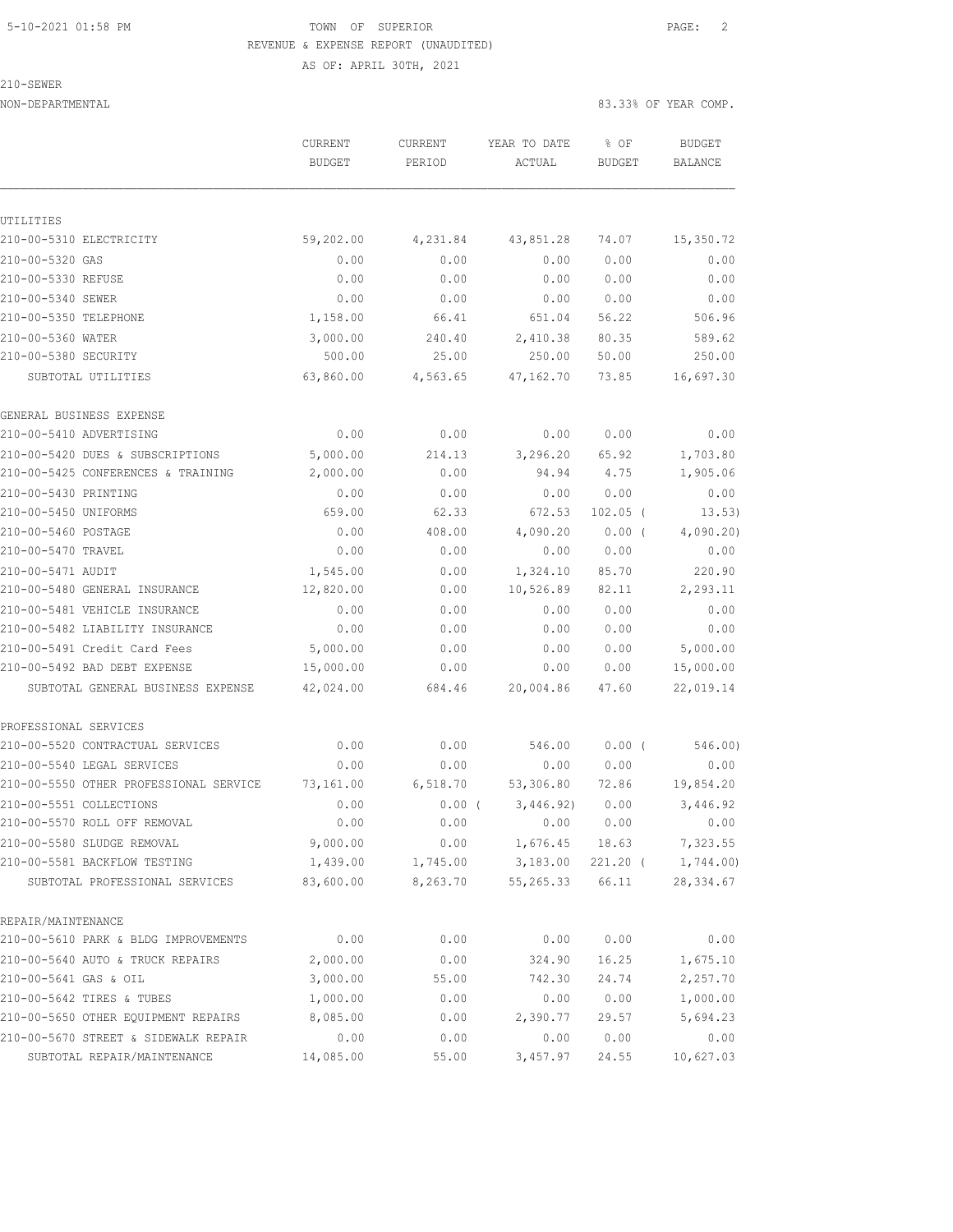# 5-10-2021 01:58 PM **TOWN** OF SUPERIOR **PAGE:** 2 REVENUE & EXPENSE REPORT (UNAUDITED)

AS OF: APRIL 30TH, 2021

210-SEWER

|                                        | CURRENT<br><b>BUDGET</b> | CURRENT<br>PERIOD | YEAR TO DATE<br>ACTUAL | % OF<br><b>BUDGET</b> | <b>BUDGET</b><br><b>BALANCE</b> |
|----------------------------------------|--------------------------|-------------------|------------------------|-----------------------|---------------------------------|
|                                        |                          |                   |                        |                       |                                 |
| UTILITIES                              |                          |                   |                        |                       |                                 |
| 210-00-5310 ELECTRICITY                | 59,202.00                | 4,231.84          | 43,851.28              | 74.07                 | 15,350.72                       |
| 210-00-5320 GAS                        | 0.00                     | 0.00              | 0.00                   | 0.00                  | 0.00                            |
| 210-00-5330 REFUSE                     | 0.00                     | 0.00              | 0.00                   | 0.00                  | 0.00                            |
| 210-00-5340 SEWER                      | 0.00                     | 0.00              | 0.00                   | 0.00                  | 0.00                            |
| 210-00-5350 TELEPHONE                  | 1,158.00                 | 66.41             | 651.04                 | 56.22                 | 506.96                          |
| 210-00-5360 WATER                      | 3,000.00                 | 240.40            | 2,410.38               | 80.35                 | 589.62                          |
| 210-00-5380 SECURITY                   | 500.00                   | 25.00             | 250.00                 | 50.00                 | 250.00                          |
| SUBTOTAL UTILITIES                     | 63,860.00                | 4,563.65          | 47,162.70              | 73.85                 | 16,697.30                       |
| GENERAL BUSINESS EXPENSE               |                          |                   |                        |                       |                                 |
| 210-00-5410 ADVERTISING                | 0.00                     | 0.00              | 0.00                   | 0.00                  | 0.00                            |
| 210-00-5420 DUES & SUBSCRIPTIONS       | 5,000.00                 | 214.13            | 3,296.20               | 65.92                 | 1,703.80                        |
| 210-00-5425 CONFERENCES & TRAINING     | 2,000.00                 | 0.00              | 94.94                  | 4.75                  | 1,905.06                        |
| 210-00-5430 PRINTING                   | 0.00                     | 0.00              | 0.00                   | 0.00                  | 0.00                            |
| 210-00-5450 UNIFORMS                   | 659.00                   | 62.33             | 672.53                 | $102.05$ (            | 13.53)                          |
| 210-00-5460 POSTAGE                    | 0.00                     | 408.00            | 4,090.20               | $0.00$ (              | 4,090.20                        |
| 210-00-5470 TRAVEL                     | 0.00                     | 0.00              | 0.00                   | 0.00                  | 0.00                            |
| 210-00-5471 AUDIT                      | 1,545.00                 | 0.00              | 1,324.10               | 85.70                 | 220.90                          |
| 210-00-5480 GENERAL INSURANCE          | 12,820.00                | 0.00              | 10,526.89              | 82.11                 | 2,293.11                        |
| 210-00-5481 VEHICLE INSURANCE          | 0.00                     | 0.00              | 0.00                   | 0.00                  | 0.00                            |
| 210-00-5482 LIABILITY INSURANCE        | 0.00                     | 0.00              | 0.00                   | 0.00                  | 0.00                            |
| 210-00-5491 Credit Card Fees           | 5,000.00                 | 0.00              | 0.00                   | 0.00                  | 5,000.00                        |
| 210-00-5492 BAD DEBT EXPENSE           | 15,000.00                | 0.00              | 0.00                   | 0.00                  | 15,000.00                       |
| SUBTOTAL GENERAL BUSINESS EXPENSE      | 42,024.00                | 684.46            | 20,004.86              | 47.60                 | 22,019.14                       |
| PROFESSIONAL SERVICES                  |                          |                   |                        |                       |                                 |
| 210-00-5520 CONTRACTUAL SERVICES       | 0.00                     | 0.00              | 546.00                 | $0.00$ (              | 546.00)                         |
| 210-00-5540 LEGAL SERVICES             | 0.00                     | 0.00              | 0.00                   | 0.00                  | 0.00                            |
| 210-00-5550 OTHER PROFESSIONAL SERVICE | 73,161.00                | 6,518.70          | 53,306.80              | 72.86                 | 19,854.20                       |
| 210-00-5551 COLLECTIONS                | 0.00                     | 0.00(             | 3,446.92)              | 0.00                  | 3,446.92                        |
| 210-00-5570 ROLL OFF REMOVAL           | 0.00                     | 0.00              | 0.00                   | 0.00                  | 0.00                            |
| 210-00-5580 SLUDGE REMOVAL             | 9,000.00                 | 0.00              | 1,676.45               | 18.63                 | 7,323.55                        |
| 210-00-5581 BACKFLOW TESTING           | 1,439.00                 | 1,745.00          | 3,183.00               | 221.20 (              | 1,744.00)                       |
| SUBTOTAL PROFESSIONAL SERVICES         | 83,600.00                | 8,263.70          | 55,265.33              | 66.11                 | 28, 334.67                      |
| REPAIR/MAINTENANCE                     |                          |                   |                        |                       |                                 |
| 210-00-5610 PARK & BLDG IMPROVEMENTS   | 0.00                     | 0.00              | 0.00                   | 0.00                  | 0.00                            |
| 210-00-5640 AUTO & TRUCK REPAIRS       | 2,000.00                 | 0.00              | 324.90                 | 16.25                 | 1,675.10                        |
| 210-00-5641 GAS & OIL                  | 3,000.00                 | 55.00             | 742.30                 | 24.74                 | 2,257.70                        |
| 210-00-5642 TIRES & TUBES              | 1,000.00                 | 0.00              | 0.00                   | 0.00                  | 1,000.00                        |
| 210-00-5650 OTHER EQUIPMENT REPAIRS    | 8,085.00                 | 0.00              | 2,390.77               | 29.57                 | 5,694.23                        |
| 210-00-5670 STREET & SIDEWALK REPAIR   | 0.00                     | 0.00              | 0.00                   | 0.00                  | 0.00                            |
| SUBTOTAL REPAIR/MAINTENANCE            | 14,085.00                | 55.00             | 3,457.97               | 24.55                 | 10,627.03                       |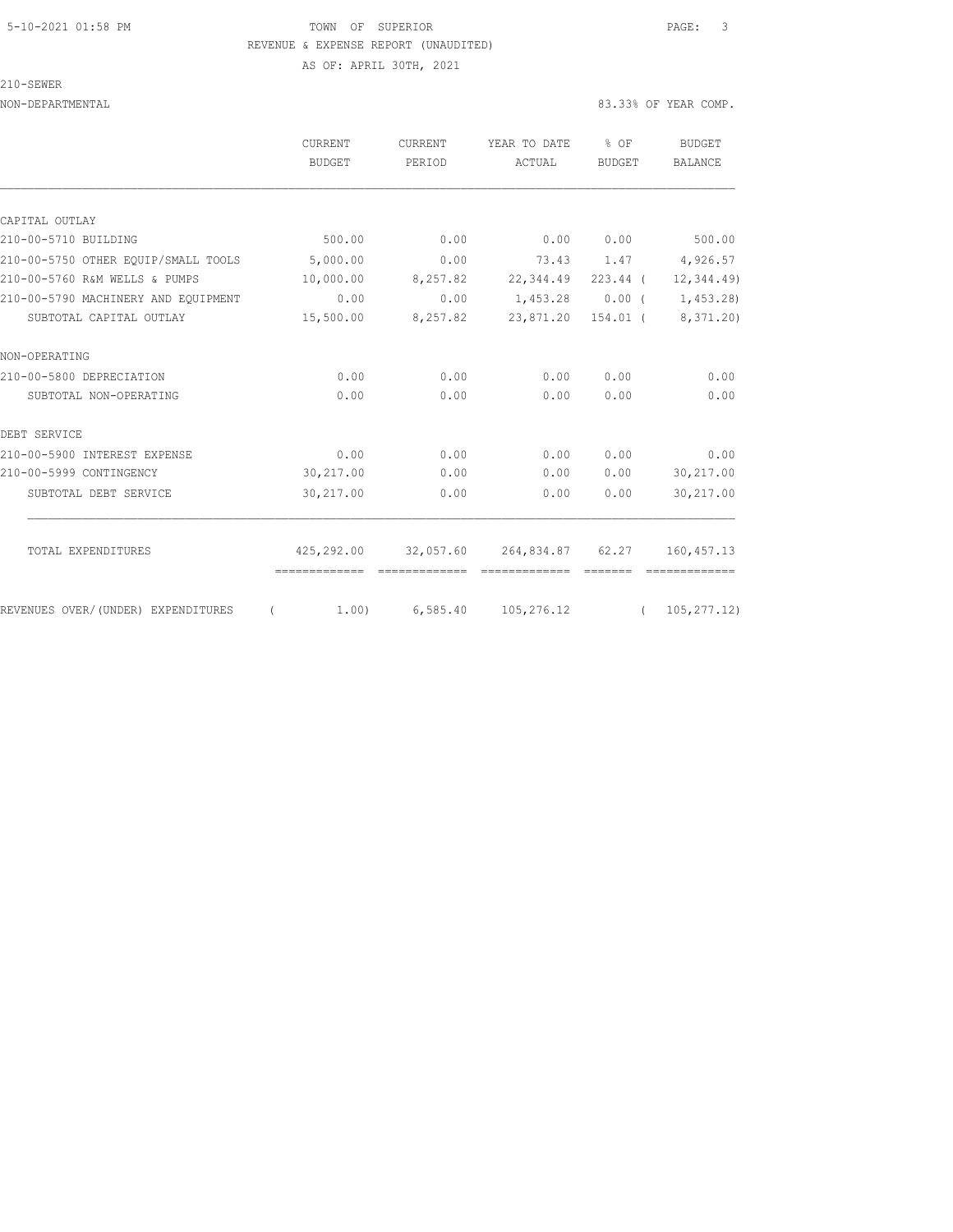### 5-10-2021 01:58 PM TOWN OF SUPERIOR PAGE: 3 REVENUE & EXPENSE REPORT (UNAUDITED) AS OF: APRIL 30TH, 2021

210-SEWER

|                                     | <b>CURRENT</b>                              | <b>CURRENT</b><br><b>BUDGET</b><br>PERIOD | YEAR TO DATE<br>ACTUAL            | % OF<br><b>BUDGET</b> | <b>BUDGET</b>                 |
|-------------------------------------|---------------------------------------------|-------------------------------------------|-----------------------------------|-----------------------|-------------------------------|
|                                     |                                             |                                           |                                   |                       | <b>BALANCE</b>                |
| CAPITAL OUTLAY                      |                                             |                                           |                                   |                       |                               |
| 210-00-5710 BUILDING                | 500.00                                      | 0.00                                      | 0.00                              | 0.00                  | 500.00                        |
|                                     |                                             |                                           |                                   |                       |                               |
| 210-00-5750 OTHER EOUIP/SMALL TOOLS | 5,000.00                                    | 0.00                                      |                                   |                       | 73.43 1.47 4,926.57           |
| 210-00-5760 R&M WELLS & PUMPS       | 10,000.00                                   | 8,257.82                                  | 22,344.49 223.44 (                |                       | 12, 344.49                    |
| 210-00-5790 MACHINERY AND EOUIPMENT | 0.00                                        | 0.00                                      | 1,453.28                          | $0.00$ (              | 1,453.28)                     |
| SUBTOTAL CAPITAL OUTLAY             | 15,500.00                                   | 8,257.82                                  | 23,871.20 154.01 (                |                       | 8,371.20)                     |
| NON-OPERATING                       |                                             |                                           |                                   |                       |                               |
| 210-00-5800 DEPRECIATION            | 0.00                                        | 0.00                                      | 0.00                              | 0.00                  | 0.00                          |
| SUBTOTAL NON-OPERATING              | 0.00                                        | 0.00                                      | 0.00                              | 0.00                  | 0.00                          |
| DEBT SERVICE                        |                                             |                                           |                                   |                       |                               |
| 210-00-5900 INTEREST EXPENSE        | 0.00                                        | 0.00                                      | 0.00                              | 0.00                  | 0.00                          |
| 210-00-5999 CONTINGENCY             | 30,217.00                                   | 0.00                                      | 0.00                              | 0.00                  | 30,217.00                     |
| SUBTOTAL DEBT SERVICE               | 30,217.00                                   | 0.00                                      | 0.00                              | 0.00                  | 30,217.00                     |
|                                     |                                             |                                           |                                   |                       |                               |
| TOTAL EXPENDITURES                  | 425,292.00<br>-------------- -------------- | 32,057.60                                 | 264,834.87 62.27<br>============= | --------              | 160, 457.13<br>- cocococococo |
| REVENUES OVER/(UNDER) EXPENDITURES  | 1,00)<br>$\left($                           | 6,585.40                                  | 105,276.12                        |                       | (105, 277, 12)                |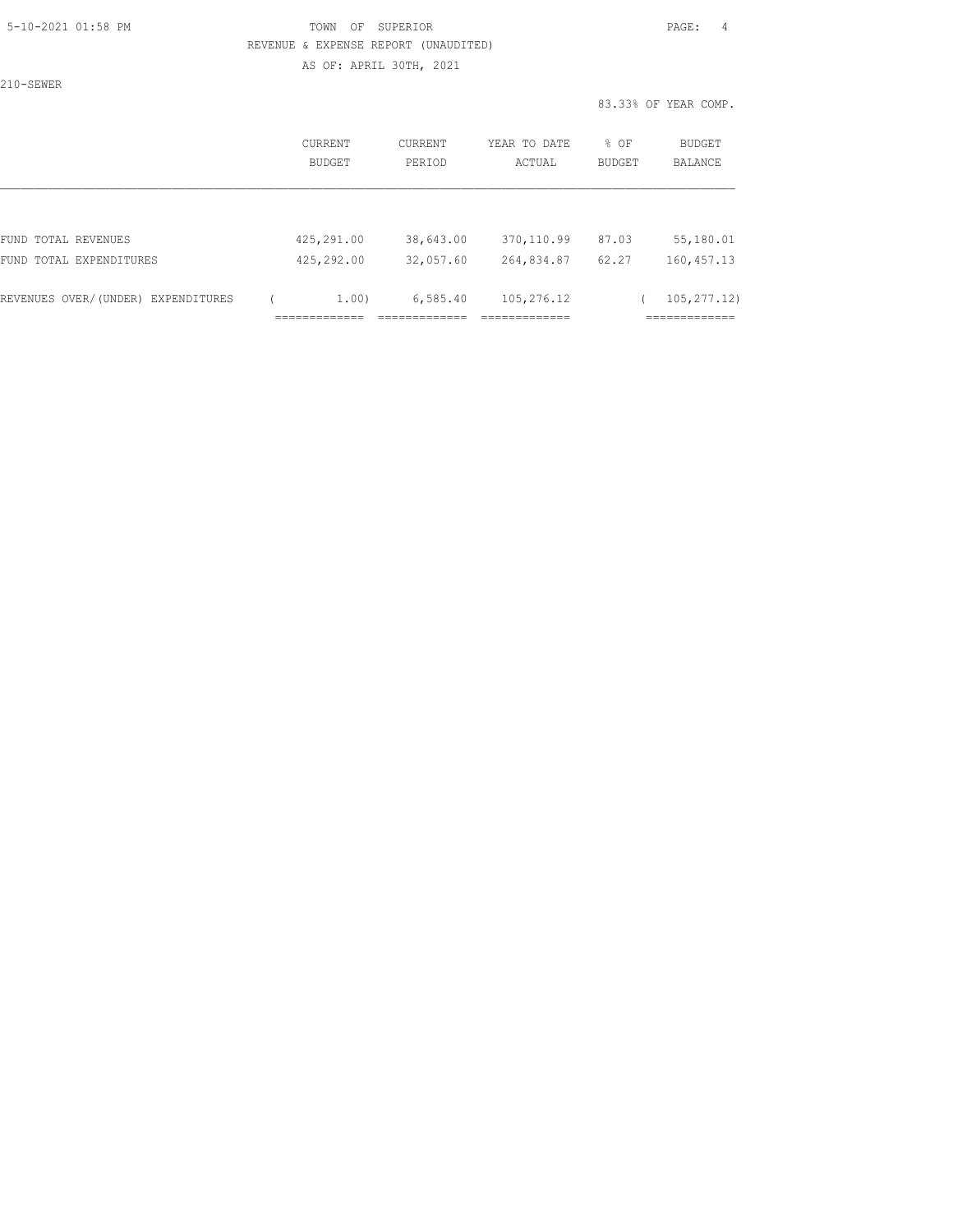## 5-10-2021 01:58 PM TOWN OF SUPERIOR PAGE: 4 REVENUE & EXPENSE REPORT (UNAUDITED) AS OF: APRIL 30TH, 2021

210-SEWER

|                                    | CURRENT<br><b>BUDGET</b> | <b>CURRENT</b><br>PERIOD | YEAR TO DATE<br>ACTUAL | % OF<br><b>BUDGET</b> | BUDGET<br><b>BALANCE</b> |
|------------------------------------|--------------------------|--------------------------|------------------------|-----------------------|--------------------------|
|                                    |                          |                          |                        |                       |                          |
| FUND TOTAL REVENUES                | 425,291.00               | 38,643.00                | 370, 110.99            | 87.03                 | 55,180.01                |
| FUND TOTAL EXPENDITURES            | 425,292.00               | 32,057.60                | 264,834.87             | 62.27                 | 160, 457.13              |
| REVENUES OVER/(UNDER) EXPENDITURES | 1.00)                    | 6,585.40                 | 105,276.12             |                       | 105, 277, 12)            |
|                                    |                          |                          |                        |                       | ________                 |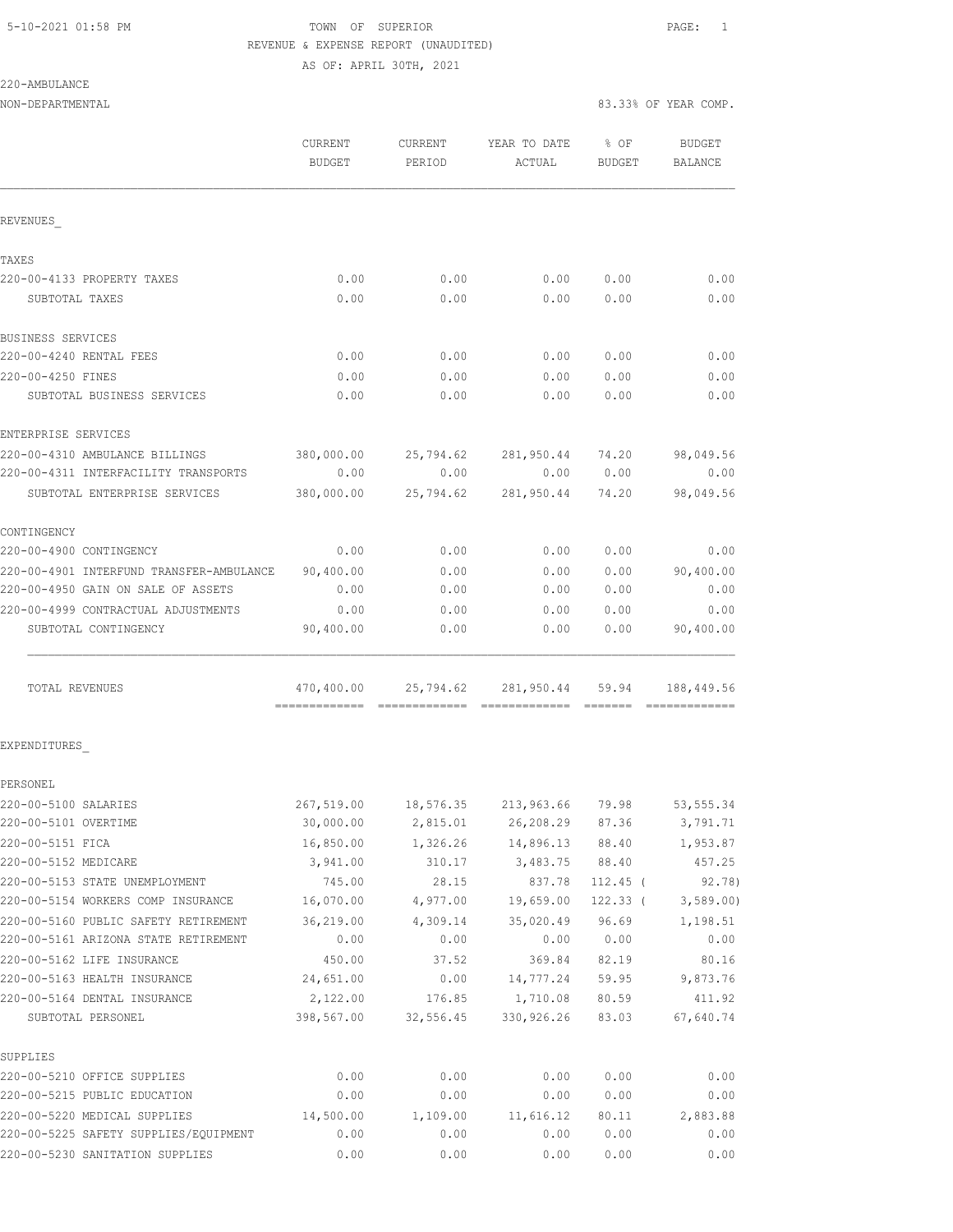## 5-10-2021 01:58 PM **TOWN** OF SUPERIOR **PAGE:** 1 REVENUE & EXPENSE REPORT (UNAUDITED) AS OF: APRIL 30TH, 2021

220-AMBULANCE

| NON-DEPARTMENTAL                                   |                          |                   |                                       | 83.33% OF YEAR COMP. |                   |
|----------------------------------------------------|--------------------------|-------------------|---------------------------------------|----------------------|-------------------|
|                                                    | CURRENT<br><b>BUDGET</b> | CURRENT<br>PERIOD | YEAR TO DATE<br>ACTUAL                | $8$ OF<br>BUDGET     | BUDGET<br>BALANCE |
| REVENUES                                           |                          |                   |                                       |                      |                   |
| TAXES                                              |                          |                   |                                       |                      |                   |
| 220-00-4133 PROPERTY TAXES                         | 0.00                     | 0.00              | 0.00                                  | 0.00                 | 0.00              |
| SUBTOTAL TAXES                                     | 0.00                     | 0.00              | 0.00                                  | 0.00                 | 0.00              |
| BUSINESS SERVICES                                  |                          |                   |                                       |                      |                   |
| 220-00-4240 RENTAL FEES                            | 0.00                     | 0.00              | 0.00                                  | 0.00                 | 0.00              |
| 220-00-4250 FINES                                  | 0.00                     | 0.00              | 0.00                                  | 0.00                 | 0.00              |
| SUBTOTAL BUSINESS SERVICES                         | 0.00                     | 0.00              | 0.00                                  | 0.00                 | 0.00              |
| ENTERPRISE SERVICES                                |                          |                   |                                       |                      |                   |
| 220-00-4310 AMBULANCE BILLINGS                     |                          |                   | 380,000.00 25,794.62 281,950.44 74.20 |                      | 98,049.56         |
| 220-00-4311 INTERFACILITY TRANSPORTS               | 0.00                     | 0.00              |                                       | 0.00 0.00            | 0.00              |
| SUBTOTAL ENTERPRISE SERVICES                       |                          |                   | 380,000.00 25,794.62 281,950.44       | 74.20                | 98,049.56         |
| CONTINGENCY                                        |                          |                   |                                       |                      |                   |
| 220-00-4900 CONTINGENCY                            | 0.00                     | 0.00              | 0.00                                  | 0.00                 | 0.00              |
| 220-00-4901 INTERFUND TRANSFER-AMBULANCE 90,400.00 |                          | 0.00              | 0.00                                  | 0.00                 | 90,400.00         |
| 220-00-4950 GAIN ON SALE OF ASSETS                 | 0.00                     | 0.00              | 0.00                                  | 0.00                 | 0.00              |
| 220-00-4999 CONTRACTUAL ADJUSTMENTS                | 0.00                     | 0.00              | 0.00                                  | 0.00                 | 0.00              |
| SUBTOTAL CONTINGENCY                               | 90,400.00                | 0.00              | 0.00                                  | 0.00                 | 90,400.00         |
| TOTAL REVENUES                                     |                          |                   | 470,400.00 25,794.62 281,950.44 59.94 |                      | 188,449.56        |
| EXPENDITURES                                       |                          |                   |                                       |                      |                   |
| PERSONEL                                           |                          |                   |                                       |                      |                   |
| 220-00-5100 SALARIES                               | 267,519.00               | 18,576.35         | 213,963.66                            | 79.98                | 53, 555.34        |
| 220-00-5101 OVERTIME                               | 30,000.00                | 2,815.01          | 26,208.29                             | 87.36                | 3,791.71          |
| 220-00-5151 FICA                                   | 16,850.00                | 1,326.26          | 14,896.13                             | 88.40                | 1,953.87          |
| 220-00-5152 MEDICARE                               | 3,941.00                 | 310.17            | 3,483.75                              | 88.40                | 457.25            |
| 220-00-5153 STATE UNEMPLOYMENT                     | 745.00                   | 28.15             | 837.78                                | $112.45$ (           | 92.78)            |
| 220-00-5154 WORKERS COMP INSURANCE                 | 16,070.00                | 4,977.00          | 19,659.00                             | $122.33$ (           | 3,589.00          |
| 220-00-5160 PUBLIC SAFETY RETIREMENT               | 36,219.00                | 4,309.14          | 35,020.49                             | 96.69                | 1,198.51          |
| 220-00-5161 ARIZONA STATE RETIREMENT               | 0.00                     | 0.00              | 0.00                                  | 0.00                 | 0.00              |
| 220-00-5162 LIFE INSURANCE                         | 450.00                   | 37.52             | 369.84                                | 82.19                | 80.16             |
| 220-00-5163 HEALTH INSURANCE                       | 24,651.00                | 0.00              | 14,777.24                             | 59.95                | 9,873.76          |
| 220-00-5164 DENTAL INSURANCE                       | 2,122.00                 | 176.85            | 1,710.08                              | 80.59                | 411.92            |
| SUBTOTAL PERSONEL                                  | 398,567.00               | 32,556.45         | 330,926.26                            | 83.03                | 67,640.74         |
| SUPPLIES                                           |                          |                   |                                       |                      |                   |
| 220-00-5210 OFFICE SUPPLIES                        | 0.00                     | 0.00              | 0.00                                  | 0.00                 | 0.00              |
| 220-00-5215 PUBLIC EDUCATION                       | 0.00                     | 0.00              | 0.00                                  | 0.00                 | 0.00              |
| 220-00-5220 MEDICAL SUPPLIES                       | 14,500.00                | 1,109.00          | 11,616.12                             | 80.11                | 2,883.88          |

220-00-5225 SAFETY SUPPLIES/EQUIPMENT 0.00 0.00 0.00 0.00 0.00 220-00-5230 SANITATION SUPPLIES 0.00 0.00 0.00 0.00 0.00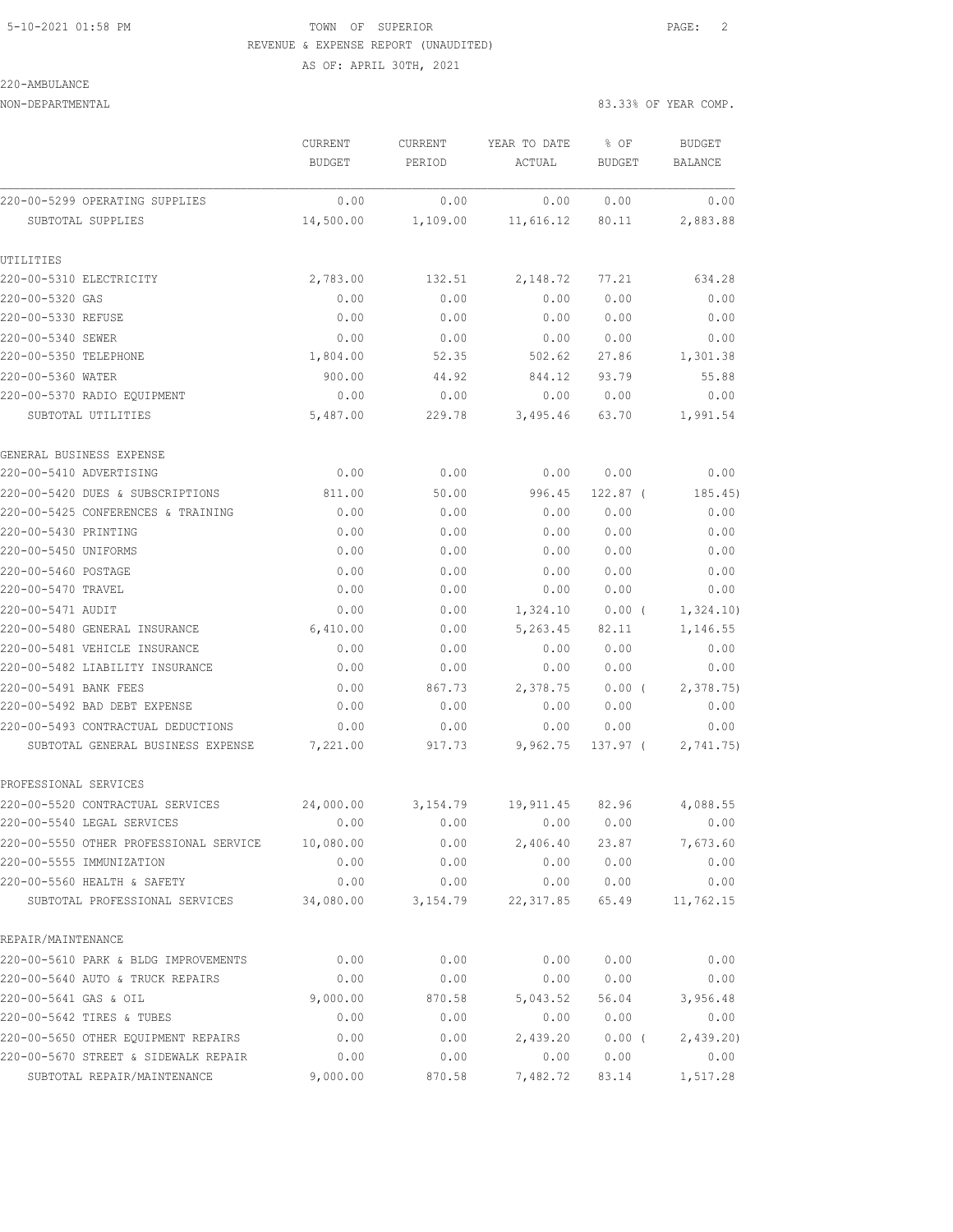### 5-10-2021 01:58 PM TOWN OF SUPERIOR PAGE: 2 REVENUE & EXPENSE REPORT (UNAUDITED) AS OF: APRIL 30TH, 2021

220-AMBULANCE

|                                        | CURRENT<br><b>BUDGET</b> | CURRENT<br>PERIOD | YEAR TO DATE<br>ACTUAL | % OF<br><b>BUDGET</b> | <b>BUDGET</b><br>BALANCE |
|----------------------------------------|--------------------------|-------------------|------------------------|-----------------------|--------------------------|
| 220-00-5299 OPERATING SUPPLIES         | 0.00                     | 0.00              | 0.00                   | 0.00                  | 0.00                     |
| SUBTOTAL SUPPLIES                      | 14,500.00                | 1,109.00          | 11,616.12              | 80.11                 | 2,883.88                 |
| UTILITIES                              |                          |                   |                        |                       |                          |
| 220-00-5310 ELECTRICITY                | 2,783.00                 | 132.51            | 2,148.72               | 77.21                 | 634.28                   |
| 220-00-5320 GAS                        | 0.00                     | 0.00              | 0.00                   | 0.00                  | 0.00                     |
| 220-00-5330 REFUSE                     | 0.00                     | 0.00              | 0.00                   | 0.00                  | 0.00                     |
| 220-00-5340 SEWER                      | 0.00                     | 0.00              | 0.00                   | 0.00                  | 0.00                     |
| 220-00-5350 TELEPHONE                  | 1,804.00                 | 52.35             | 502.62                 | 27.86                 | 1,301.38                 |
| 220-00-5360 WATER                      | 900.00                   | 44.92             | 844.12                 | 93.79                 | 55.88                    |
| 220-00-5370 RADIO EQUIPMENT            | 0.00                     | 0.00              | 0.00                   | 0.00                  | 0.00                     |
| SUBTOTAL UTILITIES                     | 5,487.00                 | 229.78            | 3,495.46               | 63.70                 | 1,991.54                 |
| GENERAL BUSINESS EXPENSE               |                          |                   |                        |                       |                          |
| 220-00-5410 ADVERTISING                | 0.00                     | 0.00              | 0.00                   | 0.00                  | 0.00                     |
| 220-00-5420 DUES & SUBSCRIPTIONS       | 811.00                   | 50.00             | 996.45                 | $122.87$ (            | 185.45)                  |
| 220-00-5425 CONFERENCES & TRAINING     | 0.00                     | 0.00              | 0.00                   | 0.00                  | 0.00                     |
| 220-00-5430 PRINTING                   | 0.00                     | 0.00              | 0.00                   | 0.00                  | 0.00                     |
| 220-00-5450 UNIFORMS                   | 0.00                     | 0.00              | 0.00                   | 0.00                  | 0.00                     |
| 220-00-5460 POSTAGE                    | 0.00                     | 0.00              | 0.00                   | 0.00                  | 0.00                     |
| 220-00-5470 TRAVEL                     | 0.00                     | 0.00              | 0.00                   | 0.00                  | 0.00                     |
| 220-00-5471 AUDIT                      | 0.00                     | 0.00              | 1,324.10               | $0.00$ (              | 1,324.10)                |
| 220-00-5480 GENERAL INSURANCE          | 6,410.00                 | 0.00              | 5,263.45               | 82.11                 | 1,146.55                 |
| 220-00-5481 VEHICLE INSURANCE          | 0.00                     | 0.00              | 0.00                   | 0.00                  | 0.00                     |
| 220-00-5482 LIABILITY INSURANCE        | 0.00                     | 0.00              | 0.00                   | 0.00                  | 0.00                     |
| 220-00-5491 BANK FEES                  | 0.00                     | 867.73            | 2,378.75               | $0.00$ (              | 2,378.75                 |
| 220-00-5492 BAD DEBT EXPENSE           | 0.00                     | 0.00              | 0.00                   | 0.00                  | 0.00                     |
| 220-00-5493 CONTRACTUAL DEDUCTIONS     | 0.00                     | 0.00              | 0.00                   | 0.00                  | 0.00                     |
| SUBTOTAL GENERAL BUSINESS EXPENSE      | 7,221.00                 | 917.73            | 9,962.75               | 137.97 (              | 2,741.75)                |
| PROFESSIONAL SERVICES                  |                          |                   |                        |                       |                          |
| 220-00-5520 CONTRACTUAL SERVICES       | 24,000.00                | 3,154.79          | 19,911.45              | 82.96                 | 4,088.55                 |
| 220-00-5540 LEGAL SERVICES             | 0.00                     | 0.00              | 0.00                   | 0.00                  | 0.00                     |
| 220-00-5550 OTHER PROFESSIONAL SERVICE | 10,080.00                | 0.00              | 2,406.40               | 23.87                 | 7,673.60                 |
| 220-00-5555 IMMUNIZATION               | 0.00                     | 0.00              | 0.00                   | 0.00                  | 0.00                     |
| 220-00-5560 HEALTH & SAFETY            | 0.00                     | 0.00              | 0.00                   | 0.00                  | 0.00                     |
| SUBTOTAL PROFESSIONAL SERVICES         | 34,080.00                | 3,154.79          | 22, 317.85             | 65.49                 | 11,762.15                |
| REPAIR/MAINTENANCE                     |                          |                   |                        |                       |                          |
| 220-00-5610 PARK & BLDG IMPROVEMENTS   | 0.00                     | 0.00              | 0.00                   | 0.00                  | 0.00                     |
| 220-00-5640 AUTO & TRUCK REPAIRS       | 0.00                     | 0.00              | 0.00                   | 0.00                  | 0.00                     |
| 220-00-5641 GAS & OIL                  | 9,000.00                 | 870.58            | 5,043.52               | 56.04                 | 3,956.48                 |
| 220-00-5642 TIRES & TUBES              | 0.00                     | 0.00              | 0.00                   | 0.00                  | 0.00                     |
| 220-00-5650 OTHER EQUIPMENT REPAIRS    | 0.00                     | 0.00              | 2,439.20               | 0.00(                 | 2,439.20                 |
| 220-00-5670 STREET & SIDEWALK REPAIR   | 0.00                     | 0.00              | 0.00                   | 0.00                  | 0.00                     |
| SUBTOTAL REPAIR/MAINTENANCE            | 9,000.00                 | 870.58            | 7,482.72               | 83.14                 | 1,517.28                 |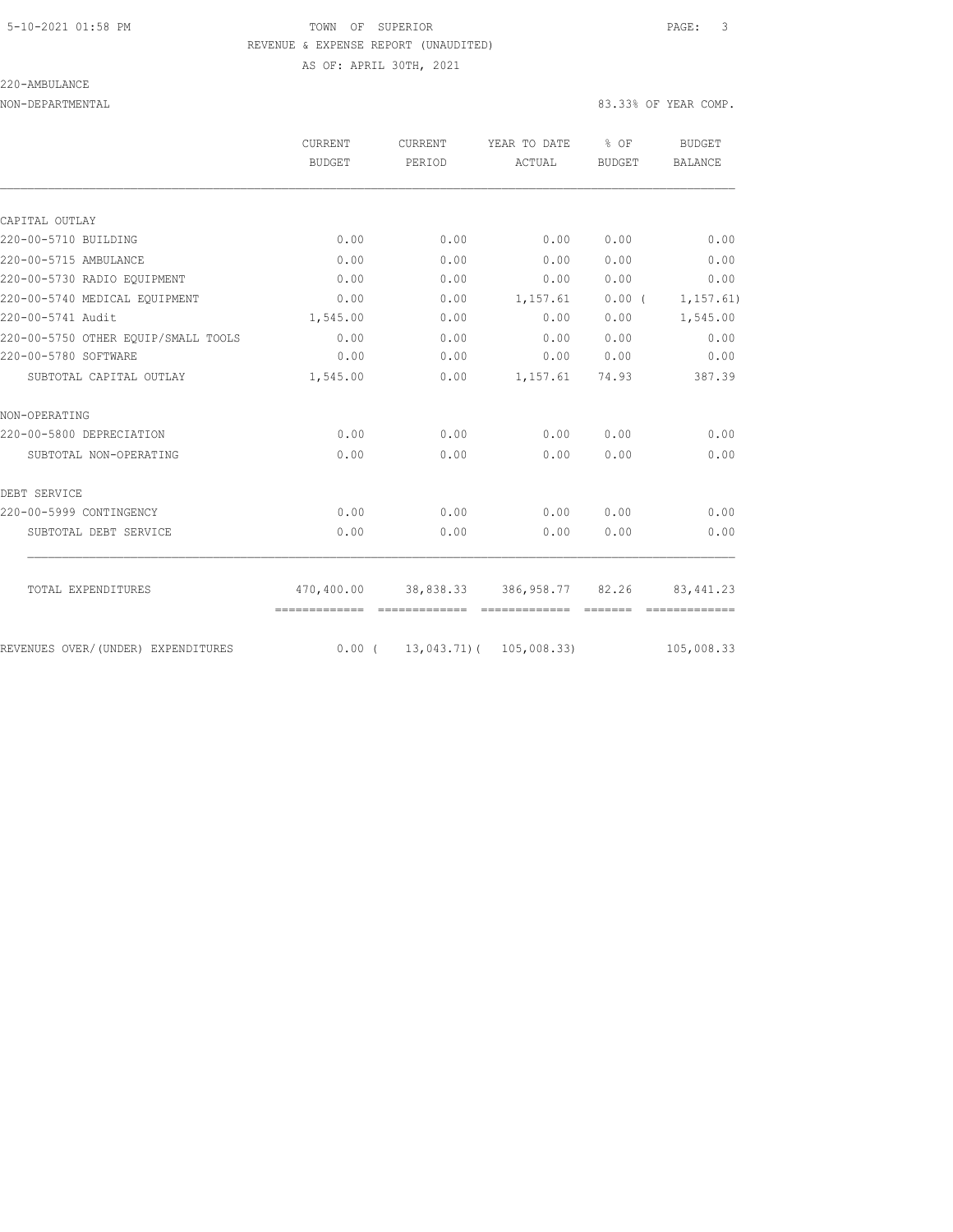## 5-10-2021 01:58 PM TOWN OF SUPERIOR PAGE: 3 REVENUE & EXPENSE REPORT (UNAUDITED) AS OF: APRIL 30TH, 2021

220-AMBULANCE

|                                     | CURRENT<br><b>BUDGET</b>    | CURRENT<br>PERIOD                 | YEAR TO DATE<br>ACTUAL | % OF<br><b>BUDGET</b> | BUDGET<br><b>BALANCE</b> |
|-------------------------------------|-----------------------------|-----------------------------------|------------------------|-----------------------|--------------------------|
|                                     |                             |                                   |                        |                       |                          |
| CAPITAL OUTLAY                      |                             |                                   |                        |                       |                          |
| 220-00-5710 BUILDING                | 0.00                        | 0.00                              | 0.00                   | 0.00                  | 0.00                     |
| 220-00-5715 AMBULANCE               | 0.00                        | 0.00                              | 0.00                   | 0.00                  | 0.00                     |
| 220-00-5730 RADIO EOUIPMENT         | 0.00                        | 0.00                              | 0.00                   | 0.00                  | 0.00                     |
| 220-00-5740 MEDICAL EQUIPMENT       | 0.00                        | 0.00                              | 1,157.61               | $0.00$ (              | 1, 157.61)               |
| 220-00-5741 Audit                   | 1,545.00                    | 0.00                              | 0.00                   | 0.00                  | 1,545.00                 |
| 220-00-5750 OTHER EOUIP/SMALL TOOLS | 0.00                        | 0.00                              | 0.00                   | 0.00                  | 0.00                     |
| 220-00-5780 SOFTWARE                | 0.00                        | 0.00                              | 0.00                   | 0.00                  | 0.00                     |
| SUBTOTAL CAPITAL OUTLAY             | 1,545.00                    | 0.00                              | 1,157.61               | 74.93                 | 387.39                   |
| NON-OPERATING                       |                             |                                   |                        |                       |                          |
| 220-00-5800 DEPRECIATION            | 0.00                        | 0.00                              | 0.00                   | 0.00                  | 0.00                     |
| SUBTOTAL NON-OPERATING              | 0.00                        | 0.00                              | 0.00                   | 0.00                  | 0.00                     |
| DEBT SERVICE                        |                             |                                   |                        |                       |                          |
| 220-00-5999 CONTINGENCY             | 0.00                        | 0.00                              | 0.00                   | 0.00                  | 0.00                     |
| SUBTOTAL DEBT SERVICE               | 0.00                        | 0.00                              | 0.00                   | 0.00                  | 0.00                     |
| TOTAL EXPENDITURES                  | 470,400.00<br>============= | 38,838.33 386,958.77 82.26        |                        |                       | 83, 441.23               |
| REVENUES OVER/(UNDER) EXPENDITURES  |                             | $0.00$ ( 13,043.71) ( 105,008.33) |                        |                       | 105,008.33               |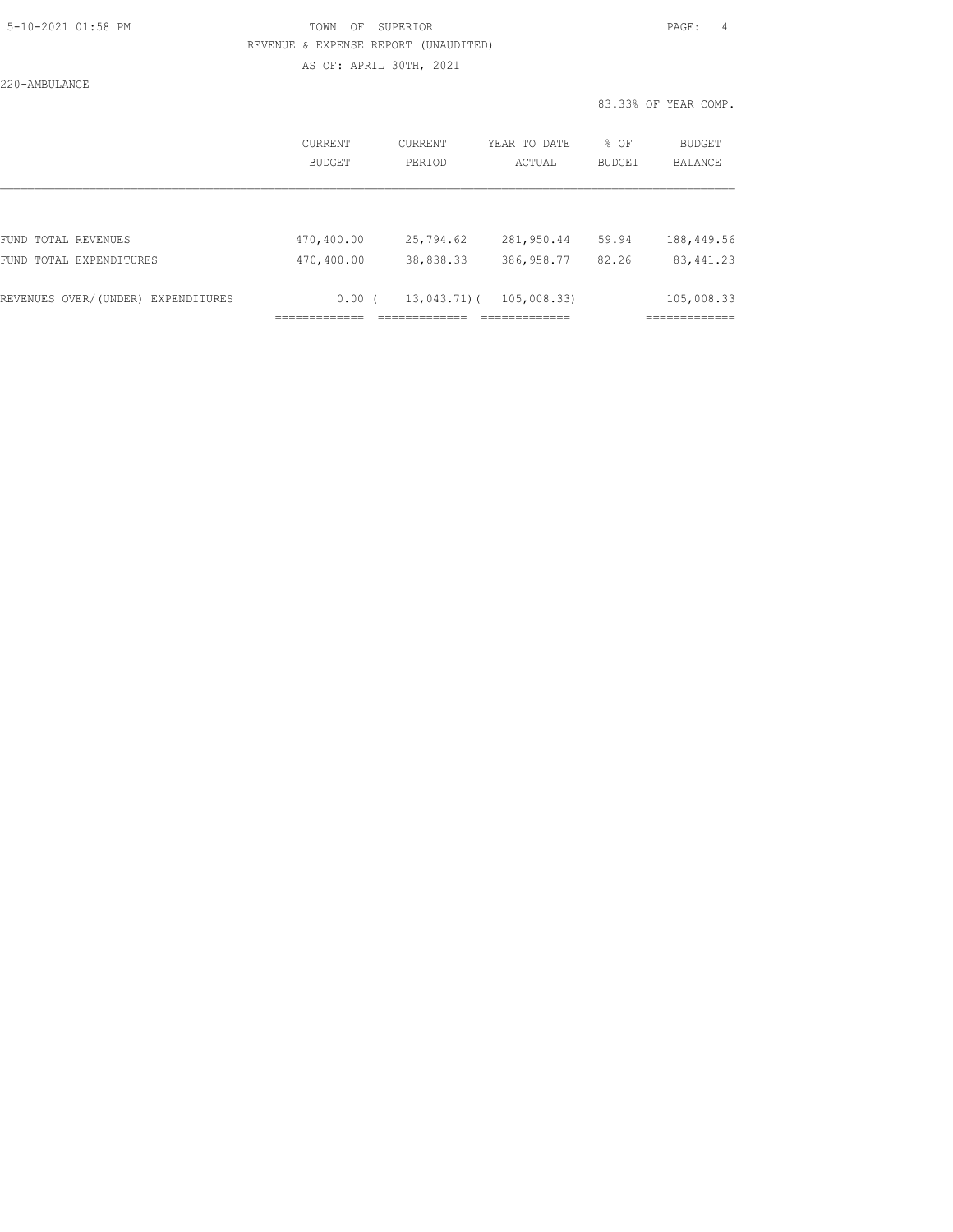## 5-10-2021 01:58 PM TOWN OF SUPERIOR PAGE: 4 REVENUE & EXPENSE REPORT (UNAUDITED) AS OF: APRIL 30TH, 2021

220-AMBULANCE

|                                    | CURRENT<br><b>BUDGET</b> | CURRENT<br>PERIOD | YEAR TO DATE<br>ACTUAL | % OF<br><b>BUDGET</b> | BUDGET<br><b>BALANCE</b> |
|------------------------------------|--------------------------|-------------------|------------------------|-----------------------|--------------------------|
| FUND TOTAL REVENUES                | 470,400.00               | 25,794.62         | 281,950.44             | 59.94                 | 188,449.56               |
| FUND TOTAL EXPENDITURES            | 470,400.00               | 38,838.33         | 386,958.77             | 82.26                 | 83, 441.23               |
| REVENUES OVER/(UNDER) EXPENDITURES | $0.00$ (                 | $13,043,71)$ (    | 105,008.33)            |                       | 105,008.33               |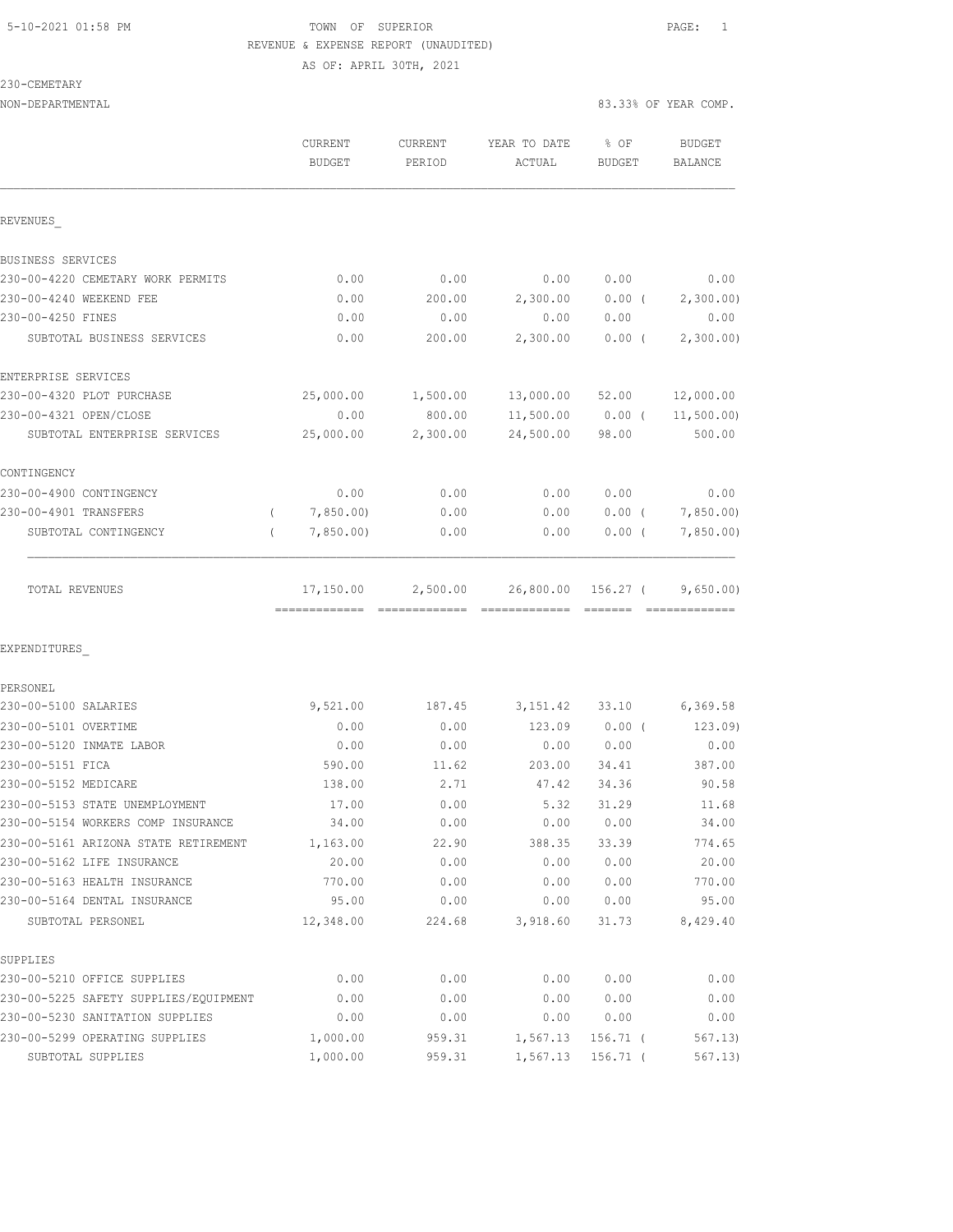## 5-10-2021 01:58 PM TOWN OF SUPERIOR PAGE: 1 REVENUE & EXPENSE REPORT (UNAUDITED) AS OF: APRIL 30TH, 2021

230-CEMETARY

NON-DEPARTMENTAL 83.33% OF YEAR COMP. CURRENT CURRENT YEAR TO DATE % OF BUDGET BUDGET PERIOD ACTUAL BUDGET BALANCE REVENUES\_ BUSINESS SERVICES 230-00-4220 CEMETARY WORK PERMITS 0.00 0.00 0.00 0.00 0.00 230-00-4240 WEEKEND FEE 0.00 200.00 2,300.00 0.00 ( 2,300.00) 230-00-4250 FINES 0.00 0.00 0.00 0.00 0.00 SUBTOTAL BUSINESS SERVICES 0.00 200.00 2,300.00 0.00 ( 2,300.00) ENTERPRISE SERVICES 230-00-4320 PLOT PURCHASE 25,000.00 1,500.00 13,000.00 52.00 12,000.00 230-00-4321 OPEN/CLOSE 0.00 800.00 11,500.00 0.00 ( 11,500.00) SUBTOTAL ENTERPRISE SERVICES 25,000.00 2,300.00 24,500.00 98.00 500.00 CONTINGENCY 230-00-4900 CONTINGENCY 0.00 0.00 0.00 0.00 0.00 230-00-4901 TRANSFERS ( 7,850.00) 0.00 0.00 0.00 ( 7,850.00) SUBTOTAL CONTINGENCY ( 7,850.00) 0.00 0.00 0.00 ( 7,850.00) TOTAL REVENUES 17,150.00 2,500.00 26,800.00 156.27 (9,650.00) ============= ============= ============= ======= ============= EXPENDITURES\_ PERSONEL 230-00-5100 SALARIES 9,521.00 187.45 3,151.42 33.10 6,369.58 230-00-5101 OVERTIME 0.00 0.00 123.09 0.00 ( 123.09) 230-00-5120 INMATE LABOR 0.00 0.00 0.00 0.00 0.00

| 230-00-5151 FICA                      | 590.00    | 11.62  | 203.00   | 34.41      | 387.00   |
|---------------------------------------|-----------|--------|----------|------------|----------|
| 230-00-5152 MEDICARE                  | 138.00    | 2.71   | 47.42    | 34.36      | 90.58    |
| 230-00-5153 STATE UNEMPLOYMENT        | 17.00     | 0.00   | 5.32     | 31.29      | 11.68    |
| 230-00-5154 WORKERS COMP INSURANCE    | 34.00     | 0.00   | 0.00     | 0.00       | 34.00    |
| 230-00-5161 ARIZONA STATE RETIREMENT  | 1,163.00  | 22.90  | 388.35   | 33.39      | 774.65   |
| 230-00-5162 LIFE INSURANCE            | 20.00     | 0.00   | 0.00     | 0.00       | 20.00    |
| 230-00-5163 HEALTH INSURANCE          | 770.00    | 0.00   | 0.00     | 0.00       | 770.00   |
| 230-00-5164 DENTAL INSURANCE          | 95.00     | 0.00   | 0.00     | 0.00       | 95.00    |
| SUBTOTAL PERSONEL                     | 12,348.00 | 224.68 | 3,918.60 | 31.73      | 8,429.40 |
| SUPPLIES                              |           |        |          |            |          |
| 230-00-5210 OFFICE SUPPLIES           | 0.00      | 0.00   | 0.00     | 0.00       | 0.00     |
| 230-00-5225 SAFETY SUPPLIES/EOUIPMENT | 0.00      | 0.00   | 0.00     | 0.00       | 0.00     |
| 230-00-5230 SANITATION SUPPLIES       | 0.00      | 0.00   | 0.00     | 0.00       | 0.00     |
| 230-00-5299 OPERATING SUPPLIES        | 1,000.00  | 959.31 | 1,567.13 | $156.71$ ( | 567.13   |
| SUBTOTAL SUPPLIES                     | 1,000.00  | 959.31 | 1,567.13 | $156.71$ ( | 567.13)  |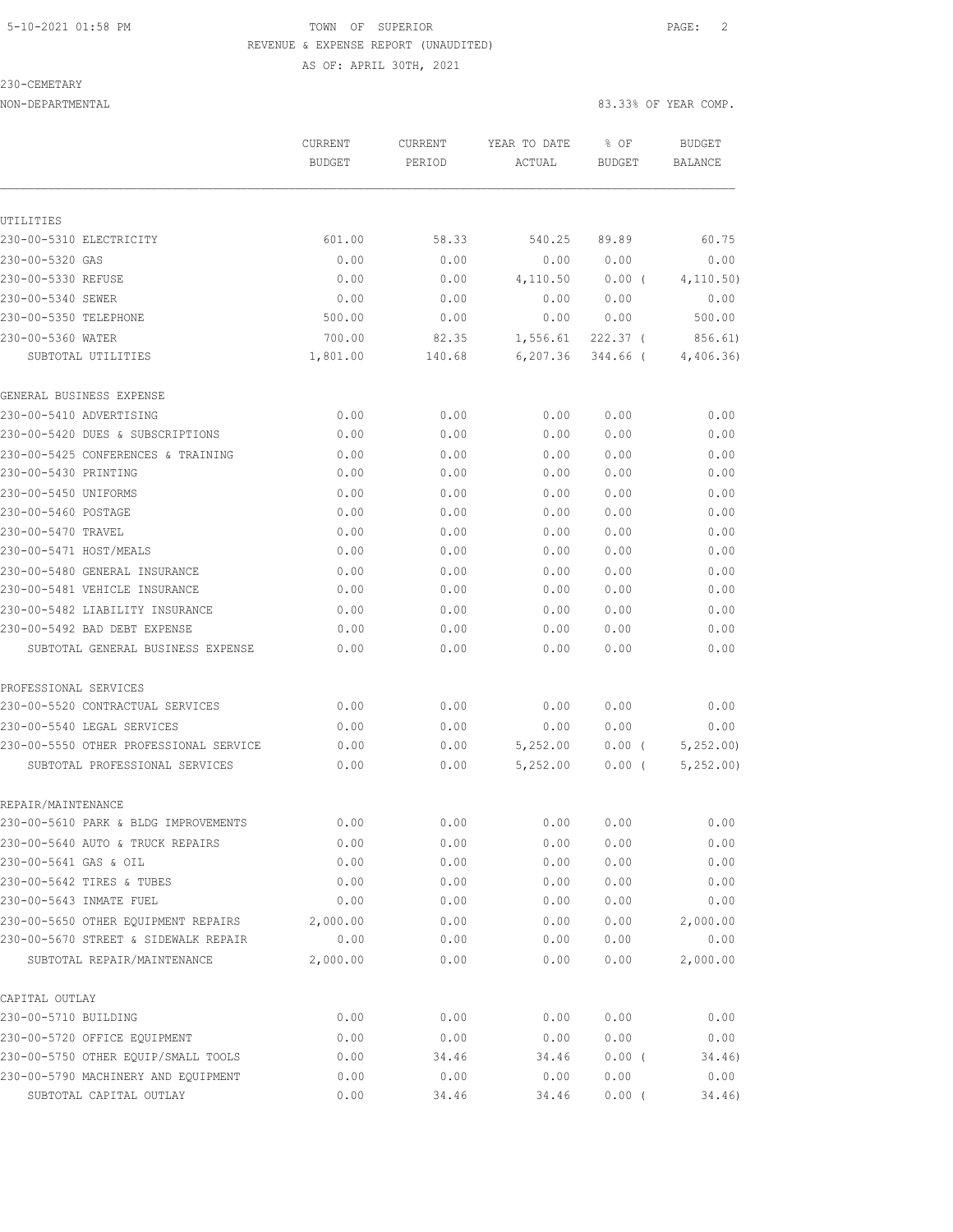### 5-10-2021 01:58 PM TOWN OF SUPERIOR PAGE: 2 REVENUE & EXPENSE REPORT (UNAUDITED) AS OF: APRIL 30TH, 2021

230-CEMETARY

|                                                                     | CURRENT<br><b>BUDGET</b> | CURRENT<br>PERIOD | YEAR TO DATE<br>ACTUAL | % OF<br><b>BUDGET</b> | <b>BUDGET</b><br><b>BALANCE</b> |
|---------------------------------------------------------------------|--------------------------|-------------------|------------------------|-----------------------|---------------------------------|
|                                                                     |                          |                   |                        |                       |                                 |
| UTILITIES<br>230-00-5310 ELECTRICITY                                | 601.00                   | 58.33             | 540.25                 | 89.89                 | 60.75                           |
| 230-00-5320 GAS                                                     | 0.00                     | 0.00              | 0.00                   | 0.00                  | 0.00                            |
| 230-00-5330 REFUSE                                                  | 0.00                     | 0.00              | 4,110.50               | 0.00(                 | 4, 110.50)                      |
| 230-00-5340 SEWER                                                   | 0.00                     | 0.00              | 0.00                   | 0.00                  | 0.00                            |
| 230-00-5350 TELEPHONE                                               | 500.00                   | 0.00              | 0.00                   | 0.00                  | 500.00                          |
| 230-00-5360 WATER                                                   | 700.00                   | 82.35             | 1,556.61               | $222.37$ (            | 856.61)                         |
| SUBTOTAL UTILITIES                                                  | 1,801.00                 | 140.68            | 6, 207.36              | 344.66 (              | 4,406.36)                       |
| GENERAL BUSINESS EXPENSE                                            |                          |                   |                        |                       |                                 |
| 230-00-5410 ADVERTISING                                             | 0.00                     | 0.00              | 0.00                   | 0.00                  | 0.00                            |
| 230-00-5420 DUES & SUBSCRIPTIONS                                    | 0.00                     | 0.00              | 0.00                   | 0.00                  | 0.00                            |
| 230-00-5425 CONFERENCES & TRAINING                                  | 0.00                     | 0.00              | 0.00                   | 0.00                  | 0.00                            |
| 230-00-5430 PRINTING                                                | 0.00                     | 0.00              | 0.00                   | 0.00                  | 0.00                            |
| 230-00-5450 UNIFORMS                                                | 0.00                     | 0.00              | 0.00                   | 0.00                  | 0.00                            |
| 230-00-5460 POSTAGE                                                 | 0.00                     | 0.00              | 0.00                   | 0.00                  | 0.00                            |
| 230-00-5470 TRAVEL                                                  | 0.00                     | 0.00              | 0.00                   | 0.00                  | 0.00                            |
| 230-00-5471 HOST/MEALS                                              | 0.00                     | 0.00              | 0.00                   | 0.00                  | 0.00                            |
| 230-00-5480 GENERAL INSURANCE                                       | 0.00                     | 0.00              | 0.00                   | 0.00                  | 0.00                            |
| 230-00-5481 VEHICLE INSURANCE                                       | 0.00                     | 0.00              | 0.00                   | 0.00                  | 0.00                            |
| 230-00-5482 LIABILITY INSURANCE                                     | 0.00                     | 0.00              | 0.00                   | 0.00                  | 0.00                            |
| 230-00-5492 BAD DEBT EXPENSE                                        | 0.00                     | 0.00              | 0.00                   | 0.00                  | 0.00                            |
| SUBTOTAL GENERAL BUSINESS EXPENSE                                   | 0.00                     | 0.00              | 0.00                   | 0.00                  | 0.00                            |
| PROFESSIONAL SERVICES                                               |                          |                   |                        |                       |                                 |
| 230-00-5520 CONTRACTUAL SERVICES                                    | 0.00                     | 0.00              | 0.00                   | 0.00                  | 0.00                            |
| 230-00-5540 LEGAL SERVICES                                          | 0.00                     | 0.00              | 0.00                   | 0.00                  | 0.00                            |
| 230-00-5550 OTHER PROFESSIONAL SERVICE                              | 0.00                     | 0.00              | 5,252.00               | 0.00(                 | 5,252.00                        |
| SUBTOTAL PROFESSIONAL SERVICES                                      | 0.00                     | 0.00              | 5,252.00               | 0.00(                 | 5, 252, 00)                     |
| REPAIR/MAINTENANCE                                                  |                          |                   |                        |                       |                                 |
| 230-00-5610 PARK & BLDG IMPROVEMENTS                                | 0.00                     | 0.00              | 0.00                   | 0.00                  | 0.00                            |
| 230-00-5640 AUTO & TRUCK REPAIRS                                    | 0.00                     | 0.00              | 0.00                   | 0.00                  | 0.00                            |
| 230-00-5641 GAS & OIL                                               | 0.00                     | 0.00              | 0.00                   | 0.00                  | 0.00                            |
| 230-00-5642 TIRES & TUBES                                           | 0.00                     | 0.00              | 0.00                   | 0.00                  | 0.00                            |
| 230-00-5643 INMATE FUEL                                             | 0.00                     | 0.00              | 0.00                   | 0.00                  | 0.00                            |
| 230-00-5650 OTHER EQUIPMENT REPAIRS                                 | 2,000.00                 | 0.00              | 0.00                   | 0.00                  | 2,000.00                        |
| 230-00-5670 STREET & SIDEWALK REPAIR<br>SUBTOTAL REPAIR/MAINTENANCE | 0.00<br>2,000.00         | 0.00<br>0.00      | 0.00<br>0.00           | 0.00<br>0.00          | 0.00<br>2,000.00                |
| CAPITAL OUTLAY                                                      |                          |                   |                        |                       |                                 |
| 230-00-5710 BUILDING                                                | 0.00                     | 0.00              | 0.00                   | 0.00                  | 0.00                            |
| 230-00-5720 OFFICE EQUIPMENT                                        | 0.00                     | 0.00              | 0.00                   | 0.00                  | 0.00                            |
| 230-00-5750 OTHER EQUIP/SMALL TOOLS                                 | 0.00                     | 34.46             | 34.46                  | 0.00(                 | 34.46)                          |
| 230-00-5790 MACHINERY AND EQUIPMENT                                 | 0.00                     | 0.00              | 0.00                   | 0.00                  | 0.00                            |
| SUBTOTAL CAPITAL OUTLAY                                             | 0.00                     | 34.46             | 34.46                  | $0.00$ (              | 34.46)                          |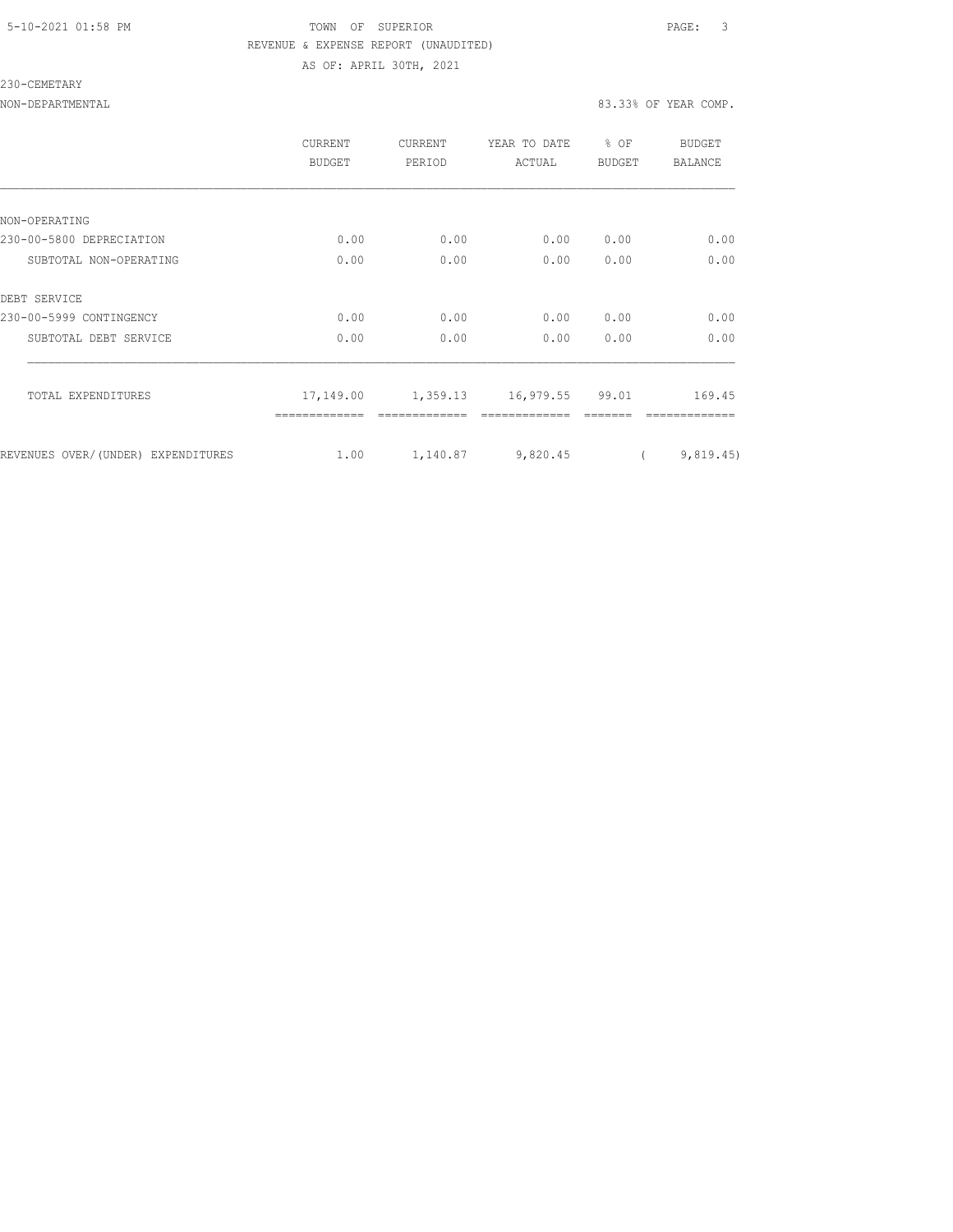## 5-10-2021 01:58 PM TOWN OF SUPERIOR PAGE: 3 REVENUE & EXPENSE REPORT (UNAUDITED) AS OF: APRIL 30TH, 2021

### 230-CEMETARY

|                                    | <b>CURRENT</b><br>BUDGET | CURRENT<br>PERIOD | YEAR TO DATE<br>ACTUAL   | % OF<br>BUDGET | BUDGET<br>BALANCE |
|------------------------------------|--------------------------|-------------------|--------------------------|----------------|-------------------|
|                                    |                          |                   |                          |                |                   |
| NON-OPERATING                      |                          |                   |                          |                |                   |
| 230-00-5800 DEPRECIATION           | 0.00                     | 0.00              | 0.00                     | 0.00           | 0.00              |
| SUBTOTAL NON-OPERATING             | 0.00                     | 0.00              | 0.00                     | 0.00           | 0.00              |
| DEBT SERVICE                       |                          |                   |                          |                |                   |
| 230-00-5999 CONTINGENCY            | 0.00                     | 0.00              | 0.00                     | 0.00           | 0.00              |
| SUBTOTAL DEBT SERVICE              | 0.00                     | 0.00              | 0.00                     | 0.00           | 0.00              |
| TOTAL EXPENDITURES                 | 17,149.00                |                   | 1,359.13 16,979.55 99.01 |                | 169.45            |
|                                    |                          |                   |                          |                |                   |
| REVENUES OVER/(UNDER) EXPENDITURES | 1.00                     | 1,140.87          | 9,820.45                 |                | 9,819.45)         |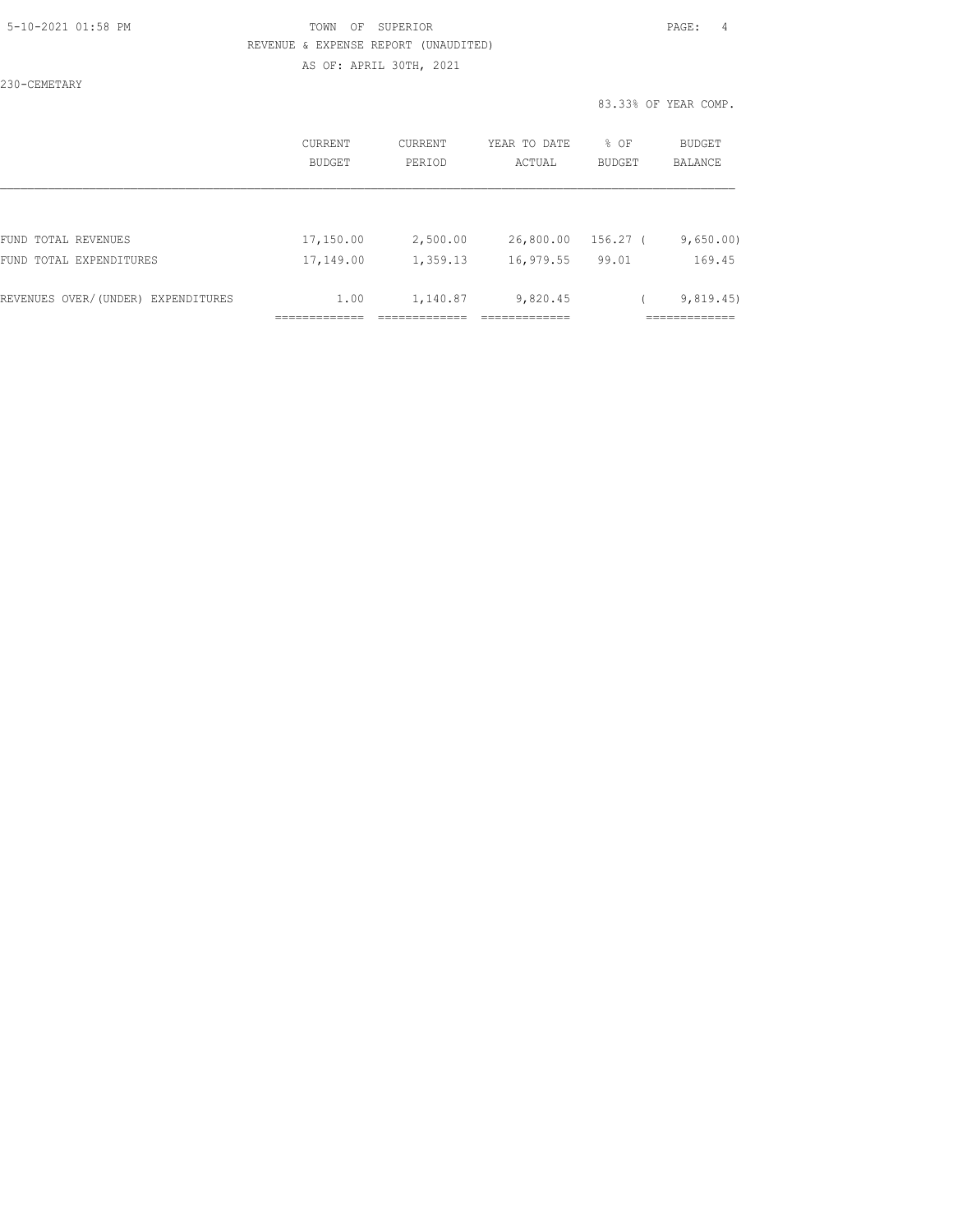## 5-10-2021 01:58 PM TOWN OF SUPERIOR PAGE: 4 REVENUE & EXPENSE REPORT (UNAUDITED) AS OF: APRIL 30TH, 2021

230-CEMETARY

|                                    | <b>CURRENT</b><br>BUDGET | CURRENT<br>PERIOD | YEAR TO DATE<br>ACTUAL | % OF<br>BUDGET | <b>BUDGET</b><br><b>BALANCE</b> |
|------------------------------------|--------------------------|-------------------|------------------------|----------------|---------------------------------|
|                                    |                          |                   |                        |                |                                 |
| FUND TOTAL REVENUES                | 17,150.00                | 2,500.00          | 26,800.00              | 156.27 (       | 9,650.00)                       |
| FUND TOTAL EXPENDITURES            | 17,149.00                | 1,359.13          | 16,979.55              | 99.01          | 169.45                          |
| REVENUES OVER/(UNDER) EXPENDITURES | 1.00                     | 1,140.87          | 9,820.45               |                | 9,819.45                        |
|                                    |                          |                   |                        |                | ------------                    |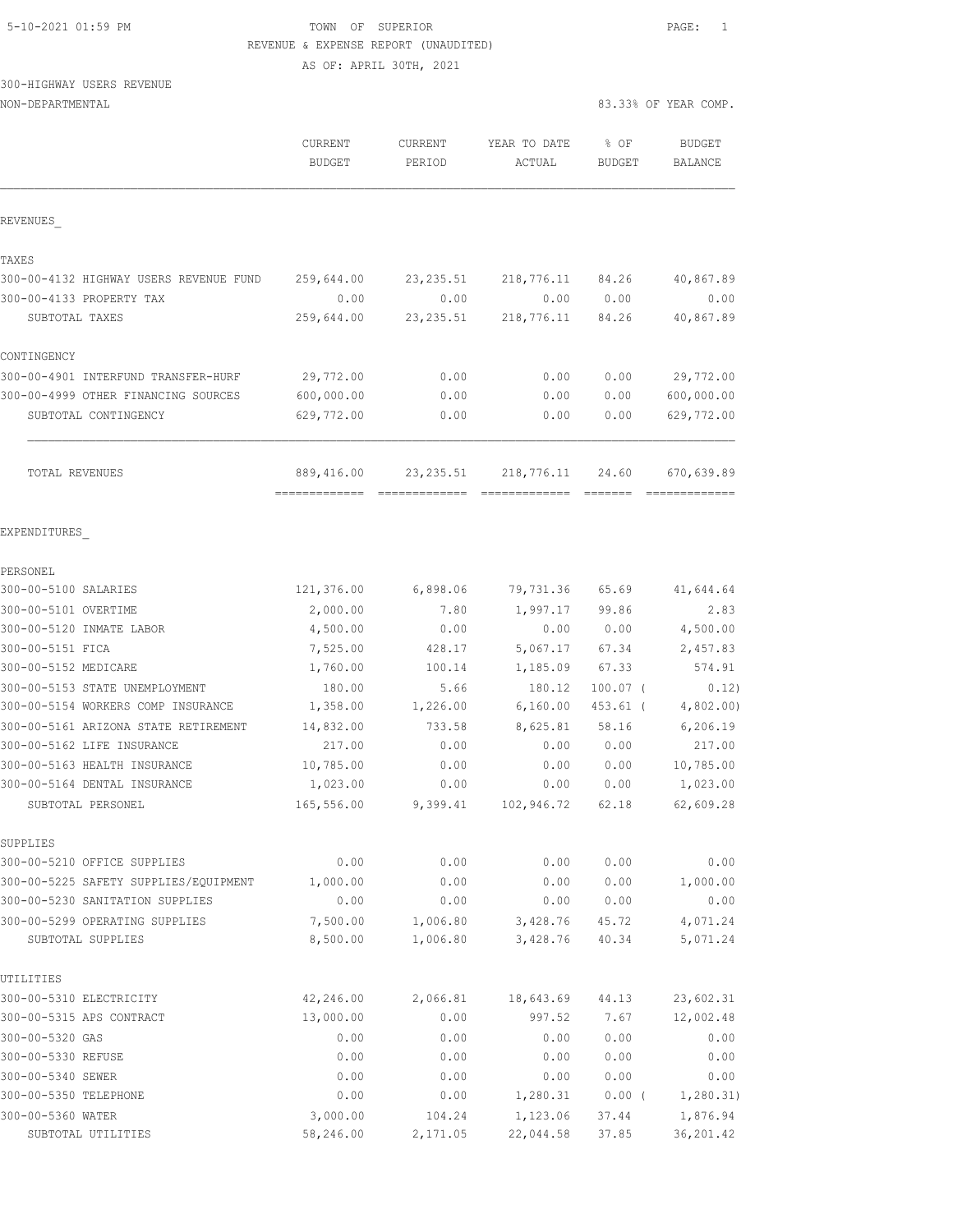## 5-10-2021 01:59 PM TOWN OF SUPERIOR PAGE: 1 REVENUE & EXPENSE REPORT (UNAUDITED)

83.33% OF YEAR COMP.

AS OF: APRIL 30TH, 2021

# 300-HIGHWAY USERS REVENUE

| NON-DEPARTMENTAL |  |
|------------------|--|
|------------------|--|

| CURRENT    | CURRENT                                                                                                                                                                             | YEAR TO DATE                                                                                                                                     | % OF                                                                                                                                                              | <b>BUDGET</b><br><b>BALANCE</b>                                                                                                                  |
|------------|-------------------------------------------------------------------------------------------------------------------------------------------------------------------------------------|--------------------------------------------------------------------------------------------------------------------------------------------------|-------------------------------------------------------------------------------------------------------------------------------------------------------------------|--------------------------------------------------------------------------------------------------------------------------------------------------|
|            |                                                                                                                                                                                     |                                                                                                                                                  |                                                                                                                                                                   |                                                                                                                                                  |
|            |                                                                                                                                                                                     |                                                                                                                                                  |                                                                                                                                                                   |                                                                                                                                                  |
|            |                                                                                                                                                                                     |                                                                                                                                                  |                                                                                                                                                                   |                                                                                                                                                  |
| 259,644.00 | 23, 235.51                                                                                                                                                                          | 218,776.11                                                                                                                                       | 84.26                                                                                                                                                             | 40,867.89                                                                                                                                        |
| 0.00       | 0.00                                                                                                                                                                                | 0.00                                                                                                                                             | 0.00                                                                                                                                                              | 0.00                                                                                                                                             |
| 259,644.00 | 23, 235.51                                                                                                                                                                          | 218,776.11                                                                                                                                       | 84.26                                                                                                                                                             | 40,867.89                                                                                                                                        |
|            |                                                                                                                                                                                     |                                                                                                                                                  |                                                                                                                                                                   |                                                                                                                                                  |
| 29,772.00  | 0.00                                                                                                                                                                                | 0.00                                                                                                                                             | 0.00                                                                                                                                                              | 29,772.00                                                                                                                                        |
| 600,000.00 | 0.00                                                                                                                                                                                | 0.00                                                                                                                                             | 0.00                                                                                                                                                              | 600,000.00                                                                                                                                       |
| 629,772.00 | 0.00                                                                                                                                                                                | 0.00                                                                                                                                             | 0.00                                                                                                                                                              | 629,772.00                                                                                                                                       |
| 889,416.00 |                                                                                                                                                                                     | 218,776.11                                                                                                                                       | 24.60                                                                                                                                                             | 670,639.89                                                                                                                                       |
|            |                                                                                                                                                                                     |                                                                                                                                                  |                                                                                                                                                                   |                                                                                                                                                  |
|            |                                                                                                                                                                                     |                                                                                                                                                  |                                                                                                                                                                   |                                                                                                                                                  |
|            |                                                                                                                                                                                     |                                                                                                                                                  |                                                                                                                                                                   | 41,644.64                                                                                                                                        |
|            |                                                                                                                                                                                     |                                                                                                                                                  |                                                                                                                                                                   | 2.83                                                                                                                                             |
|            |                                                                                                                                                                                     |                                                                                                                                                  |                                                                                                                                                                   | 4,500.00                                                                                                                                         |
|            |                                                                                                                                                                                     |                                                                                                                                                  |                                                                                                                                                                   | 2,457.83                                                                                                                                         |
|            |                                                                                                                                                                                     |                                                                                                                                                  |                                                                                                                                                                   | 574.91                                                                                                                                           |
|            |                                                                                                                                                                                     |                                                                                                                                                  |                                                                                                                                                                   | 0.12)                                                                                                                                            |
|            |                                                                                                                                                                                     |                                                                                                                                                  |                                                                                                                                                                   | 4,802.00                                                                                                                                         |
|            |                                                                                                                                                                                     |                                                                                                                                                  |                                                                                                                                                                   | 6,206.19                                                                                                                                         |
|            |                                                                                                                                                                                     |                                                                                                                                                  |                                                                                                                                                                   | 217.00                                                                                                                                           |
|            |                                                                                                                                                                                     |                                                                                                                                                  |                                                                                                                                                                   | 10,785.00                                                                                                                                        |
|            |                                                                                                                                                                                     |                                                                                                                                                  |                                                                                                                                                                   | 1,023.00                                                                                                                                         |
|            |                                                                                                                                                                                     |                                                                                                                                                  |                                                                                                                                                                   | 62,609.28                                                                                                                                        |
|            |                                                                                                                                                                                     |                                                                                                                                                  |                                                                                                                                                                   |                                                                                                                                                  |
| 0.00       | 0.00                                                                                                                                                                                | 0.00                                                                                                                                             | 0.00                                                                                                                                                              | 0.00                                                                                                                                             |
| 1,000.00   | 0.00                                                                                                                                                                                | 0.00                                                                                                                                             | 0.00                                                                                                                                                              | 1,000.00                                                                                                                                         |
|            | 0.00                                                                                                                                                                                | 0.00                                                                                                                                             |                                                                                                                                                                   | 0.00                                                                                                                                             |
| 7,500.00   |                                                                                                                                                                                     | 3,428.76                                                                                                                                         | 45.72                                                                                                                                                             | 4,071.24                                                                                                                                         |
|            |                                                                                                                                                                                     |                                                                                                                                                  |                                                                                                                                                                   | 5,071.24                                                                                                                                         |
|            | <b>BUDGET</b><br>121,376.00<br>2,000.00<br>4,500.00<br>7,525.00<br>1,760.00<br>180.00<br>1,358.00<br>14,832.00<br>217.00<br>10,785.00<br>1,023.00<br>165,556.00<br>0.00<br>8,500.00 | PERIOD<br>6,898.06<br>7.80<br>0.00<br>428.17<br>100.14<br>5.66<br>1,226.00<br>733.58<br>0.00<br>0.00<br>0.00<br>9,399.41<br>1,006.80<br>1,006.80 | ACTUAL<br>23, 235.51<br>79,731.36<br>1,997.17<br>0.00<br>5,067.17<br>1,185.09<br>180.12<br>6,160.00<br>8,625.81<br>0.00<br>0.00<br>0.00<br>102,946.72<br>3,428.76 | <b>BUDGET</b><br>65.69<br>99.86<br>0.00<br>67.34<br>67.33<br>$100.07$ (<br>$453.61$ (<br>58.16<br>0.00<br>0.00<br>0.00<br>62.18<br>0.00<br>40.34 |

| UTILITIES                |           |          |           |       |           |
|--------------------------|-----------|----------|-----------|-------|-----------|
| 300-00-5310 ELECTRICITY  | 42,246.00 | 2,066.81 | 18,643.69 | 44.13 | 23,602.31 |
| 300-00-5315 APS CONTRACT | 13,000.00 | 0.00     | 997.52    | 7.67  | 12,002.48 |
| 300-00-5320 GAS          | 0.00      | 0.00     | 0.00      | 0.00  | 0.00      |
| 300-00-5330 REFUSE       | 0.00      | 0.00     | 0.00      | 0.00  | 0.00      |
| 300-00-5340 SEWER        | 0.00      | 0.00     | 0.00      | 0.00  | 0.00      |
| 300-00-5350 TELEPHONE    | 0.00      | 0.00     | 1,280.31  | 0.00( | 1,280.31) |
| 300-00-5360 WATER        | 3,000.00  | 104.24   | 1,123.06  | 37.44 | 1,876.94  |
| SUBTOTAL UTILITIES       | 58,246.00 | 2,171.05 | 22,044.58 | 37.85 | 36,201.42 |
|                          |           |          |           |       |           |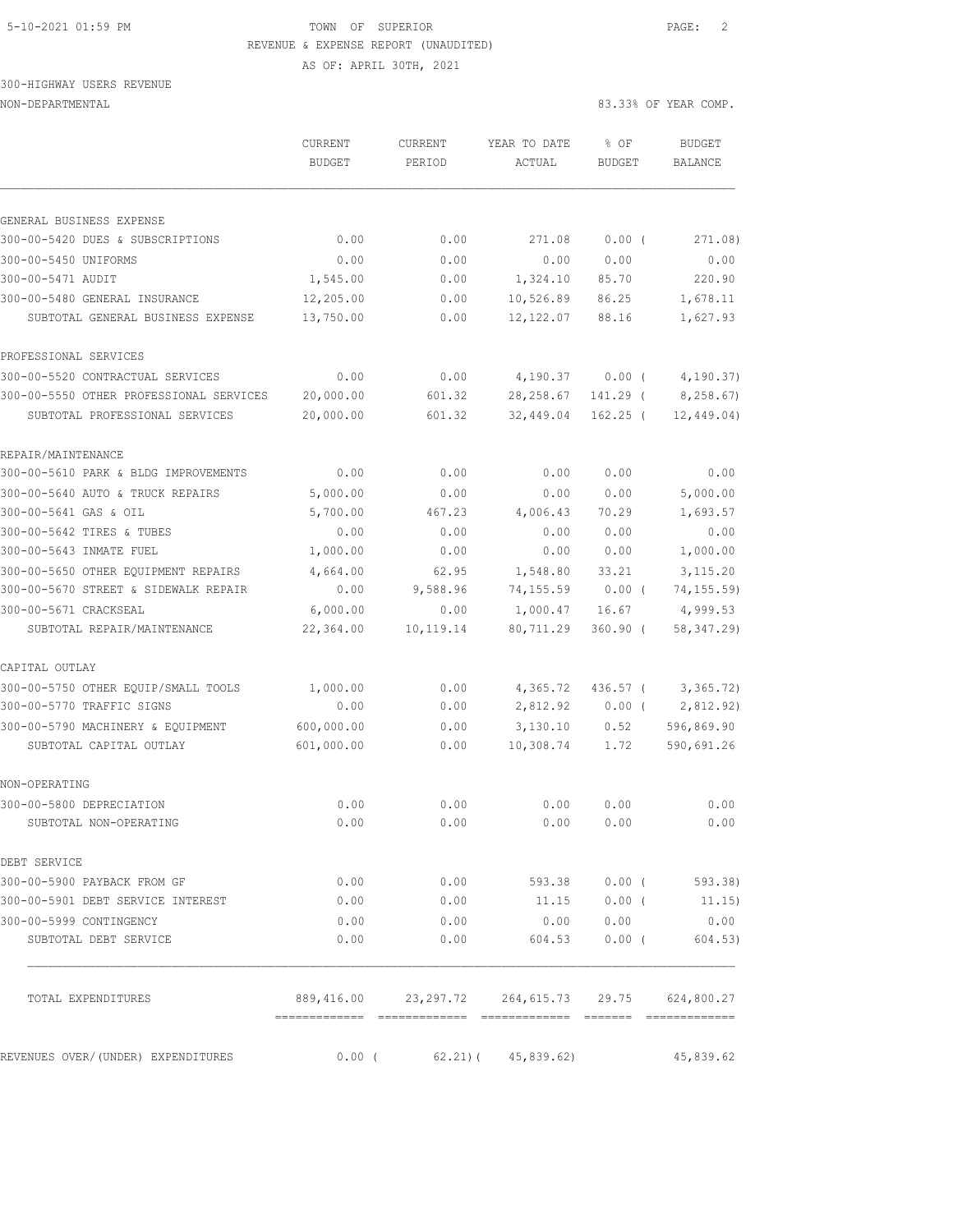## 5-10-2021 01:59 PM TOWN OF SUPERIOR PAGE: 2 REVENUE & EXPENSE REPORT (UNAUDITED) AS OF: APRIL 30TH, 2021

300-HIGHWAY USERS REVENUE

| NON-DEPARTMENTAL | 83.33% OF YEAR COMP. |  |  |
|------------------|----------------------|--|--|

|                                         | CURRENT<br><b>BUDGET</b> | <b>CURRENT</b><br>PERIOD | YEAR TO DATE<br>ACTUAL                           | % OF<br><b>BUDGET</b> | <b>BUDGET</b><br><b>BALANCE</b> |
|-----------------------------------------|--------------------------|--------------------------|--------------------------------------------------|-----------------------|---------------------------------|
|                                         |                          |                          |                                                  |                       |                                 |
| GENERAL BUSINESS EXPENSE                |                          |                          |                                                  |                       |                                 |
| 300-00-5420 DUES & SUBSCRIPTIONS        | 0.00                     | 0.00                     | 271.08                                           | $0.00$ (              | 271.08)                         |
| 300-00-5450 UNIFORMS                    | 0.00                     | 0.00                     | 0.00                                             | 0.00                  | 0.00                            |
| 300-00-5471 AUDIT                       | 1,545.00                 | 0.00                     | 1,324.10                                         | 85.70                 | 220.90                          |
| 300-00-5480 GENERAL INSURANCE           | 12,205.00                | 0.00                     | 10,526.89                                        | 86.25                 | 1,678.11                        |
| SUBTOTAL GENERAL BUSINESS EXPENSE       | 13,750.00                | 0.00                     | 12, 122.07                                       | 88.16                 | 1,627.93                        |
| PROFESSIONAL SERVICES                   |                          |                          |                                                  |                       |                                 |
| 300-00-5520 CONTRACTUAL SERVICES        | 0.00                     | 0.00                     | 4,190.37                                         | 0.00(                 | 4, 190.37)                      |
| 300-00-5550 OTHER PROFESSIONAL SERVICES | 20,000.00                | 601.32                   | 28, 258.67                                       | 141.29 (              | 8,258.67)                       |
| SUBTOTAL PROFESSIONAL SERVICES          | 20,000.00                | 601.32                   | 32,449.04                                        | $162.25$ (            | 12,449.04)                      |
| REPAIR/MAINTENANCE                      |                          |                          |                                                  |                       |                                 |
| 300-00-5610 PARK & BLDG IMPROVEMENTS    | 0.00                     | 0.00                     | 0.00                                             | 0.00                  | 0.00                            |
| 300-00-5640 AUTO & TRUCK REPAIRS        | 5,000.00                 | 0.00                     | 0.00                                             | 0.00                  | 5,000.00                        |
| 300-00-5641 GAS & OIL                   | 5,700.00                 | 467.23                   | 4,006.43                                         | 70.29                 | 1,693.57                        |
| 300-00-5642 TIRES & TUBES               | 0.00                     | 0.00                     | 0.00                                             | 0.00                  | 0.00                            |
| 300-00-5643 INMATE FUEL                 | 1,000.00                 | 0.00                     | 0.00                                             | 0.00                  | 1,000.00                        |
| 300-00-5650 OTHER EOUIPMENT REPAIRS     | 4,664.00                 | 62.95                    | 1,548.80                                         | 33.21                 | 3, 115.20                       |
| 300-00-5670 STREET & SIDEWALK REPAIR    | 0.00                     | 9,588.96                 | 74,155.59                                        | $0.00$ (              | 74, 155.59)                     |
| 300-00-5671 CRACKSEAL                   | 6,000.00                 | 0.00                     | 1,000.47                                         | 16.67                 | 4,999.53                        |
| SUBTOTAL REPAIR/MAINTENANCE             | 22,364.00                | 10,119.14                | 80,711.29                                        | $360.90$ (            | 58, 347.29)                     |
| CAPITAL OUTLAY                          |                          |                          |                                                  |                       |                                 |
| 300-00-5750 OTHER EQUIP/SMALL TOOLS     | 1,000.00                 | 0.00                     | 4,365.72                                         | $436.57$ (            | 3,365.72)                       |
| 300-00-5770 TRAFFIC SIGNS               | 0.00                     | 0.00                     | 2,812.92                                         | $0.00$ (              | 2,812.92)                       |
| 300-00-5790 MACHINERY & EQUIPMENT       | 600,000.00               | 0.00                     | 3,130.10                                         | 0.52                  | 596,869.90                      |
| SUBTOTAL CAPITAL OUTLAY                 | 601,000.00               | 0.00                     | 10,308.74                                        | 1.72                  | 590,691.26                      |
| NON-OPERATING                           |                          |                          |                                                  |                       |                                 |
| 300-00-5800 DEPRECIATION                | 0.00                     | 0.00                     | 0.00                                             | 0.00                  | 0.00                            |
| SUBTOTAL NON-OPERATING                  | 0.00                     | 0.00                     | 0.00                                             | 0.00                  | 0.00                            |
| DEBT SERVICE                            |                          |                          |                                                  |                       |                                 |
| 300-00-5900 PAYBACK FROM GF             | 0.00                     |                          | $0.00$ 593.38 $0.00$ (593.38)                    |                       |                                 |
| 300-00-5901 DEBT SERVICE INTEREST       | 0.00                     | 0.00                     |                                                  |                       | $11.15$ 0.00 (11.15)            |
| 300-00-5999 CONTINGENCY                 | 0.00                     | 0.00                     | 0.00                                             | 0.00                  | 0.00                            |
| SUBTOTAL DEBT SERVICE                   | 0.00                     | 0.00                     | 604.53                                           | $0.00$ (              | 604.53)                         |
| TOTAL EXPENDITURES                      |                          |                          | 889,416.00 23,297.72 264,615.73 29.75 624,800.27 |                       |                                 |
| REVENUES OVER/(UNDER) EXPENDITURES      | $0.00$ (                 |                          | $62.21$ ) ( $45,839.62$ )                        |                       | 45,839.62                       |
|                                         |                          |                          |                                                  |                       |                                 |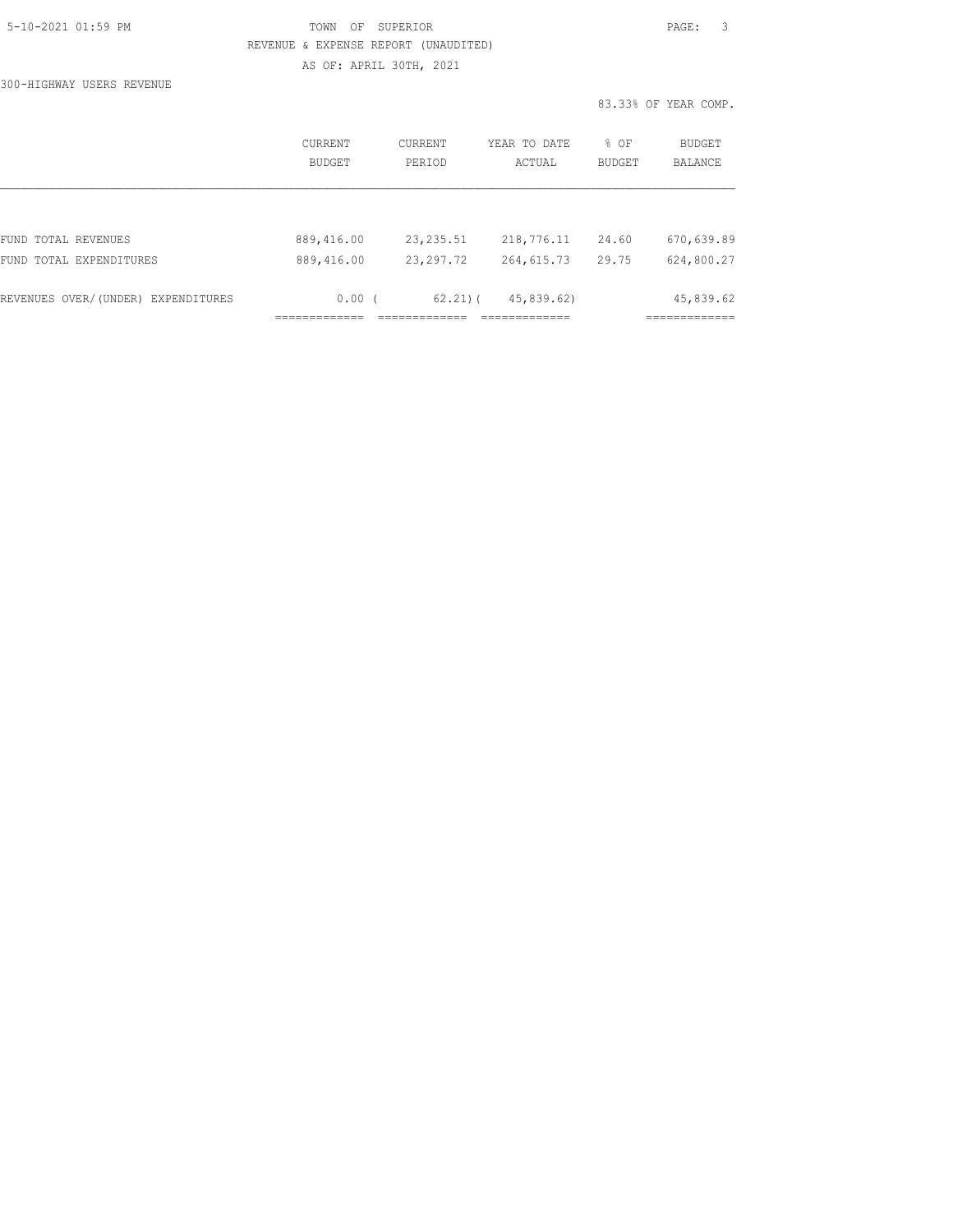| 5-10-2021 01:59 PM |  |
|--------------------|--|
|                    |  |

# TOWN OF SUPERIOR **Example 2010** PAGE: 3 REVENUE & EXPENSE REPORT (UNAUDITED)

AS OF: APRIL 30TH, 2021

300-HIGHWAY USERS REVENUE

|                                    | CURRENT<br><b>BUDGET</b> | <b>CURRENT</b><br>PERIOD | YEAR TO DATE<br>ACTUAL | % OF<br><b>BUDGET</b> | <b>BUDGET</b><br><b>BALANCE</b> |
|------------------------------------|--------------------------|--------------------------|------------------------|-----------------------|---------------------------------|
|                                    |                          |                          |                        |                       |                                 |
| FUND TOTAL REVENUES                | 889,416.00               | 23, 235.51               | 218,776.11             | 24.60                 | 670,639.89                      |
| FUND TOTAL EXPENDITURES            | 889,416.00               | 23, 297.72               | 264,615.73             | 29.75                 | 624,800.27                      |
| REVENUES OVER/(UNDER) EXPENDITURES | $0.00$ (                 | $62.21$ $($              | 45,839.62)             |                       | 45,839.62                       |
|                                    |                          |                          |                        |                       |                                 |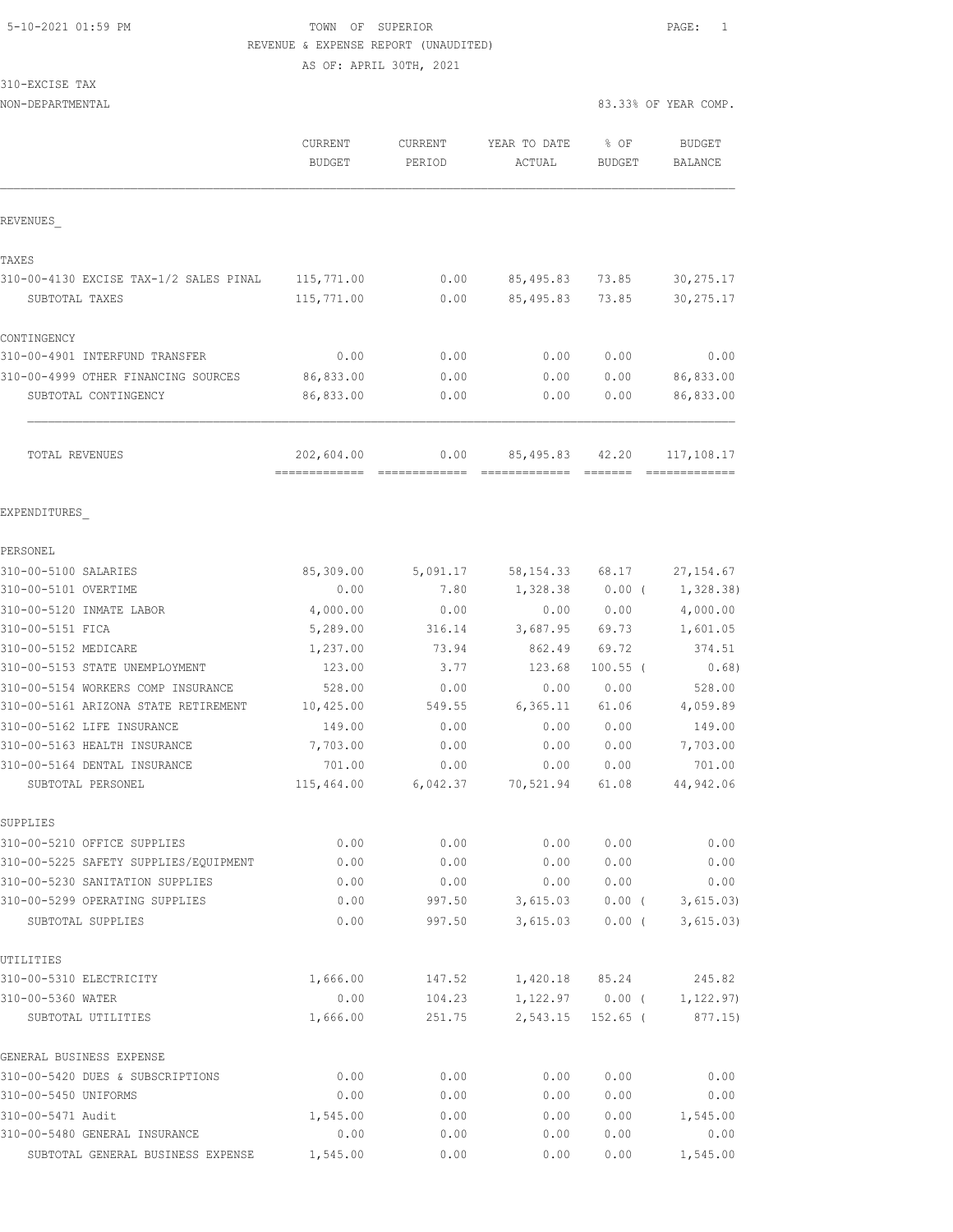## 5-10-2021 01:59 PM **TOWN** OF SUPERIOR **PAGE:** 1 REVENUE & EXPENSE REPORT (UNAUDITED)

AS OF: APRIL 30TH, 2021

| 310-EXCISE TAX |  |
|----------------|--|
|----------------|--|

NON-DEPARTMENTAL 83.33% OF YEAR COMP.

|                                                   | <b>CURRENT</b><br><b>BUDGET</b> | <b>CURRENT</b><br>PERIOD | YEAR TO DATE<br>ACTUAL | $8$ OF<br>BUDGET | <b>BUDGET</b><br><b>BALANCE</b> |
|---------------------------------------------------|---------------------------------|--------------------------|------------------------|------------------|---------------------------------|
| REVENUES                                          |                                 |                          |                        |                  |                                 |
| TAXES                                             |                                 |                          |                        |                  |                                 |
| 310-00-4130 EXCISE TAX-1/2 SALES PINAL            | 115,771.00                      | 0.00                     | 85,495.83              | 73.85            | 30, 275.17                      |
| SUBTOTAL TAXES                                    | 115,771.00                      | 0.00                     | 85, 495.83             | 73.85            | 30, 275.17                      |
| CONTINGENCY                                       |                                 |                          |                        |                  |                                 |
| 310-00-4901 INTERFUND TRANSFER                    | 0.00                            | 0.00                     | 0.00                   | 0.00             | 0.00                            |
| 310-00-4999 OTHER FINANCING SOURCES               | 86,833.00                       | 0.00                     | 0.00                   | 0.00             | 86,833.00                       |
| SUBTOTAL CONTINGENCY                              | 86,833.00                       | 0.00                     | 0.00                   | 0.00             | 86,833.00                       |
| <b>TOTAL REVENUES</b>                             | 202,604.00                      | 0.00                     | 85,495.83              | 42.20            | 117,108.17                      |
| EXPENDITURES                                      |                                 |                          |                        |                  |                                 |
| PERSONEL                                          |                                 |                          |                        |                  |                                 |
| 310-00-5100 SALARIES                              | 85,309.00                       | 5,091.17                 | 58, 154. 33            | 68.17            | 27, 154.67                      |
| 310-00-5101 OVERTIME                              | 0.00                            | 7.80                     | 1,328.38               | $0.00$ (         | 1,328.38)                       |
| 310-00-5120 INMATE LABOR                          | 4,000.00                        | 0.00                     | 0.00                   | 0.00             | 4,000.00                        |
| 310-00-5151 FICA                                  | 5,289.00                        | 316.14                   | 3,687.95               | 69.73            | 1,601.05                        |
| 310-00-5152 MEDICARE                              | 1,237.00                        | 73.94                    | 862.49                 | 69.72            | 374.51                          |
| 310-00-5153 STATE UNEMPLOYMENT                    | 123.00                          | 3.77                     | 123.68                 | $100.55$ (       | 0.68)                           |
| 310-00-5154 WORKERS COMP INSURANCE                | 528.00                          | 0.00                     | 0.00                   | 0.00             | 528.00                          |
| 310-00-5161 ARIZONA STATE RETIREMENT              | 10,425.00                       | 549.55                   | 6, 365.11              | 61.06            | 4,059.89                        |
| 310-00-5162 LIFE INSURANCE                        | 149.00                          | 0.00                     | 0.00                   | 0.00             | 149.00                          |
| 310-00-5163 HEALTH INSURANCE                      | 7,703.00                        | 0.00                     | 0.00                   | 0.00             | 7,703.00                        |
| 310-00-5164 DENTAL INSURANCE<br>SUBTOTAL PERSONEL | 701.00<br>115,464.00            | 0.00<br>6,042.37         | 0.00<br>70,521.94      | 0.00<br>61.08    | 701.00<br>44,942.06             |
| SUPPLIES                                          |                                 |                          |                        |                  |                                 |
| 310-00-5210 OFFICE SUPPLIES                       | 0.00                            | 0.00                     | 0.00                   | 0.00             | 0.00                            |
| 310-00-5225 SAFETY SUPPLIES/EQUIPMENT             | 0.00                            | 0.00                     | 0.00                   | 0.00             | 0.00                            |
| 310-00-5230 SANITATION SUPPLIES                   | 0.00                            | 0.00                     | 0.00                   | 0.00             | 0.00                            |
| 310-00-5299 OPERATING SUPPLIES                    | 0.00                            | 997.50                   | 3,615.03               | $0.00$ (         | 3,615.03)                       |
| SUBTOTAL SUPPLIES                                 | 0.00                            | 997.50                   | 3,615.03               | $0.00$ (         | 3,615.03)                       |
| UTILITIES                                         |                                 |                          |                        |                  |                                 |
| 310-00-5310 ELECTRICITY                           | 1,666.00                        | 147.52                   | 1,420.18               | 85.24            | 245.82                          |
| 310-00-5360 WATER                                 | 0.00                            | 104.23                   | 1,122.97               | $0.00$ (         | 1, 122.97)                      |
| SUBTOTAL UTILITIES                                | 1,666.00                        | 251.75                   | 2,543.15               | $152.65$ (       | 877.15)                         |
| GENERAL BUSINESS EXPENSE                          |                                 |                          |                        |                  |                                 |
| 310-00-5420 DUES & SUBSCRIPTIONS                  | 0.00                            | 0.00                     | 0.00                   | 0.00             | 0.00                            |
| 310-00-5450 UNIFORMS                              | 0.00                            | 0.00                     | 0.00                   | 0.00             | 0.00                            |
| 310-00-5471 Audit                                 | 1,545.00                        | 0.00                     | 0.00                   | 0.00             | 1,545.00                        |

310-00-5480 GENERAL INSURANCE 0.00 0.00 0.00 0.00 0.00 SUBTOTAL GENERAL BUSINESS EXPENSE 1,545.00 0.00 0.00 0.00 1,545.00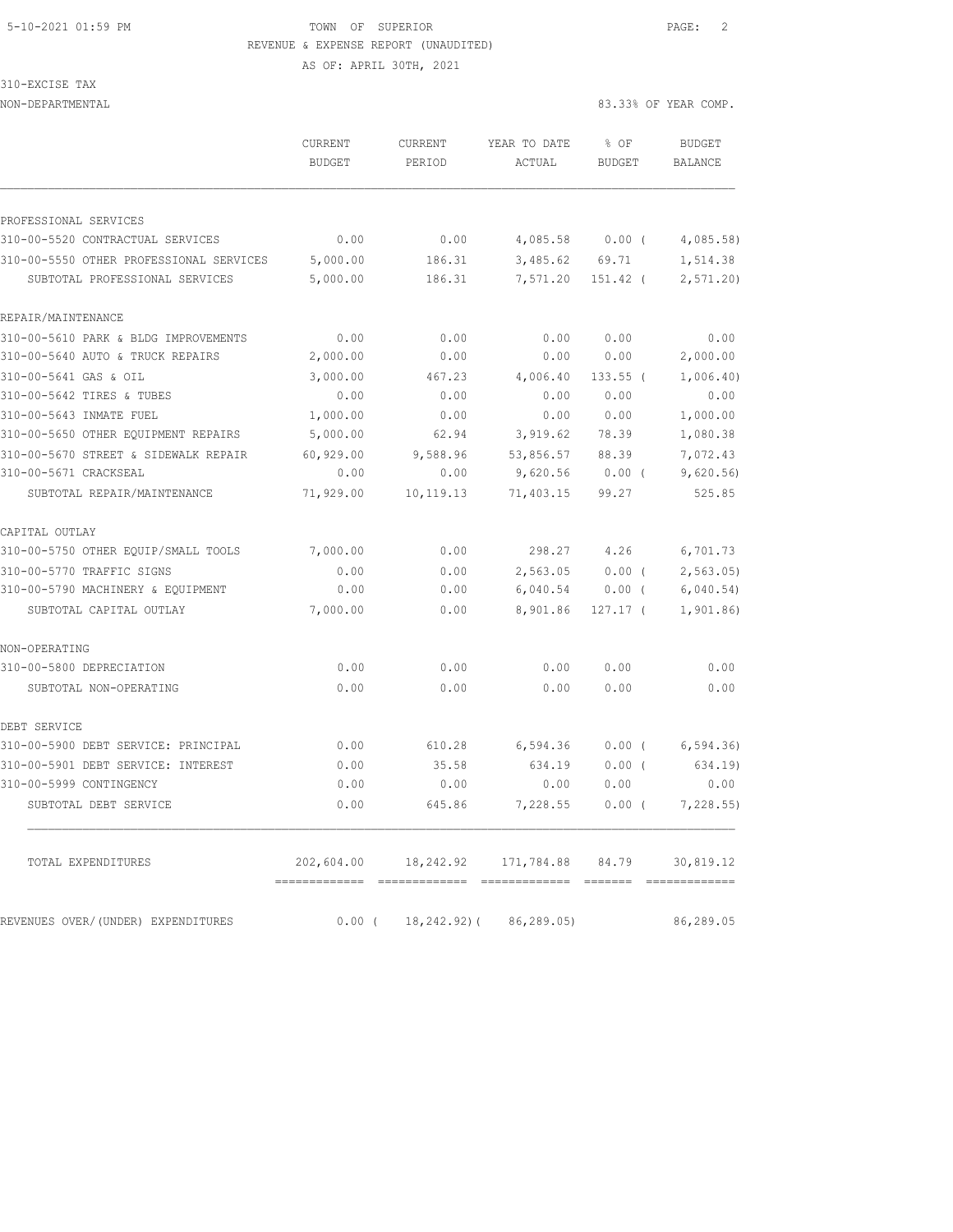## 5-10-2021 01:59 PM TOWN OF SUPERIOR PAGE: 2 REVENUE & EXPENSE REPORT (UNAUDITED) AS OF: APRIL 30TH, 2021

310-EXCISE TAX

| NON-DEPARTMENTAL |         |         |              | 83.33% OF YEAR COMP. |        |
|------------------|---------|---------|--------------|----------------------|--------|
|                  | CURRENT | CURRENT | YEAR TO DATE | ዱ OF                 | BUDGE1 |

|                                         | CURRENT<br><b>BUDGET</b> | CURRENT<br>PERIOD | YEAR TO DATE<br>ACTUAL | % OF<br><b>BUDGET</b>                                       | <b>BUDGET</b><br>BALANCE |
|-----------------------------------------|--------------------------|-------------------|------------------------|-------------------------------------------------------------|--------------------------|
|                                         |                          |                   |                        |                                                             |                          |
| PROFESSIONAL SERVICES                   |                          |                   |                        |                                                             |                          |
| 310-00-5520 CONTRACTUAL SERVICES        | 0.00                     | 0.00              | 4,085.58               | $0.00$ (                                                    | 4,085.58                 |
| 310-00-5550 OTHER PROFESSIONAL SERVICES | 5,000.00                 | 186.31            | 3,485.62               | 69.71                                                       | 1,514.38                 |
| SUBTOTAL PROFESSIONAL SERVICES          | 5,000.00                 | 186.31            | 7,571.20               | $151.42$ (                                                  | 2, 571.20                |
| REPAIR/MAINTENANCE                      |                          |                   |                        |                                                             |                          |
| 310-00-5610 PARK & BLDG IMPROVEMENTS    | 0.00                     | 0.00              | 0.00                   | 0.00                                                        | 0.00                     |
| 310-00-5640 AUTO & TRUCK REPAIRS        | 2,000.00                 | 0.00              | 0.00                   | 0.00                                                        | 2,000.00                 |
| 310-00-5641 GAS & OIL                   | 3,000.00                 | 467.23            | 4,006.40               | $133.55$ (                                                  | 1,006.40)                |
| 310-00-5642 TIRES & TUBES               | 0.00                     | 0.00              | 0.00                   | 0.00                                                        | 0.00                     |
| 310-00-5643 INMATE FUEL                 | 1,000.00                 | 0.00              | 0.00                   | 0.00                                                        | 1,000.00                 |
| 310-00-5650 OTHER EQUIPMENT REPAIRS     | 5,000.00                 | 62.94             | 3,919.62               | 78.39                                                       | 1,080.38                 |
| 310-00-5670 STREET & SIDEWALK REPAIR    | 60,929.00                | 9,588.96          | 53,856.57              | 88.39                                                       | 7,072.43                 |
| 310-00-5671 CRACKSEAL                   | 0.00                     | 0.00              | 9,620.56               | $0.00$ (                                                    | 9,620.56                 |
| SUBTOTAL REPAIR/MAINTENANCE             | 71,929.00                | 10,119.13         | 71,403.15              | 99.27                                                       | 525.85                   |
| CAPITAL OUTLAY                          |                          |                   |                        |                                                             |                          |
| 310-00-5750 OTHER EQUIP/SMALL TOOLS     | 7,000.00                 | 0.00              | 298.27                 | 4.26                                                        | 6,701.73                 |
| 310-00-5770 TRAFFIC SIGNS               | 0.00                     | 0.00              | 2,563.05               | 0.00(                                                       | 2, 563.05                |
| 310-00-5790 MACHINERY & EQUIPMENT       | 0.00                     | 0.00              | 6,040.54               | $0.00$ (                                                    | 6,040.54)                |
| SUBTOTAL CAPITAL OUTLAY                 | 7,000.00                 | 0.00              | 8,901.86               | 127.17 (                                                    | 1,901.86                 |
| NON-OPERATING                           |                          |                   |                        |                                                             |                          |
| 310-00-5800 DEPRECIATION                | 0.00                     | 0.00              | 0.00                   | 0.00                                                        | 0.00                     |
| SUBTOTAL NON-OPERATING                  | 0.00                     | 0.00              | 0.00                   | 0.00                                                        | 0.00                     |
| DEBT SERVICE                            |                          |                   |                        |                                                             |                          |
| 310-00-5900 DEBT SERVICE: PRINCIPAL     | 0.00                     | 610.28            | 6,594.36               | 0.00(                                                       | 6, 594.36                |
| 310-00-5901 DEBT SERVICE: INTEREST      | 0.00                     | 35.58             | 634.19                 | 0.00(                                                       | 634.19)                  |
| 310-00-5999 CONTINGENCY                 | 0.00                     | 0.00              | 0.00                   | 0.00                                                        | 0.00                     |
| SUBTOTAL DEBT SERVICE                   | 0.00                     | 645.86            | 7,228.55               | $0.00$ (                                                    | 7,228.55                 |
| TOTAL EXPENDITURES                      | 202,604.00               | 18,242.92         | 171,784.88             | 84.79                                                       | 30,819.12                |
|                                         | =============            | --------------    | --------------         | $\begin{array}{cccccc} = & = & = & = & = & = & \end{array}$ |                          |
| REVENUES OVER/(UNDER) EXPENDITURES      | 0.00(                    | 18, 242.92) (     | 86,289.05)             |                                                             | 86,289.05                |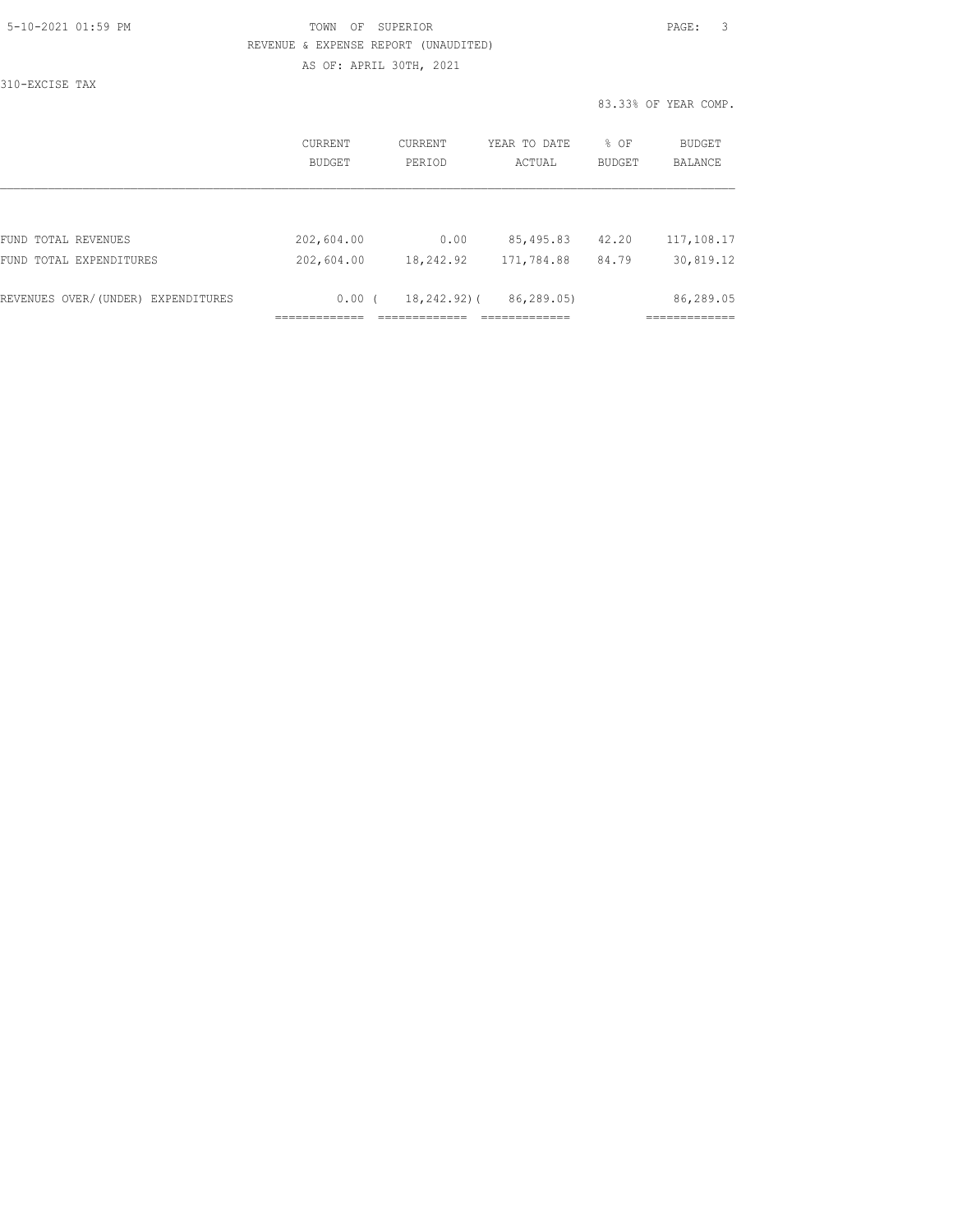| 5-10-2021 01:59 PM |  |
|--------------------|--|
|                    |  |

## TOWN OF SUPERIOR **Example 2010** PAGE: 3 REVENUE & EXPENSE REPORT (UNAUDITED) AS OF: APRIL 30TH, 2021

310-EXCISE TAX

|                                    | CURRENT<br>BUDGET | CURRENT<br>PERIOD | YEAR TO DATE<br>ACTUAL | % OF<br>BUDGET | BUDGET<br><b>BALANCE</b> |
|------------------------------------|-------------------|-------------------|------------------------|----------------|--------------------------|
|                                    |                   |                   |                        |                |                          |
| FUND TOTAL REVENUES                | 202,604.00        | 0.00              | 85,495.83              | 42.20          | 117,108.17               |
| FUND TOTAL EXPENDITURES            | 202,604.00        | 18,242.92         | 171,784.88             | 84.79          | 30,819.12                |
| REVENUES OVER/(UNDER) EXPENDITURES | 0.00(             | 18,242.92)(       | 86,289.05)             |                | 86,289.05                |
|                                    |                   |                   |                        |                |                          |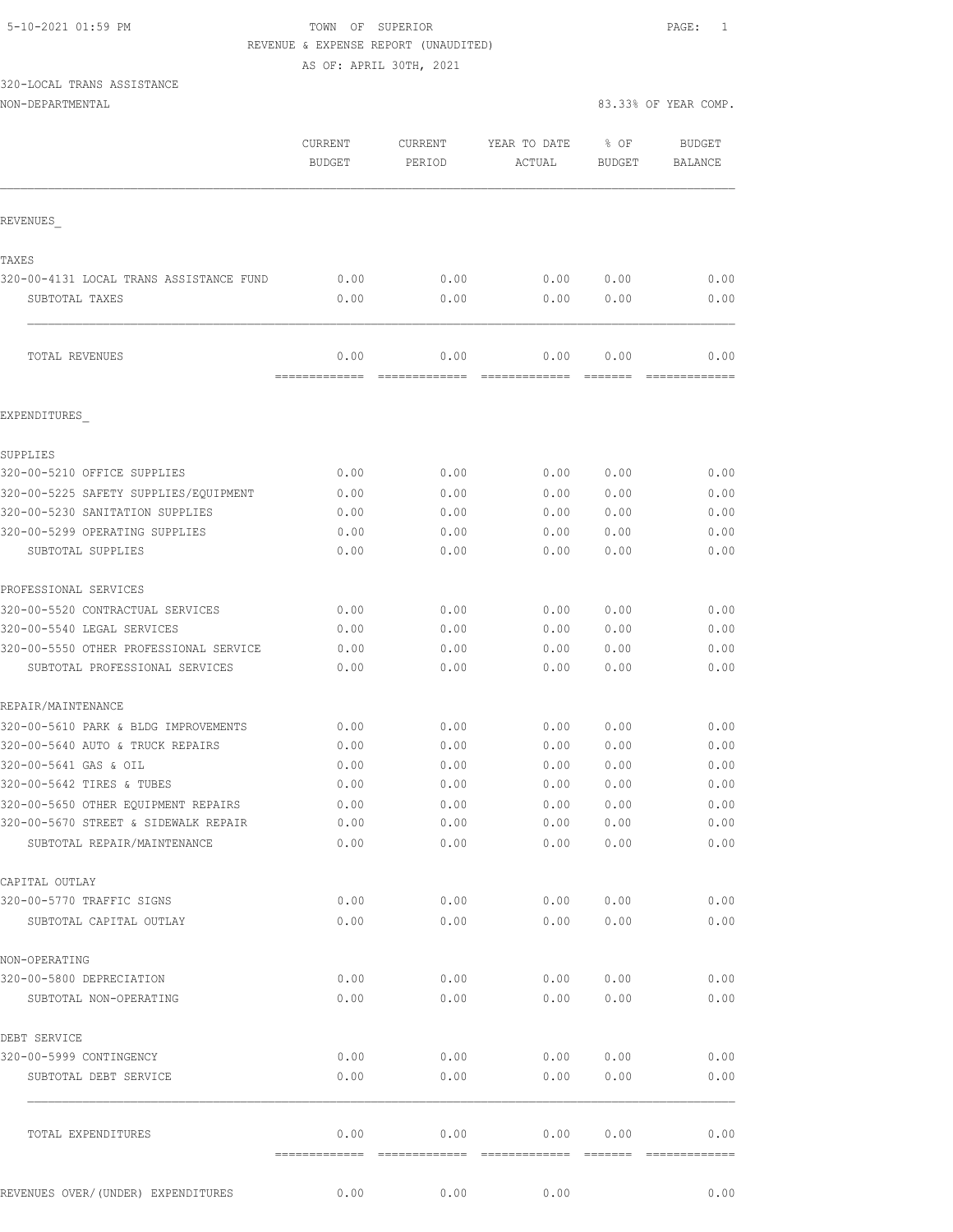## 5-10-2021 01:59 PM TOWN OF SUPERIOR PAGE: 1 REVENUE & EXPENSE REPORT (UNAUDITED)

AS OF: APRIL 30TH, 2021

# 320-LOCAL TRANS ASSISTANCE

| NON-DEPARTMENTAL | 83.33% OF YEAR COMP.<br>.<br>. |  |  |
|------------------|--------------------------------|--|--|
|                  |                                |  |  |

|                                                  | CURRENT<br><b>BUDGET</b> | CURRENT<br>PERIOD | YEAR TO DATE<br>ACTUAL | % OF<br><b>BUDGET</b> | <b>BUDGET</b><br>BALANCE |
|--------------------------------------------------|--------------------------|-------------------|------------------------|-----------------------|--------------------------|
| REVENUES                                         |                          |                   |                        |                       |                          |
|                                                  |                          |                   |                        |                       |                          |
| TAXES<br>320-00-4131 LOCAL TRANS ASSISTANCE FUND | 0.00                     | 0.00              | 0.00                   | 0.00                  | 0.00                     |
| SUBTOTAL TAXES                                   | 0.00                     | 0.00              | 0.00                   | 0.00                  | 0.00                     |
|                                                  |                          |                   |                        |                       |                          |
| TOTAL REVENUES                                   | 0.00                     | 0.00              | 0.00                   | 0.00                  | 0.00                     |
| EXPENDITURES                                     |                          |                   |                        |                       |                          |
| SUPPLIES                                         |                          |                   |                        |                       |                          |
| 320-00-5210 OFFICE SUPPLIES                      | 0.00                     | 0.00              | 0.00                   | 0.00                  | 0.00                     |
| 320-00-5225 SAFETY SUPPLIES/EOUIPMENT            | 0.00                     | 0.00              | 0.00                   | 0.00                  | 0.00                     |
| 320-00-5230 SANITATION SUPPLIES                  | 0.00                     | 0.00              | 0.00                   | 0.00                  | 0.00                     |
| 320-00-5299 OPERATING SUPPLIES                   | 0.00                     | 0.00              | 0.00                   | 0.00                  | 0.00                     |
| SUBTOTAL SUPPLIES                                | 0.00                     | 0.00              | 0.00                   | 0.00                  | 0.00                     |
| PROFESSIONAL SERVICES                            |                          |                   |                        |                       |                          |
| 320-00-5520 CONTRACTUAL SERVICES                 | 0.00                     | 0.00              | 0.00                   | 0.00                  | 0.00                     |
| 320-00-5540 LEGAL SERVICES                       | 0.00                     | 0.00              | 0.00                   | 0.00                  | 0.00                     |
| 320-00-5550 OTHER PROFESSIONAL SERVICE           | 0.00                     | 0.00              | 0.00                   | 0.00                  | 0.00                     |
| SUBTOTAL PROFESSIONAL SERVICES                   | 0.00                     | 0.00              | 0.00                   | 0.00                  | 0.00                     |
| REPAIR/MAINTENANCE                               |                          |                   |                        |                       |                          |
| 320-00-5610 PARK & BLDG IMPROVEMENTS             | 0.00                     | 0.00              | 0.00                   | 0.00                  | 0.00                     |
| 320-00-5640 AUTO & TRUCK REPAIRS                 | 0.00                     | 0.00              | 0.00                   | 0.00                  | 0.00                     |
| 320-00-5641 GAS & OIL                            | 0.00                     | 0.00              | 0.00                   | 0.00                  | 0.00                     |
| 320-00-5642 TIRES & TUBES                        | 0.00                     | 0.00              | 0.00                   | 0.00                  | 0.00                     |
| 320-00-5650 OTHER EQUIPMENT REPAIRS              | 0.00                     | 0.00              | 0.00                   | 0.00                  | 0.00                     |
| 320-00-5670 STREET & SIDEWALK REPAIR             | 0.00                     | 0.00              |                        | 0.00 0.00             | 0.00                     |
| SUBTOTAL REPAIR/MAINTENANCE                      | 0.00                     | 0.00              | 0.00                   | 0.00                  | 0.00                     |
| CAPITAL OUTLAY                                   |                          |                   |                        |                       |                          |
| 320-00-5770 TRAFFIC SIGNS                        | 0.00                     | 0.00              | 0.00                   | 0.00                  | 0.00                     |
| SUBTOTAL CAPITAL OUTLAY                          | 0.00                     | 0.00              | 0.00                   | 0.00                  | 0.00                     |
| NON-OPERATING                                    |                          |                   |                        |                       |                          |
| 320-00-5800 DEPRECIATION                         | 0.00                     | 0.00              | 0.00                   | 0.00                  | 0.00                     |
| SUBTOTAL NON-OPERATING                           | 0.00                     | 0.00              | 0.00                   | 0.00                  | 0.00                     |
| DEBT SERVICE                                     |                          |                   |                        |                       |                          |
| 320-00-5999 CONTINGENCY                          | 0.00                     | 0.00              | 0.00                   | 0.00                  | 0.00                     |
| SUBTOTAL DEBT SERVICE                            | 0.00                     | 0.00              | 0.00                   | 0.00                  | 0.00                     |
| TOTAL EXPENDITURES                               | 0.00                     | 0.00              | 0.00                   | 0.00                  | 0.00                     |
| REVENUES OVER/(UNDER) EXPENDITURES               | 0.00                     | 0.00              | 0.00                   |                       | 0.00                     |
|                                                  |                          |                   |                        |                       |                          |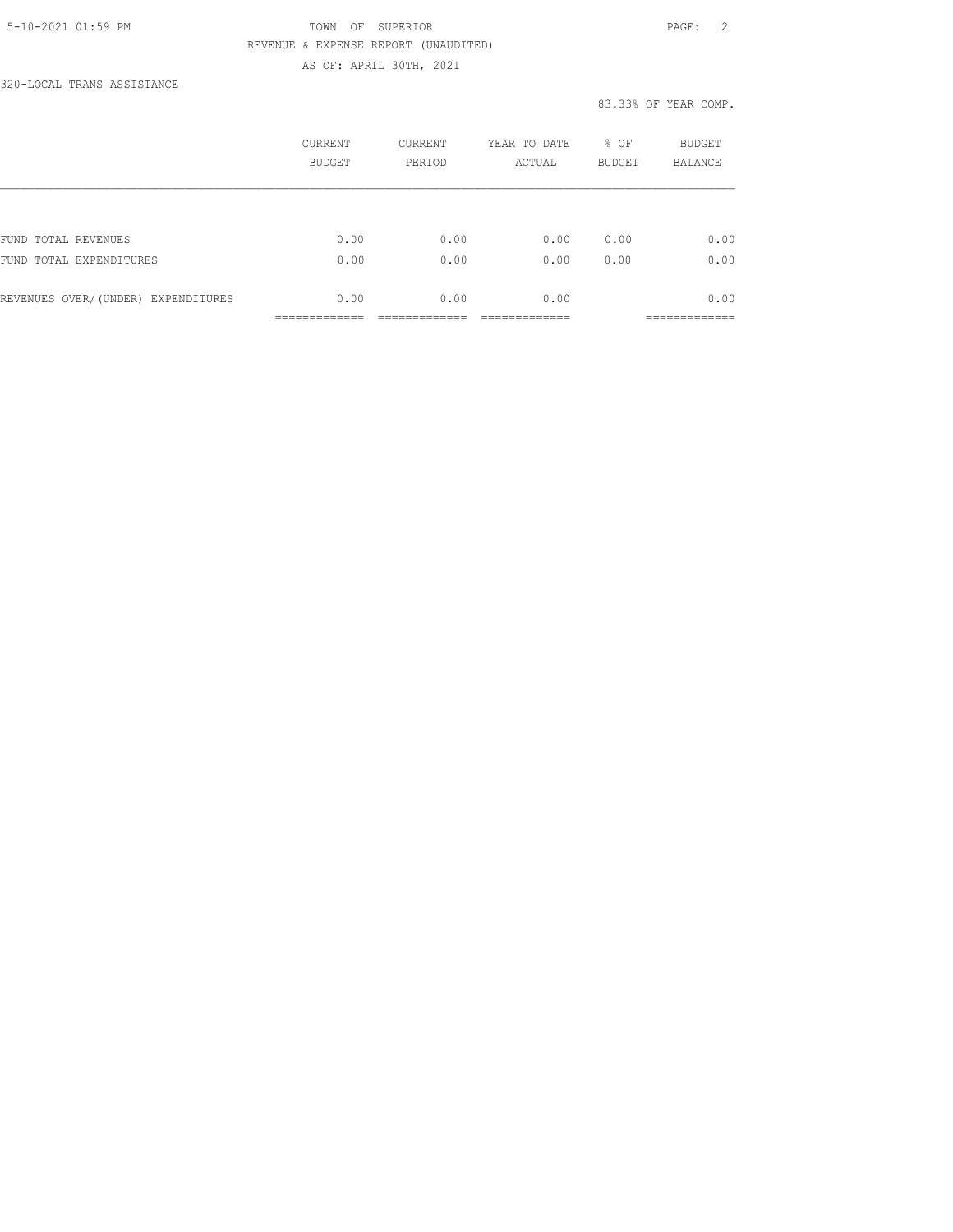## 5-10-2021 01:59 PM TOWN OF SUPERIOR PAGE: 2 REVENUE & EXPENSE REPORT (UNAUDITED) AS OF: APRIL 30TH, 2021

320-LOCAL TRANS ASSISTANCE

|                                    | CURRENT<br><b>BUDGET</b> | <b>CURRENT</b><br>PERIOD | YEAR TO DATE<br>ACTUAL | % OF<br><b>BUDGET</b> | <b>BUDGET</b><br><b>BALANCE</b> |
|------------------------------------|--------------------------|--------------------------|------------------------|-----------------------|---------------------------------|
|                                    |                          |                          |                        |                       |                                 |
| FUND TOTAL REVENUES                | 0.00                     | 0.00                     | 0.00                   | 0.00                  | 0.00                            |
| FUND TOTAL EXPENDITURES            | 0.00                     | 0.00                     | 0.00                   | 0.00                  | 0.00                            |
| REVENUES OVER/(UNDER) EXPENDITURES | 0.00                     | 0.00                     | 0.00                   |                       | 0.00                            |
|                                    |                          |                          |                        |                       | _________                       |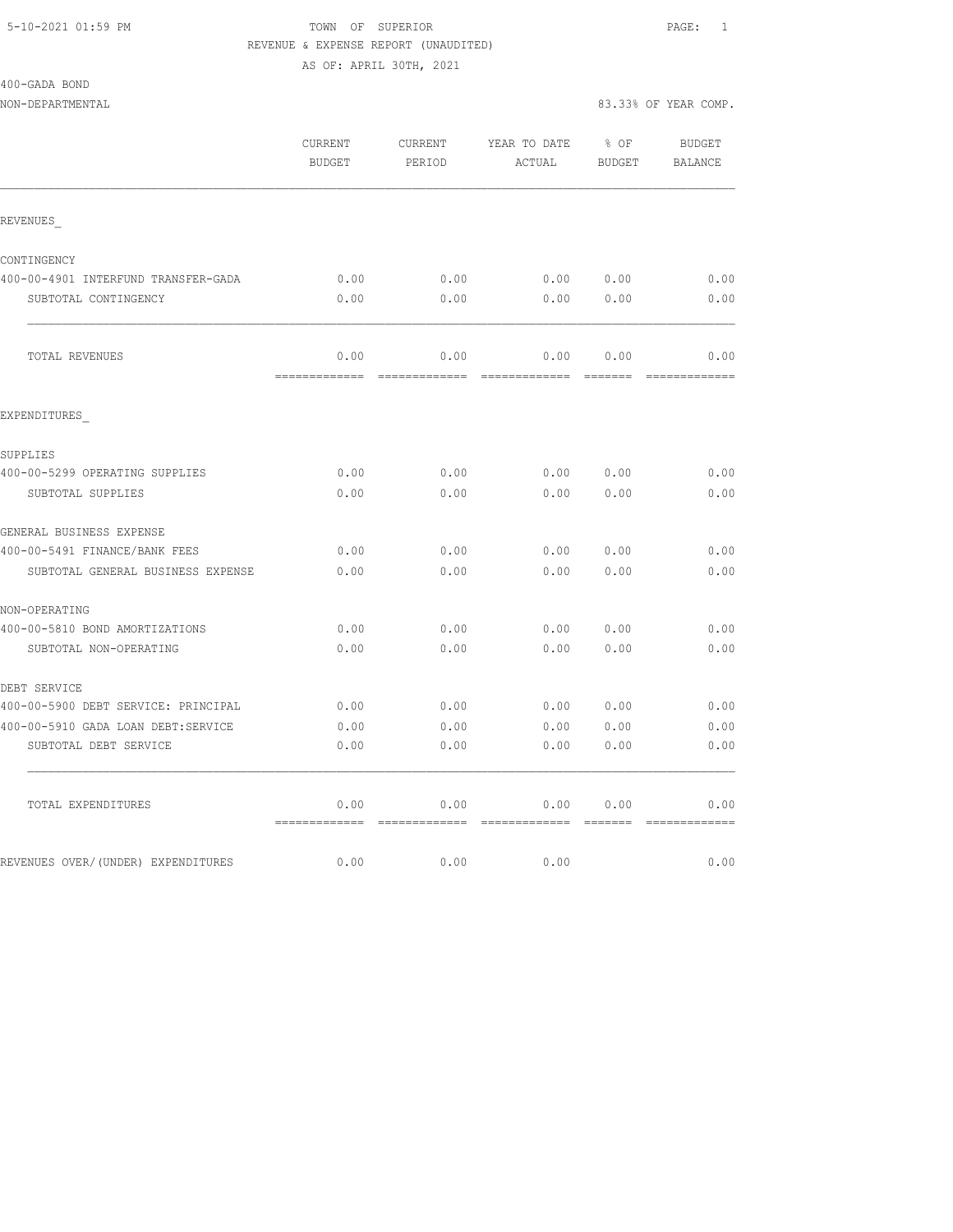# 5-10-2021 01:59 PM TOWN OF SUPERIOR PAGE: 1 REVENUE & EXPENSE REPORT (UNAUDITED)

AS OF: APRIL 30TH, 2021

| 400-GADA BOND<br>NON-DEPARTMENTAL   |                          |                   |                                        |                         | 83.33% OF YEAR COMP.     |
|-------------------------------------|--------------------------|-------------------|----------------------------------------|-------------------------|--------------------------|
|                                     | CURRENT<br><b>BUDGET</b> | CURRENT<br>PERIOD | YEAR TO DATE<br>ACTUAL                 | $8$ OF<br><b>BUDGET</b> | <b>BUDGET</b><br>BALANCE |
| REVENUES                            |                          |                   |                                        |                         |                          |
| CONTINGENCY                         |                          |                   |                                        |                         |                          |
| 400-00-4901 INTERFUND TRANSFER-GADA | 0.00                     | 0.00              | 0.00                                   | 0.00                    | 0.00                     |
| SUBTOTAL CONTINGENCY                | 0.00                     | 0.00              | 0.00                                   | 0.00                    | 0.00                     |
| TOTAL REVENUES                      | 0.00<br>=============    | 0.00              | 0.00<br>============================== | 0.00<br>--------        | 0.00<br>--------------   |
| EXPENDITURES                        |                          |                   |                                        |                         |                          |
| SUPPLIES                            |                          |                   |                                        |                         |                          |
| 400-00-5299 OPERATING SUPPLIES      | 0.00                     | 0.00              | 0.00                                   | 0.00                    | 0.00                     |
| SUBTOTAL SUPPLIES                   | 0.00                     | 0.00              | 0.00                                   | 0.00                    | 0.00                     |
| GENERAL BUSINESS EXPENSE            |                          |                   |                                        |                         |                          |
| 400-00-5491 FINANCE/BANK FEES       | 0.00                     | 0.00              | 0.00                                   | 0.00                    | 0.00                     |
| SUBTOTAL GENERAL BUSINESS EXPENSE   | 0.00                     | 0.00              | 0.00                                   | 0.00                    | 0.00                     |
| NON-OPERATING                       |                          |                   |                                        |                         |                          |
| 400-00-5810 BOND AMORTIZATIONS      | 0.00                     | 0.00              | 0.00                                   | 0.00                    | 0.00                     |
| SUBTOTAL NON-OPERATING              | 0.00                     | 0.00              | 0.00                                   | 0.00                    | 0.00                     |
| DEBT SERVICE                        |                          |                   |                                        |                         |                          |
| 400-00-5900 DEBT SERVICE: PRINCIPAL | 0.00                     | 0.00              | 0.00                                   | 0.00                    | 0.00                     |
| 400-00-5910 GADA LOAN DEBT:SERVICE  | 0.00                     | 0.00              | 0.00                                   | 0.00                    | 0.00                     |
| SUBTOTAL DEBT SERVICE               | 0.00                     | 0.00              | 0.00                                   | 0.00                    | 0.00                     |
| TOTAL EXPENDITURES                  | 0.00                     | 0.00              | 0.00                                   | 0.00                    | 0.00                     |

REVENUES OVER/(UNDER) EXPENDITURES 0.00 0.00 0.00 0.00 0.00 0.00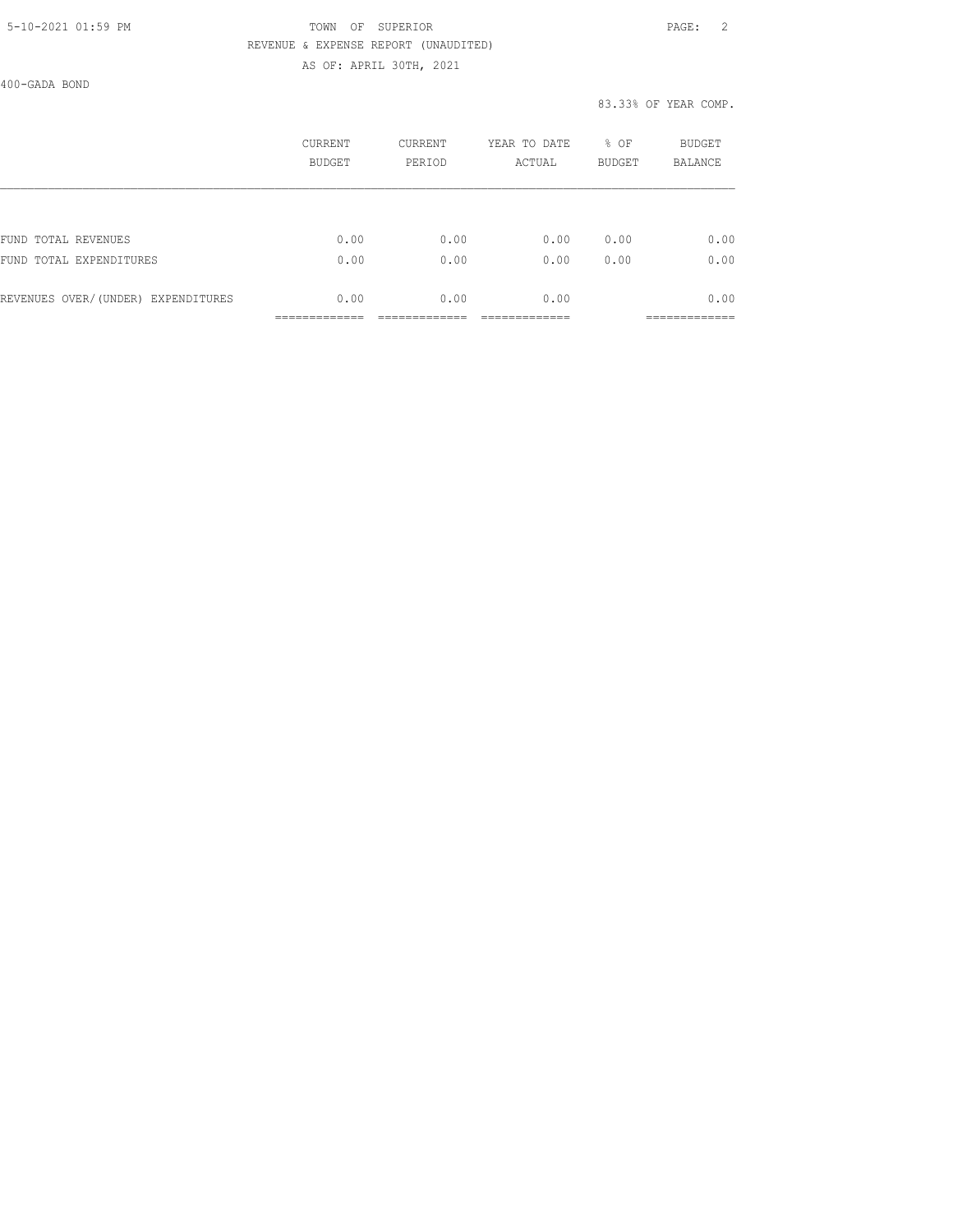### 5-10-2021 01:59 PM TOWN OF SUPERIOR PAGE: 2 REVENUE & EXPENSE REPORT (UNAUDITED) AS OF: APRIL 30TH, 2021

400-GADA BOND

|                                    | CURRENT<br><b>BUDGET</b> | CURRENT<br>PERIOD | YEAR TO DATE<br>ACTUAL | % OF<br><b>BUDGET</b> | <b>BUDGET</b><br><b>BALANCE</b> |
|------------------------------------|--------------------------|-------------------|------------------------|-----------------------|---------------------------------|
|                                    |                          |                   |                        |                       |                                 |
| FUND TOTAL REVENUES                | 0.00                     | 0.00              | 0.00                   | 0.00                  | 0.00                            |
| FUND TOTAL EXPENDITURES            | 0.00                     | 0.00              | 0.00                   | 0.00                  | 0.00                            |
| REVENUES OVER/(UNDER) EXPENDITURES | 0.00                     | 0.00              | 0.00                   |                       | 0.00                            |
|                                    |                          |                   |                        |                       |                                 |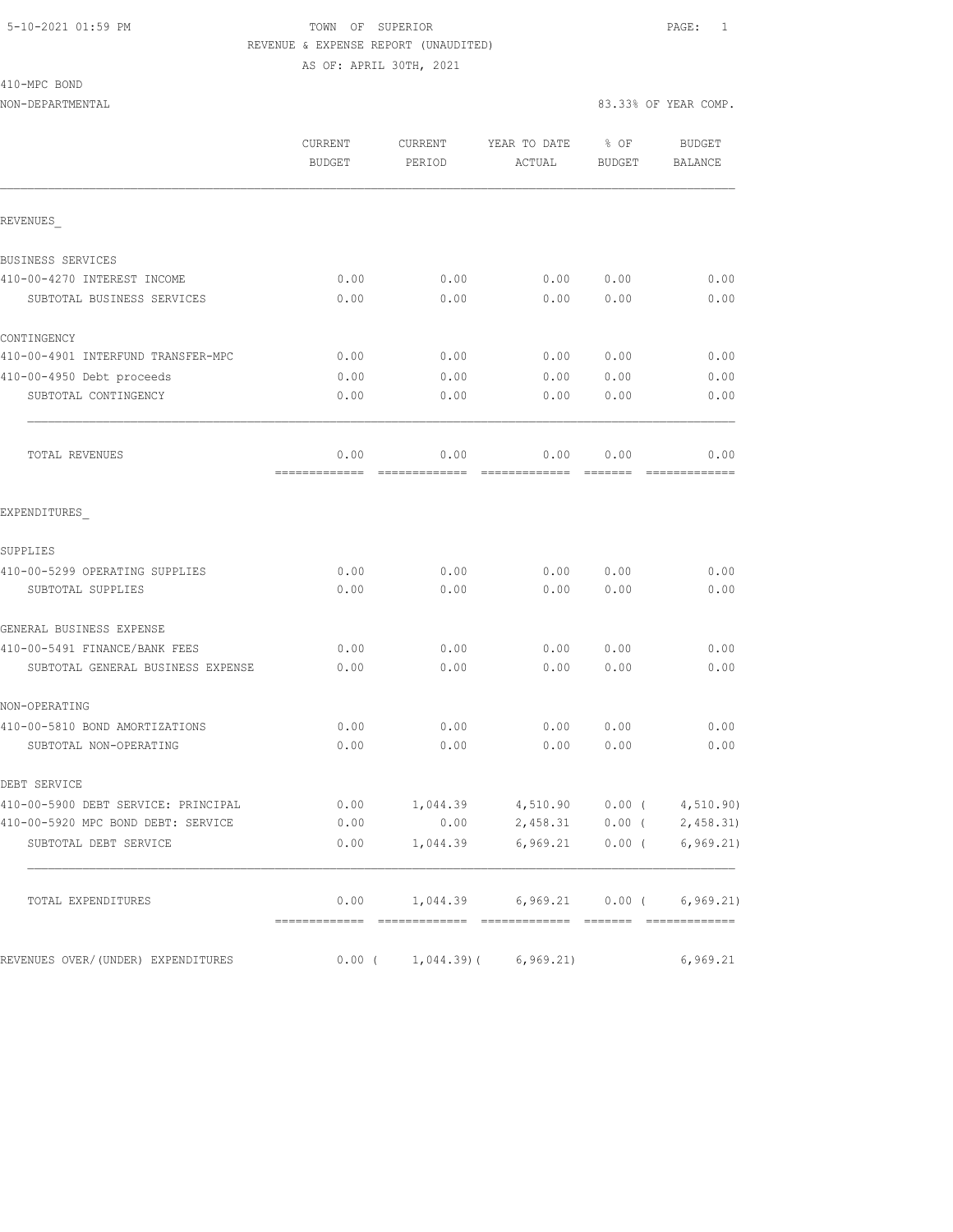## 5-10-2021 01:59 PM TOWN OF SUPERIOR PAGE: 1 REVENUE & EXPENSE REPORT (UNAUDITED)

AS OF: APRIL 30TH, 2021

| 410-MPC BOND |  |
|--------------|--|
|--------------|--|

|                                     | CURRENT<br><b>BUDGET</b> | <b>CURRENT</b><br>PERIOD | YEAR TO DATE<br>ACTUAL                    | % OF<br><b>BUDGET</b> | <b>BUDGET</b><br><b>BALANCE</b> |
|-------------------------------------|--------------------------|--------------------------|-------------------------------------------|-----------------------|---------------------------------|
| REVENUES                            |                          |                          |                                           |                       |                                 |
| BUSINESS SERVICES                   |                          |                          |                                           |                       |                                 |
| 410-00-4270 INTEREST INCOME         | 0.00                     | 0.00                     | 0.00                                      | 0.00                  | 0.00                            |
| SUBTOTAL BUSINESS SERVICES          | 0.00                     | 0.00                     | 0.00                                      | 0.00                  | 0.00                            |
| CONTINGENCY                         |                          |                          |                                           |                       |                                 |
| 410-00-4901 INTERFUND TRANSFER-MPC  | 0.00                     | 0.00                     | 0.00                                      | 0.00                  | 0.00                            |
| 410-00-4950 Debt proceeds           | 0.00                     | 0.00                     | 0.00                                      | 0.00                  | 0.00                            |
| SUBTOTAL CONTINGENCY                | 0.00                     | 0.00                     | 0.00                                      | 0.00                  | 0.00                            |
| TOTAL REVENUES                      | 0.00                     | 0.00                     | 0.00                                      | 0.00                  | 0.00                            |
| EXPENDITURES                        |                          |                          |                                           |                       |                                 |
| SUPPLIES                            |                          |                          |                                           |                       |                                 |
| 410-00-5299 OPERATING SUPPLIES      | 0.00                     | 0.00                     | 0.00                                      | 0.00                  | 0.00                            |
| SUBTOTAL SUPPLIES                   | 0.00                     | 0.00                     | 0.00                                      | 0.00                  | 0.00                            |
| GENERAL BUSINESS EXPENSE            |                          |                          |                                           |                       |                                 |
| 410-00-5491 FINANCE/BANK FEES       | 0.00                     | 0.00                     | 0.00                                      | 0.00                  | 0.00                            |
| SUBTOTAL GENERAL BUSINESS EXPENSE   | 0.00                     | 0.00                     | 0.00                                      | 0.00                  | 0.00                            |
| NON-OPERATING                       |                          |                          |                                           |                       |                                 |
| 410-00-5810 BOND AMORTIZATIONS      | 0.00                     | 0.00                     | 0.00                                      | 0.00                  | 0.00                            |
| SUBTOTAL NON-OPERATING              | 0.00                     | 0.00                     | 0.00                                      | 0.00                  | 0.00                            |
| DEBT SERVICE                        |                          |                          |                                           |                       |                                 |
| 410-00-5900 DEBT SERVICE: PRINCIPAL | 0.00                     | 1,044.39                 | 4,510.90                                  | $0.00$ (              | 4,510.90)                       |
| 410-00-5920 MPC BOND DEBT: SERVICE  | 0.00                     | 0.00                     | 2,458.31                                  | $0.00$ (              | 2,458.31                        |
| SUBTOTAL DEBT SERVICE               |                          |                          | $0.00$ 1,044.39 6,969.21 0.00 ( 6,969.21) |                       |                                 |
| TOTAL EXPENDITURES                  |                          |                          | $0.00$ 1,044.39 6,969.21 0.00 ( 6,969.21) |                       |                                 |
| REVENUES OVER/(UNDER) EXPENDITURES  |                          |                          | $0.00$ ( $1,044.39$ ) ( $6,969.21$ )      |                       | 6,969.21                        |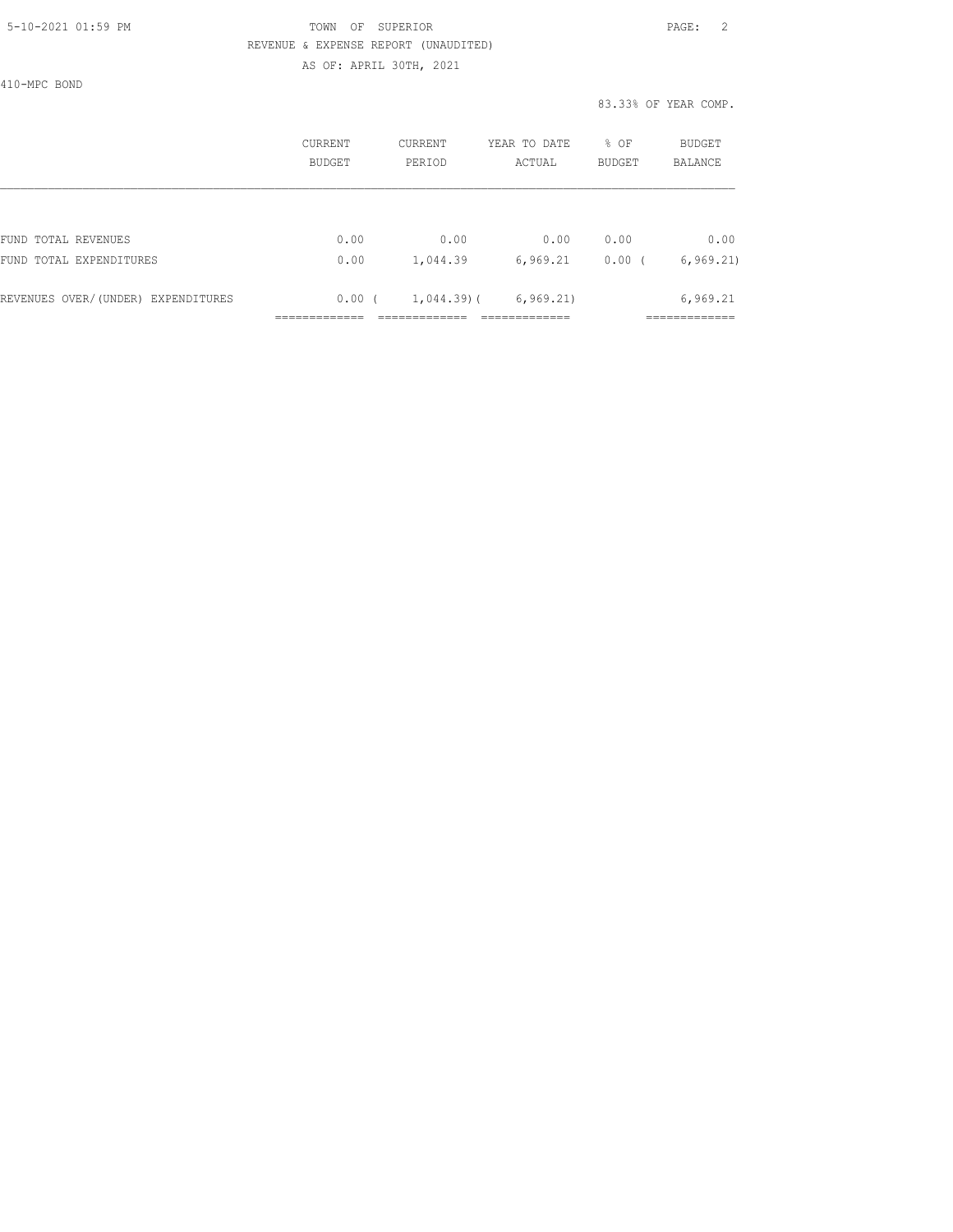## 5-10-2021 01:59 PM TOWN OF SUPERIOR PAGE: 2 REVENUE & EXPENSE REPORT (UNAUDITED) AS OF: APRIL 30TH, 2021

410-MPC BOND

|                                    | CURRENT<br><b>BUDGET</b> | CURRENT<br>PERIOD | YEAR TO DATE<br>ACTUAL | % OF<br><b>BUDGET</b> | <b>BUDGET</b><br><b>BALANCE</b> |
|------------------------------------|--------------------------|-------------------|------------------------|-----------------------|---------------------------------|
| FUND TOTAL REVENUES                | 0.00                     | 0.00              | 0.00                   | 0.00                  | 0.00                            |
| FUND TOTAL EXPENDITURES            | 0.00                     | 1,044.39          | 6,969.21               | $0.00$ (              | 6, 969, 21)                     |
| REVENUES OVER/(UNDER) EXPENDITURES | 0.00(                    | 1,044.39)(        | 6, 969.21              |                       | 6,969.21                        |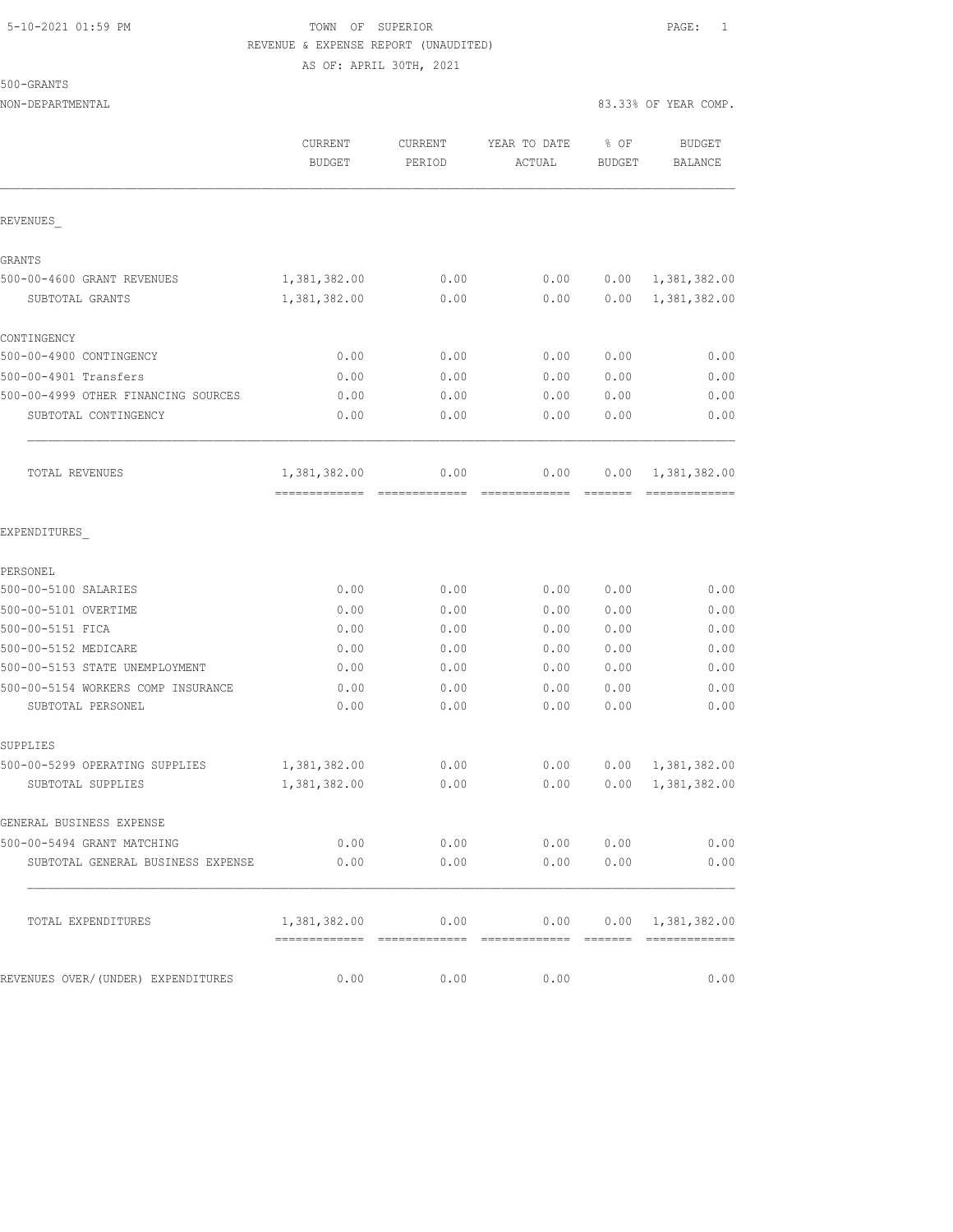### 5-10-2021 01:59 PM TOWN OF SUPERIOR PAGE: 1 REVENUE & EXPENSE REPORT (UNAUDITED) AS OF: APRIL 30TH, 2021

500-GRANTS

|                                                         | CURRENT<br><b>BUDGET</b>                       | CURRENT<br>PERIOD | YEAR TO DATE<br>ACTUAL | % OF<br><b>BUDGET</b> | <b>BUDGET</b><br><b>BALANCE</b> |
|---------------------------------------------------------|------------------------------------------------|-------------------|------------------------|-----------------------|---------------------------------|
| REVENUES                                                |                                                |                   |                        |                       |                                 |
| GRANTS                                                  |                                                |                   |                        |                       |                                 |
| 500-00-4600 GRANT REVENUES                              | 1,381,382.00                                   | 0.00              | 0.00                   | 0.00                  | 1,381,382.00                    |
| SUBTOTAL GRANTS                                         | 1,381,382.00                                   | 0.00              | 0.00                   | 0.00                  | 1,381,382.00                    |
| CONTINGENCY                                             |                                                |                   |                        |                       |                                 |
| 500-00-4900 CONTINGENCY                                 | 0.00                                           | 0.00              | 0.00                   | 0.00                  | 0.00                            |
| 500-00-4901 Transfers                                   | 0.00                                           | 0.00              | 0.00                   | 0.00                  | 0.00                            |
| 500-00-4999 OTHER FINANCING SOURCES                     | 0.00                                           | 0.00              | 0.00                   | 0.00                  | 0.00                            |
| SUBTOTAL CONTINGENCY                                    | 0.00                                           | 0.00              | 0.00                   | 0.00                  | 0.00                            |
| TOTAL REVENUES                                          | 1,381,382.00<br>============================== | 0.00              | 0.00                   | 0.00                  | 1,381,382.00<br>-------------   |
| EXPENDITURES                                            |                                                |                   |                        |                       |                                 |
| PERSONEL                                                |                                                |                   |                        |                       |                                 |
| 500-00-5100 SALARIES                                    | 0.00                                           | 0.00              | 0.00                   | 0.00                  | 0.00                            |
| 500-00-5101 OVERTIME                                    | 0.00                                           | 0.00              | 0.00                   | 0.00                  | 0.00                            |
| 500-00-5151 FICA                                        | 0.00                                           | 0.00              | 0.00                   | 0.00                  | 0.00                            |
| 500-00-5152 MEDICARE                                    | 0.00                                           | 0.00              | 0.00                   | 0.00                  | 0.00                            |
| 500-00-5153 STATE UNEMPLOYMENT                          | 0.00                                           | 0.00              | 0.00                   | 0.00                  | 0.00                            |
| 500-00-5154 WORKERS COMP INSURANCE<br>SUBTOTAL PERSONEL | 0.00<br>0.00                                   | 0.00<br>0.00      | 0.00<br>0.00           | 0.00<br>0.00          | 0.00<br>0.00                    |
| SUPPLIES                                                |                                                |                   |                        |                       |                                 |
| 500-00-5299 OPERATING SUPPLIES                          | 1,381,382.00                                   | 0.00              | 0.00                   | 0.00                  | 1,381,382.00                    |
| SUBTOTAL SUPPLIES                                       | 1,381,382.00                                   | 0.00              | 0.00                   | 0.00                  | 1,381,382.00                    |
| GENERAL BUSINESS EXPENSE                                |                                                |                   |                        |                       |                                 |
| 500-00-5494 GRANT MATCHING                              | 0.00                                           | 0.00              | 0.00                   | 0.00                  | 0.00                            |
| SUBTOTAL GENERAL BUSINESS EXPENSE                       | 0.00                                           | 0.00              | 0.00                   | 0.00                  | 0.00                            |
| TOTAL EXPENDITURES                                      | 1,381,382.00                                   | 0.00              | 0.00                   |                       | $0.00 \quad 1,381,382.00$       |
| REVENUES OVER/(UNDER) EXPENDITURES                      | 0.00                                           | 0.00              | 0.00                   |                       | 0.00                            |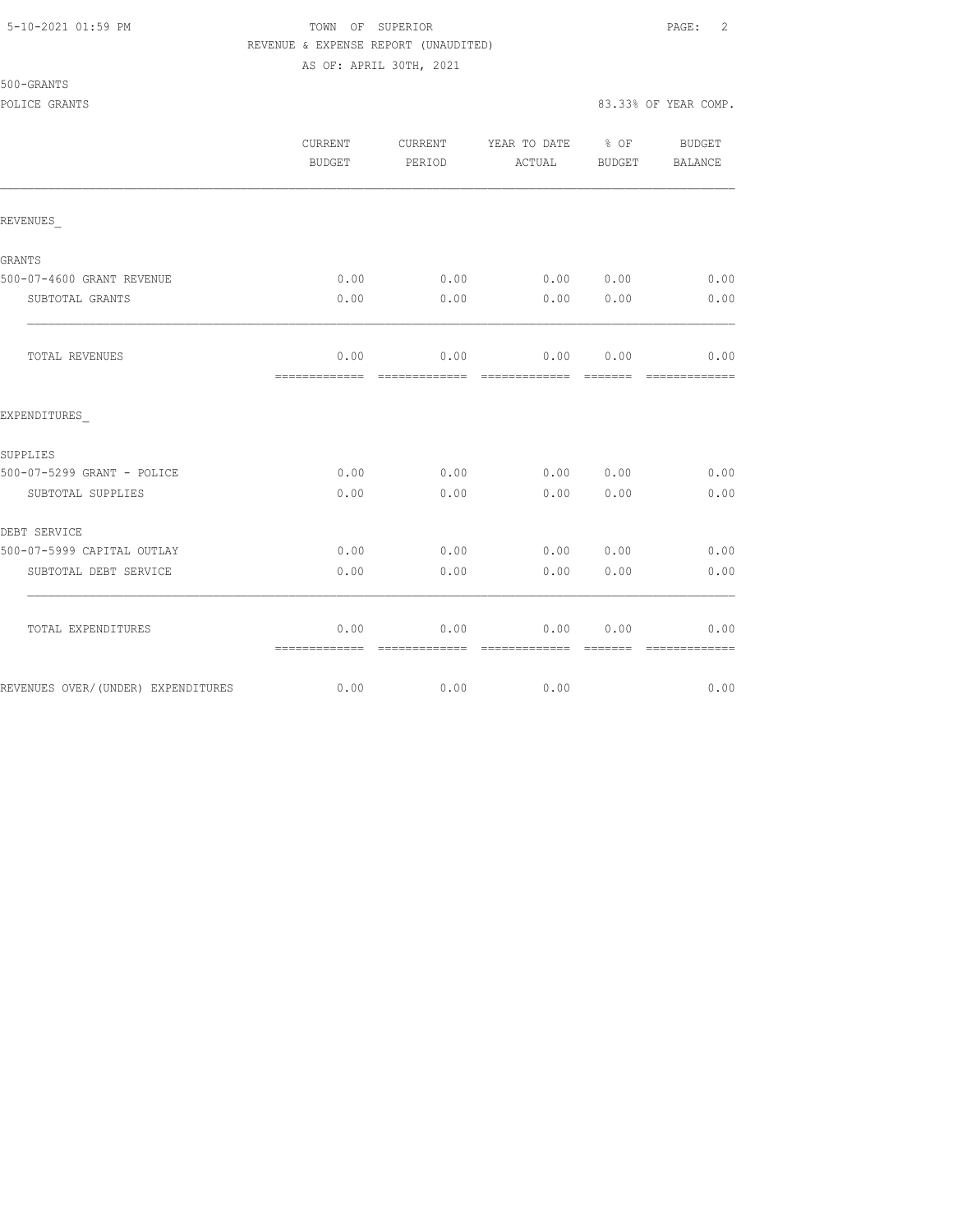|  | 5-10-2021 01:59 PM |  |
|--|--------------------|--|
|  |                    |  |

# TOWN OF SUPERIOR **Example 2** PAGE: 2 REVENUE & EXPENSE REPORT (UNAUDITED)

AS OF: APRIL 30TH, 2021

| 500-GRANTS    |  |
|---------------|--|
| DAITAR ADIMIR |  |

### POLICE GRANTS 83.33% OF YEAR COMP.

|                                    | CURRENT<br><b>BUDGET</b> | CURRENT<br>PERIOD     | YEAR TO DATE % OF<br>ACTUAL | BUDGET           | <b>BUDGET</b><br><b>BALANCE</b> |
|------------------------------------|--------------------------|-----------------------|-----------------------------|------------------|---------------------------------|
| REVENUES                           |                          |                       |                             |                  |                                 |
| GRANTS                             |                          |                       |                             |                  |                                 |
| 500-07-4600 GRANT REVENUE          | 0.00                     | 0.00                  | 0.00                        | 0.00             | 0.00                            |
| SUBTOTAL GRANTS                    | 0.00                     | 0.00                  | 0.00                        | 0.00             | 0.00                            |
| TOTAL REVENUES                     | 0.00                     |                       | $0.00$ 0.00                 | 0.00             | 0.00                            |
| EXPENDITURES                       |                          |                       |                             |                  |                                 |
| SUPPLIES                           |                          |                       |                             |                  |                                 |
| 500-07-5299 GRANT - POLICE         | 0.00                     | 0.00                  | 0.00                        | 0.00             | 0.00                            |
| SUBTOTAL SUPPLIES                  | 0.00                     | 0.00                  | 0.00                        | 0.00             | 0.00                            |
| DEBT SERVICE                       |                          |                       |                             |                  |                                 |
| 500-07-5999 CAPITAL OUTLAY         | 0.00                     | 0.00                  | 0.00                        | 0.00             | 0.00                            |
| SUBTOTAL DEBT SERVICE              | 0.00                     | 0.00                  | 0.00                        | 0.00             | 0.00                            |
| TOTAL EXPENDITURES                 | 0.00<br>=============    | 0.00<br>============= | 0.00<br>=============       | 0.00<br>-------- | 0.00<br>=============           |
| REVENUES OVER/(UNDER) EXPENDITURES | 0.00                     | 0.00                  | 0.00                        |                  | 0.00                            |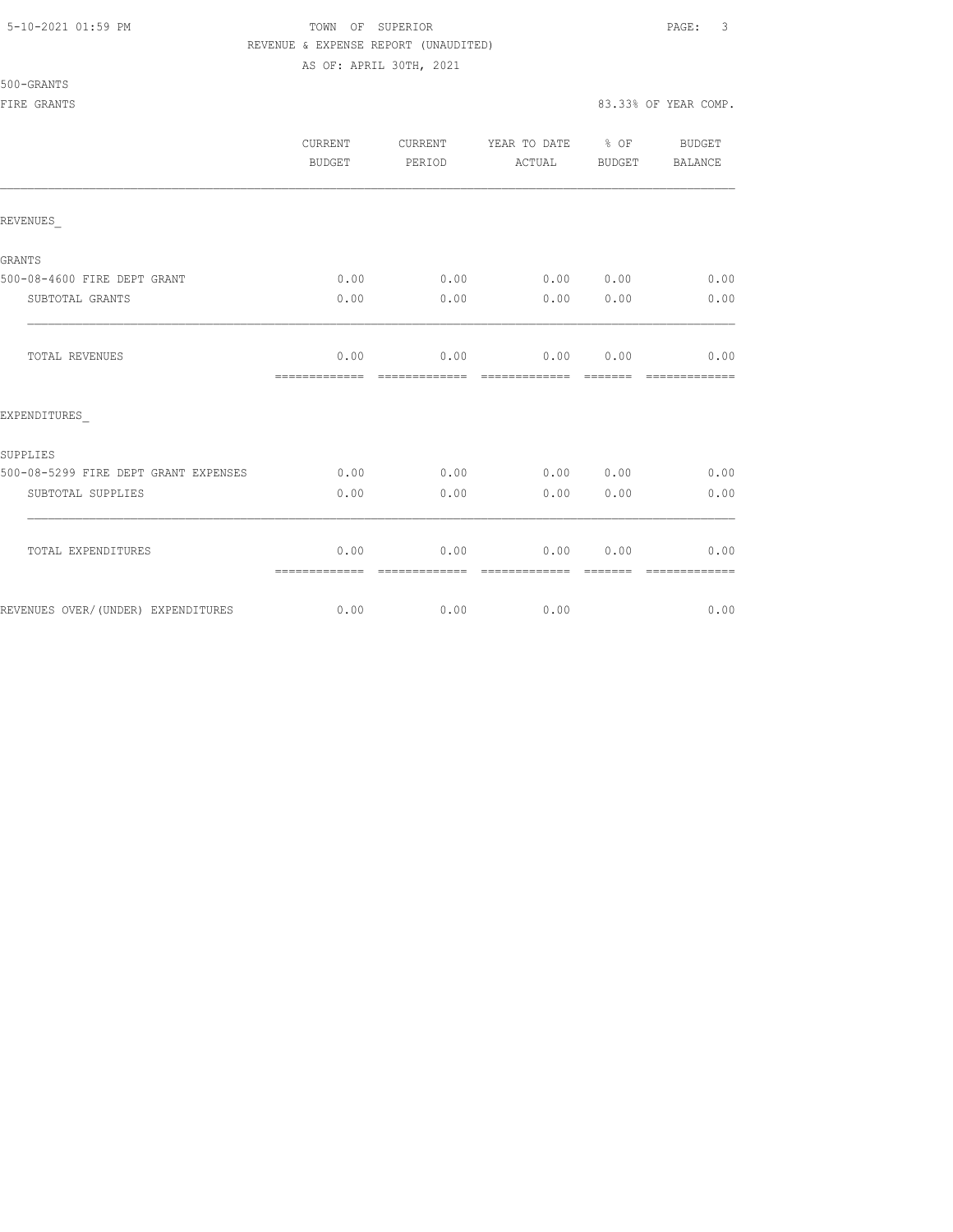## 5-10-2021 01:59 PM TOWN OF SUPERIOR PAGE: 3 REVENUE & EXPENSE REPORT (UNAUDITED)

AS OF: APRIL 30TH, 2021

|                                      | CURRENT<br><b>BUDGET</b> | CURRENT<br>PERIOD     | YEAR TO DATE % OF<br>ACTUAL | BUDGET          | BUDGET<br>BALANCE     |
|--------------------------------------|--------------------------|-----------------------|-----------------------------|-----------------|-----------------------|
| REVENUES                             |                          |                       |                             |                 |                       |
| GRANTS                               |                          |                       |                             |                 |                       |
| 500-08-4600 FIRE DEPT GRANT          | 0.00                     | 0.00                  | 0.00 0.00                   |                 | 0.00                  |
| SUBTOTAL GRANTS                      | 0.00                     | 0.00                  | 0.00                        | 0.00            | 0.00                  |
| TOTAL REVENUES                       | 0.00<br>=============    | 0.00<br>============= | 0.00<br>=============       | 0.00<br>======= | 0.00<br>============= |
| EXPENDITURES                         |                          |                       |                             |                 |                       |
| SUPPLIES                             |                          |                       |                             |                 |                       |
| 500-08-5299 FIRE DEPT GRANT EXPENSES | 0.00                     | 0.00                  | 0.00 0.00                   |                 | 0.00                  |
| SUBTOTAL SUPPLIES                    | 0.00                     | 0.00                  | 0.00                        | 0.00            | 0.00                  |
| TOTAL EXPENDITURES                   | 0.00<br>=============    | 0.00<br>============= | 0.00<br>=============       | 0.00<br>======= | 0.00<br>============= |
| REVENUES OVER/(UNDER) EXPENDITURES   | 0.00                     | 0.00                  | 0.00                        |                 | 0.00                  |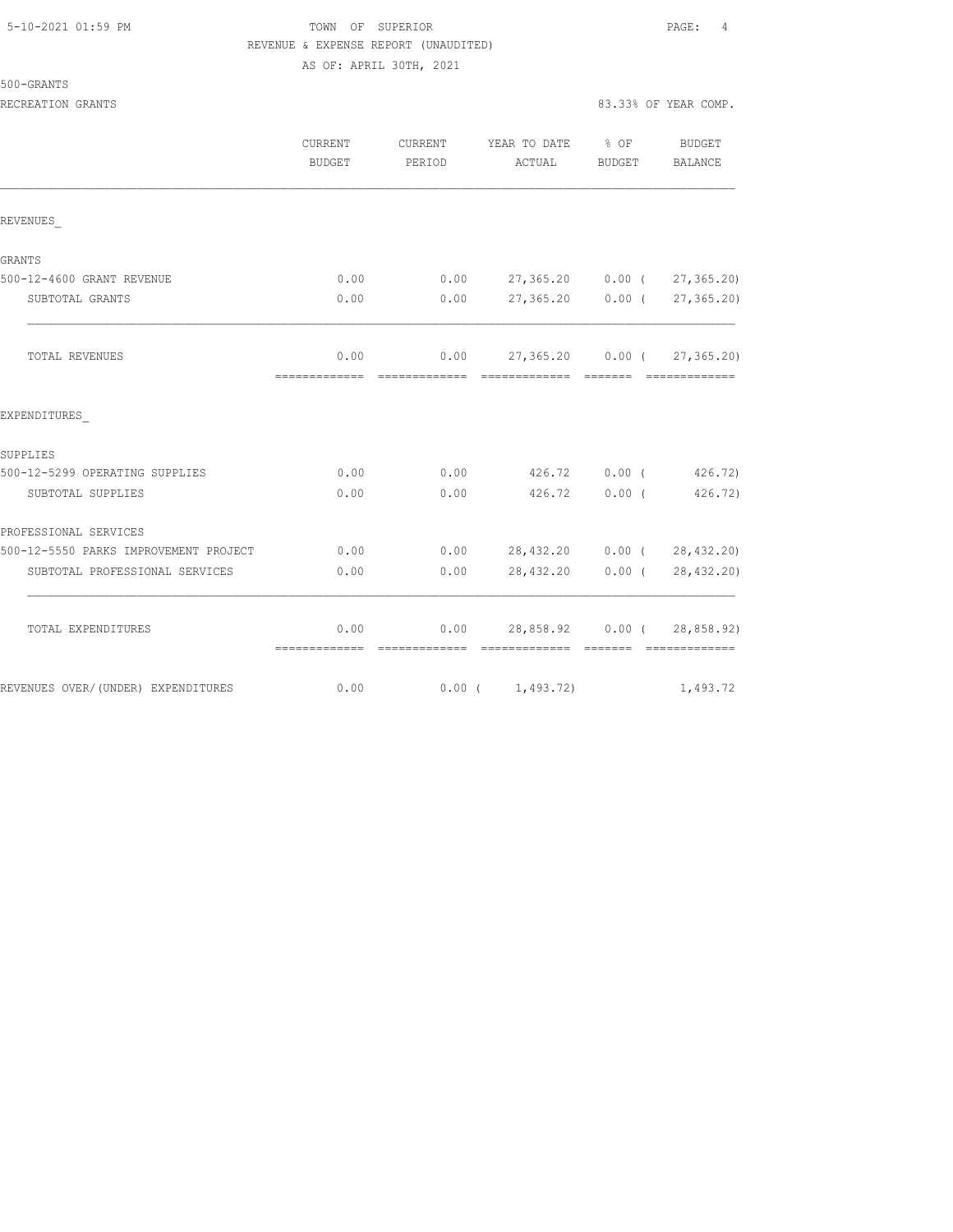| 5-10-2021 01:59 PM |  |  |
|--------------------|--|--|
|                    |  |  |

# TOWN OF SUPERIOR **PAGE:** 4 REVENUE & EXPENSE REPORT (UNAUDITED)

|                                       | AS OF: APRIL 30TH, 2021 |        |                                                                          |  |                              |
|---------------------------------------|-------------------------|--------|--------------------------------------------------------------------------|--|------------------------------|
| 500-GRANTS                            |                         |        |                                                                          |  |                              |
| RECREATION GRANTS                     |                         |        |                                                                          |  | 83.33% OF YEAR COMP.         |
|                                       | CURRENT<br>BUDGET       | PERIOD | CURRENT YEAR TO DATE % OF<br>ACTUAL BUDGET                               |  | BUDGET<br>BALANCE            |
| REVENUES                              |                         |        |                                                                          |  |                              |
| <b>GRANTS</b>                         |                         |        |                                                                          |  |                              |
| 500-12-4600 GRANT REVENUE             | 0.00                    |        | $0.00$ 27,365.20 0.00 ( 27,365.20)                                       |  |                              |
| SUBTOTAL GRANTS                       | 0.00                    | 0.00   |                                                                          |  | 27,365.20  0.00 ( 27,365.20) |
| TOTAL REVENUES                        | 0.00                    |        | $0.00$ 27,365.20 0.00 ( 27,365.20)                                       |  |                              |
| EXPENDITURES                          |                         |        |                                                                          |  |                              |
| SUPPLIES                              |                         |        |                                                                          |  |                              |
| 500-12-5299 OPERATING SUPPLIES        | 0.00                    | 0.00   | 426.72 0.00 (426.72)                                                     |  |                              |
| SUBTOTAL SUPPLIES                     | 0.00                    | 0.00   | 426.72 0.00 (                                                            |  | 426.72)                      |
| PROFESSIONAL SERVICES                 |                         |        |                                                                          |  |                              |
| 500-12-5550 PARKS IMPROVEMENT PROJECT | 0.00                    |        | $0.00$ 28,432.20 0.00 ( 28,432.20)                                       |  |                              |
| SUBTOTAL PROFESSIONAL SERVICES        | 0.00                    | 0.00   |                                                                          |  | 28,432.20 0.00 (28,432.20)   |
| TOTAL EXPENDITURES                    | 0.00<br>=============   |        | $0.00$ 28,858.92 0.00 ( 28,858.92)<br>-------------- ------------ ------ |  |                              |
| REVENUES OVER/ (UNDER) EXPENDITURES   | 0.00                    |        | $0.00$ ( $1,493.72$ )                                                    |  | 1,493.72                     |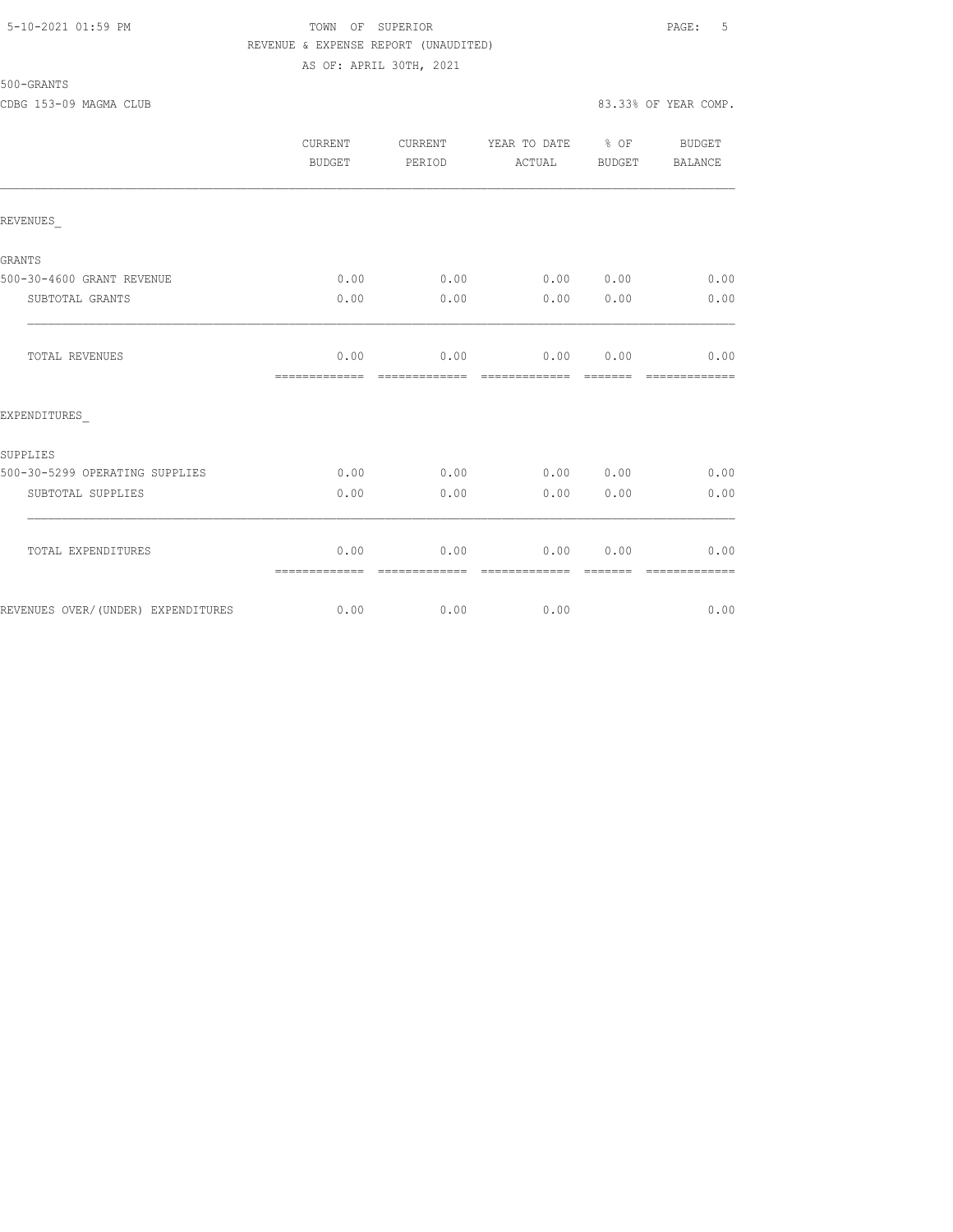## 5-10-2021 01:59 PM TOWN OF SUPERIOR PAGE: 5 REVENUE & EXPENSE REPORT (UNAUDITED) AS OF: APRIL 30TH, 2021

| 500-GRANTS |  |
|------------|--|
|------------|--|

|                                    | CURRENT<br>BUDGET     | CURRENT<br>PERIOD | YEAR TO DATE % OF<br>ACTUAL  | BUDGET | <b>BUDGET</b><br>BALANCE |
|------------------------------------|-----------------------|-------------------|------------------------------|--------|--------------------------|
| REVENUES                           |                       |                   |                              |        |                          |
| <b>GRANTS</b>                      |                       |                   |                              |        |                          |
| 500-30-4600 GRANT REVENUE          | 0.00                  | 0.00              | 0.00 0.00                    |        | 0.00                     |
| SUBTOTAL GRANTS                    | 0.00                  | 0.00              | 0.00                         | 0.00   | 0.00                     |
| TOTAL REVENUES                     | 0.00<br>============= | 0.00              | $0.00$ 0.00<br>============= |        | 0.00<br>-------------    |
| EXPENDITURES                       |                       |                   |                              |        |                          |
| SUPPLIES                           |                       |                   |                              |        |                          |
| 500-30-5299 OPERATING SUPPLIES     | 0.00                  | 0.00              | 0.00 0.00                    |        | 0.00                     |
| SUBTOTAL SUPPLIES                  | 0.00                  | 0.00              | 0.00                         | 0.00   | 0.00                     |
| TOTAL EXPENDITURES                 | 0.00<br>============= | 0.00              | 0.00                         | 0.00   | 0.00                     |
| REVENUES OVER/(UNDER) EXPENDITURES | 0.00                  | 0.00              | 0.00                         |        | 0.00                     |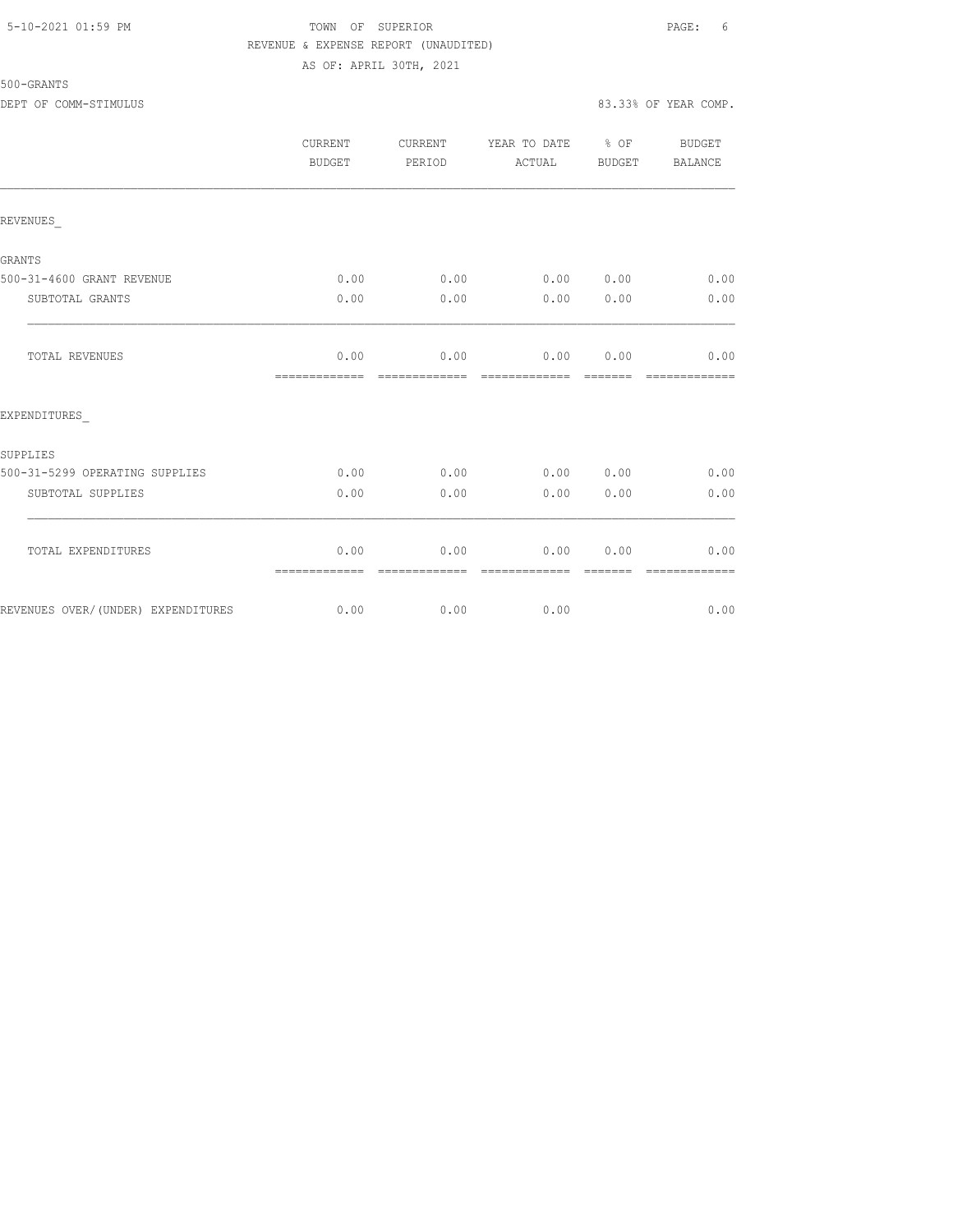## 5-10-2021 01:59 PM TOWN OF SUPERIOR PAGE: 6 REVENUE & EXPENSE REPORT (UNAUDITED) AS OF: APRIL 30TH, 2021

|                                    | CURRENT<br><b>BUDGET</b> | CURRENT<br>PERIOD     | YEAR TO DATE % OF<br>ACTUAL | BUDGET | BUDGET<br>BALANCE |
|------------------------------------|--------------------------|-----------------------|-----------------------------|--------|-------------------|
| REVENUES                           |                          |                       |                             |        |                   |
| <b>GRANTS</b>                      |                          |                       |                             |        |                   |
| 500-31-4600 GRANT REVENUE          | 0.00                     | 0.00                  | 0.00 0.00                   |        | 0.00              |
| SUBTOTAL GRANTS                    | 0.00                     | 0.00                  | 0.00                        | 0.00   | 0.00              |
| TOTAL REVENUES                     | 0.00<br>=============    | 0.00<br>------------- | 0.00<br>-------------       | 0.00   | 0.00              |
| EXPENDITURES                       |                          |                       |                             |        |                   |
| SUPPLIES                           |                          |                       |                             |        |                   |
| 500-31-5299 OPERATING SUPPLIES     | 0.00                     | 0.00                  | 0.00 0.00                   |        | 0.00              |
| SUBTOTAL SUPPLIES                  | 0.00                     | 0.00                  | 0.00                        | 0.00   | 0.00              |
| TOTAL EXPENDITURES                 | 0.00<br>=============    | 0.00<br>------------- | 0.00<br>-------------       | 0.00   | 0.00              |
| REVENUES OVER/(UNDER) EXPENDITURES | 0.00                     | 0.00                  | 0.00                        |        | 0.00              |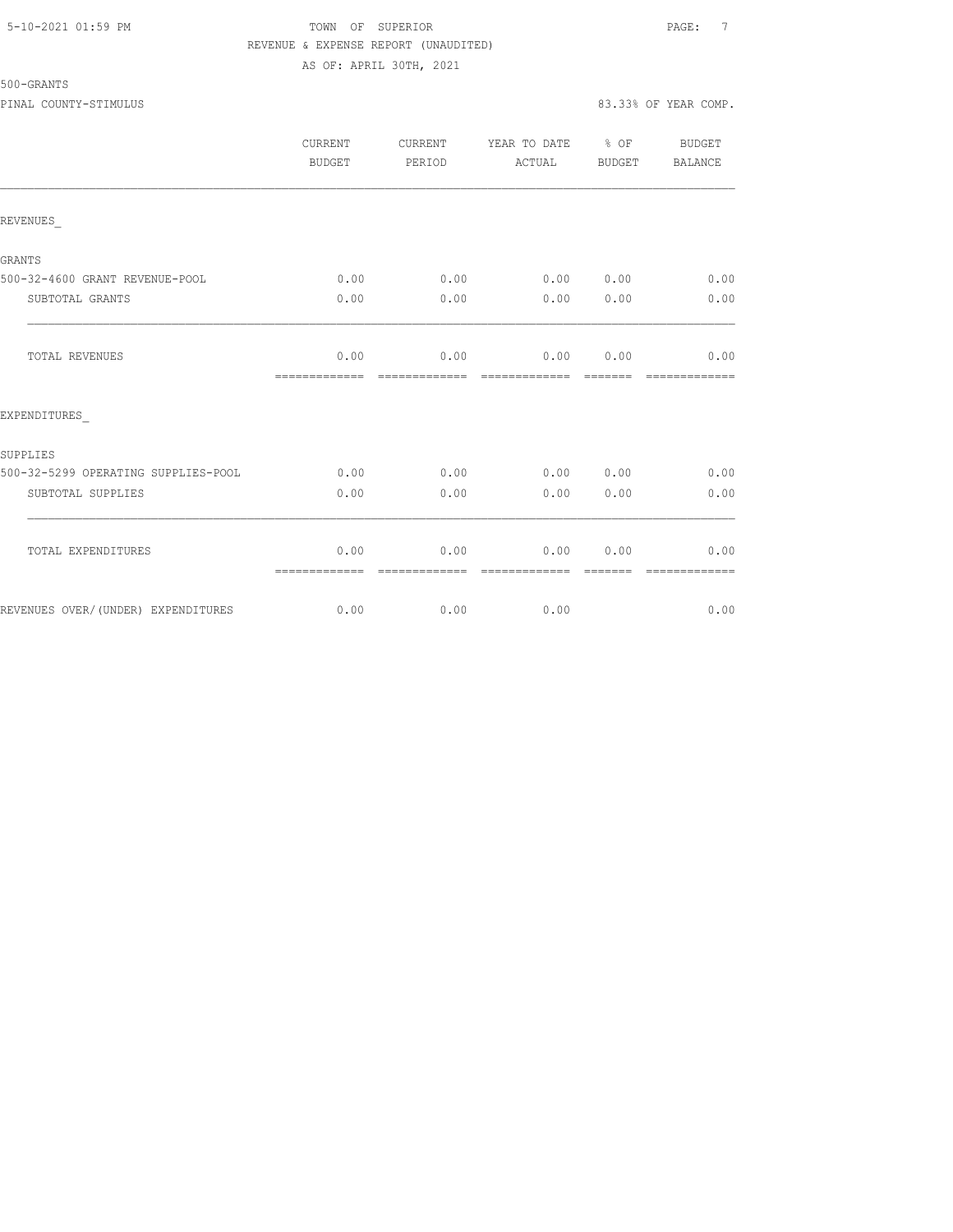# 5-10-2021 01:59 PM TOWN OF SUPERIOR PAGE: 7 REVENUE & EXPENSE REPORT (UNAUDITED) AS OF: APRIL 30TH, 2021

|                                     | CURRENT<br>BUDGET     | CURRENT<br>PERIOD     | YEAR TO DATE % OF<br>ACTUAL | BUDGET                                                                                                                                                                                                                                                                                                                                                                                                                                                                                 | BUDGET<br>BALANCE     |
|-------------------------------------|-----------------------|-----------------------|-----------------------------|----------------------------------------------------------------------------------------------------------------------------------------------------------------------------------------------------------------------------------------------------------------------------------------------------------------------------------------------------------------------------------------------------------------------------------------------------------------------------------------|-----------------------|
| REVENUES                            |                       |                       |                             |                                                                                                                                                                                                                                                                                                                                                                                                                                                                                        |                       |
| GRANTS                              |                       |                       |                             |                                                                                                                                                                                                                                                                                                                                                                                                                                                                                        |                       |
| 500-32-4600 GRANT REVENUE-POOL      | 0.00                  | 0.00                  | 0.00 0.00                   |                                                                                                                                                                                                                                                                                                                                                                                                                                                                                        | 0.00                  |
| SUBTOTAL GRANTS                     | 0.00                  | 0.00                  | 0.00                        | 0.00                                                                                                                                                                                                                                                                                                                                                                                                                                                                                   | 0.00                  |
| TOTAL REVENUES                      | 0.00<br>============= | 0.00<br>============= | 0.00000000<br>============= | $\begin{array}{cccccccccc} \multicolumn{2}{c}{} & \multicolumn{2}{c}{} & \multicolumn{2}{c}{} & \multicolumn{2}{c}{} & \multicolumn{2}{c}{} & \multicolumn{2}{c}{} & \multicolumn{2}{c}{} & \multicolumn{2}{c}{} & \multicolumn{2}{c}{} & \multicolumn{2}{c}{} & \multicolumn{2}{c}{} & \multicolumn{2}{c}{} & \multicolumn{2}{c}{} & \multicolumn{2}{c}{} & \multicolumn{2}{c}{} & \multicolumn{2}{c}{} & \multicolumn{2}{c}{} & \multicolumn{2}{c}{} & \multicolumn{2}{c}{} & \mult$ | 0.00<br>============= |
| EXPENDITURES                        |                       |                       |                             |                                                                                                                                                                                                                                                                                                                                                                                                                                                                                        |                       |
| SUPPLIES                            |                       |                       |                             |                                                                                                                                                                                                                                                                                                                                                                                                                                                                                        |                       |
| 500-32-5299 OPERATING SUPPLIES-POOL | 0.00                  | 0.00                  | 0.00 0.00                   |                                                                                                                                                                                                                                                                                                                                                                                                                                                                                        | 0.00                  |
| SUBTOTAL SUPPLIES                   | 0.00                  | 0.00                  | 0.00                        | 0.00                                                                                                                                                                                                                                                                                                                                                                                                                                                                                   | 0.00                  |
| TOTAL EXPENDITURES                  | 0.00<br>============= | 0.00<br>============= | 0.00<br>-------------       | 0.00<br>--------                                                                                                                                                                                                                                                                                                                                                                                                                                                                       | 0.00<br>============= |
| REVENUES OVER/(UNDER) EXPENDITURES  | 0.00                  | 0.00                  | 0.00                        |                                                                                                                                                                                                                                                                                                                                                                                                                                                                                        | 0.00                  |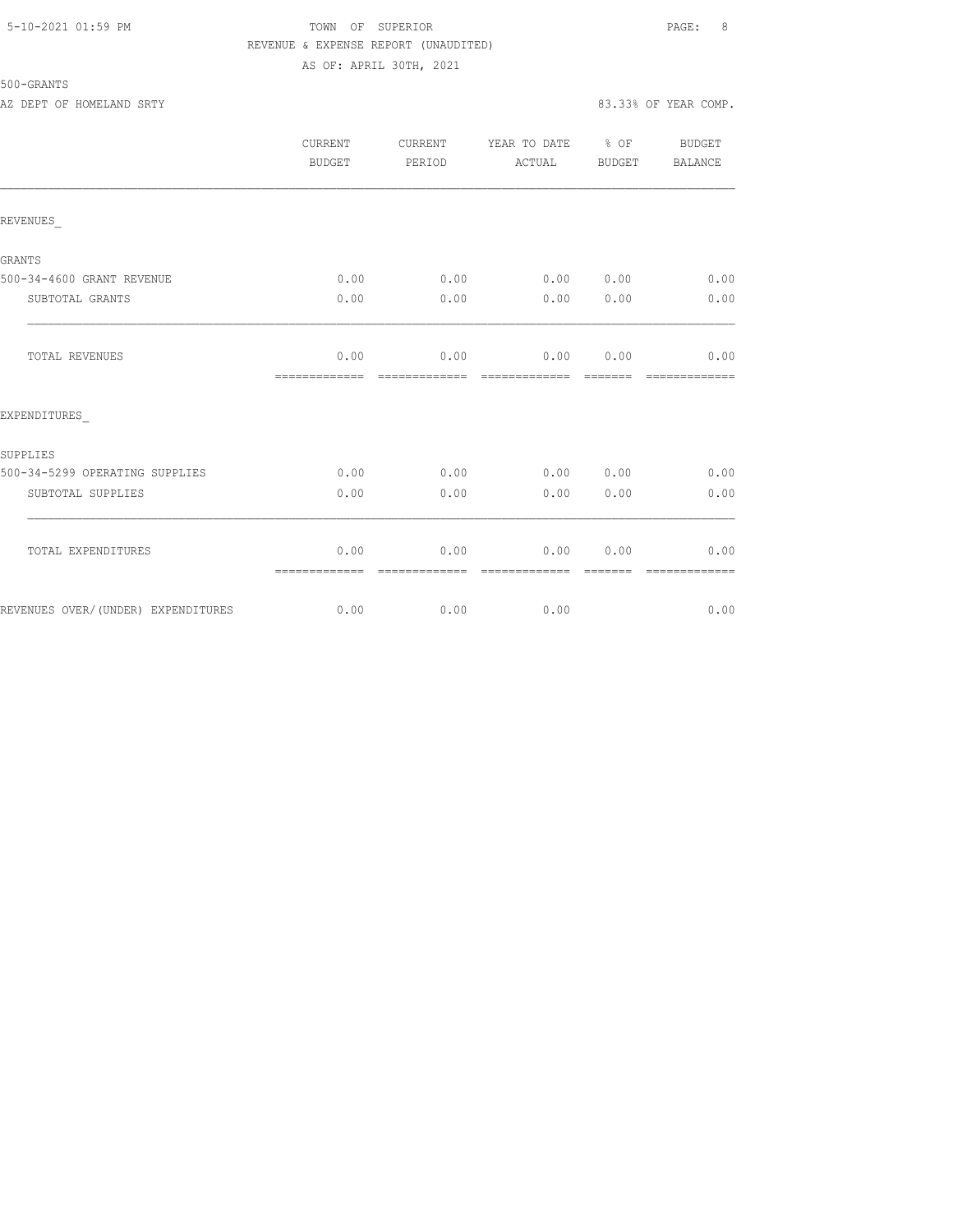# 5-10-2021 01:59 PM TOWN OF SUPERIOR PAGE: 8 REVENUE & EXPENSE REPORT (UNAUDITED) AS OF: APRIL 30TH, 2021

|                                    | CURRENT<br><b>BUDGET</b> | CURRENT<br>PERIOD     | YEAR TO DATE % OF<br>ACTUAL | BUDGET | BUDGET<br>BALANCE |
|------------------------------------|--------------------------|-----------------------|-----------------------------|--------|-------------------|
| REVENUES                           |                          |                       |                             |        |                   |
| <b>GRANTS</b>                      |                          |                       |                             |        |                   |
| 500-34-4600 GRANT REVENUE          | 0.00                     | 0.00                  | 0.00 0.00                   |        | 0.00              |
| SUBTOTAL GRANTS                    | 0.00                     | 0.00                  | 0.00                        | 0.00   | 0.00              |
| TOTAL REVENUES                     | 0.00<br>=============    | 0.00<br>------------- | 0.00<br>-------------       | 0.00   | 0.00              |
| EXPENDITURES                       |                          |                       |                             |        |                   |
| SUPPLIES                           |                          |                       |                             |        |                   |
| 500-34-5299 OPERATING SUPPLIES     | 0.00                     | 0.00                  | 0.00 0.00                   |        | 0.00              |
| SUBTOTAL SUPPLIES                  | 0.00                     | 0.00                  | 0.00                        | 0.00   | 0.00              |
| TOTAL EXPENDITURES                 | 0.00<br>=============    | 0.00<br>------------- | 0.00<br>-------------       | 0.00   | 0.00              |
| REVENUES OVER/(UNDER) EXPENDITURES | 0.00                     | 0.00                  | 0.00                        |        | 0.00              |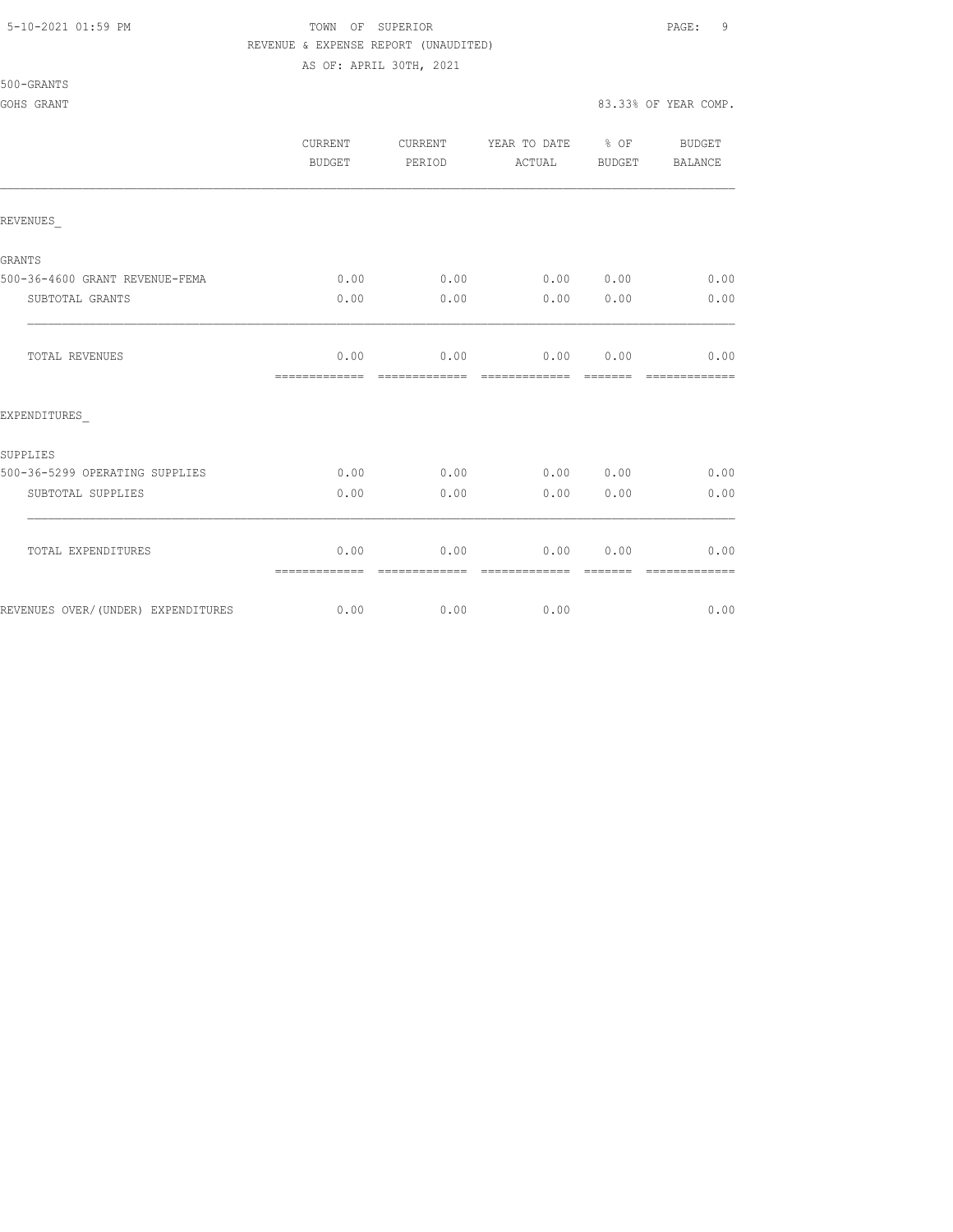# 5-10-2021 01:59 PM TOWN OF SUPERIOR PAGE: 9 REVENUE & EXPENSE REPORT (UNAUDITED)

AS OF: APRIL 30TH, 2021

500-GRANTS

#### GOHS GRANT 83.33% OF YEAR COMP.

|                                    | CURRENT<br><b>BUDGET</b>                                                                                                                                                                                                                                                                                                                                                                                                                                                                       | CURRENT<br>PERIOD      | YEAR TO DATE % OF<br>ACTUAL     | BUDGET          | BUDGET<br>BALANCE      |
|------------------------------------|------------------------------------------------------------------------------------------------------------------------------------------------------------------------------------------------------------------------------------------------------------------------------------------------------------------------------------------------------------------------------------------------------------------------------------------------------------------------------------------------|------------------------|---------------------------------|-----------------|------------------------|
| REVENUES                           |                                                                                                                                                                                                                                                                                                                                                                                                                                                                                                |                        |                                 |                 |                        |
| GRANTS                             |                                                                                                                                                                                                                                                                                                                                                                                                                                                                                                |                        |                                 |                 |                        |
| 500-36-4600 GRANT REVENUE-FEMA     | 0.00                                                                                                                                                                                                                                                                                                                                                                                                                                                                                           | 0.00                   |                                 | 0.00 0.00       | 0.00                   |
| SUBTOTAL GRANTS                    | 0.00                                                                                                                                                                                                                                                                                                                                                                                                                                                                                           | 0.00                   | 0.00                            | 0.00            | 0.00                   |
| TOTAL REVENUES                     | 0.00<br>=============                                                                                                                                                                                                                                                                                                                                                                                                                                                                          | 0.00<br>-------------- | $0.00$ $0.00$<br>-------------- | --------        | 0.00<br>-------------- |
| EXPENDITURES                       |                                                                                                                                                                                                                                                                                                                                                                                                                                                                                                |                        |                                 |                 |                        |
| SUPPLIES                           |                                                                                                                                                                                                                                                                                                                                                                                                                                                                                                |                        |                                 |                 |                        |
| 500-36-5299 OPERATING SUPPLIES     | 0.00                                                                                                                                                                                                                                                                                                                                                                                                                                                                                           | 0.00                   |                                 | 0.00 0.00       | 0.00                   |
| SUBTOTAL SUPPLIES                  | 0.00                                                                                                                                                                                                                                                                                                                                                                                                                                                                                           | 0.00                   | 0.00                            | 0.00            | 0.00                   |
| TOTAL EXPENDITURES                 | 0.00<br>$\begin{array}{cccccccccccccc} \multicolumn{2}{c}{} & \multicolumn{2}{c}{} & \multicolumn{2}{c}{} & \multicolumn{2}{c}{} & \multicolumn{2}{c}{} & \multicolumn{2}{c}{} & \multicolumn{2}{c}{} & \multicolumn{2}{c}{} & \multicolumn{2}{c}{} & \multicolumn{2}{c}{} & \multicolumn{2}{c}{} & \multicolumn{2}{c}{} & \multicolumn{2}{c}{} & \multicolumn{2}{c}{} & \multicolumn{2}{c}{} & \multicolumn{2}{c}{} & \multicolumn{2}{c}{} & \multicolumn{2}{c}{} & \multicolumn{2}{c}{} & \$ | 0.00<br>=============  | 0.00<br>=============           | 0.00<br>======= | 0.00<br>=============  |
| REVENUES OVER/(UNDER) EXPENDITURES | 0.00                                                                                                                                                                                                                                                                                                                                                                                                                                                                                           | 0.00                   | 0.00                            |                 | 0.00                   |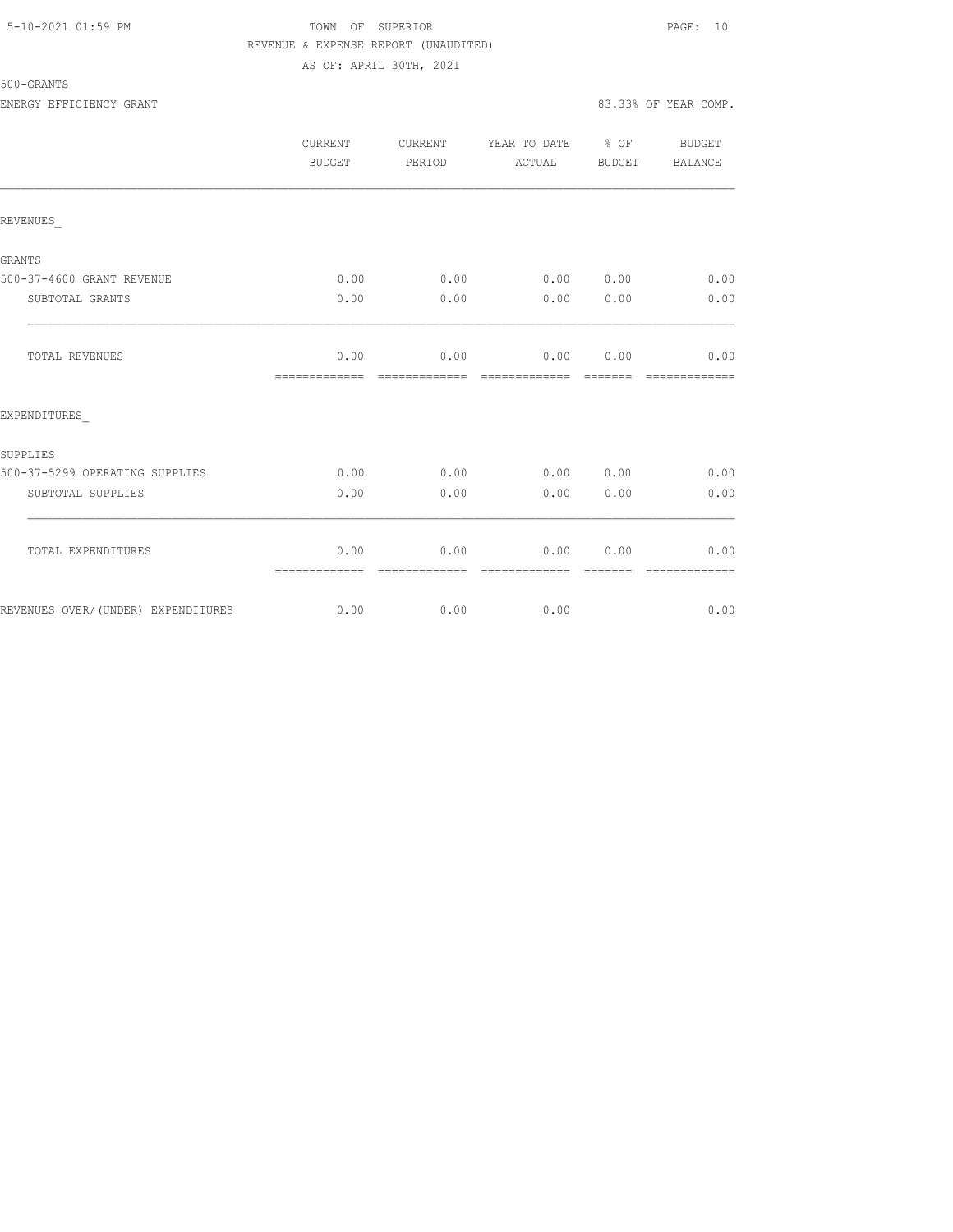# 5-10-2021 01:59 PM TOWN OF SUPERIOR PAGE: 10 REVENUE & EXPENSE REPORT (UNAUDITED) AS OF: APRIL 30TH, 2021

|                                    | CURRENT<br>BUDGET     | CURRENT<br>PERIOD     | YEAR TO DATE % OF<br>ACTUAL | BUDGET                                                                                                                                                                                                                                                                                                                                                                                                                                                                                 | BUDGET<br>BALANCE     |
|------------------------------------|-----------------------|-----------------------|-----------------------------|----------------------------------------------------------------------------------------------------------------------------------------------------------------------------------------------------------------------------------------------------------------------------------------------------------------------------------------------------------------------------------------------------------------------------------------------------------------------------------------|-----------------------|
| REVENUES                           |                       |                       |                             |                                                                                                                                                                                                                                                                                                                                                                                                                                                                                        |                       |
| GRANTS                             |                       |                       |                             |                                                                                                                                                                                                                                                                                                                                                                                                                                                                                        |                       |
| 500-37-4600 GRANT REVENUE          | 0.00                  | 0.00                  | 0.00 0.00                   |                                                                                                                                                                                                                                                                                                                                                                                                                                                                                        | 0.00                  |
| SUBTOTAL GRANTS                    | 0.00                  | 0.00                  | 0.00                        | 0.00                                                                                                                                                                                                                                                                                                                                                                                                                                                                                   | 0.00                  |
| TOTAL REVENUES                     | 0.00<br>============= | 0.00<br>============= | 0.00 0.00<br>=============  | $\begin{array}{cccccccccc} \multicolumn{2}{c}{} & \multicolumn{2}{c}{} & \multicolumn{2}{c}{} & \multicolumn{2}{c}{} & \multicolumn{2}{c}{} & \multicolumn{2}{c}{} & \multicolumn{2}{c}{} & \multicolumn{2}{c}{} & \multicolumn{2}{c}{} & \multicolumn{2}{c}{} & \multicolumn{2}{c}{} & \multicolumn{2}{c}{} & \multicolumn{2}{c}{} & \multicolumn{2}{c}{} & \multicolumn{2}{c}{} & \multicolumn{2}{c}{} & \multicolumn{2}{c}{} & \multicolumn{2}{c}{} & \multicolumn{2}{c}{} & \mult$ | 0.00<br>============= |
| EXPENDITURES                       |                       |                       |                             |                                                                                                                                                                                                                                                                                                                                                                                                                                                                                        |                       |
| SUPPLIES                           |                       |                       |                             |                                                                                                                                                                                                                                                                                                                                                                                                                                                                                        |                       |
| 500-37-5299 OPERATING SUPPLIES     | 0.00                  | 0.00                  | 0.00 0.00                   |                                                                                                                                                                                                                                                                                                                                                                                                                                                                                        | 0.00                  |
| SUBTOTAL SUPPLIES                  | 0.00                  | 0.00                  | 0.00                        | 0.00                                                                                                                                                                                                                                                                                                                                                                                                                                                                                   | 0.00                  |
| TOTAL EXPENDITURES                 | 0.00<br>============= | 0.00<br>============= | 0.00<br>-------------       | 0.00<br>--------                                                                                                                                                                                                                                                                                                                                                                                                                                                                       | 0.00<br>============= |
| REVENUES OVER/(UNDER) EXPENDITURES | 0.00                  | 0.00                  | 0.00                        |                                                                                                                                                                                                                                                                                                                                                                                                                                                                                        | 0.00                  |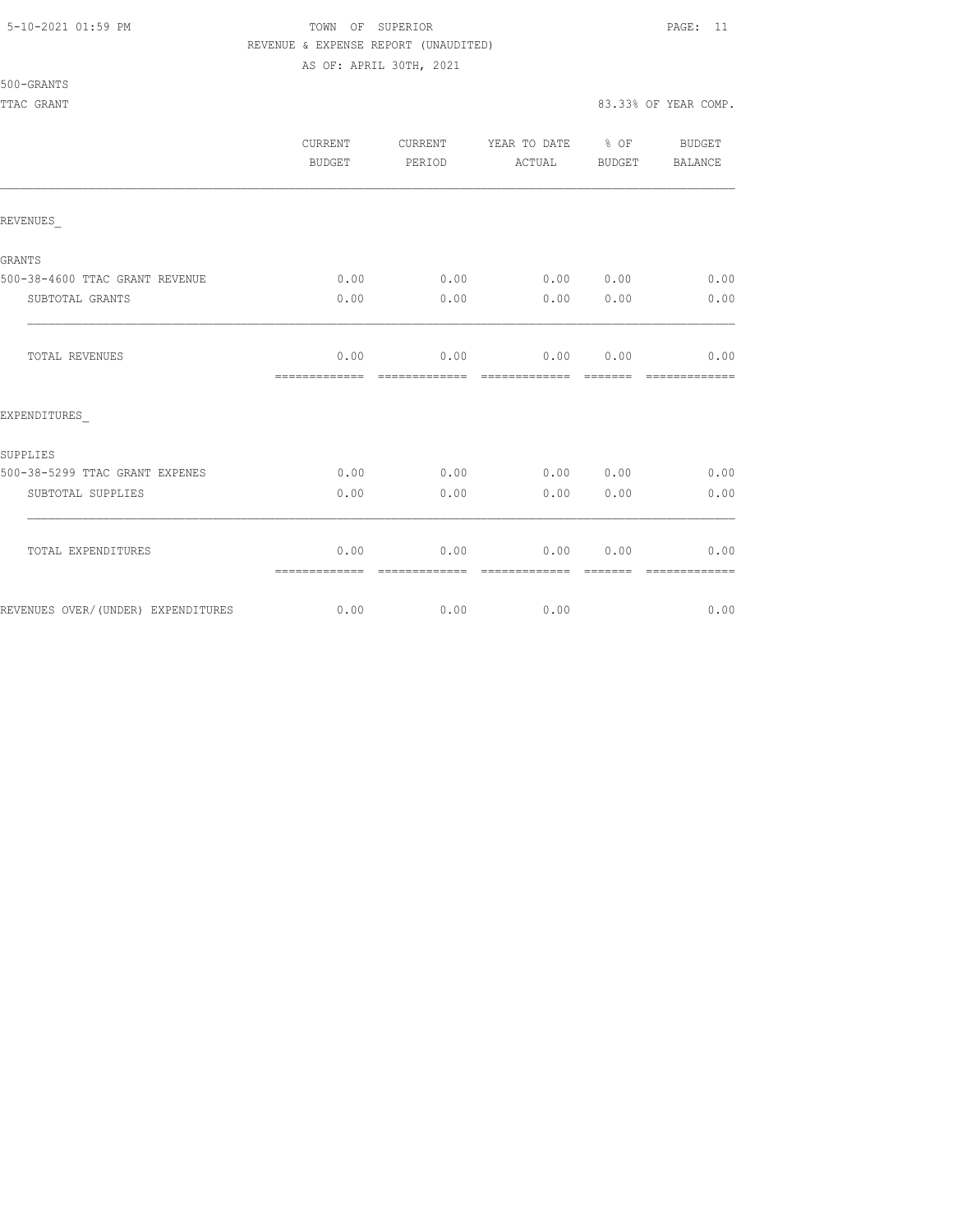# 5-10-2021 01:59 PM TOWN OF SUPERIOR PAGE: 11 REVENUE & EXPENSE REPORT (UNAUDITED)

AS OF: APRIL 30TH, 2021

|                                    | <b>CURRENT</b><br>BUDGET | CURRENT<br>PERIOD | YEAR TO DATE % OF<br>ACTUAL | BUDGET | <b>BUDGET</b><br>BALANCE |
|------------------------------------|--------------------------|-------------------|-----------------------------|--------|--------------------------|
| REVENUES                           |                          |                   |                             |        |                          |
| GRANTS                             |                          |                   |                             |        |                          |
| 500-38-4600 TTAC GRANT REVENUE     | 0.00                     | 0.00              | 0.00 0.00                   |        | 0.00                     |
| SUBTOTAL GRANTS                    | 0.00                     | 0.00              | 0.00                        | 0.00   | 0.00                     |
| TOTAL REVENUES                     | 0.00<br>=============    | 0.00              | 0.00<br>-------------       | 0.00   | 0.00                     |
| EXPENDITURES                       |                          |                   |                             |        |                          |
| SUPPLIES                           |                          |                   |                             |        |                          |
| 500-38-5299 TTAC GRANT EXPENES     | 0.00                     | 0.00              | 0.00 0.00                   |        | 0.00                     |
| SUBTOTAL SUPPLIES                  | 0.00                     | 0.00              | 0.00                        | 0.00   | 0.00                     |
| TOTAL EXPENDITURES                 | 0.00<br>=============    | 0.00              | 0.00                        | 0.00   | 0.00                     |
| REVENUES OVER/(UNDER) EXPENDITURES | 0.00                     | 0.00              | 0.00                        |        | 0.00                     |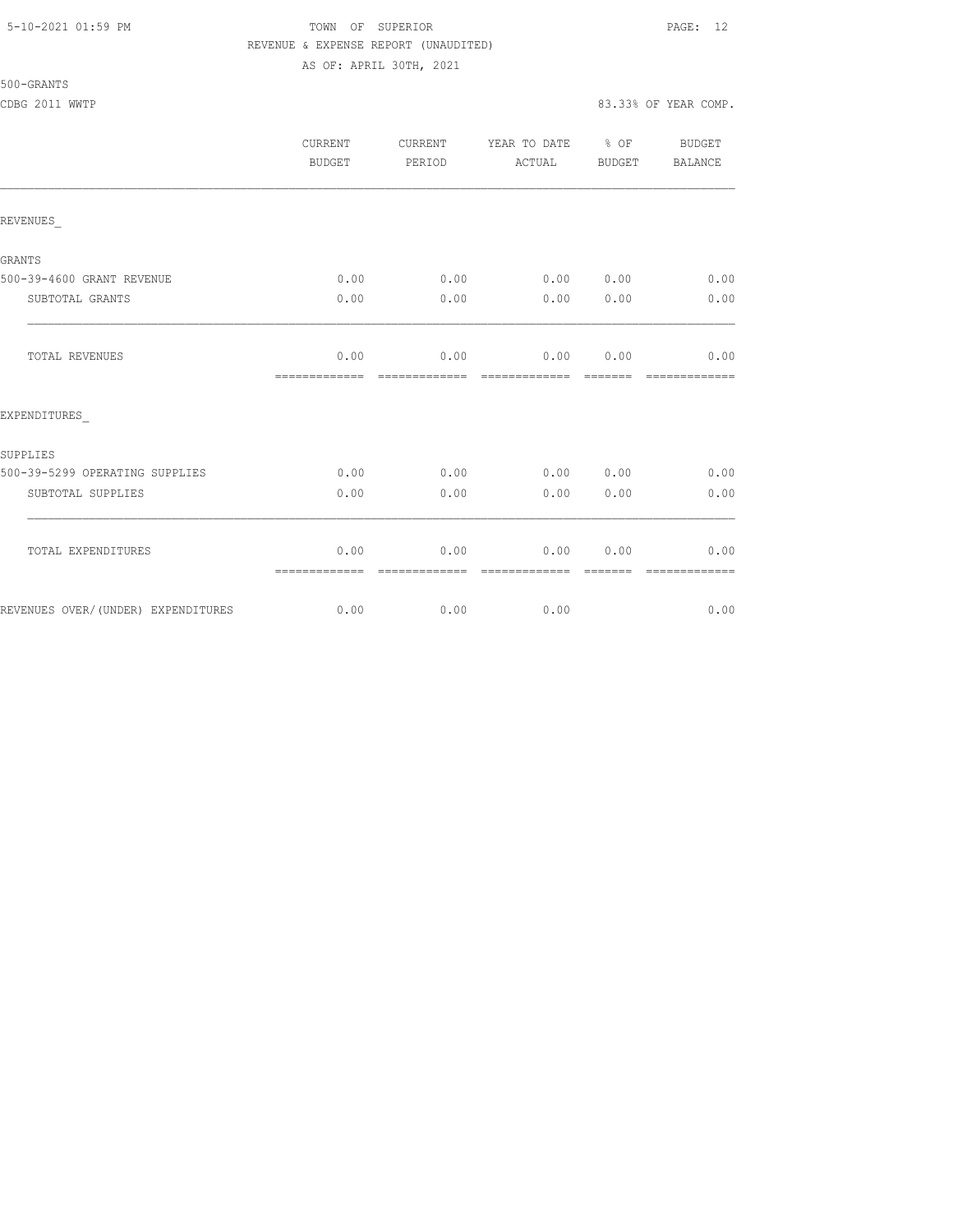#### 5-10-2021 01:59 PM TOWN OF SUPERIOR PAGE: 12 REVENUE & EXPENSE REPORT (UNAUDITED) AS OF: APRIL 30TH, 2021

| 500-GRANTS |
|------------|
|------------|

|                                    | CURRENT<br>BUDGET     | CURRENT<br>PERIOD      | YEAR TO DATE % OF<br>ACTUAL | BUDGET                | BUDGET<br>BALANCE      |
|------------------------------------|-----------------------|------------------------|-----------------------------|-----------------------|------------------------|
| REVENUES                           |                       |                        |                             |                       |                        |
| GRANTS                             |                       |                        |                             |                       |                        |
| 500-39-4600 GRANT REVENUE          | 0.00                  | 0.00                   | 0.00 0.00                   |                       | 0.00                   |
| SUBTOTAL GRANTS                    | 0.00                  | 0.00                   | 0.00                        | 0.00                  | 0.00                   |
| TOTAL REVENUES                     | 0.00<br>============= | 0.00<br>=============  | 0.00<br>=============       | 0.00<br><b>BEBEER</b> | 0.00<br>=============  |
| EXPENDITURES                       |                       |                        |                             |                       |                        |
| SUPPLIES                           |                       |                        |                             |                       |                        |
| 500-39-5299 OPERATING SUPPLIES     | 0.00                  | 0.00                   | 0.00 0.00                   |                       | 0.00                   |
| SUBTOTAL SUPPLIES                  | 0.00                  | 0.00                   | 0.00                        | 0.00                  | 0.00                   |
| TOTAL EXPENDITURES                 | 0.00<br>============= | 0.00<br>-------------- | 0.00<br>--------------      | 0.00                  | 0.00<br>-------------- |
| REVENUES OVER/(UNDER) EXPENDITURES | 0.00                  | 0.00                   | 0.00                        |                       | 0.00                   |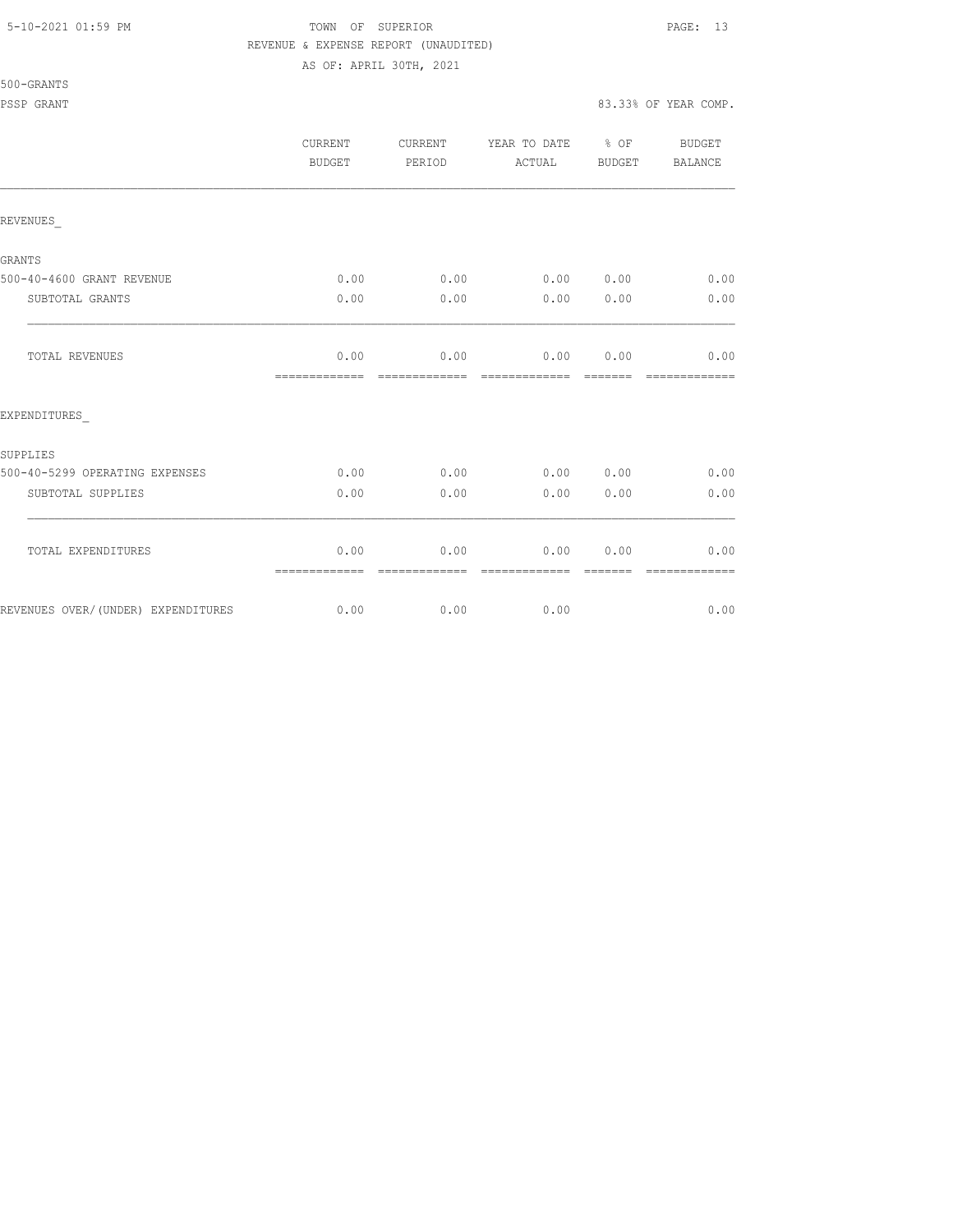500-GRANTS

# 5-10-2021 01:59 PM TOWN OF SUPERIOR PAGE: 13 REVENUE & EXPENSE REPORT (UNAUDITED)

AS OF: APRIL 30TH, 2021

PSSP GRANT 83.33% OF YEAR COMP.

|                                    | CURRENT<br><b>BUDGET</b> | CURRENT<br>PERIOD     | YEAR TO DATE % OF<br>ACTUAL | BUDGET                                                                                                                                                                                                                                                                                                                                                                                                                                                                                         | <b>BUDGET</b><br>BALANCE |
|------------------------------------|--------------------------|-----------------------|-----------------------------|------------------------------------------------------------------------------------------------------------------------------------------------------------------------------------------------------------------------------------------------------------------------------------------------------------------------------------------------------------------------------------------------------------------------------------------------------------------------------------------------|--------------------------|
| REVENUES                           |                          |                       |                             |                                                                                                                                                                                                                                                                                                                                                                                                                                                                                                |                          |
| <b>GRANTS</b>                      |                          |                       |                             |                                                                                                                                                                                                                                                                                                                                                                                                                                                                                                |                          |
| 500-40-4600 GRANT REVENUE          | 0.00                     | 0.00                  | 0.00 0.00                   |                                                                                                                                                                                                                                                                                                                                                                                                                                                                                                | 0.00                     |
| SUBTOTAL GRANTS                    | 0.00                     | 0.00                  | 0.00                        | 0.00                                                                                                                                                                                                                                                                                                                                                                                                                                                                                           | 0.00                     |
| <b>TOTAL REVENUES</b>              | 0.00<br>=============    | 0.00<br>============= | 0.00 0.00<br>=============  | --------                                                                                                                                                                                                                                                                                                                                                                                                                                                                                       | 0.00<br>=============    |
| EXPENDITURES                       |                          |                       |                             |                                                                                                                                                                                                                                                                                                                                                                                                                                                                                                |                          |
| <b>SUPPLIES</b>                    |                          |                       |                             |                                                                                                                                                                                                                                                                                                                                                                                                                                                                                                |                          |
| 500-40-5299 OPERATING EXPENSES     | 0.00                     | 0.00                  | 0.00 0.00                   |                                                                                                                                                                                                                                                                                                                                                                                                                                                                                                | 0.00                     |
| SUBTOTAL SUPPLIES                  | 0.00                     | 0.00                  | 0.00                        | 0.00                                                                                                                                                                                                                                                                                                                                                                                                                                                                                           | 0.00                     |
| TOTAL EXPENDITURES                 | 0.00<br>=============    | 0.00<br>------------- | 0.00<br>- =============     | 0.00<br>$\begin{array}{cccccccccc} \multicolumn{2}{c}{} & \multicolumn{2}{c}{} & \multicolumn{2}{c}{} & \multicolumn{2}{c}{} & \multicolumn{2}{c}{} & \multicolumn{2}{c}{} & \multicolumn{2}{c}{} & \multicolumn{2}{c}{} & \multicolumn{2}{c}{} & \multicolumn{2}{c}{} & \multicolumn{2}{c}{} & \multicolumn{2}{c}{} & \multicolumn{2}{c}{} & \multicolumn{2}{c}{} & \multicolumn{2}{c}{} & \multicolumn{2}{c}{} & \multicolumn{2}{c}{} & \multicolumn{2}{c}{} & \multicolumn{2}{c}{} & \mult$ | 0.00<br>=============    |
| REVENUES OVER/(UNDER) EXPENDITURES | 0.00                     |                       | 0.00<br>0.00                |                                                                                                                                                                                                                                                                                                                                                                                                                                                                                                | 0.00                     |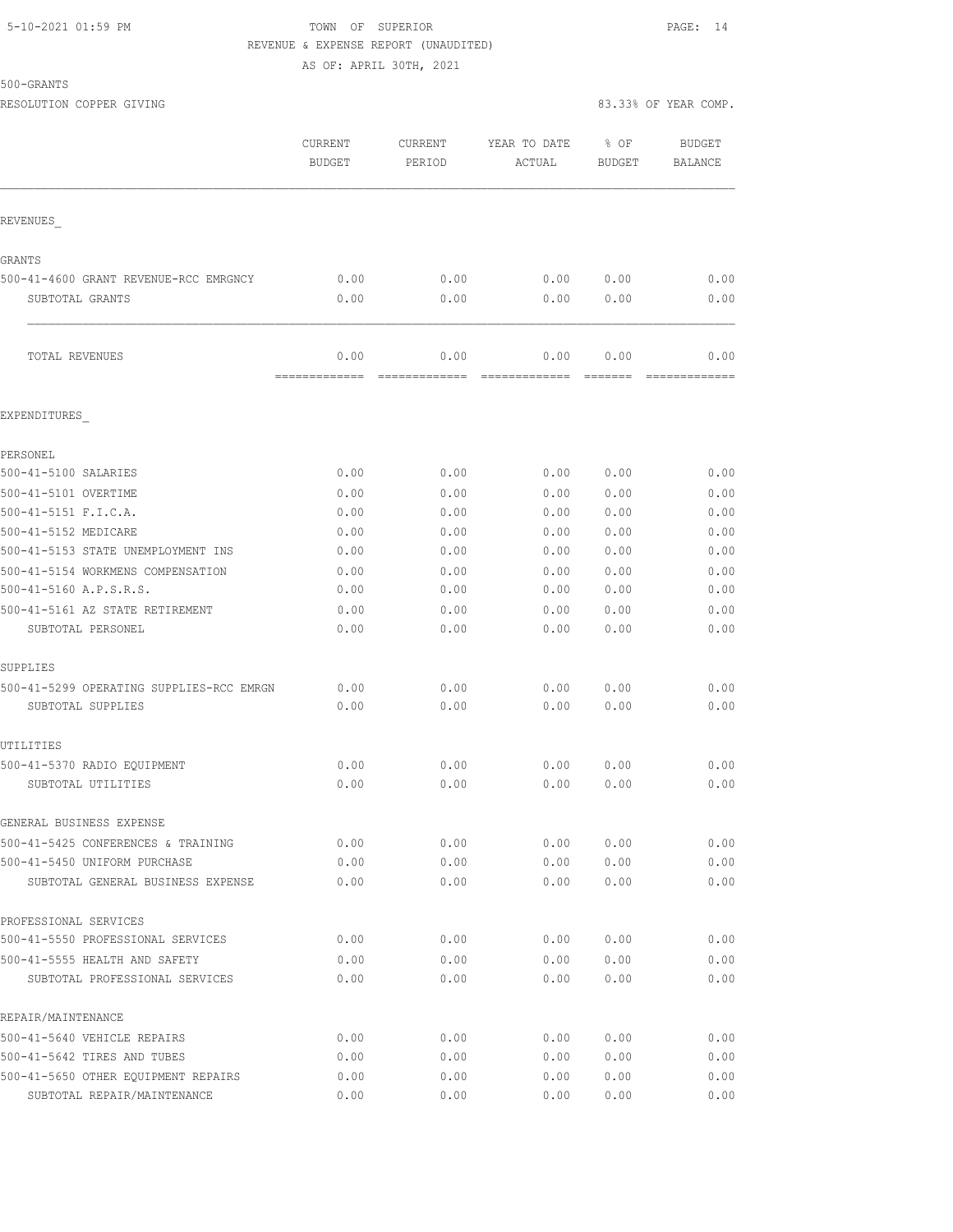#### 5-10-2021 01:59 PM TOWN OF SUPERIOR PAGE: 14 REVENUE & EXPENSE REPORT (UNAUDITED) AS OF: APRIL 30TH, 2021

500-GRANTS

|                                          | CURRENT<br><b>BUDGET</b> | CURRENT<br>PERIOD     | YEAR TO DATE<br>ACTUAL                                                                                                                                                                                                                                                                                                                                                                                                                                                                               | % OF<br><b>BUDGET</b> | <b>BUDGET</b><br>BALANCE |
|------------------------------------------|--------------------------|-----------------------|------------------------------------------------------------------------------------------------------------------------------------------------------------------------------------------------------------------------------------------------------------------------------------------------------------------------------------------------------------------------------------------------------------------------------------------------------------------------------------------------------|-----------------------|--------------------------|
| REVENUES                                 |                          |                       |                                                                                                                                                                                                                                                                                                                                                                                                                                                                                                      |                       |                          |
| GRANTS                                   |                          |                       |                                                                                                                                                                                                                                                                                                                                                                                                                                                                                                      |                       |                          |
| 500-41-4600 GRANT REVENUE-RCC EMRGNCY    | 0.00                     | 0.00                  | 0.00                                                                                                                                                                                                                                                                                                                                                                                                                                                                                                 | 0.00                  | 0.00                     |
| SUBTOTAL GRANTS                          | 0.00                     | 0.00                  | 0.00                                                                                                                                                                                                                                                                                                                                                                                                                                                                                                 | 0.00                  | 0.00                     |
| TOTAL REVENUES                           | 0.00<br>=============    | 0.00<br>============= | 0.00<br>$\begin{array}{c} \multicolumn{3}{c} {\textbf{1}} & \multicolumn{3}{c} {\textbf{2}} & \multicolumn{3}{c} {\textbf{3}} & \multicolumn{3}{c} {\textbf{4}} \\ \multicolumn{3}{c} {\textbf{2}} & \multicolumn{3}{c} {\textbf{3}} & \multicolumn{3}{c} {\textbf{4}} & \multicolumn{3}{c} {\textbf{5}} & \multicolumn{3}{c} {\textbf{6}} \\ \multicolumn{3}{c} {\textbf{4}} & \multicolumn{3}{c} {\textbf{5}} & \multicolumn{3}{c} {\textbf{6}} & \multicolumn{3}{c} {\textbf{6}} & \multicolumn{$ | 0.00                  | 0.00<br>=============    |
| EXPENDITURES                             |                          |                       |                                                                                                                                                                                                                                                                                                                                                                                                                                                                                                      |                       |                          |
| PERSONEL                                 |                          |                       |                                                                                                                                                                                                                                                                                                                                                                                                                                                                                                      |                       |                          |
| 500-41-5100 SALARIES                     | 0.00                     | 0.00                  | 0.00                                                                                                                                                                                                                                                                                                                                                                                                                                                                                                 | 0.00                  | 0.00                     |
| 500-41-5101 OVERTIME                     | 0.00                     | 0.00                  | 0.00                                                                                                                                                                                                                                                                                                                                                                                                                                                                                                 | 0.00                  | 0.00                     |
| 500-41-5151 F.I.C.A.                     | 0.00                     | 0.00                  | 0.00                                                                                                                                                                                                                                                                                                                                                                                                                                                                                                 | 0.00                  | 0.00                     |
| 500-41-5152 MEDICARE                     | 0.00                     | 0.00                  | 0.00                                                                                                                                                                                                                                                                                                                                                                                                                                                                                                 | 0.00                  | 0.00                     |
| 500-41-5153 STATE UNEMPLOYMENT INS       | 0.00                     | 0.00                  | 0.00                                                                                                                                                                                                                                                                                                                                                                                                                                                                                                 | 0.00                  | 0.00                     |
| 500-41-5154 WORKMENS COMPENSATION        | 0.00                     | 0.00                  | 0.00                                                                                                                                                                                                                                                                                                                                                                                                                                                                                                 | 0.00                  | 0.00                     |
| 500-41-5160 A.P.S.R.S.                   | 0.00                     | 0.00                  | 0.00                                                                                                                                                                                                                                                                                                                                                                                                                                                                                                 | 0.00                  | 0.00                     |
| 500-41-5161 AZ STATE RETIREMENT          | 0.00                     | 0.00                  | 0.00                                                                                                                                                                                                                                                                                                                                                                                                                                                                                                 | 0.00                  | 0.00                     |
| SUBTOTAL PERSONEL                        | 0.00                     | 0.00                  | 0.00                                                                                                                                                                                                                                                                                                                                                                                                                                                                                                 | 0.00                  | 0.00                     |
| SUPPLIES                                 |                          |                       |                                                                                                                                                                                                                                                                                                                                                                                                                                                                                                      |                       |                          |
| 500-41-5299 OPERATING SUPPLIES-RCC EMRGN | 0.00                     | 0.00                  | 0.00                                                                                                                                                                                                                                                                                                                                                                                                                                                                                                 | 0.00                  | 0.00                     |
| SUBTOTAL SUPPLIES                        | 0.00                     | 0.00                  | 0.00                                                                                                                                                                                                                                                                                                                                                                                                                                                                                                 | 0.00                  | 0.00                     |
| UTILITIES                                |                          |                       |                                                                                                                                                                                                                                                                                                                                                                                                                                                                                                      |                       |                          |
| 500-41-5370 RADIO EQUIPMENT              | 0.00                     | 0.00                  | 0.00                                                                                                                                                                                                                                                                                                                                                                                                                                                                                                 | 0.00                  | 0.00                     |
| SUBTOTAL UTILITIES                       | 0.00                     | 0.00                  | 0.00                                                                                                                                                                                                                                                                                                                                                                                                                                                                                                 | 0.00                  | 0.00                     |
| GENERAL BUSINESS EXPENSE                 |                          |                       |                                                                                                                                                                                                                                                                                                                                                                                                                                                                                                      |                       |                          |
| 500-41-5425 CONFERENCES & TRAINING       | 0.00                     | 0.00                  | 0.00                                                                                                                                                                                                                                                                                                                                                                                                                                                                                                 | 0.00                  | 0.00                     |
| 500-41-5450 UNIFORM PURCHASE             | 0.00                     | 0.00                  | 0.00                                                                                                                                                                                                                                                                                                                                                                                                                                                                                                 | 0.00                  | 0.00                     |
| SUBTOTAL GENERAL BUSINESS EXPENSE        | 0.00                     | 0.00                  | 0.00                                                                                                                                                                                                                                                                                                                                                                                                                                                                                                 | 0.00                  | 0.00                     |
| PROFESSIONAL SERVICES                    |                          |                       |                                                                                                                                                                                                                                                                                                                                                                                                                                                                                                      |                       |                          |
| 500-41-5550 PROFESSIONAL SERVICES        | 0.00                     | 0.00                  | 0.00                                                                                                                                                                                                                                                                                                                                                                                                                                                                                                 | 0.00                  | 0.00                     |
| 500-41-5555 HEALTH AND SAFETY            | 0.00                     | 0.00                  | 0.00                                                                                                                                                                                                                                                                                                                                                                                                                                                                                                 | 0.00                  | 0.00                     |
| SUBTOTAL PROFESSIONAL SERVICES           | 0.00                     | 0.00                  | 0.00                                                                                                                                                                                                                                                                                                                                                                                                                                                                                                 | 0.00                  | 0.00                     |
| REPAIR/MAINTENANCE                       |                          |                       |                                                                                                                                                                                                                                                                                                                                                                                                                                                                                                      |                       |                          |
| 500-41-5640 VEHICLE REPAIRS              | 0.00                     | 0.00                  | 0.00                                                                                                                                                                                                                                                                                                                                                                                                                                                                                                 | 0.00                  | 0.00                     |
| 500-41-5642 TIRES AND TUBES              | 0.00                     | 0.00                  | 0.00                                                                                                                                                                                                                                                                                                                                                                                                                                                                                                 | 0.00                  | 0.00                     |
| 500-41-5650 OTHER EQUIPMENT REPAIRS      | 0.00                     | 0.00                  | 0.00                                                                                                                                                                                                                                                                                                                                                                                                                                                                                                 | 0.00                  | 0.00                     |

SUBTOTAL REPAIR/MAINTENANCE 0.00 0.00 0.00 0.00 0.00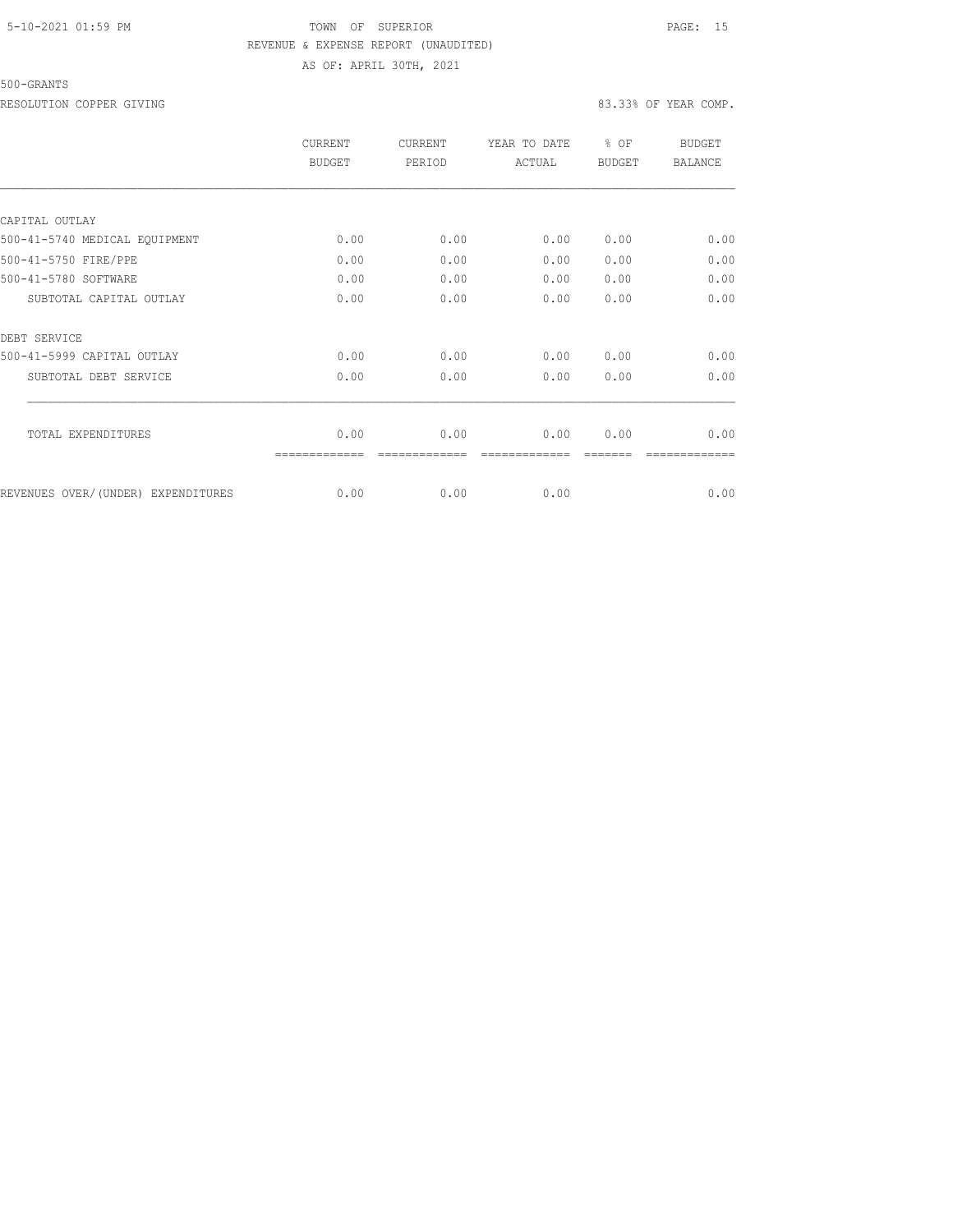# 5-10-2021 01:59 PM TOWN OF SUPERIOR PAGE: 15 REVENUE & EXPENSE REPORT (UNAUDITED) AS OF: APRIL 30TH, 2021

#### 500-GRANTS

RESOLUTION COPPER GIVING **EXECUTE A** SOLUTION COPPER GIVING **83.33%** OF YEAR COMP.

|                                    | <b>CURRENT</b><br><b>BUDGET</b> | <b>CURRENT</b><br>PERIOD | YEAR TO DATE<br>ACTUAL | \$OF<br><b>BUDGET</b> | <b>BUDGET</b><br><b>BALANCE</b> |
|------------------------------------|---------------------------------|--------------------------|------------------------|-----------------------|---------------------------------|
|                                    |                                 |                          |                        |                       |                                 |
| CAPITAL OUTLAY                     |                                 |                          |                        |                       |                                 |
| 500-41-5740 MEDICAL EQUIPMENT      | 0.00                            | 0.00                     | 0.00                   | 0.00                  | 0.00                            |
| 500-41-5750 FIRE/PPE               | 0.00                            | 0.00                     | 0.00                   | 0.00                  | 0.00                            |
| 500-41-5780 SOFTWARE               | 0.00                            | 0.00                     | 0.00                   | 0.00                  | 0.00                            |
| SUBTOTAL CAPITAL OUTLAY            | 0.00                            | 0.00                     | 0.00                   | 0.00                  | 0.00                            |
| DEBT SERVICE                       |                                 |                          |                        |                       |                                 |
| 500-41-5999 CAPITAL OUTLAY         | 0.00                            | 0.00                     | 0.00                   | 0.00                  | 0.00                            |
| SUBTOTAL DEBT SERVICE              | 0.00                            | 0.00                     | 0.00                   | 0.00                  | 0.00                            |
| TOTAL EXPENDITURES                 | 0.00                            | 0.00                     | 0.00                   | 0.00                  | 0.00                            |
|                                    |                                 |                          |                        |                       |                                 |
| REVENUES OVER/(UNDER) EXPENDITURES | 0.00                            | 0.00                     | 0.00                   |                       | 0.00                            |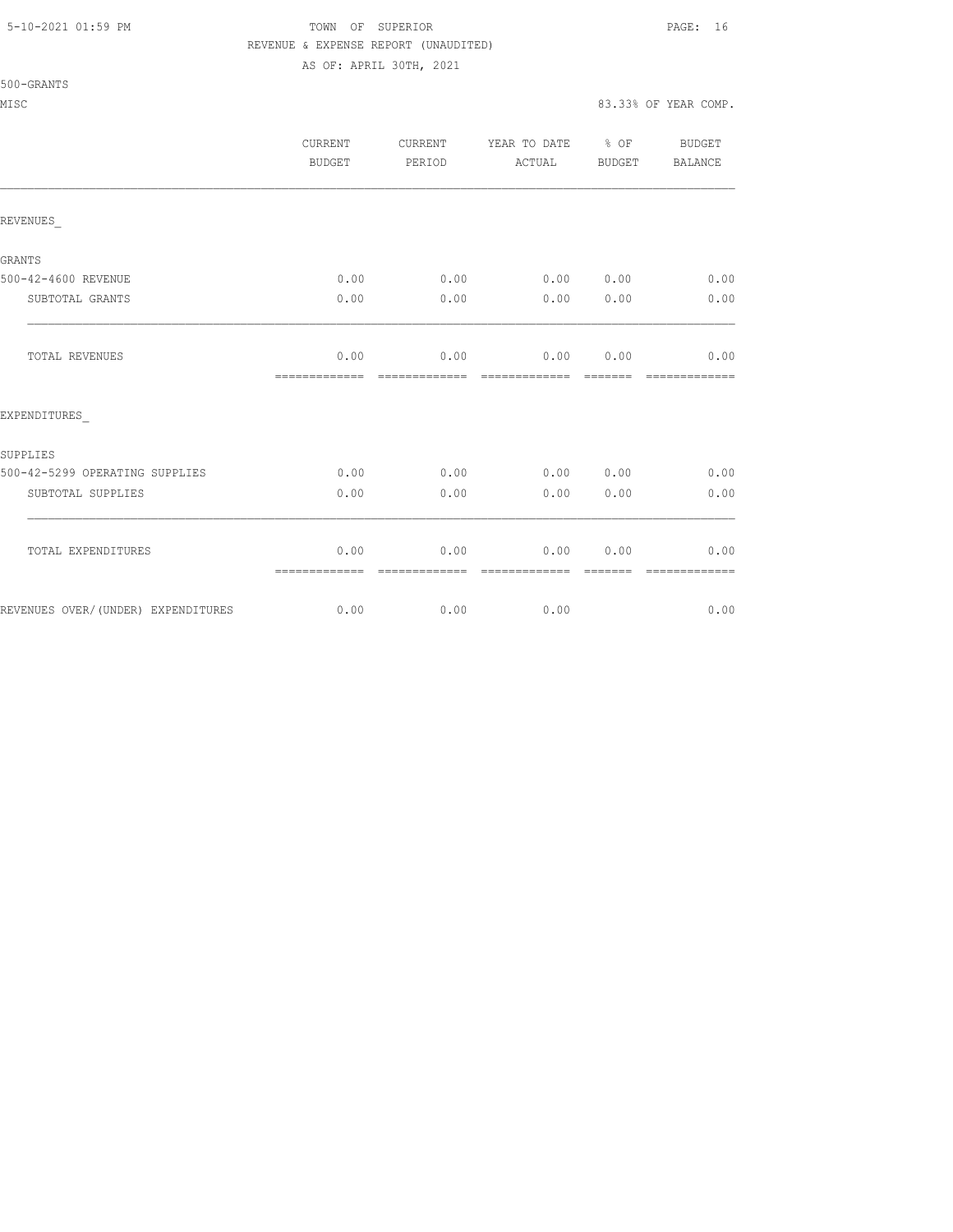500-GRANTS

## 5-10-2021 01:59 PM TOWN OF SUPERIOR PAGE: 16 REVENUE & EXPENSE REPORT (UNAUDITED)

AS OF: APRIL 30TH, 2021

MISC 83.33% OF YEAR COMP.

|                                    | CURRENT<br>BUDGET     | CURRENT<br>PERIOD     | YEAR TO DATE<br>ACTUAL     | $\frac{1}{2}$ OF<br>BUDGET | BUDGET<br>BALANCE     |
|------------------------------------|-----------------------|-----------------------|----------------------------|----------------------------|-----------------------|
| REVENUES                           |                       |                       |                            |                            |                       |
| <b>GRANTS</b>                      |                       |                       |                            |                            |                       |
| 500-42-4600 REVENUE                | 0.00                  | 0.00                  | 0.00 0.00                  |                            | 0.00                  |
| SUBTOTAL GRANTS                    | 0.00                  | 0.00                  | 0.00                       | 0.00                       | 0.00                  |
| TOTAL REVENUES                     | 0.00<br>============= | 0.00<br>------------- | 0.00 0.00<br>------------- | --------                   | 0.00<br>------------- |
| EXPENDITURES                       |                       |                       |                            |                            |                       |
| SUPPLIES                           |                       |                       |                            |                            |                       |
| 500-42-5299 OPERATING SUPPLIES     | 0.00                  | 0.00                  | 0.00                       | 0.00                       | 0.00                  |
| SUBTOTAL SUPPLIES                  | 0.00                  | 0.00                  | 0.00                       | 0.00                       | 0.00                  |
| TOTAL EXPENDITURES                 | 0.00<br>============= | 0.00<br>------------- | 0.00<br>=============      | 0.00                       | 0.00<br>============= |
| REVENUES OVER/(UNDER) EXPENDITURES | 0.00                  | 0.00                  | 0.00                       |                            | 0.00                  |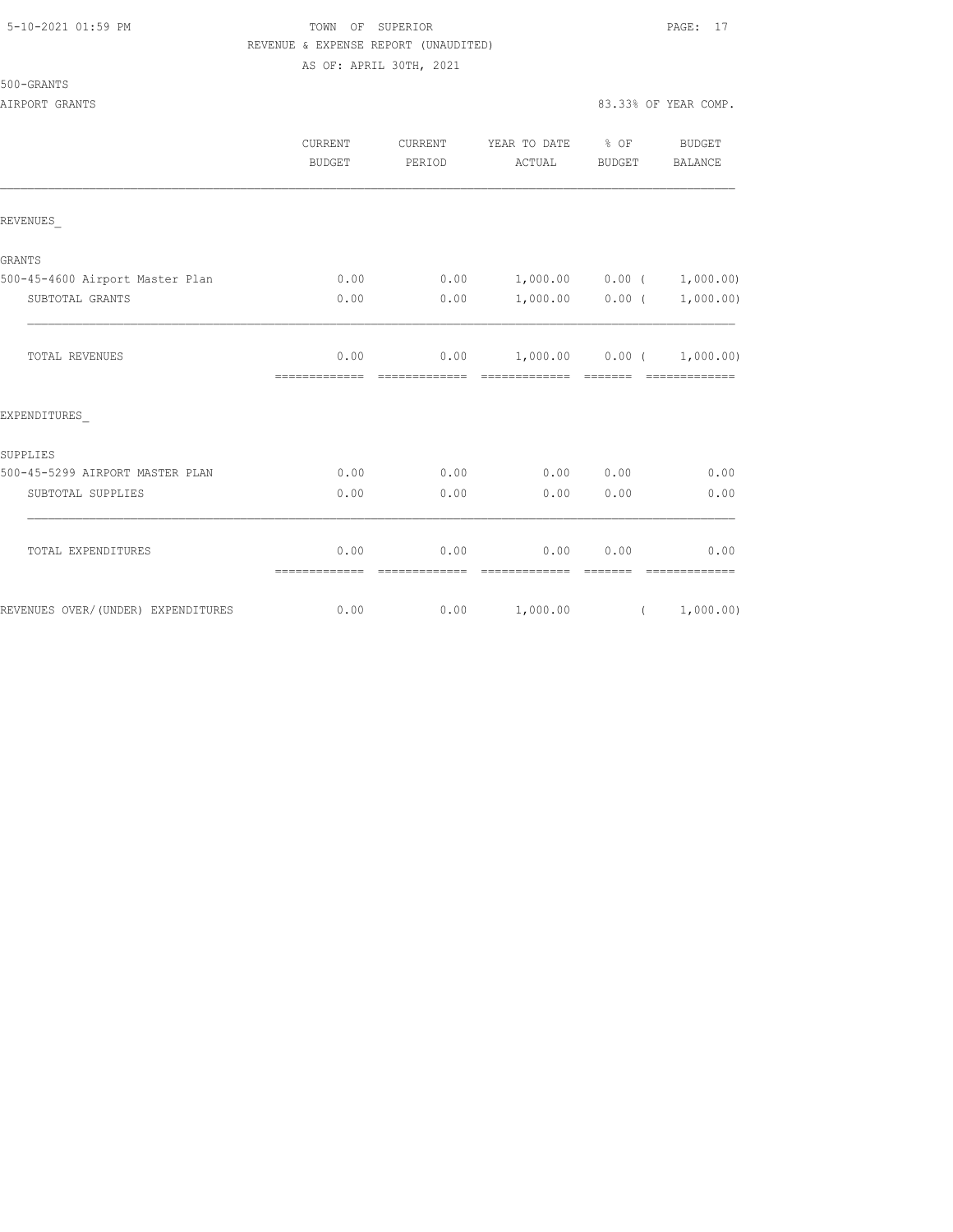## 5-10-2021 01:59 PM TOWN OF SUPERIOR PAGE: 17 REVENUE & EXPENSE REPORT (UNAUDITED) AS OF: APRIL 30TH, 2021

|                                    | <b>CURRENT</b><br><b>BUDGET</b> | <b>CURRENT</b><br>PERIOD | YEAR TO DATE % OF<br>ACTUAL                     | BUDGET                                                                                                                                                                                                                                                                                                                                                                                                                                                                               | <b>BUDGET</b><br>BALANCE |
|------------------------------------|---------------------------------|--------------------------|-------------------------------------------------|--------------------------------------------------------------------------------------------------------------------------------------------------------------------------------------------------------------------------------------------------------------------------------------------------------------------------------------------------------------------------------------------------------------------------------------------------------------------------------------|--------------------------|
| REVENUES                           |                                 |                          |                                                 |                                                                                                                                                                                                                                                                                                                                                                                                                                                                                      |                          |
| <b>GRANTS</b>                      |                                 |                          |                                                 |                                                                                                                                                                                                                                                                                                                                                                                                                                                                                      |                          |
| 500-45-4600 Airport Master Plan    | 0.00                            | 0.00                     | $1,000.00$ $0.00$ ( $1,000.00)$                 |                                                                                                                                                                                                                                                                                                                                                                                                                                                                                      |                          |
| SUBTOTAL GRANTS                    | 0.00                            | 0.00                     |                                                 | $1,000.00$ 0.00 (                                                                                                                                                                                                                                                                                                                                                                                                                                                                    | 1,000.00)                |
| TOTAL REVENUES                     | 0.00<br>=============           | 0.00<br>--------------   | $1,000.00$ $0.00$ $(1,000.00)$<br>------------- | $\begin{array}{cccccc} \multicolumn{2}{c}{} & \multicolumn{2}{c}{} & \multicolumn{2}{c}{} & \multicolumn{2}{c}{} & \multicolumn{2}{c}{} & \multicolumn{2}{c}{} & \multicolumn{2}{c}{} & \multicolumn{2}{c}{} & \multicolumn{2}{c}{} & \multicolumn{2}{c}{} & \multicolumn{2}{c}{} & \multicolumn{2}{c}{} & \multicolumn{2}{c}{} & \multicolumn{2}{c}{} & \multicolumn{2}{c}{} & \multicolumn{2}{c}{} & \multicolumn{2}{c}{} & \multicolumn{2}{c}{} & \multicolumn{2}{c}{} & \multic$ | =============            |
| EXPENDITURES                       |                                 |                          |                                                 |                                                                                                                                                                                                                                                                                                                                                                                                                                                                                      |                          |
| SUPPLIES                           |                                 |                          |                                                 |                                                                                                                                                                                                                                                                                                                                                                                                                                                                                      |                          |
| 500-45-5299 AIRPORT MASTER PLAN    | 0.00                            | 0.00                     |                                                 | 0.00 0.00                                                                                                                                                                                                                                                                                                                                                                                                                                                                            | 0.00                     |
| SUBTOTAL SUPPLIES                  | 0.00                            | 0.00                     | 0.00                                            | 0.00                                                                                                                                                                                                                                                                                                                                                                                                                                                                                 | 0.00                     |
| TOTAL EXPENDITURES                 | 0.00<br>-------------           | 0.00<br>-------------    | 0.00<br>=============                           | 0.00<br>--------                                                                                                                                                                                                                                                                                                                                                                                                                                                                     | 0.00<br>--------------   |
| REVENUES OVER/(UNDER) EXPENDITURES | 0.00                            | 0.00                     | 1,000.00                                        |                                                                                                                                                                                                                                                                                                                                                                                                                                                                                      | (1,000.00)               |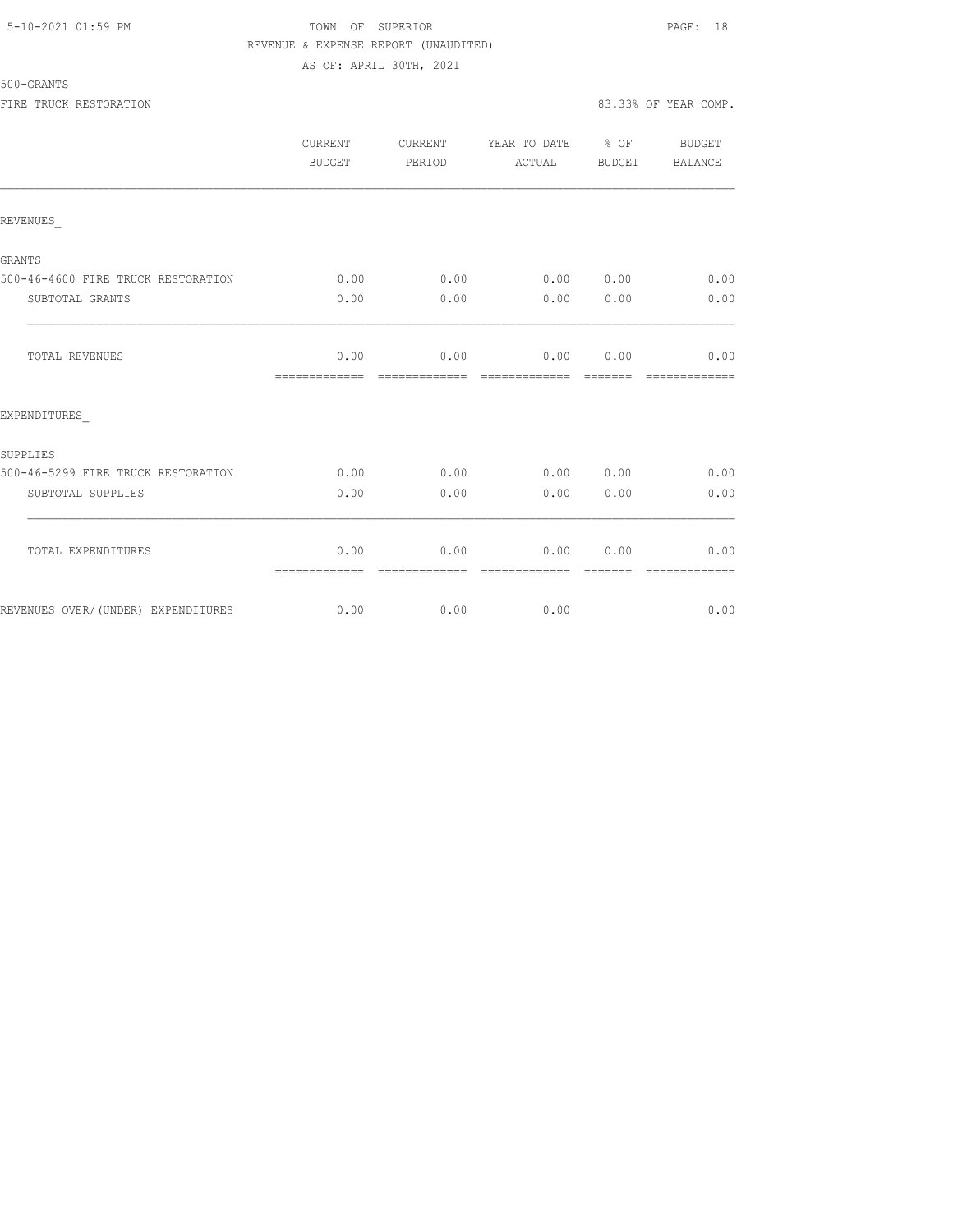## 5-10-2021 01:59 PM TOWN OF SUPERIOR PAGE: 18 REVENUE & EXPENSE REPORT (UNAUDITED) AS OF: APRIL 30TH, 2021

#### 500-GRANTS

FIRE TRUCK RESTORATION 83.33% OF YEAR COMP.

|                                    | <b>CURRENT</b><br>BUDGET | CURRENT<br>PERIOD | YEAR TO DATE % OF<br>ACTUAL | BUDGET | <b>BUDGET</b><br>BALANCE |
|------------------------------------|--------------------------|-------------------|-----------------------------|--------|--------------------------|
| REVENUES                           |                          |                   |                             |        |                          |
| GRANTS                             |                          |                   |                             |        |                          |
| 500-46-4600 FIRE TRUCK RESTORATION | 0.00                     |                   | $0.00$ $0.00$ $0.00$        |        | 0.00                     |
| SUBTOTAL GRANTS                    | 0.00                     | 0.00              | 0.00                        | 0.00   | 0.00                     |
| <b>TOTAL REVENUES</b>              | 0.00<br>=============    | 0.00              | $0.00$ 0.00                 |        | 0.00                     |
| EXPENDITURES                       |                          |                   |                             |        |                          |
| SUPPLIES                           |                          |                   |                             |        |                          |
| 500-46-5299 FIRE TRUCK RESTORATION | 0.00                     | 0.00              | 0.00 0.00                   |        | 0.00                     |
| SUBTOTAL SUPPLIES                  | 0.00                     | 0.00              | 0.00                        | 0.00   | 0.00                     |
| TOTAL EXPENDITURES                 | 0.00<br>=============    | 0.00              | 0.00                        | 0.00   | 0.00                     |
| REVENUES OVER/(UNDER) EXPENDITURES | 0.00                     | 0.00              | 0.00                        |        | 0.00                     |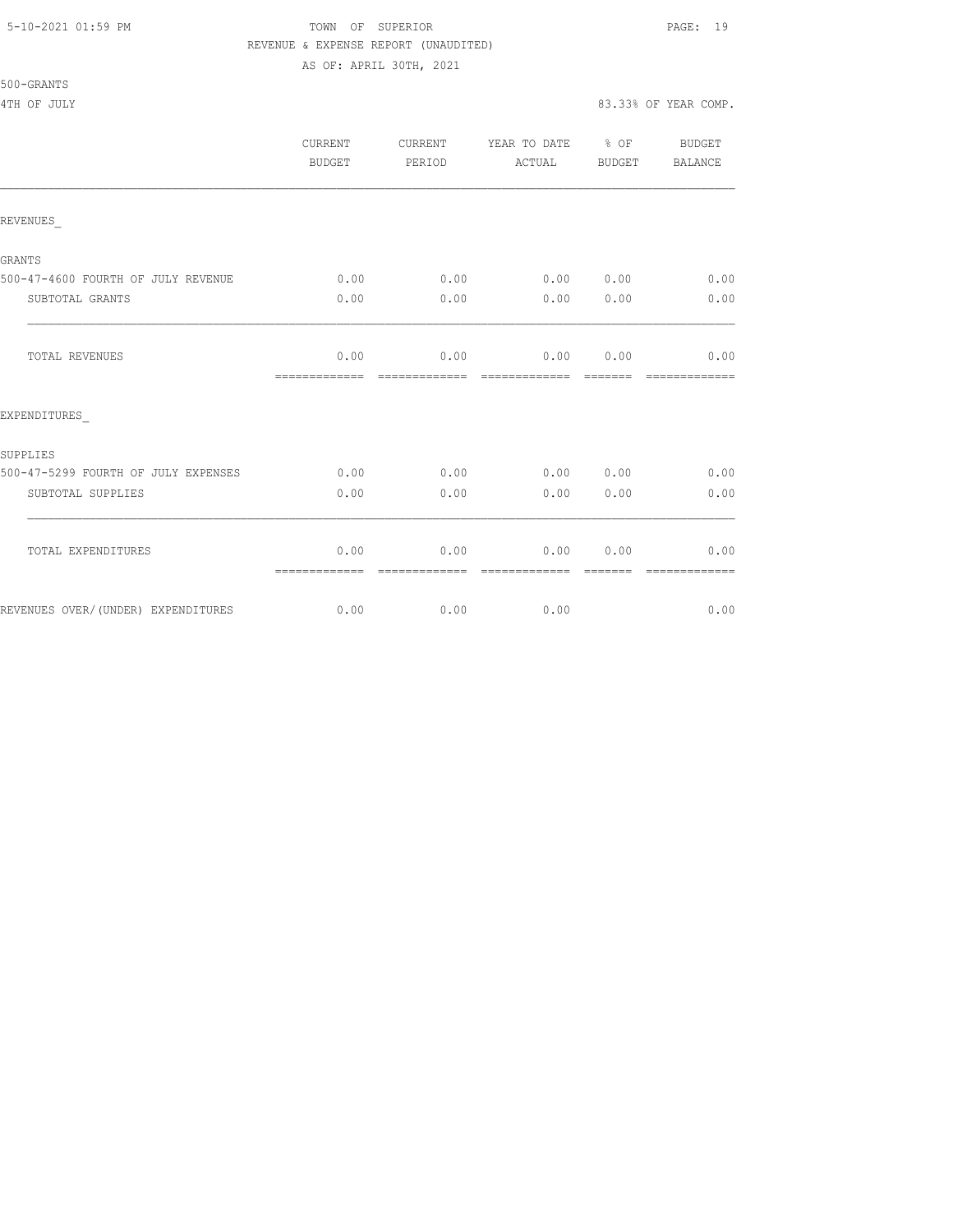#### 5-10-2021 01:59 PM TOWN OF SUPERIOR PAGE: 19 REVENUE & EXPENSE REPORT (UNAUDITED) AS OF: APRIL 30TH, 2021

|                                     | <b>CURRENT</b><br>BUDGET | CURRENT<br>PERIOD | YEAR TO DATE % OF<br>ACTUAL | BUDGET | BUDGET<br>BALANCE |
|-------------------------------------|--------------------------|-------------------|-----------------------------|--------|-------------------|
| REVENUES                            |                          |                   |                             |        |                   |
| GRANTS                              |                          |                   |                             |        |                   |
| 500-47-4600 FOURTH OF JULY REVENUE  | 0.00                     | 0.00              | 0.00 0.00                   |        | 0.00              |
| SUBTOTAL GRANTS                     | 0.00                     | 0.00              | 0.00                        | 0.00   | 0.00              |
| TOTAL REVENUES                      | 0.00<br>=============    | 0.00              | 0.00<br>=============       | 0.00   | 0.00              |
| EXPENDITURES                        |                          |                   |                             |        |                   |
| SUPPLIES                            |                          |                   |                             |        |                   |
| 500-47-5299 FOURTH OF JULY EXPENSES | 0.00                     | 0.00              | 0.00 0.00                   |        | 0.00              |
| SUBTOTAL SUPPLIES                   | 0.00                     | 0.00              | 0.00                        | 0.00   | 0.00              |
| TOTAL EXPENDITURES                  | 0.00<br>=============    | 0.00              | 0.00                        | 0.00   | 0.00              |
| REVENUES OVER/(UNDER) EXPENDITURES  | 0.00                     | 0.00              | 0.00                        |        | 0.00              |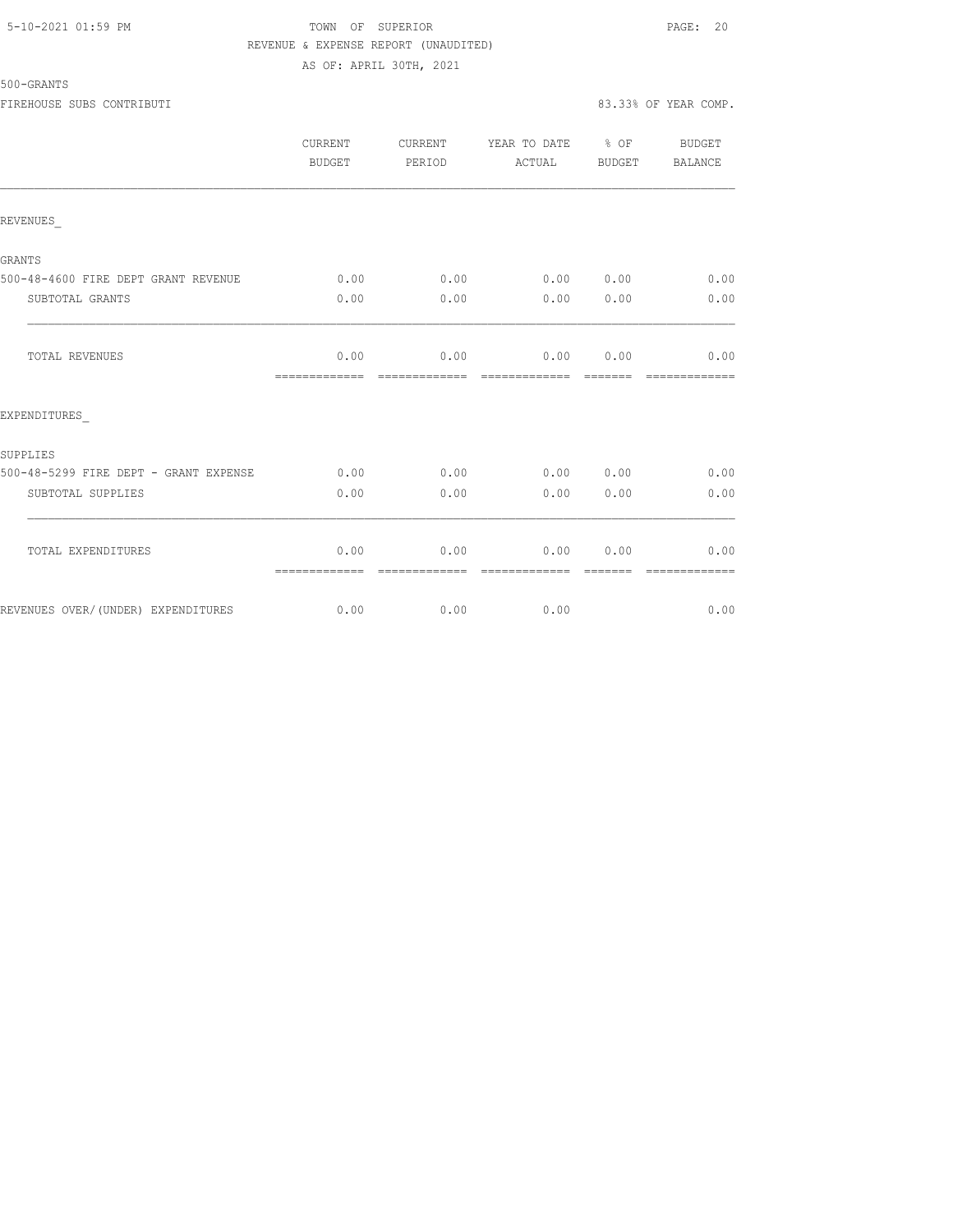# 5-10-2021 01:59 PM TOWN OF SUPERIOR PAGE: 20 REVENUE & EXPENSE REPORT (UNAUDITED) AS OF: APRIL 30TH, 2021

#### 500-GRANTS

FIREHOUSE SUBS CONTRIBUTI 83.33% OF YEAR COMP.

|                                       | CURRENT<br><b>BUDGET</b> | CURRENT<br>PERIOD      | YEAR TO DATE % OF<br>ACTUAL                           | BUDGET    | BUDGET<br>BALANCE     |
|---------------------------------------|--------------------------|------------------------|-------------------------------------------------------|-----------|-----------------------|
| REVENUES                              |                          |                        |                                                       |           |                       |
| GRANTS                                |                          |                        |                                                       |           |                       |
| 500-48-4600 FIRE DEPT GRANT REVENUE   | 0.00                     | 0.00                   |                                                       | 0.00 0.00 | 0.00                  |
| SUBTOTAL GRANTS                       | 0.00                     | 0.00                   |                                                       | 0.00 0.00 | 0.00                  |
| TOTAL REVENUES                        | =============            | =============          | $0.00$ 0.00 0.00 0.00 0.00<br>======================= |           | 0.00<br>============= |
| EXPENDITURES                          |                          |                        |                                                       |           |                       |
| SUPPLIES                              |                          |                        |                                                       |           |                       |
| 500-48-5299 FIRE DEPT - GRANT EXPENSE | 0.00                     | 0.00                   |                                                       | 0.000000  | 0.00                  |
| SUBTOTAL SUPPLIES                     | 0.00                     | 0.00                   |                                                       | 0.00 0.00 | 0.00                  |
| TOTAL EXPENDITURES                    | 0.00<br>--------------   | 0.00<br>-------------- | 0.00 0.00<br>-------------                            | -------   | 0.00<br>------------- |
|                                       |                          |                        |                                                       |           |                       |

REVENUES OVER/(UNDER) EXPENDITURES 0.00 0.00 0.00 0.00 0.00 0.00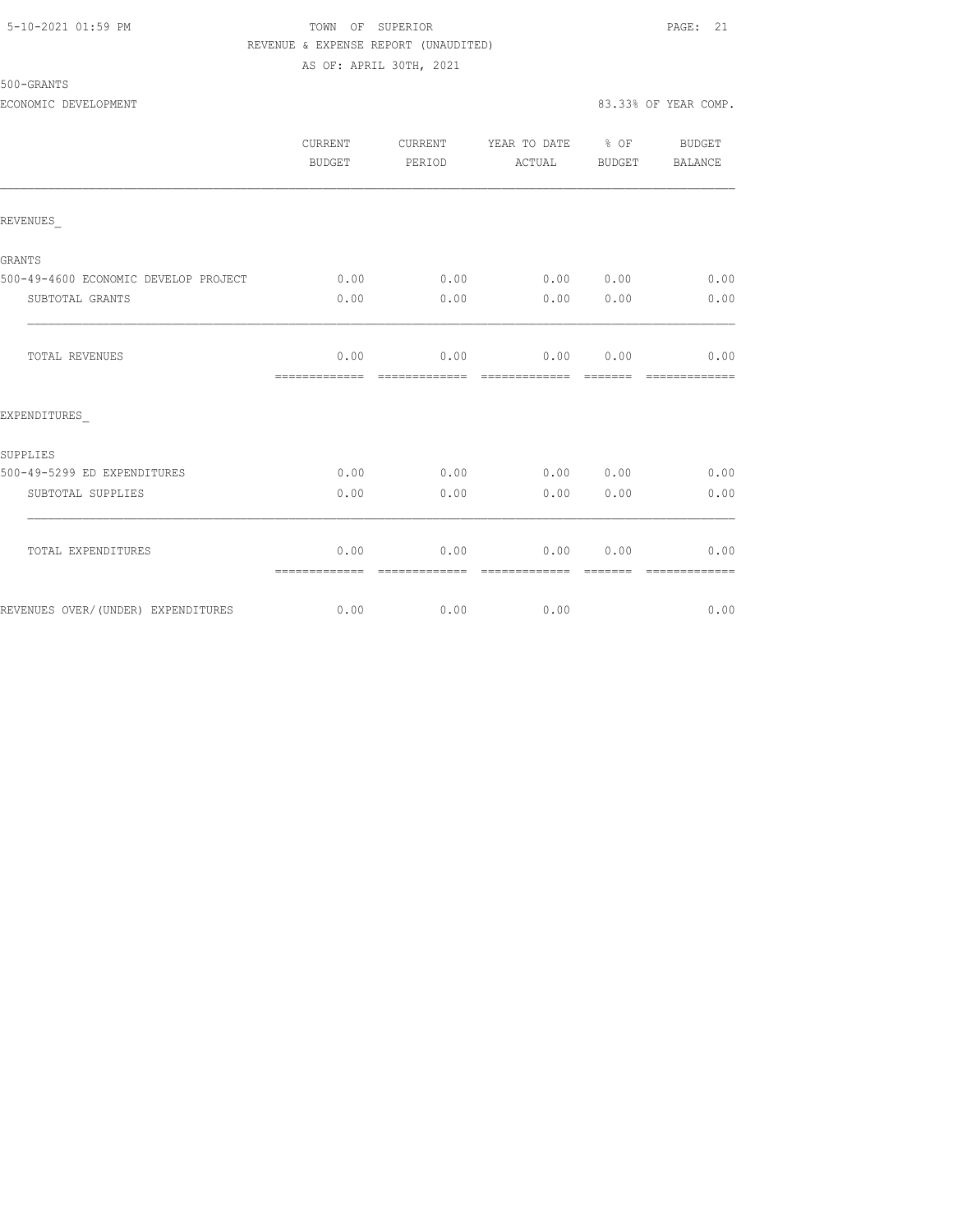## 5-10-2021 01:59 PM TOWN OF SUPERIOR PAGE: 21 REVENUE & EXPENSE REPORT (UNAUDITED) AS OF: APRIL 30TH, 2021

|                                      | CURRENT<br>BUDGET     | CURRENT<br>PERIOD      | YEAR TO DATE % OF<br>ACTUAL | BUDGET           | BUDGET<br>BALANCE     |
|--------------------------------------|-----------------------|------------------------|-----------------------------|------------------|-----------------------|
| REVENUES                             |                       |                        |                             |                  |                       |
| <b>GRANTS</b>                        |                       |                        |                             |                  |                       |
| 500-49-4600 ECONOMIC DEVELOP PROJECT | 0.00                  | 0.00                   | 0.00 0.00                   |                  | 0.00                  |
| SUBTOTAL GRANTS                      | 0.00                  | 0.00                   | 0.00                        | 0.00             | 0.00                  |
| TOTAL REVENUES                       | 0.00<br>============= | 0.00<br>assessessesse  | 0.00                        | 0.00             | 0.00<br>============= |
| EXPENDITURES                         |                       |                        |                             |                  |                       |
| SUPPLIES                             |                       |                        |                             |                  |                       |
| 500-49-5299 ED EXPENDITURES          | 0.00                  | 0.00                   | 0.00 0.00                   |                  | 0.00                  |
| SUBTOTAL SUPPLIES                    | 0.00                  | 0.00                   | 0.00                        | 0.00             | 0.00                  |
| TOTAL EXPENDITURES                   | 0.00<br>============= | 0.00<br>-------------- | 0.00<br>--------------      | 0.00<br>-------- | 0.00<br>------------- |
| REVENUES OVER/(UNDER) EXPENDITURES   | 0.00                  | 0.00                   | 0.00                        |                  | 0.00                  |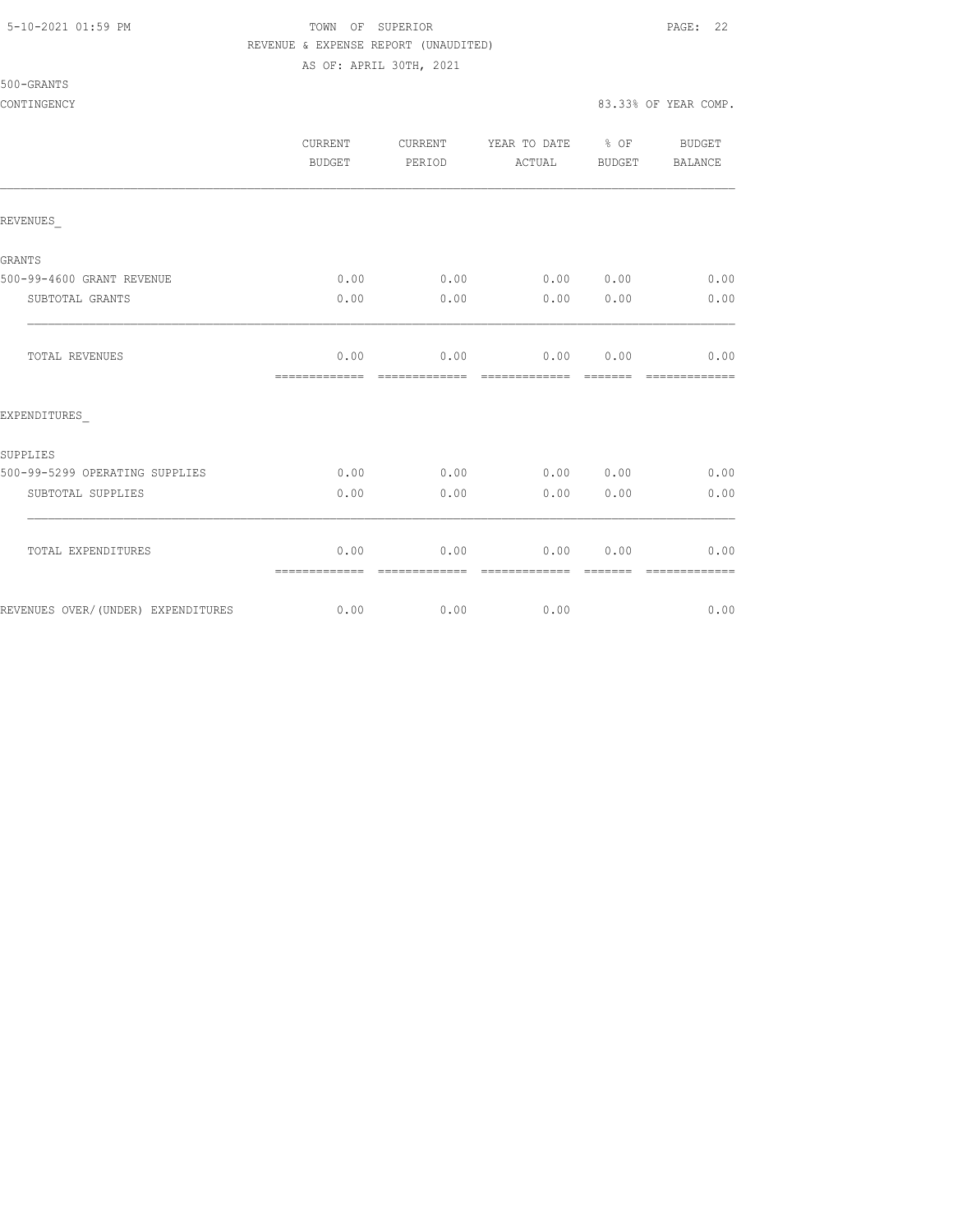# 5-10-2021 01:59 PM TOWN OF SUPERIOR PAGE: 22 REVENUE & EXPENSE REPORT (UNAUDITED)

AS OF: APRIL 30TH, 2021

|                                    | <b>CURRENT</b><br>BUDGET | CURRENT<br>PERIOD     | YEAR TO DATE % OF<br>ACTUAL | BUDGET           | BUDGET<br>BALANCE     |
|------------------------------------|--------------------------|-----------------------|-----------------------------|------------------|-----------------------|
| REVENUES                           |                          |                       |                             |                  |                       |
| GRANTS                             |                          |                       |                             |                  |                       |
| 500-99-4600 GRANT REVENUE          | 0.00                     | 0.00                  | 0.00 0.00                   |                  | 0.00                  |
| SUBTOTAL GRANTS                    | 0.00                     | 0.00                  | 0.00                        | 0.00             | 0.00                  |
| TOTAL REVENUES                     | 0.00<br>=============    | 0.00<br>============= | 0.00<br>=============       | 0.00<br>-------- | 0.00<br>============= |
| EXPENDITURES                       |                          |                       |                             |                  |                       |
| SUPPLIES                           |                          |                       |                             |                  |                       |
| 500-99-5299 OPERATING SUPPLIES     | 0.00                     | 0.00                  | $0.00$ $0.00$               |                  | 0.00                  |
| SUBTOTAL SUPPLIES                  | 0.00                     | 0.00                  | 0.00                        | 0.00             | 0.00                  |
| TOTAL EXPENDITURES                 | 0.00<br>=============    | 0.00<br>============= | 0.00<br>--------------      | 0.00             | 0.00<br>============= |
| REVENUES OVER/(UNDER) EXPENDITURES | 0.00                     | 0.00                  | 0.00                        |                  | 0.00                  |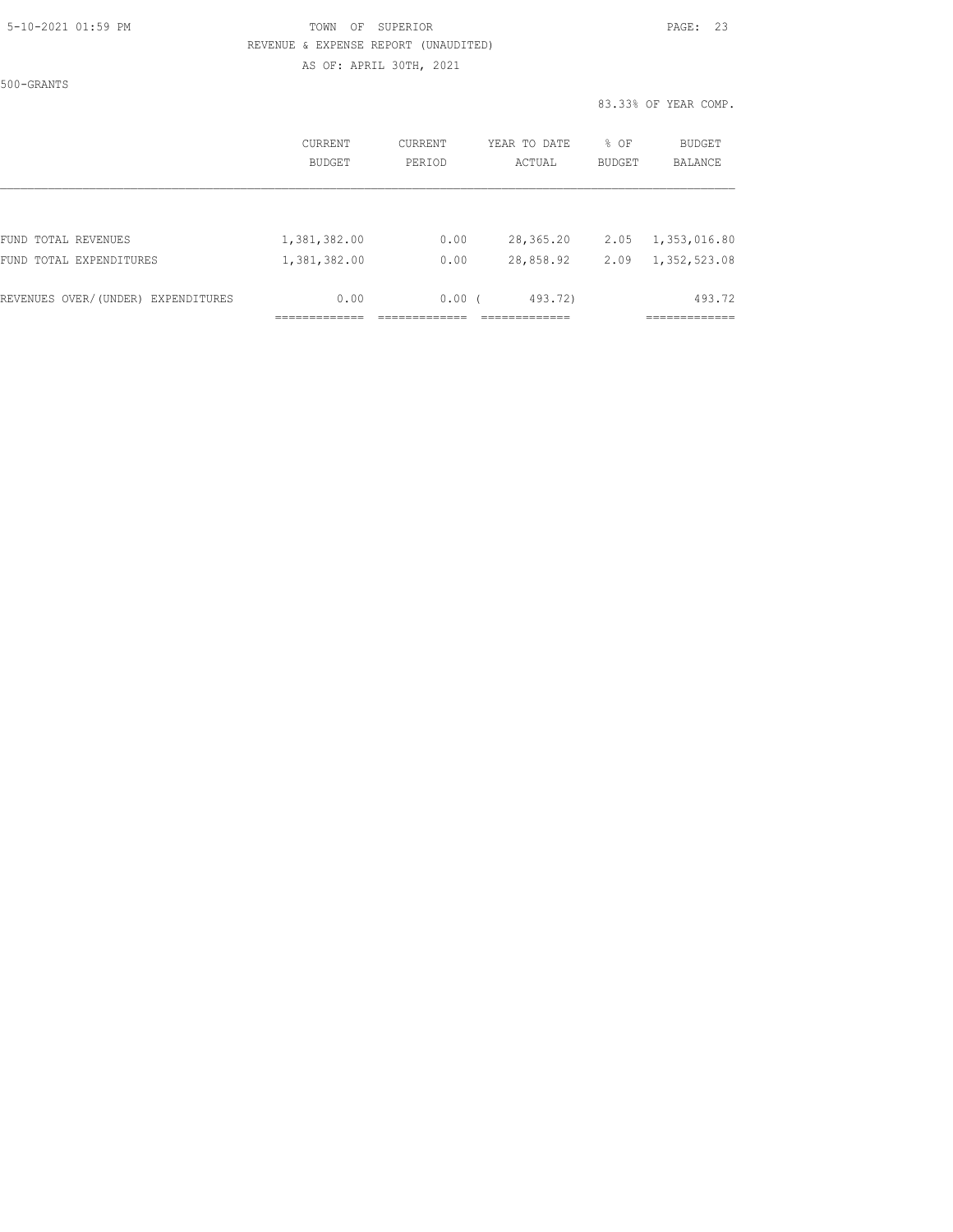# 5-10-2021 01:59 PM TOWN OF SUPERIOR PAGE: 23 REVENUE & EXPENSE REPORT (UNAUDITED) AS OF: APRIL 30TH, 2021

500-GRANTS

83.33% OF YEAR COMP.

|                                    | CURRENT<br><b>BUDGET</b> | CURRENT<br>PERIOD | YEAR TO DATE<br>ACTUAL | % OF<br><b>BUDGET</b> | BUDGET<br><b>BALANCE</b> |
|------------------------------------|--------------------------|-------------------|------------------------|-----------------------|--------------------------|
|                                    |                          |                   |                        |                       |                          |
| FUND TOTAL REVENUES                | 1,381,382.00             | 0.00              | 28,365.20              | 2.05                  | 1,353,016.80             |
| FUND TOTAL EXPENDITURES            | 1,381,382.00             | 0.00              | 28,858.92              | 2.09                  | 1,352,523.08             |
| REVENUES OVER/(UNDER) EXPENDITURES | 0.00                     | 0.00(             | 493.72)                |                       | 493.72                   |
|                                    |                          |                   |                        |                       | ---------                |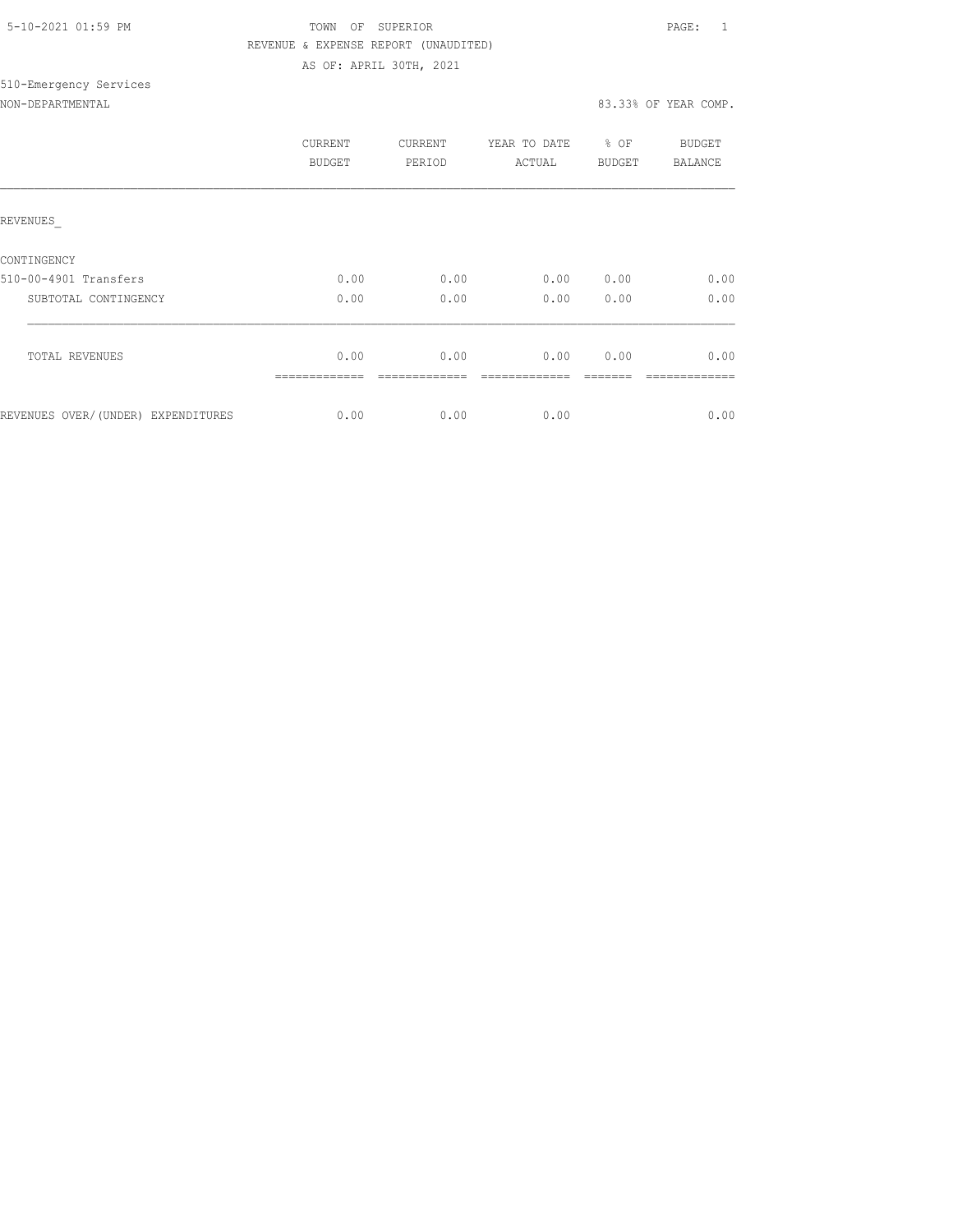| 5-10-2021 01:59 PM |  |
|--------------------|--|
|                    |  |

# TOWN OF SUPERIOR **Example 2010** PAGE: 1 REVENUE & EXPENSE REPORT (UNAUDITED) AS OF: APRIL 30TH, 2021

# 510-Emergency Services

| NON-DEPARTMENTAL |
|------------------|
|------------------|

# 83.33% OF YEAR COMP.

|                                    | CURRENT<br>BUDGET | CURRENT<br>PERIOD | YEAR TO DATE<br>ACTUAL | $8$ OF<br>BUDGET | BUDGET<br>BALANCE |
|------------------------------------|-------------------|-------------------|------------------------|------------------|-------------------|
| REVENUES                           |                   |                   |                        |                  |                   |
| CONTINGENCY                        |                   |                   |                        |                  |                   |
| 510-00-4901 Transfers              | 0.00              | 0.00              | 0.00                   | 0.00             | 0.00              |
| SUBTOTAL CONTINGENCY               | 0.00              | 0.00              | 0.00                   | 0.00             | 0.00              |
|                                    |                   |                   |                        |                  |                   |
| TOTAL REVENUES                     | 0.00              | 0.00              | 0.00                   | 0.00             | 0.00              |
|                                    |                   |                   |                        |                  |                   |
| REVENUES OVER/(UNDER) EXPENDITURES | 0.00              | 0.00              | 0.00                   |                  | 0.00              |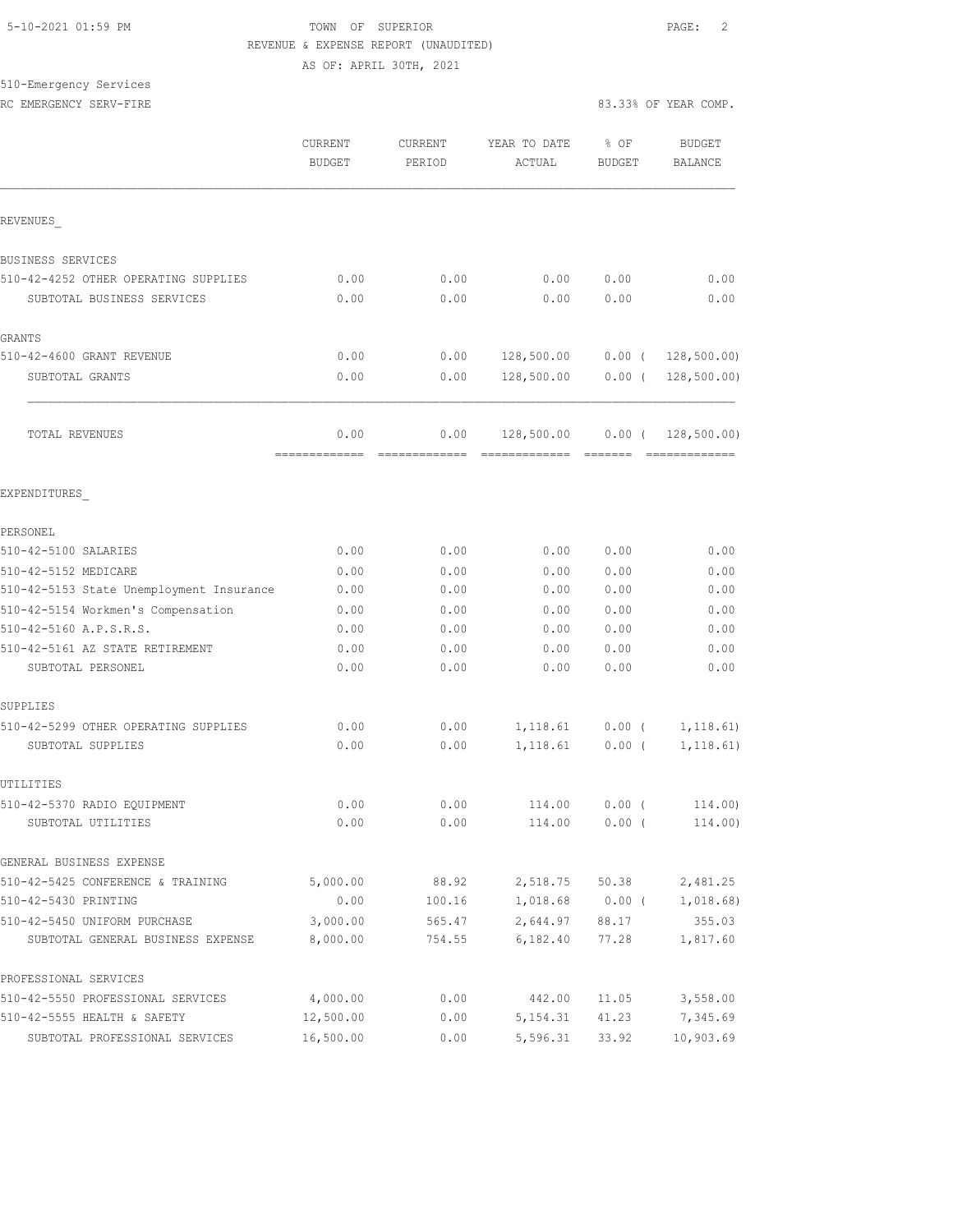510-Emergency Services

#### 5-10-2021 01:59 PM TOWN OF SUPERIOR PAGE: 2 REVENUE & EXPENSE REPORT (UNAUDITED) AS OF: APRIL 30TH, 2021

RC EMERGENCY SERV-FIRE **All and SERV-FIRE 83.33% OF YEAR COMP.** 

|                                          | CURRENT<br><b>BUDGET</b> | <b>CURRENT</b><br>PERIOD | YEAR TO DATE<br>ACTUAL              | % OF<br><b>BUDGET</b> | <b>BUDGET</b><br><b>BALANCE</b> |
|------------------------------------------|--------------------------|--------------------------|-------------------------------------|-----------------------|---------------------------------|
| REVENUES                                 |                          |                          |                                     |                       |                                 |
| BUSINESS SERVICES                        |                          |                          |                                     |                       |                                 |
| 510-42-4252 OTHER OPERATING SUPPLIES     | 0.00                     | 0.00                     | 0.00                                | 0.00                  | 0.00                            |
| SUBTOTAL BUSINESS SERVICES               | 0.00                     | 0.00                     | 0.00                                | 0.00                  | 0.00                            |
| GRANTS                                   |                          |                          |                                     |                       |                                 |
| 510-42-4600 GRANT REVENUE                | 0.00                     | 0.00                     | 128,500.00  0.00  ( 128,500.00)     |                       |                                 |
| SUBTOTAL GRANTS                          | 0.00                     | 0.00                     | 128,500.00                          |                       | $0.00$ ( 128,500.00)            |
| TOTAL REVENUES                           | 0.00<br>=============    | 0.00<br>=============    | 128,500.00<br>-------------- ------ | $0.00$ (              | 128, 500.00<br>-------------    |
| EXPENDITURES                             |                          |                          |                                     |                       |                                 |
| PERSONEL                                 |                          |                          |                                     |                       |                                 |
| 510-42-5100 SALARIES                     | 0.00                     | 0.00                     | 0.00                                | 0.00                  | 0.00                            |
| 510-42-5152 MEDICARE                     | 0.00                     | 0.00                     | 0.00                                | 0.00                  | 0.00                            |
| 510-42-5153 State Unemployment Insurance | 0.00                     | 0.00                     | 0.00                                | 0.00                  | 0.00                            |
| 510-42-5154 Workmen's Compensation       | 0.00                     | 0.00                     | 0.00                                | 0.00                  | 0.00                            |
| 510-42-5160 A.P.S.R.S.                   | 0.00                     | 0.00                     | 0.00                                | 0.00                  | 0.00                            |
| 510-42-5161 AZ STATE RETIREMENT          | 0.00                     | 0.00                     | 0.00                                | 0.00                  | 0.00                            |
| SUBTOTAL PERSONEL                        | 0.00                     | 0.00                     | 0.00                                | 0.00                  | 0.00                            |
| SUPPLIES                                 |                          |                          |                                     |                       |                                 |
| 510-42-5299 OTHER OPERATING SUPPLIES     | 0.00                     | 0.00                     | 1,118.61                            | $0.00$ (              | 1, 118.61)                      |
| SUBTOTAL SUPPLIES                        | 0.00                     | 0.00                     | 1,118.61                            | $0.00$ (              | 1, 118.61)                      |
| UTILITIES                                |                          |                          |                                     |                       |                                 |
| 510-42-5370 RADIO EQUIPMENT              | 0.00                     | 0.00                     | 114.00                              | 0.00(                 | 114.00)                         |
| SUBTOTAL UTILITIES                       | 0.00                     | 0.00                     | 114.00                              | $0.00$ (              | 114.00)                         |
| GENERAL BUSINESS EXPENSE                 |                          |                          |                                     |                       |                                 |
| 510-42-5425 CONFERENCE & TRAINING        | 5,000.00                 | 88.92                    |                                     | 2,518.75 50.38        | 2,481.25                        |
| 510-42-5430 PRINTING                     | 0.00                     | 100.16                   |                                     |                       | $1,018.68$ 0.00 ( 1,018.68)     |
| 510-42-5450 UNIFORM PURCHASE             | 3,000.00                 | 565.47                   | 2,644.97                            | 88.17                 | 355.03                          |
| SUBTOTAL GENERAL BUSINESS EXPENSE        | 8,000.00                 | 754.55                   | 6,182.40                            | 77.28                 | 1,817.60                        |
| PROFESSIONAL SERVICES                    |                          |                          |                                     |                       |                                 |
| 510-42-5550 PROFESSIONAL SERVICES        | 4,000.00                 | 0.00                     | 442.00                              | 11.05                 | 3,558.00                        |
| 510-42-5555 HEALTH & SAFETY              | 12,500.00                | 0.00                     | 5, 154.31                           | 41.23                 | 7,345.69                        |
| SUBTOTAL PROFESSIONAL SERVICES           | 16,500.00                | 0.00                     | 5,596.31                            | 33.92                 | 10,903.69                       |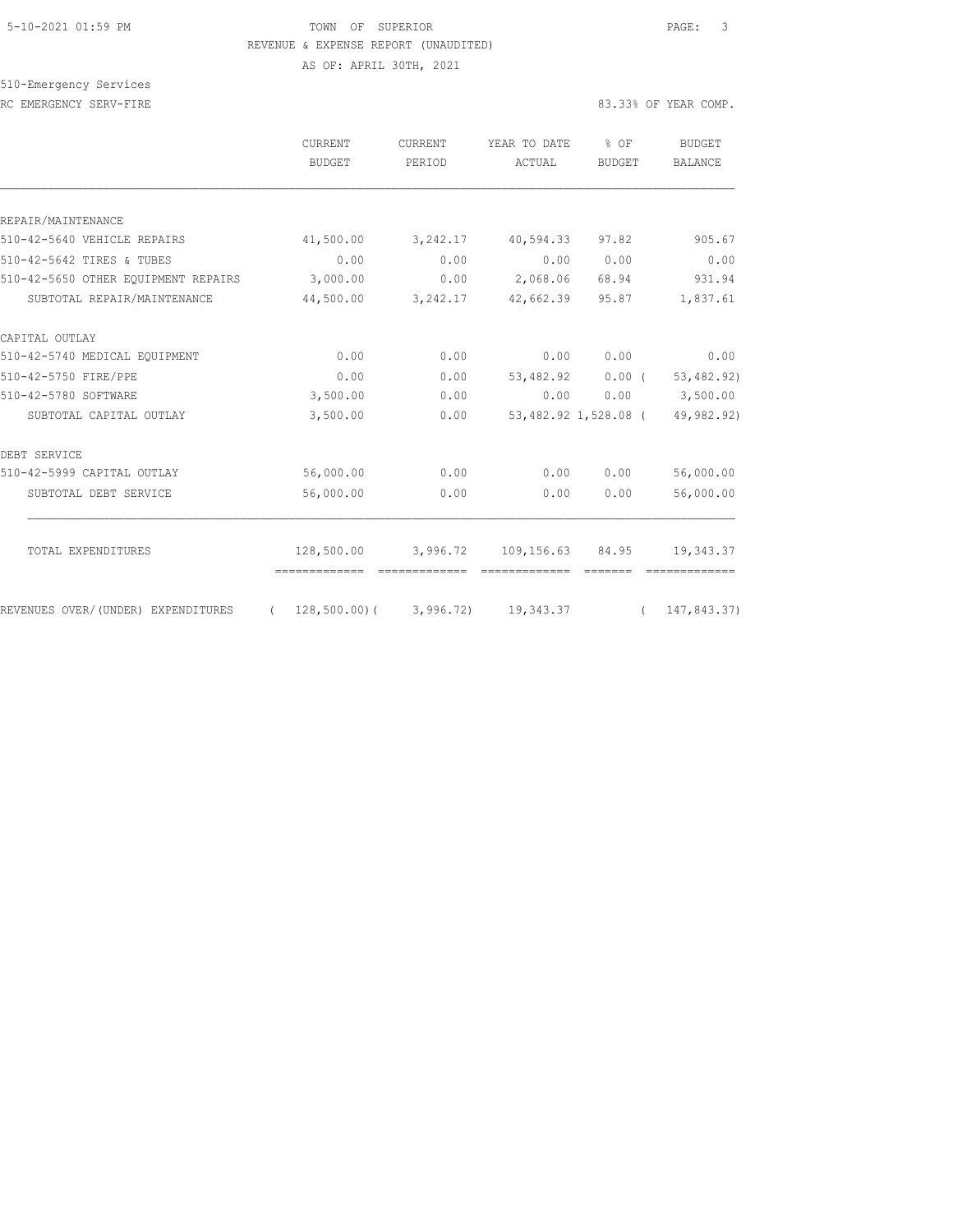# 5-10-2021 01:59 PM TOWN OF SUPERIOR PAGE: 3 REVENUE & EXPENSE REPORT (UNAUDITED)

AS OF: APRIL 30TH, 2021

# 510-Emergency Services

|                                     | CURRENT<br><b>BUDGET</b> | <b>CURRENT</b><br>PERIOD | YEAR TO DATE<br>ACTUAL | % OF<br><b>BUDGET</b> | BUDGET<br><b>BALANCE</b> |
|-------------------------------------|--------------------------|--------------------------|------------------------|-----------------------|--------------------------|
|                                     |                          |                          |                        |                       |                          |
| REPAIR/MAINTENANCE                  |                          |                          |                        |                       |                          |
| 510-42-5640 VEHICLE REPAIRS         | 41,500.00                | 3, 242.17                | 40,594.33              | 97.82                 | 905.67                   |
| 510-42-5642 TIRES & TUBES           | 0.00                     | 0.00                     | 0.00                   | 0.00                  | 0.00                     |
| 510-42-5650 OTHER EQUIPMENT REPAIRS | 3,000.00                 | 0.00                     | 2,068.06               | 68.94                 | 931.94                   |
| SUBTOTAL REPAIR/MAINTENANCE         | 44,500.00                | 3,242.17                 | 42,662.39              | 95.87                 | 1,837.61                 |
| CAPITAL OUTLAY                      |                          |                          |                        |                       |                          |
| 510-42-5740 MEDICAL EQUIPMENT       | 0.00                     | 0.00                     | 0.00                   | 0.00                  | 0.00                     |
| 510-42-5750 FIRE/PPE                | 0.00                     | 0.00                     | 53,482.92              | $0.00$ (              | 53, 482.92)              |
| 510-42-5780 SOFTWARE                | 3,500.00                 | 0.00                     | 0.00                   | 0.00                  | 3,500.00                 |
| SUBTOTAL CAPITAL OUTLAY             | 3,500.00                 | 0.00                     |                        | 53,482.92 1,528.08 (  | 49,982.92)               |
| DEBT SERVICE                        |                          |                          |                        |                       |                          |
| 510-42-5999 CAPITAL OUTLAY          | 56,000.00                | 0.00                     | 0.00                   | 0.00                  | 56,000.00                |
| SUBTOTAL DEBT SERVICE               | 56,000.00                | 0.00                     | 0.00                   | 0.00                  | 56,000.00                |
| TOTAL EXPENDITURES                  | 128,500.00               | 3,996.72                 | 109,156.63             | 84.95                 | 19,343.37                |
|                                     |                          |                          |                        |                       |                          |
| REVENUES OVER/(UNDER) EXPENDITURES  | 128,500.00)(<br>$\left($ | 3,996.72)                | 19,343.37              | $\sqrt{2}$            | 147,843.37)              |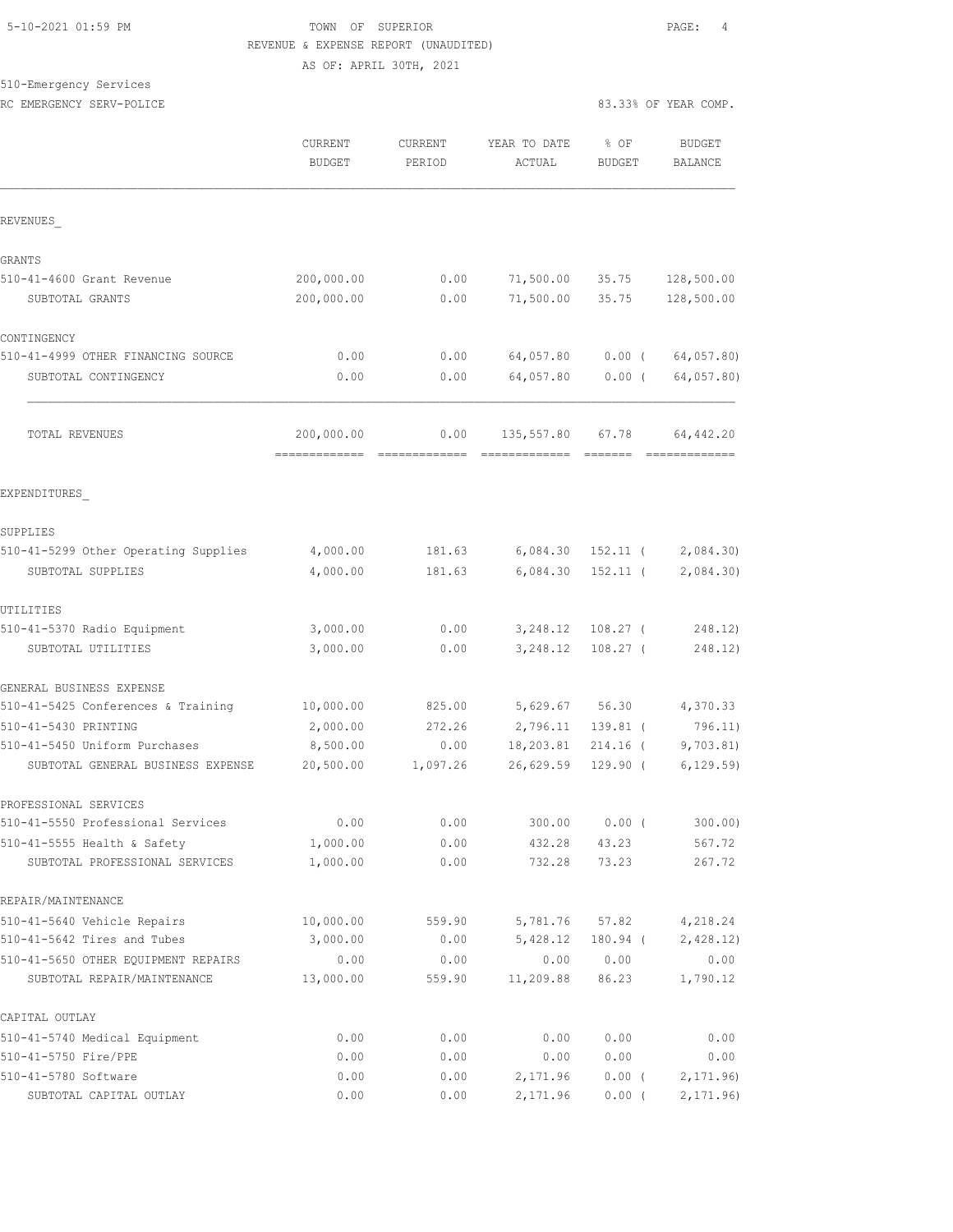## 5-10-2021 01:59 PM TOWN OF SUPERIOR PAGE: 4 REVENUE & EXPENSE REPORT (UNAUDITED) AS OF: APRIL 30TH, 2021

# 510-Emergency Services

RC EMERGENCY SERV-POLICE **EXECUTE:** 83.33% OF YEAR COMP.

|                                      | CURRENT<br><b>BUDGET</b>    | <b>CURRENT</b><br>PERIOD | YEAR TO DATE<br>ACTUAL | % OF<br><b>BUDGET</b> | <b>BUDGET</b><br><b>BALANCE</b> |
|--------------------------------------|-----------------------------|--------------------------|------------------------|-----------------------|---------------------------------|
| REVENUES                             |                             |                          |                        |                       |                                 |
| GRANTS                               |                             |                          |                        |                       |                                 |
| 510-41-4600 Grant Revenue            | 200,000.00                  | 0.00                     | 71,500.00              | 35.75                 | 128,500.00                      |
| SUBTOTAL GRANTS                      | 200,000.00                  | 0.00                     | 71,500.00              | 35.75                 | 128,500.00                      |
| CONTINGENCY                          |                             |                          |                        |                       |                                 |
| 510-41-4999 OTHER FINANCING SOURCE   | 0.00                        | 0.00                     | 64,057.80              | $0.00$ (              | 64,057.80)                      |
| SUBTOTAL CONTINGENCY                 | 0.00                        | 0.00                     | 64,057.80              | $0.00$ (              | 64,057.80)                      |
| <b>TOTAL REVENUES</b>                | 200,000.00<br>============= | 0.00                     | 135,557.80             | 67.78                 | 64,442.20                       |
| EXPENDITURES                         |                             |                          |                        |                       |                                 |
| SUPPLIES                             |                             |                          |                        |                       |                                 |
| 510-41-5299 Other Operating Supplies | 4,000.00                    | 181.63                   |                        | $6,084.30$ 152.11 (   | 2,084.30                        |
| SUBTOTAL SUPPLIES                    | 4,000.00                    | 181.63                   | 6,084.30               | $152.11$ (            | 2,084.30                        |
| UTILITIES                            |                             |                          |                        |                       |                                 |
| 510-41-5370 Radio Equipment          | 3,000.00                    | 0.00                     |                        | 3, 248.12 108.27 (    | 248.12)                         |
| SUBTOTAL UTILITIES                   | 3,000.00                    | 0.00                     | 3,248.12               | $108.27$ (            | 248.12)                         |
| GENERAL BUSINESS EXPENSE             |                             |                          |                        |                       |                                 |
| 510-41-5425 Conferences & Training   | 10,000.00                   | 825.00                   | 5,629.67 56.30         |                       | 4,370.33                        |
| 510-41-5430 PRINTING                 | 2,000.00                    | 272.26                   | 2,796.11               | 139.81 (              | 796.11)                         |
| 510-41-5450 Uniform Purchases        | 8,500.00                    | 0.00                     | 18,203.81              | $214.16$ (            | 9,703.81                        |
| SUBTOTAL GENERAL BUSINESS EXPENSE    | 20,500.00                   | 1,097.26                 | 26,629.59              | 129.90 (              | 6, 129.59)                      |
| PROFESSIONAL SERVICES                |                             |                          |                        |                       |                                 |
| 510-41-5550 Professional Services    | 0.00                        | 0.00                     | 300.00                 | 0.00(                 | 300.00)                         |
| 510-41-5555 Health & Safety          | 1,000.00                    | 0.00                     | 432.28                 | 43.23                 | 567.72                          |
| SUBTOTAL PROFESSIONAL SERVICES       | 1,000.00                    | 0.00                     | 732.28                 | 73.23                 | 267.72                          |
| REPAIR/MAINTENANCE                   |                             |                          |                        |                       |                                 |
| 510-41-5640 Vehicle Repairs          | 10,000.00                   | 559.90                   | 5,781.76               | 57.82                 | 4,218.24                        |
| 510-41-5642 Tires and Tubes          | 3,000.00                    | 0.00                     | 5,428.12               | 180.94 (              | 2,428.12)                       |
| 510-41-5650 OTHER EQUIPMENT REPAIRS  | 0.00                        | 0.00                     | 0.00                   | 0.00                  | 0.00                            |
| SUBTOTAL REPAIR/MAINTENANCE          | 13,000.00                   | 559.90                   | 11,209.88              | 86.23                 | 1,790.12                        |
| CAPITAL OUTLAY                       |                             |                          |                        |                       |                                 |
| 510-41-5740 Medical Equipment        | 0.00                        | 0.00                     | 0.00                   | 0.00                  | 0.00                            |
| 510-41-5750 Fire/PPE                 | 0.00                        | 0.00                     | 0.00                   | 0.00                  | 0.00                            |
| 510-41-5780 Software                 | 0.00                        | 0.00                     | 2,171.96               | $0.00$ (              | 2, 171.96                       |
| SUBTOTAL CAPITAL OUTLAY              | 0.00                        | 0.00                     | 2,171.96               | $0.00$ (              | 2, 171.96                       |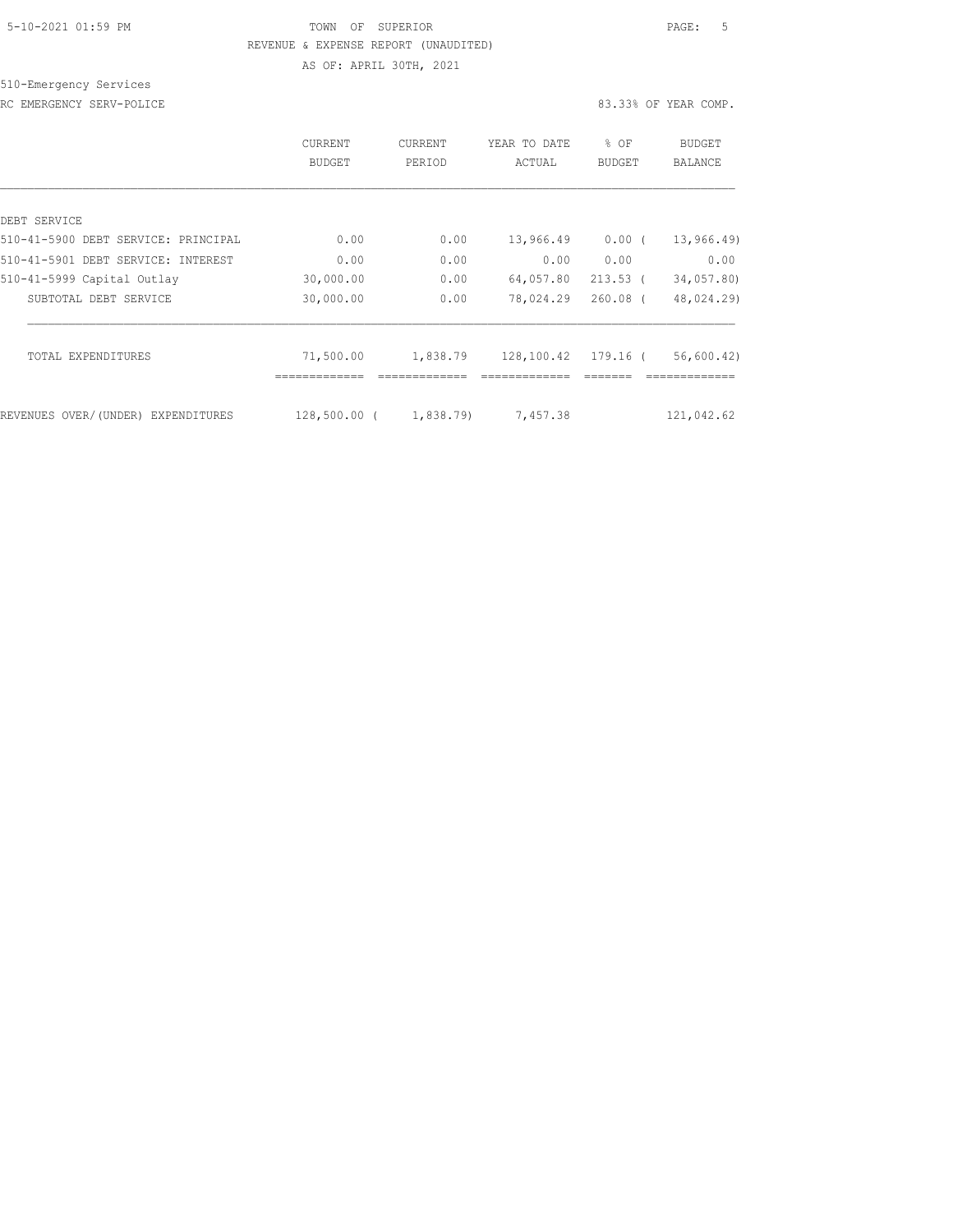# 5-10-2021 01:59 PM TOWN OF SUPERIOR PAGE: 5 REVENUE & EXPENSE REPORT (UNAUDITED) AS OF: APRIL 30TH, 2021

510-Emergency Services

|                                     | CURRENT<br><b>BUDGET</b> | <b>CURRENT</b><br>PERIOD | YEAR TO DATE<br>ACTUAL | $8$ OF<br><b>BUDGET</b> | BUDGET<br>BALANCE |
|-------------------------------------|--------------------------|--------------------------|------------------------|-------------------------|-------------------|
|                                     |                          |                          |                        |                         |                   |
| DEBT SERVICE                        |                          |                          |                        |                         |                   |
| 510-41-5900 DEBT SERVICE: PRINCIPAL | 0.00                     | 0.00                     | 13,966.49              | $0.00$ (                | 13, 966.49        |
| 510-41-5901 DEBT SERVICE: INTEREST  | 0.00                     | 0.00                     | 0.00                   | 0.00                    | 0.00              |
| 510-41-5999 Capital Outlay          | 30,000.00                | 0.00                     | 64,057.80              | $213.53$ (              | 34,057.80)        |
| SUBTOTAL DEBT SERVICE               | 30,000.00                | 0.00                     | 78,024.29              | $260.08$ (              | 48,024.29)        |
|                                     |                          |                          |                        |                         |                   |
| TOTAL EXPENDITURES                  | 71,500.00                | 1,838.79                 | 128,100.42 179.16 (    |                         | 56,600.42)        |
|                                     |                          |                          |                        |                         |                   |
| REVENUES OVER/(UNDER) EXPENDITURES  | $128,500.00$ (           | 1,838.79)                | 7,457.38               |                         | 121,042.62        |
|                                     |                          |                          |                        |                         |                   |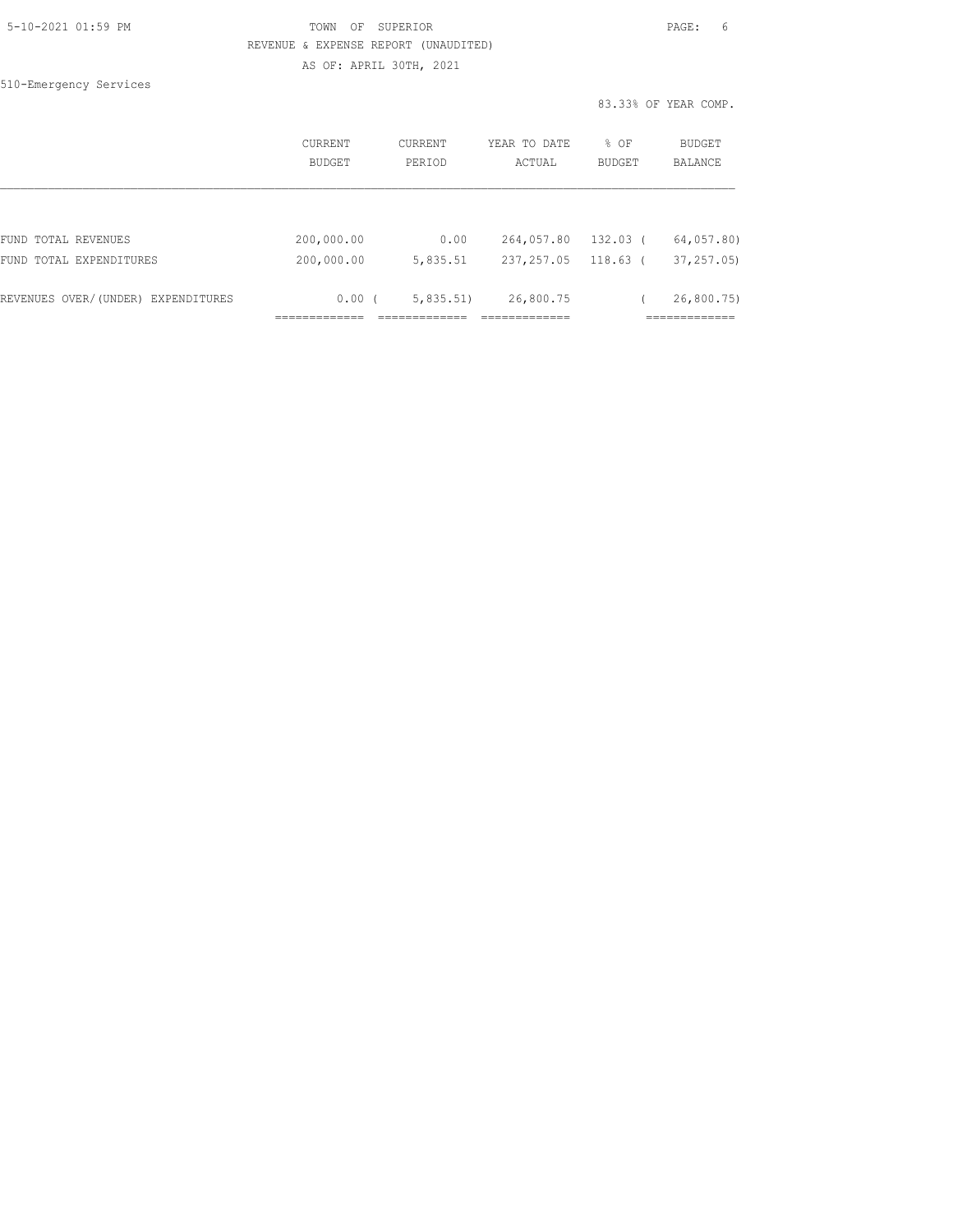|  | 5-10-2021 01:59 PM |  |
|--|--------------------|--|
|  |                    |  |

510-Emergency Services

# TOWN OF SUPERIOR **PAGE:** 6 REVENUE & EXPENSE REPORT (UNAUDITED) AS OF: APRIL 30TH, 2021

|                       |                   |                            | 83.33% OF YEAR COMP. |                              |  |
|-----------------------|-------------------|----------------------------|----------------------|------------------------------|--|
| CURRENT<br>BUDGET     | CURRENT<br>PERIOD | YEAR TO DATE<br>ACTUAL     | % OF<br>BUDGET       | BUDGET<br>BALANCE            |  |
|                       |                   |                            |                      |                              |  |
| 200,000.00            | 0.00              | 264,057.80                 | 132.03 (             | 64,057.80)                   |  |
| 200,000.00            | 5,835.51          | 237, 257.05                | $118.63$ (           | 37, 257, 05                  |  |
| 0.00(<br>____________ | 5,835.51          | 26,800.75<br>.============ |                      | 26,800.75)<br>,,,,,,,,,,,,,, |  |
|                       |                   |                            |                      |                              |  |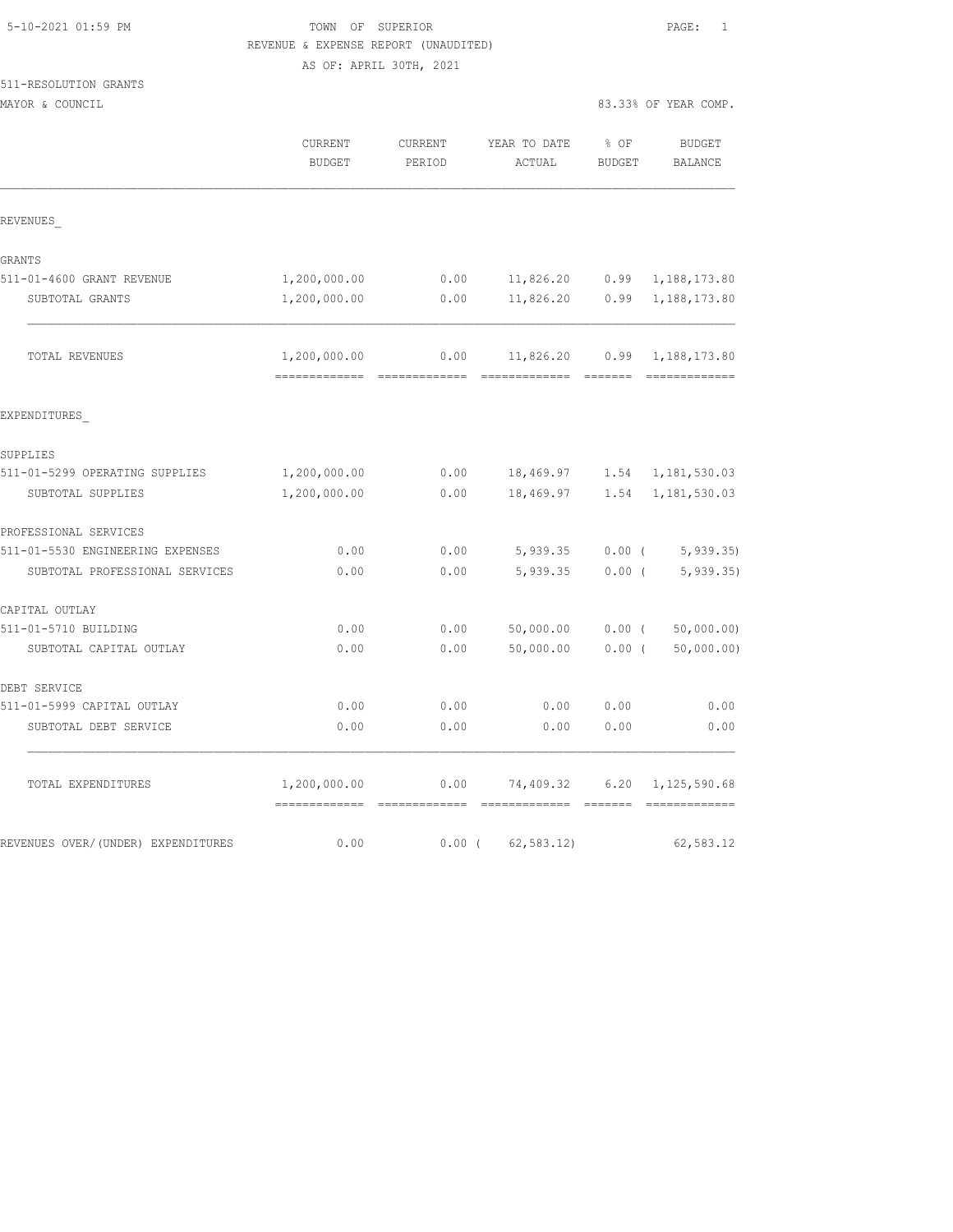| 5-10-2021 01:59 PM |  |
|--------------------|--|
|                    |  |

# TOWN OF SUPERIOR **Example 2010** PAGE: 1 REVENUE & EXPENSE REPORT (UNAUDITED) AS OF: APRIL 30TH, 2021

| 511-RESOLUTION GRANTS |  |
|-----------------------|--|
|                       |  |

| MAYOR & C<br>COUNCIL<br>.<br>. | 83.33% OF YEAR COMP.<br>. |  |  |
|--------------------------------|---------------------------|--|--|
|                                |                           |  |  |

|                                    | CURRENT<br><b>BUDGET</b>      | CURRENT<br>PERIOD     | YEAR TO DATE<br>ACTUAL | % OF<br><b>BUDGET</b> | <b>BUDGET</b><br><b>BALANCE</b> |
|------------------------------------|-------------------------------|-----------------------|------------------------|-----------------------|---------------------------------|
| REVENUES                           |                               |                       |                        |                       |                                 |
| GRANTS                             |                               |                       |                        |                       |                                 |
| 511-01-4600 GRANT REVENUE          | 1,200,000.00                  | 0.00                  | 11,826.20              | 0.99                  | 1,188,173.80                    |
| SUBTOTAL GRANTS                    | 1,200,000.00                  | 0.00                  | 11,826.20              | 0.99                  | 1,188,173.80                    |
| TOTAL REVENUES                     | 1,200,000.00<br>------------- | 0.00<br>============= | 11,826.20              | 0.99                  | 1,188,173.80<br>=============   |
| EXPENDITURES                       |                               |                       |                        |                       |                                 |
| SUPPLIES                           |                               |                       |                        |                       |                                 |
| 511-01-5299 OPERATING SUPPLIES     | 1,200,000.00                  | 0.00                  | 18,469.97              | 1.54                  | 1,181,530.03                    |
| SUBTOTAL SUPPLIES                  | 1,200,000.00                  | 0.00                  | 18,469.97              | 1.54                  | 1,181,530.03                    |
| PROFESSIONAL SERVICES              |                               |                       |                        |                       |                                 |
| 511-01-5530 ENGINEERING EXPENSES   | 0.00                          | 0.00                  | 5,939.35               | $0.00$ (              | 5, 939.35                       |
| SUBTOTAL PROFESSIONAL SERVICES     | 0.00                          | 0.00                  | 5,939.35               | 0.00(                 | 5, 939.35                       |
| CAPITAL OUTLAY                     |                               |                       |                        |                       |                                 |
| 511-01-5710 BUILDING               | 0.00                          | 0.00                  | 50,000.00              | $0.00$ (              | 50,000.00)                      |
| SUBTOTAL CAPITAL OUTLAY            | 0.00                          | 0.00                  | 50,000.00              | 0.00(                 | 50,000.00)                      |
| DEBT SERVICE                       |                               |                       |                        |                       |                                 |
| 511-01-5999 CAPITAL OUTLAY         | 0.00                          | 0.00                  | 0.00                   | 0.00                  | 0.00                            |
| SUBTOTAL DEBT SERVICE              | 0.00                          | 0.00                  | 0.00                   | 0.00                  | 0.00                            |
| TOTAL EXPENDITURES                 | 1,200,000.00                  | 0.00                  | 74,409.32              | 6.20                  | 1,125,590.68                    |
| REVENUES OVER/(UNDER) EXPENDITURES | 0.00                          | $0.00$ (              | 62, 583.12             |                       | 62,583.12                       |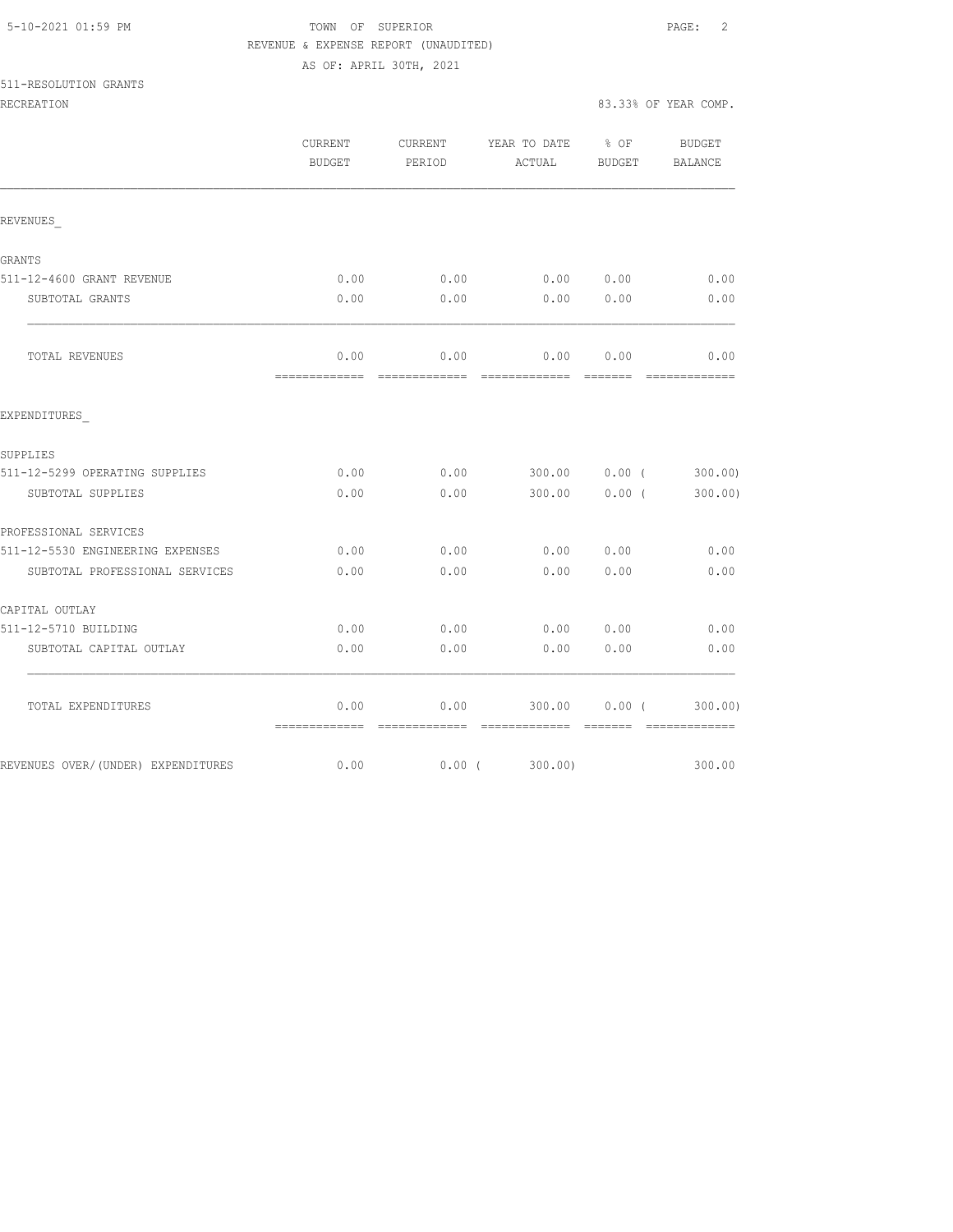| 5-10-2021 01:59 PM |  |
|--------------------|--|
|                    |  |

# TOWN OF SUPERIOR **PAGE:** 2 REVENUE & EXPENSE REPORT (UNAUDITED)

|                                     | INSVENUS & EALENCE INSLUIT (UNAUDITED) |          |                                    |          |                                                                                                                                                                                                                                                                                                                                                                                                                                                                                        |
|-------------------------------------|----------------------------------------|----------|------------------------------------|----------|----------------------------------------------------------------------------------------------------------------------------------------------------------------------------------------------------------------------------------------------------------------------------------------------------------------------------------------------------------------------------------------------------------------------------------------------------------------------------------------|
|                                     | AS OF: APRIL 30TH, 2021                |          |                                    |          |                                                                                                                                                                                                                                                                                                                                                                                                                                                                                        |
| 511-RESOLUTION GRANTS               |                                        |          |                                    |          |                                                                                                                                                                                                                                                                                                                                                                                                                                                                                        |
| <b>RECREATION</b>                   |                                        |          |                                    |          | 83.33% OF YEAR COMP.                                                                                                                                                                                                                                                                                                                                                                                                                                                                   |
|                                     | CURRENT                                |          | CURRENT YEAR TO DATE % OF          |          | BUDGET                                                                                                                                                                                                                                                                                                                                                                                                                                                                                 |
|                                     | BUDGET                                 | PERIOD   | ACTUAL BUDGET BALANCE              |          |                                                                                                                                                                                                                                                                                                                                                                                                                                                                                        |
| REVENUES                            |                                        |          |                                    |          |                                                                                                                                                                                                                                                                                                                                                                                                                                                                                        |
| GRANTS                              |                                        |          |                                    |          |                                                                                                                                                                                                                                                                                                                                                                                                                                                                                        |
| 511-12-4600 GRANT REVENUE           | 0.00                                   | 0.00     | 0.00 0.00                          |          | 0.00                                                                                                                                                                                                                                                                                                                                                                                                                                                                                   |
| SUBTOTAL GRANTS                     | 0.00                                   | 0.00     | 0.0000000                          |          | 0.00                                                                                                                                                                                                                                                                                                                                                                                                                                                                                   |
| TOTAL REVENUES                      | 0.00                                   |          | $0.00$ $0.00$ $0.00$ $0.00$ $0.00$ |          |                                                                                                                                                                                                                                                                                                                                                                                                                                                                                        |
| EXPENDITURES                        |                                        |          |                                    |          |                                                                                                                                                                                                                                                                                                                                                                                                                                                                                        |
| SUPPLIES                            |                                        |          |                                    |          |                                                                                                                                                                                                                                                                                                                                                                                                                                                                                        |
| 511-12-5299 OPERATING SUPPLIES      | 0.00                                   |          | $0.00$ 300.00 0.00 (               |          | 300.00                                                                                                                                                                                                                                                                                                                                                                                                                                                                                 |
| SUBTOTAL SUPPLIES                   | 0.00                                   | 0.00     | $300.00$ 0.00 (                    |          | 300.00)                                                                                                                                                                                                                                                                                                                                                                                                                                                                                |
| PROFESSIONAL SERVICES               |                                        |          |                                    |          |                                                                                                                                                                                                                                                                                                                                                                                                                                                                                        |
| 511-12-5530 ENGINEERING EXPENSES    | 0.00                                   | 0.00     |                                    | 0.000000 | 0.00                                                                                                                                                                                                                                                                                                                                                                                                                                                                                   |
| SUBTOTAL PROFESSIONAL SERVICES      | 0.00                                   | 0.00     | 0.0000000                          |          | 0.00                                                                                                                                                                                                                                                                                                                                                                                                                                                                                   |
| CAPITAL OUTLAY                      |                                        |          |                                    |          |                                                                                                                                                                                                                                                                                                                                                                                                                                                                                        |
| 511-12-5710 BUILDING                | 0.00                                   | 0.00     | 0.00 0.00                          |          | 0.00                                                                                                                                                                                                                                                                                                                                                                                                                                                                                   |
| SUBTOTAL CAPITAL OUTLAY             | 0.00                                   | 0.00     | 0.00                               | 0.00     | 0.00                                                                                                                                                                                                                                                                                                                                                                                                                                                                                   |
| TOTAL EXPENDITURES                  | 0.00                                   |          | $0.00$ 300.00 0.00 (300.00)        |          | $\begin{array}{cccccccccc} \multicolumn{2}{c}{} & \multicolumn{2}{c}{} & \multicolumn{2}{c}{} & \multicolumn{2}{c}{} & \multicolumn{2}{c}{} & \multicolumn{2}{c}{} & \multicolumn{2}{c}{} & \multicolumn{2}{c}{} & \multicolumn{2}{c}{} & \multicolumn{2}{c}{} & \multicolumn{2}{c}{} & \multicolumn{2}{c}{} & \multicolumn{2}{c}{} & \multicolumn{2}{c}{} & \multicolumn{2}{c}{} & \multicolumn{2}{c}{} & \multicolumn{2}{c}{} & \multicolumn{2}{c}{} & \multicolumn{2}{c}{} & \mult$ |
| REVENUES OVER/ (UNDER) EXPENDITURES | 0.00                                   | $0.00$ ( | 300.00)                            |          | 300.00                                                                                                                                                                                                                                                                                                                                                                                                                                                                                 |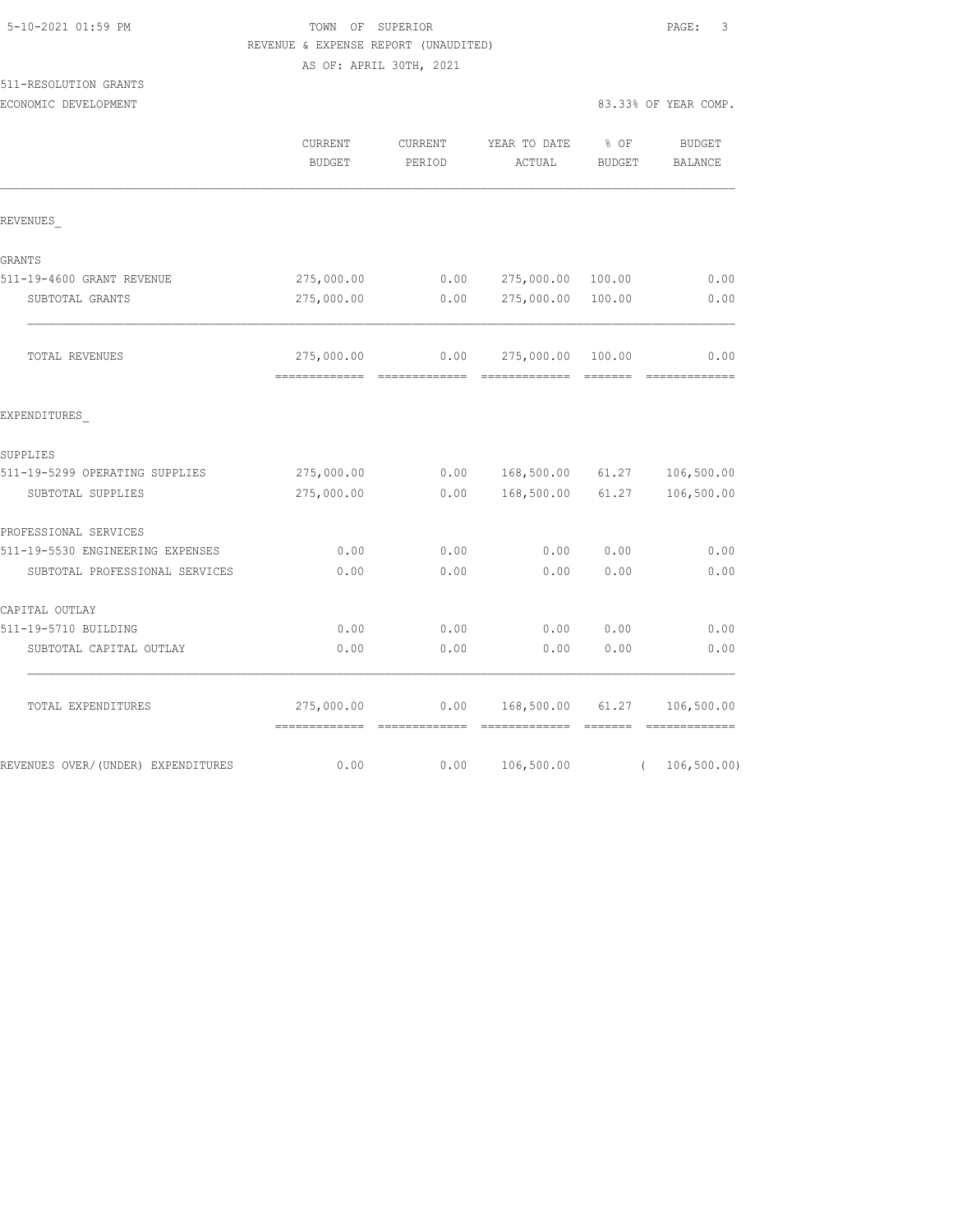# TOWN OF SUPERIOR **Example 2010** PAGE: 3 REVENUE & EXPENSE REPORT (UNAUDITED) AS OF: APRIL 30TH, 2021

| 511-RESOLUTION GRANTS       |  |
|-----------------------------|--|
| _________<br>______________ |  |

| ECONOMIC DEVELOPMENT |         |         |                   | 83.33% OF YEAR COMP. |
|----------------------|---------|---------|-------------------|----------------------|
|                      | CURRENT | CURRENT | YEAR TO DATE % OF | BUDGET               |

|                                    | CURRENT<br><b>BUDGET</b>    | CURRENT<br>PERIOD | YEAR TO DATE<br>ACTUAL | % OF<br><b>BUDGET</b> | <b>BUDGET</b><br><b>BALANCE</b> |
|------------------------------------|-----------------------------|-------------------|------------------------|-----------------------|---------------------------------|
| REVENUES                           |                             |                   |                        |                       |                                 |
| GRANTS                             |                             |                   |                        |                       |                                 |
| 511-19-4600 GRANT REVENUE          | 275,000.00                  | 0.00              | 275,000.00             | 100.00                | 0.00                            |
| SUBTOTAL GRANTS                    | 275,000.00                  | 0.00              | 275,000.00             | 100.00                | 0.00                            |
| TOTAL REVENUES                     | 275,000.00                  | 0.00              | 275,000.00             | 100.00                | 0.00                            |
| EXPENDITURES                       |                             |                   |                        |                       |                                 |
| SUPPLIES                           |                             |                   |                        |                       |                                 |
| 511-19-5299 OPERATING SUPPLIES     | 275,000.00                  | 0.00              | 168,500.00             | 61.27                 | 106,500.00                      |
| SUBTOTAL SUPPLIES                  | 275,000.00                  | 0.00              | 168,500.00             | 61.27                 | 106,500.00                      |
| PROFESSIONAL SERVICES              |                             |                   |                        |                       |                                 |
| 511-19-5530 ENGINEERING EXPENSES   | 0.00                        | 0.00              | 0.00                   | 0.00                  | 0.00                            |
| SUBTOTAL PROFESSIONAL SERVICES     | 0.00                        | 0.00              | 0.00                   | 0.00                  | 0.00                            |
| CAPITAL OUTLAY                     |                             |                   |                        |                       |                                 |
| 511-19-5710 BUILDING               | 0.00                        | 0.00              | 0.00                   | 0.00                  | 0.00                            |
| SUBTOTAL CAPITAL OUTLAY            | 0.00                        | 0.00              | 0.00                   | 0.00                  | 0.00                            |
| TOTAL EXPENDITURES                 | 275,000.00<br>------------- | 0.00              | 168,500.00             | 61.27                 | 106,500.00                      |
| REVENUES OVER/(UNDER) EXPENDITURES | 0.00                        | 0.00              | 106,500.00             | $\left($              | 106, 500.00)                    |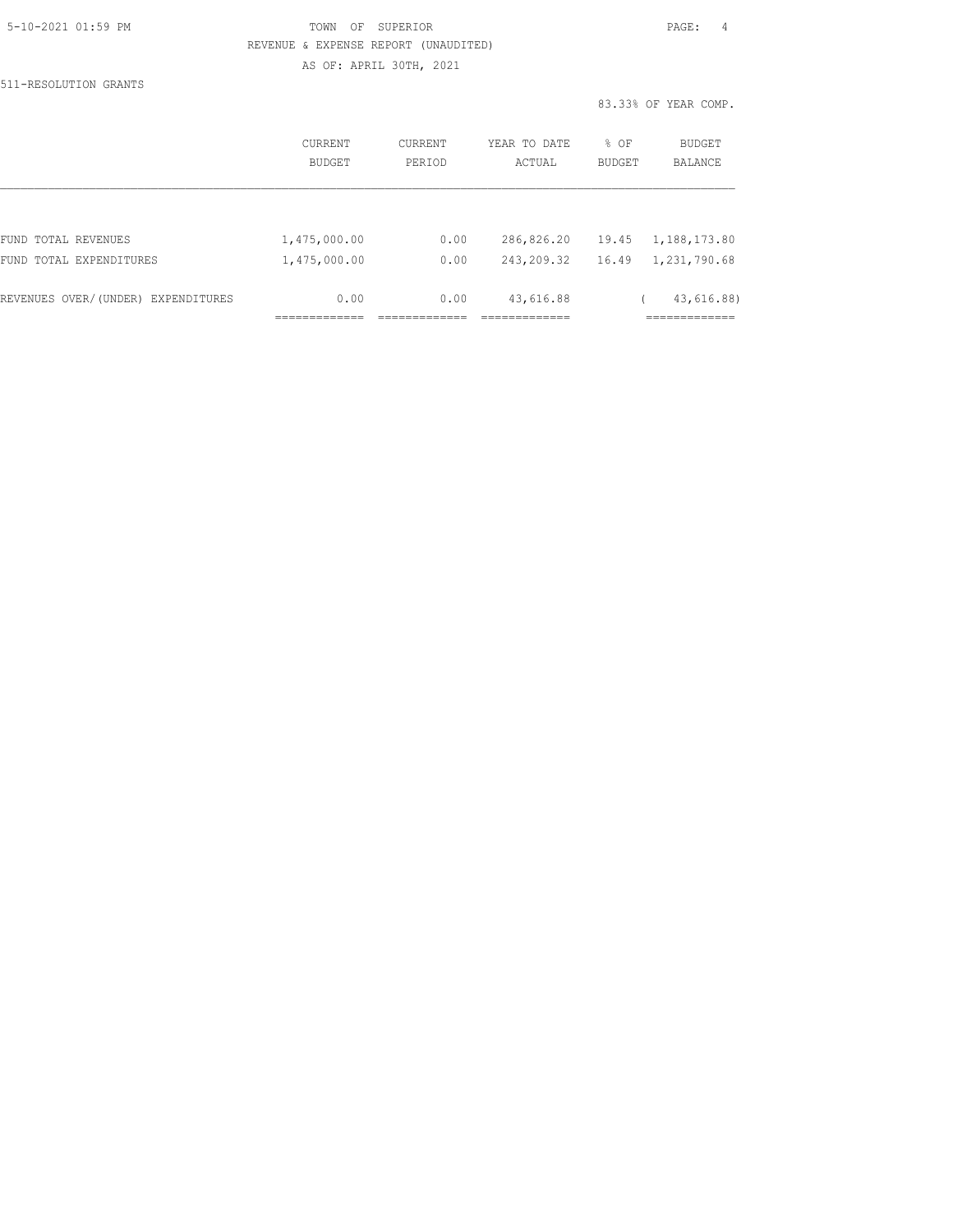| 5-10-2021 01:59 PM |  |
|--------------------|--|
|                    |  |

511-RESOLUTION GRANTS

# TOWN OF SUPERIOR **Example 2010** PAGE: 4 REVENUE & EXPENSE REPORT (UNAUDITED) AS OF: APRIL 30TH, 2021

83.33% OF YEAR COMP.

|                                    | CURRENT<br>BUDGET | <b>CURRENT</b><br>PERIOD | YEAR TO DATE<br>ACTUAL | % OF<br><b>BUDGET</b> | BUDGET<br>BALANCE |
|------------------------------------|-------------------|--------------------------|------------------------|-----------------------|-------------------|
|                                    |                   |                          |                        |                       |                   |
| FUND TOTAL REVENUES                | 1,475,000.00      | 0.00                     | 286,826.20             | 19.45                 | 1,188,173.80      |
| TOTAL EXPENDITURES<br>FUND         | 1,475,000.00      | 0.00                     | 243,209.32             | 16.49                 | 1,231,790.68      |
| REVENUES OVER/(UNDER) EXPENDITURES | 0.00              | 0.00                     | 43,616.88              |                       | 43,616.88)        |
|                                    |                   |                          |                        |                       |                   |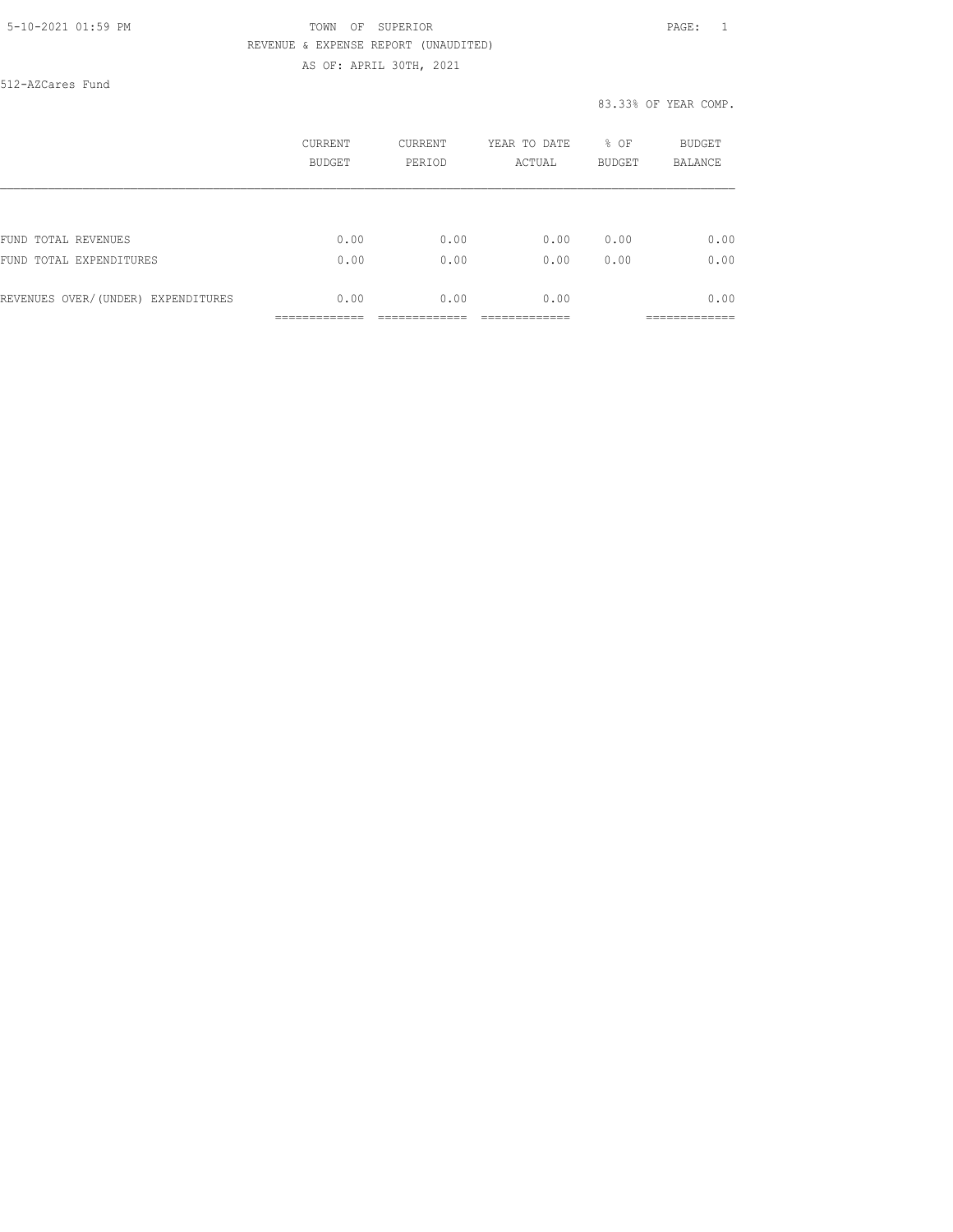# 5-10-2021 01:59 PM TOWN OF SUPERIOR PAGE: 1 REVENUE & EXPENSE REPORT (UNAUDITED) AS OF: APRIL 30TH, 2021

512-AZCares Fund

#### 83.33% OF YEAR COMP.

|                                    | CURRENT<br>BUDGET | CURRENT<br>PERIOD | YEAR TO DATE<br>ACTUAL | % OF<br><b>BUDGET</b> | BUDGET<br>BALANCE |
|------------------------------------|-------------------|-------------------|------------------------|-----------------------|-------------------|
|                                    |                   |                   |                        |                       |                   |
| FUND TOTAL REVENUES                | 0.00              | 0.00              | 0.00                   | 0.00                  | 0.00              |
| FUND TOTAL EXPENDITURES            | 0.00              | 0.00              | 0.00                   | 0.00                  | 0.00              |
| REVENUES OVER/(UNDER) EXPENDITURES | 0.00              | 0.00              | 0.00                   |                       | 0.00              |
|                                    |                   |                   |                        |                       | __________        |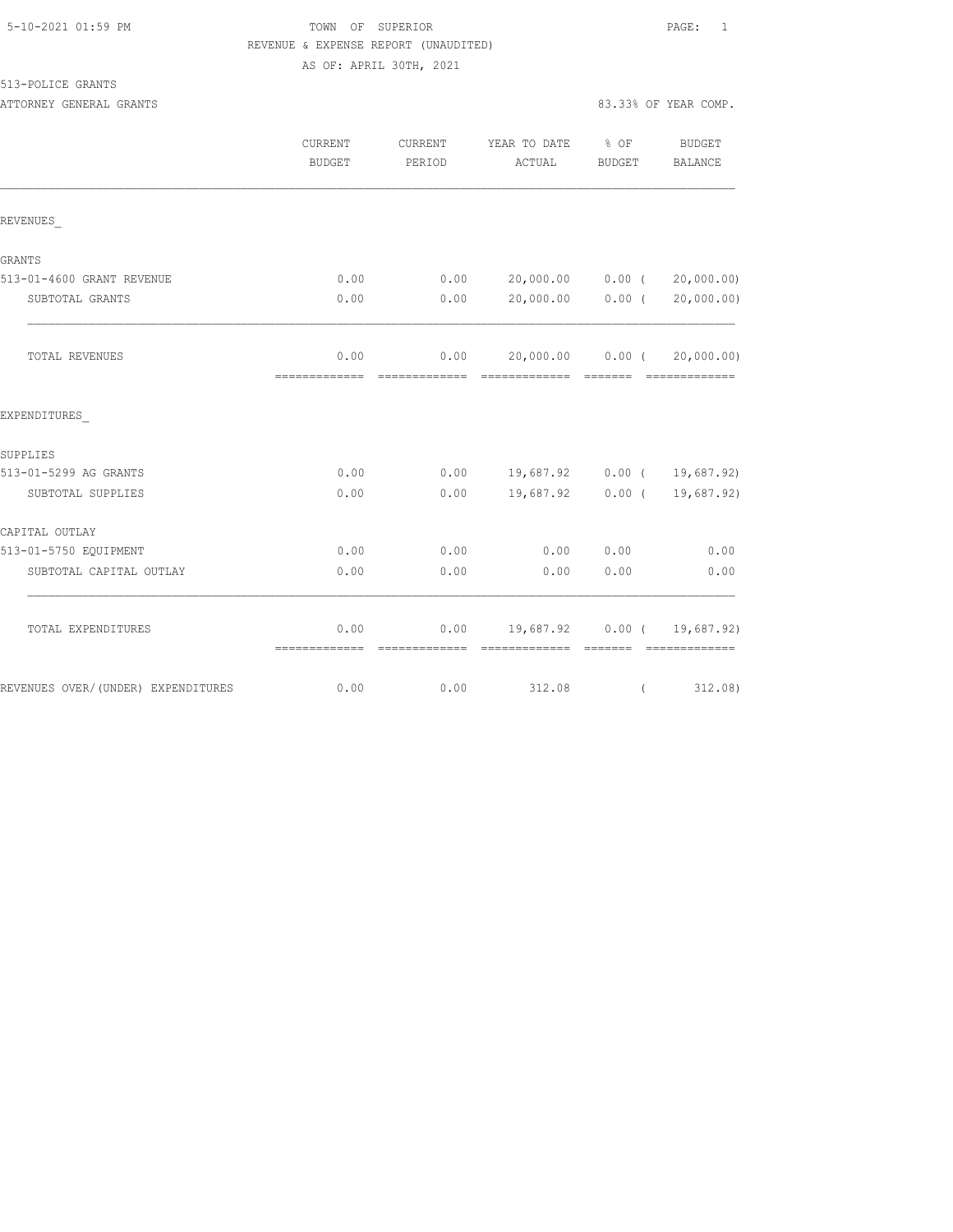# TOWN OF SUPERIOR **Example 2010** PAGE: 1 REVENUE & EXPENSE REPORT (UNAUDITED) AS OF: APRIL 30TH, 2021

513-POLICE GRANTS

ATTORNEY GENERAL GRANTS **EXECUTE:** 83.33% OF YEAR COMP.

|                                    | <b>CURRENT</b><br><b>BUDGET</b> | <b>CURRENT</b><br>PERIOD | YEAR TO DATE<br>ACTUAL      | $8$ OF<br>BUDGET | <b>BUDGET</b><br><b>BALANCE</b> |
|------------------------------------|---------------------------------|--------------------------|-----------------------------|------------------|---------------------------------|
| REVENUES                           |                                 |                          |                             |                  |                                 |
| <b>GRANTS</b>                      |                                 |                          |                             |                  |                                 |
| 513-01-4600 GRANT REVENUE          | 0.00                            | 0.00                     | 20,000.00 0.00 (            |                  | 20,000.00)                      |
| SUBTOTAL GRANTS                    | 0.00                            | 0.00                     | 20,000.00 0.00 (            |                  | 20,000.00)                      |
| TOTAL REVENUES                     | 0.00<br>=============           | 0.00<br>-------------    | 20,000.00 0.00 (            |                  | 20,000.00)                      |
| EXPENDITURES                       |                                 |                          |                             |                  |                                 |
| SUPPLIES                           |                                 |                          |                             |                  |                                 |
| 513-01-5299 AG GRANTS              | 0.00                            | 0.00                     | 19,687.92 0.00 ( 19,687.92) |                  |                                 |
| SUBTOTAL SUPPLIES                  | 0.00                            | 0.00                     |                             |                  | 19,687.92 0.00 ( 19,687.92)     |
| CAPITAL OUTLAY                     |                                 |                          |                             |                  |                                 |
| 513-01-5750 EQUIPMENT              | 0.00                            | 0.00                     | 0.00                        | 0.00             | 0.00                            |
| SUBTOTAL CAPITAL OUTLAY            | 0.00                            | 0.00                     | 0.00                        | 0.00             | 0.00                            |
| TOTAL EXPENDITURES                 | 0.00                            | 0.00                     | 19,687.92 0.00 ( 19,687.92) |                  |                                 |
| REVENUES OVER/(UNDER) EXPENDITURES | 0.00                            | 0.00                     | 312.08                      | $\left($         | 312.08                          |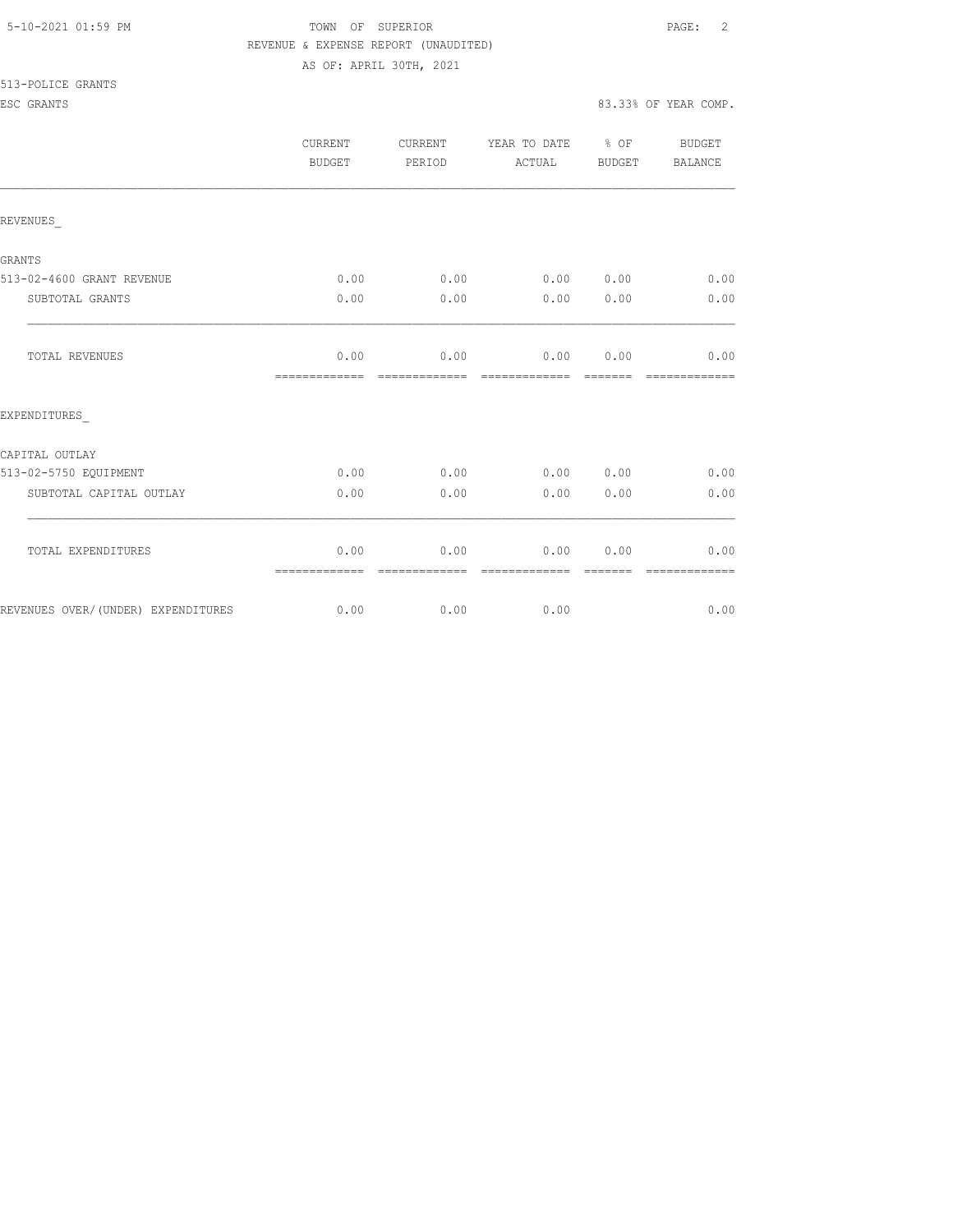#### 5-10-2021 01:59 PM TOWN OF SUPERIOR PAGE: 2 REVENUE & EXPENSE REPORT (UNAUDITED) AS OF: APRIL 30TH, 2021

513-POLICE GRANTS

|                                    | <b>CURRENT</b><br>BUDGET | CURRENT<br>PERIOD | YEAR TO DATE<br>ACTUAL | $8$ OF<br><b>BUDGET</b> | <b>BUDGET</b><br><b>BALANCE</b> |
|------------------------------------|--------------------------|-------------------|------------------------|-------------------------|---------------------------------|
| REVENUES                           |                          |                   |                        |                         |                                 |
| GRANTS                             |                          |                   |                        |                         |                                 |
| 513-02-4600 GRANT REVENUE          | 0.00                     | 0.00              | 0.00                   | 0.00                    | 0.00                            |
| SUBTOTAL GRANTS                    | 0.00                     | 0.00              | 0.00                   | 0.00                    | 0.00                            |
| TOTAL REVENUES                     | 0.00<br>=============    | 0.00              | 0.00                   | 0.00                    | 0.00<br>=============           |
| EXPENDITURES                       |                          |                   |                        |                         |                                 |
| CAPITAL OUTLAY                     |                          |                   |                        |                         |                                 |
| 513-02-5750 EQUIPMENT              | 0.00                     | 0.00              | 0.00                   | 0.00                    | 0.00                            |
| SUBTOTAL CAPITAL OUTLAY            | 0.00                     | 0.00              | 0.00                   | 0.00                    | 0.00                            |
| TOTAL EXPENDITURES                 | 0.00<br>=============    | 0.00              | 0.00                   | 0.00                    | 0.00                            |
| REVENUES OVER/(UNDER) EXPENDITURES | 0.00                     | 0.00              | 0.00                   |                         | 0.00                            |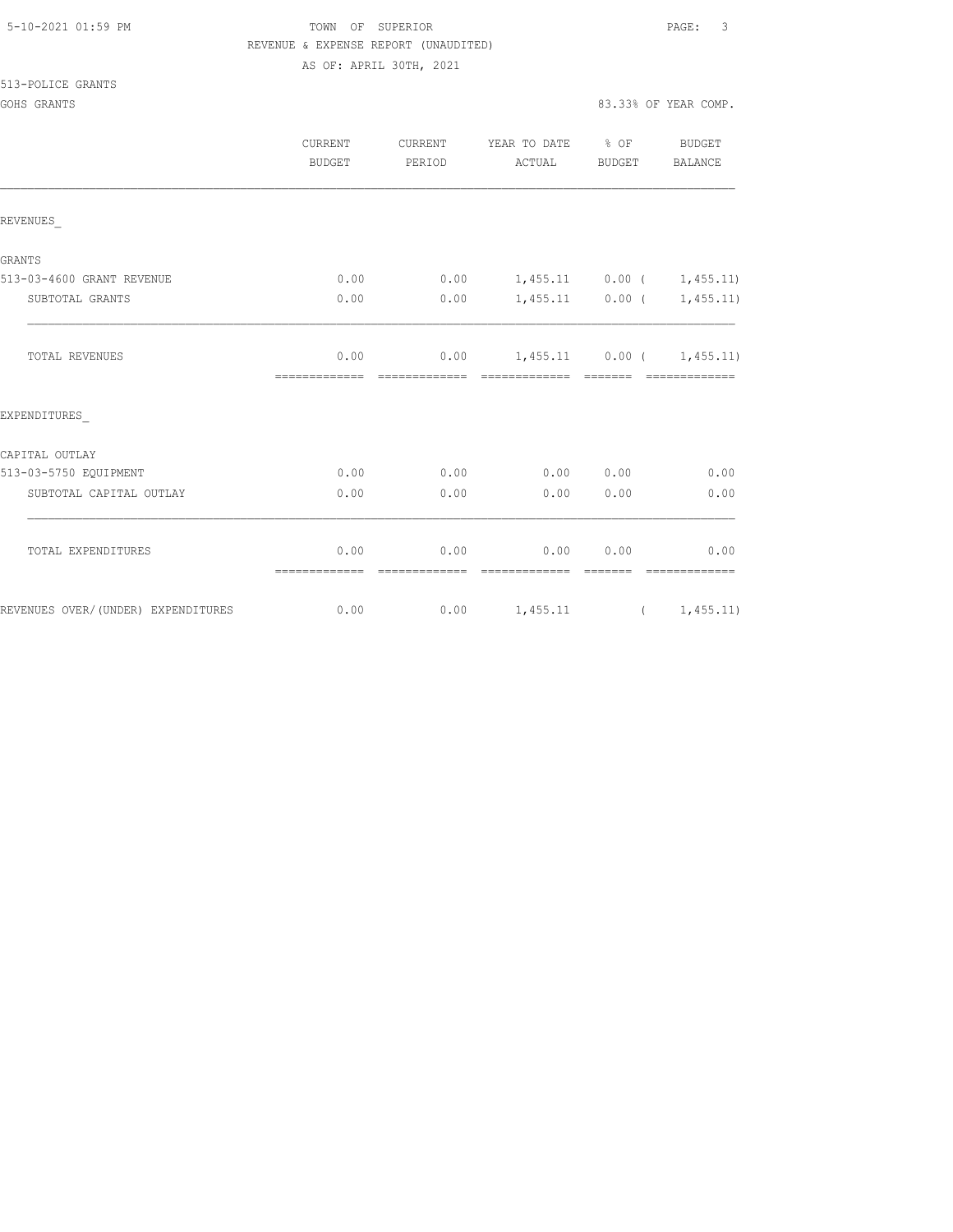| 5-10-2021 01:59 PM |  |  |  |  |
|--------------------|--|--|--|--|
|--------------------|--|--|--|--|

# TOWN OF SUPERIOR **Example 2010** PAGE: 3 REVENUE & EXPENSE REPORT (UNAUDITED) AS OF: APRIL 30TH, 2021

|                                    | <b>CURRENT</b><br><b>BUDGET</b> | CURRENT<br>PERIOD     | YEAR TO DATE % OF<br>ACTUAL      | BUDGET           | <b>BUDGET</b><br>BALANCE    |
|------------------------------------|---------------------------------|-----------------------|----------------------------------|------------------|-----------------------------|
| REVENUES                           |                                 |                       |                                  |                  |                             |
| <b>GRANTS</b>                      |                                 |                       |                                  |                  |                             |
| 513-03-4600 GRANT REVENUE          | 0.00                            |                       | $0.00$ 1,455.11 0.00 ( 1,455.11) |                  |                             |
| SUBTOTAL GRANTS                    | 0.00                            | 0.00                  |                                  |                  | $1,455.11$ 0.00 ( 1,455.11) |
| TOTAL REVENUES                     | 0.00                            |                       | $0.00$ 1,455.11 0.00 ( 1,455.11) |                  |                             |
| EXPENDITURES                       |                                 |                       |                                  |                  |                             |
| CAPITAL OUTLAY                     |                                 |                       |                                  |                  |                             |
| 513-03-5750 EQUIPMENT              | 0.00                            | 0.00                  | 0.00 0.00                        |                  | 0.00                        |
| SUBTOTAL CAPITAL OUTLAY            | 0.00                            | 0.00                  | 0.00                             | 0.00             | 0.00                        |
| TOTAL EXPENDITURES                 | 0.00<br>=============           | 0.00<br>essessessesse | 0.00<br>--------------           | 0.00<br>-------- | 0.00<br>--------------      |
| REVENUES OVER/(UNDER) EXPENDITURES | 0.00                            |                       | $0.00$ 1,455.11 ( 1,455.11)      |                  |                             |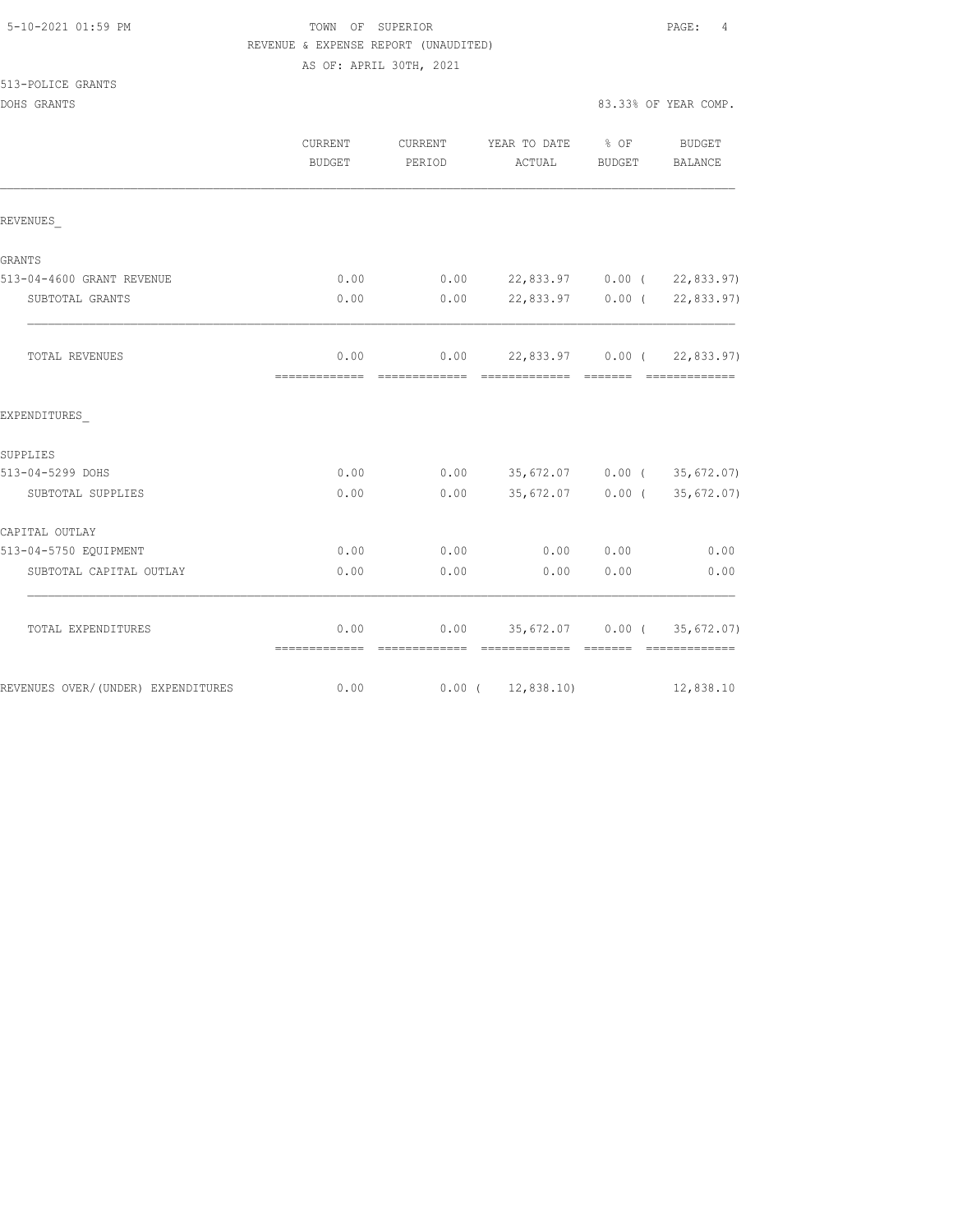|  | 5-10-2021 01:59 PM |  |
|--|--------------------|--|
|  |                    |  |

# TOWN OF SUPERIOR **Example 2010** PAGE: 4 REVENUE & EXPENSE REPORT (UNAUDITED) AS OF: APRIL 30TH, 2021

#### 513-POLICE GRANTS

|                                     | <b>CURRENT</b><br>BUDGET | <b>CURRENT</b><br>PERIOD | YEAR TO DATE<br>ACTUAL                              | $\frac{8}{3}$ OF<br>BUDGET                                                                                                                                                                                                                                                                                                                                                                                                                                                             | BUDGET<br><b>BALANCE</b>                                                                                                                                                                                                                                                                                                                                                                                                                                                               |
|-------------------------------------|--------------------------|--------------------------|-----------------------------------------------------|----------------------------------------------------------------------------------------------------------------------------------------------------------------------------------------------------------------------------------------------------------------------------------------------------------------------------------------------------------------------------------------------------------------------------------------------------------------------------------------|----------------------------------------------------------------------------------------------------------------------------------------------------------------------------------------------------------------------------------------------------------------------------------------------------------------------------------------------------------------------------------------------------------------------------------------------------------------------------------------|
| REVENUES                            |                          |                          |                                                     |                                                                                                                                                                                                                                                                                                                                                                                                                                                                                        |                                                                                                                                                                                                                                                                                                                                                                                                                                                                                        |
|                                     |                          |                          |                                                     |                                                                                                                                                                                                                                                                                                                                                                                                                                                                                        |                                                                                                                                                                                                                                                                                                                                                                                                                                                                                        |
| GRANTS<br>513-04-4600 GRANT REVENUE | 0.00                     |                          | $0.00$ 22,833.97 0.00 ( 22,833.97)                  |                                                                                                                                                                                                                                                                                                                                                                                                                                                                                        |                                                                                                                                                                                                                                                                                                                                                                                                                                                                                        |
| SUBTOTAL GRANTS                     | 0.00                     | 0.00                     |                                                     |                                                                                                                                                                                                                                                                                                                                                                                                                                                                                        | 22,833.97 0.00 ( 22,833.97)                                                                                                                                                                                                                                                                                                                                                                                                                                                            |
| TOTAL REVENUES                      | 0.00                     |                          | $0.00$ 22,833.97 0.00 ( 22,833.97)                  |                                                                                                                                                                                                                                                                                                                                                                                                                                                                                        |                                                                                                                                                                                                                                                                                                                                                                                                                                                                                        |
|                                     |                          |                          |                                                     |                                                                                                                                                                                                                                                                                                                                                                                                                                                                                        |                                                                                                                                                                                                                                                                                                                                                                                                                                                                                        |
| EXPENDITURES                        |                          |                          |                                                     |                                                                                                                                                                                                                                                                                                                                                                                                                                                                                        |                                                                                                                                                                                                                                                                                                                                                                                                                                                                                        |
| SUPPLIES                            |                          |                          |                                                     |                                                                                                                                                                                                                                                                                                                                                                                                                                                                                        |                                                                                                                                                                                                                                                                                                                                                                                                                                                                                        |
| 513-04-5299 DOHS                    | 0.00                     |                          | $0.00$ 35,672.07 0.00 (35,672.07)                   |                                                                                                                                                                                                                                                                                                                                                                                                                                                                                        |                                                                                                                                                                                                                                                                                                                                                                                                                                                                                        |
| SUBTOTAL SUPPLIES                   | 0.00                     | 0.00                     |                                                     |                                                                                                                                                                                                                                                                                                                                                                                                                                                                                        | 35,672.07 0.00 (35,672.07)                                                                                                                                                                                                                                                                                                                                                                                                                                                             |
| CAPITAL OUTLAY                      |                          |                          |                                                     |                                                                                                                                                                                                                                                                                                                                                                                                                                                                                        |                                                                                                                                                                                                                                                                                                                                                                                                                                                                                        |
| 513-04-5750 EQUIPMENT               | 0.00                     | 0.00                     | 0.00                                                | 0.00                                                                                                                                                                                                                                                                                                                                                                                                                                                                                   | 0.00                                                                                                                                                                                                                                                                                                                                                                                                                                                                                   |
| SUBTOTAL CAPITAL OUTLAY             | 0.00                     | 0.00                     | 0.00                                                | 0.00                                                                                                                                                                                                                                                                                                                                                                                                                                                                                   | 0.00                                                                                                                                                                                                                                                                                                                                                                                                                                                                                   |
| TOTAL EXPENDITURES                  | 0.00<br>-------------    |                          | $0.00$ 35,672.07 0.00 (35,672.07)<br>-------------- | $\begin{array}{cccccccccc} \multicolumn{2}{c}{} & \multicolumn{2}{c}{} & \multicolumn{2}{c}{} & \multicolumn{2}{c}{} & \multicolumn{2}{c}{} & \multicolumn{2}{c}{} & \multicolumn{2}{c}{} & \multicolumn{2}{c}{} & \multicolumn{2}{c}{} & \multicolumn{2}{c}{} & \multicolumn{2}{c}{} & \multicolumn{2}{c}{} & \multicolumn{2}{c}{} & \multicolumn{2}{c}{} & \multicolumn{2}{c}{} & \multicolumn{2}{c}{} & \multicolumn{2}{c}{} & \multicolumn{2}{c}{} & \multicolumn{2}{c}{} & \mult$ | $\begin{array}{cccccccccccccc} \multicolumn{2}{c}{} & \multicolumn{2}{c}{} & \multicolumn{2}{c}{} & \multicolumn{2}{c}{} & \multicolumn{2}{c}{} & \multicolumn{2}{c}{} & \multicolumn{2}{c}{} & \multicolumn{2}{c}{} & \multicolumn{2}{c}{} & \multicolumn{2}{c}{} & \multicolumn{2}{c}{} & \multicolumn{2}{c}{} & \multicolumn{2}{c}{} & \multicolumn{2}{c}{} & \multicolumn{2}{c}{} & \multicolumn{2}{c}{} & \multicolumn{2}{c}{} & \multicolumn{2}{c}{} & \multicolumn{2}{c}{} & \$ |
| REVENUES OVER/(UNDER) EXPENDITURES  | 0.00                     |                          | $0.00$ ( 12,838.10)                                 |                                                                                                                                                                                                                                                                                                                                                                                                                                                                                        | 12,838.10                                                                                                                                                                                                                                                                                                                                                                                                                                                                              |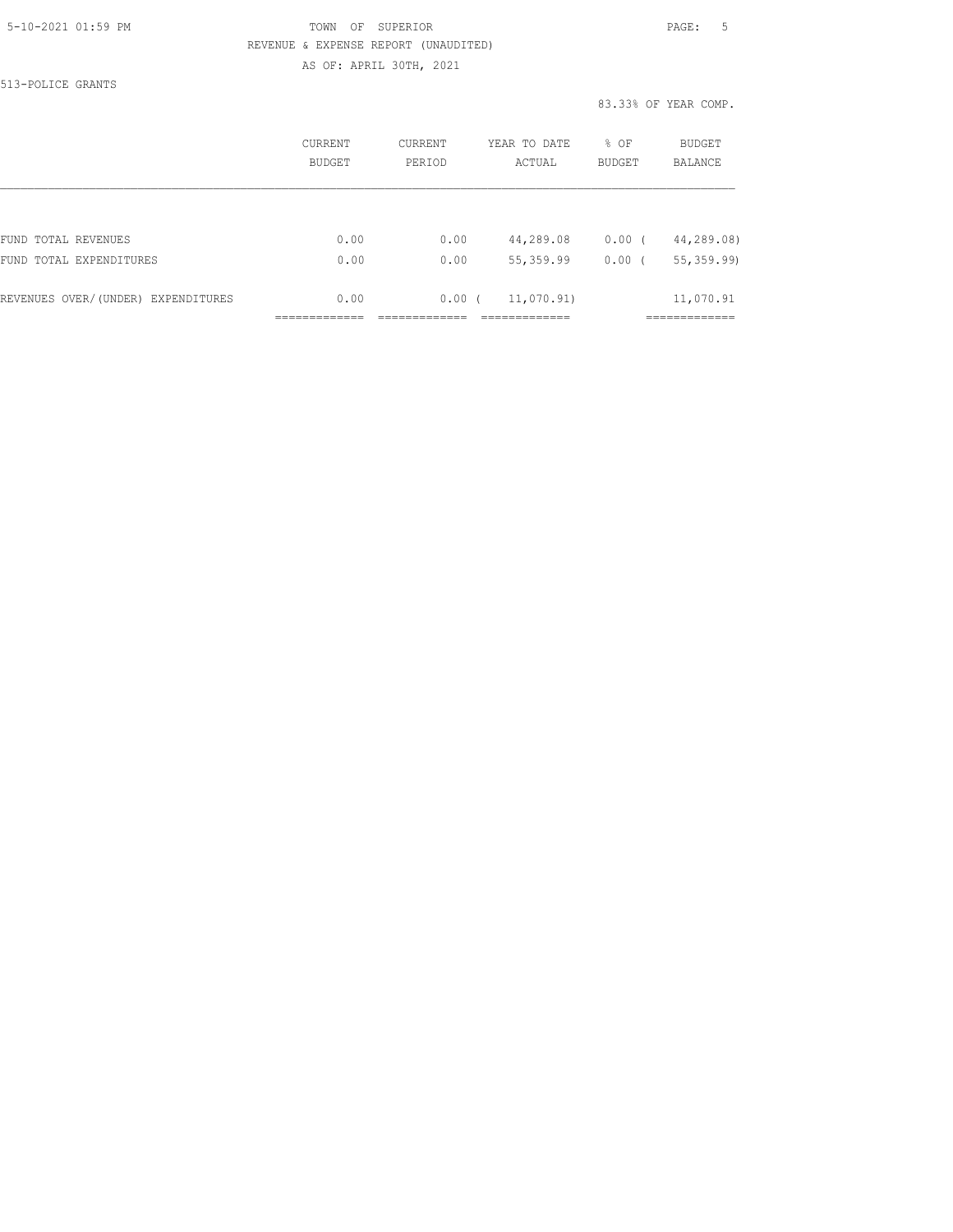# 5-10-2021 01:59 PM TOWN OF SUPERIOR PAGE: 5 REVENUE & EXPENSE REPORT (UNAUDITED) AS OF: APRIL 30TH, 2021

513-POLICE GRANTS

83.33% OF YEAR COMP.

|                                    | <b>CURRENT</b><br><b>BUDGET</b> | CURRENT<br>PERIOD | YEAR TO DATE<br>ACTUAL | % OF<br><b>BUDGET</b> | BUDGET<br><b>BALANCE</b> |
|------------------------------------|---------------------------------|-------------------|------------------------|-----------------------|--------------------------|
|                                    |                                 |                   |                        |                       |                          |
| FUND TOTAL REVENUES                | 0.00                            | 0.00              | 44,289.08              | $0.00$ (              | 44,289.08)               |
| FUND TOTAL EXPENDITURES            | 0.00                            | 0.00              | 55,359.99              | 0.00                  | 55, 359.99               |
| REVENUES OVER/(UNDER) EXPENDITURES | 0.00                            | 0.00(             | 11,070.91)             |                       | 11,070.91                |
|                                    |                                 |                   |                        |                       |                          |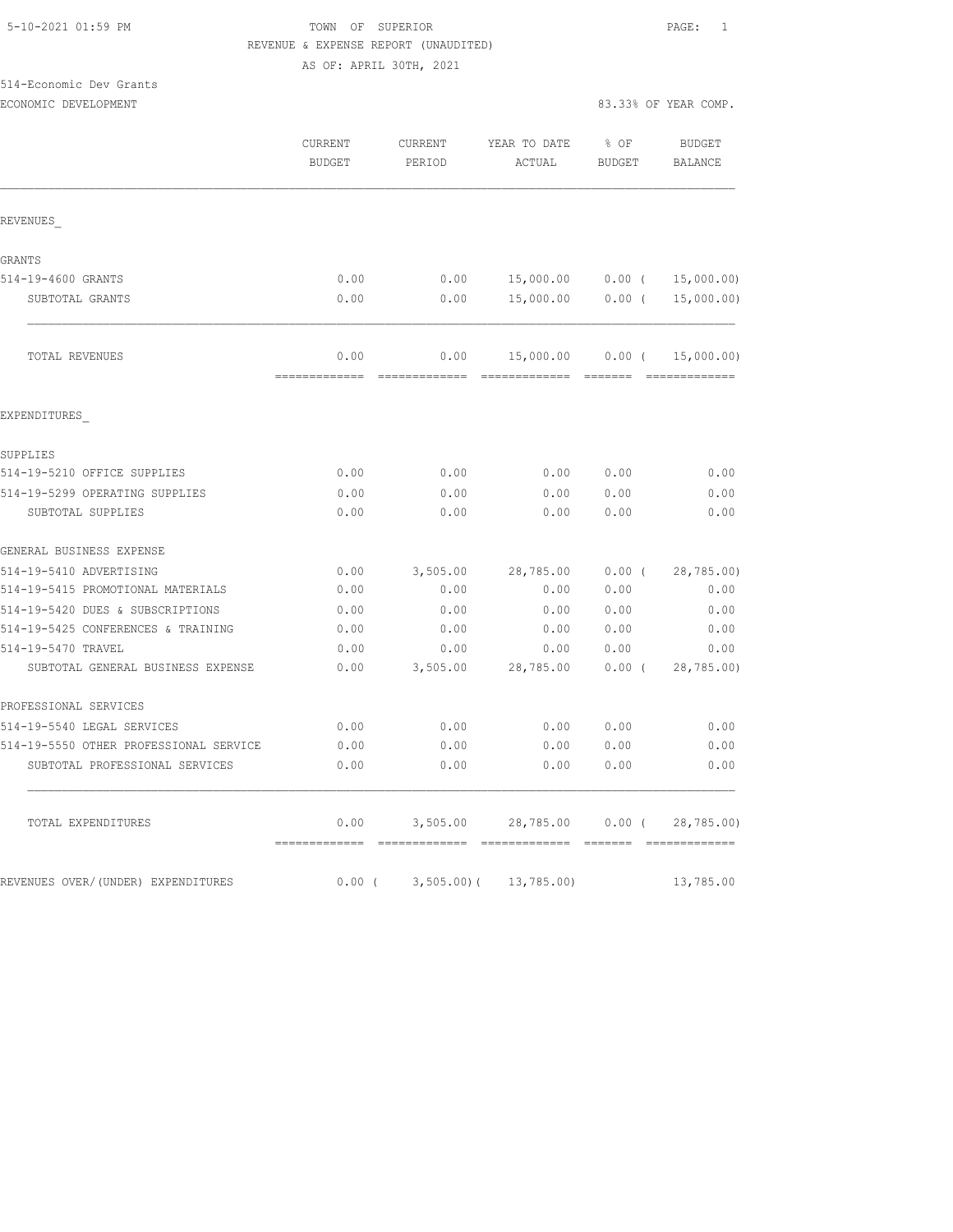# 5-10-2021 01:59 PM TOWN OF SUPERIOR PAGE: 1 REVENUE & EXPENSE REPORT (UNAUDITED)

AS OF: APRIL 30TH, 2021

# 514-Economic Dev Grants

|  | ECONOMIC DEVELOPMENT |  |
|--|----------------------|--|
|--|----------------------|--|

|                                        | CURRENT<br><b>BUDGET</b>          | CURRENT<br>PERIOD | YEAR TO DATE<br>ACTUAL            | $8$ OF<br><b>BUDGET</b> | BUDGET<br><b>BALANCE</b>  |
|----------------------------------------|-----------------------------------|-------------------|-----------------------------------|-------------------------|---------------------------|
| REVENUES                               |                                   |                   |                                   |                         |                           |
| GRANTS                                 |                                   |                   |                                   |                         |                           |
| 514-19-4600 GRANTS                     | 0.00                              | 0.00              | 15,000.00   0.00   (   15,000.00) |                         |                           |
| SUBTOTAL GRANTS                        | 0.00                              | 0.00              | 15,000.00 0.00 (                  |                         | 15,000.00)                |
| TOTAL REVENUES                         | 0.00                              | 0.00              | 15,000.00 0.00 (                  |                         | 15,000.00)<br>----------- |
| EXPENDITURES                           |                                   |                   |                                   |                         |                           |
| SUPPLIES                               |                                   |                   |                                   |                         |                           |
| 514-19-5210 OFFICE SUPPLIES            | 0.00                              | 0.00              | 0.00                              | 0.00                    | 0.00                      |
| 514-19-5299 OPERATING SUPPLIES         | 0.00                              | 0.00              | 0.00                              | 0.00                    | 0.00                      |
| SUBTOTAL SUPPLIES                      | 0.00                              | 0.00              | 0.00                              | 0.00                    | 0.00                      |
| GENERAL BUSINESS EXPENSE               |                                   |                   |                                   |                         |                           |
| 514-19-5410 ADVERTISING                | 0.00                              | 3,505.00          | 28,785.00                         | $0.00$ (                | 28,785.00)                |
| 514-19-5415 PROMOTIONAL MATERIALS      | 0.00                              | 0.00              | 0.00                              | 0.00                    | 0.00                      |
| 514-19-5420 DUES & SUBSCRIPTIONS       | 0.00                              | 0.00              | 0.00                              | 0.00                    | 0.00                      |
| 514-19-5425 CONFERENCES & TRAINING     | 0.00                              | 0.00              | 0.00                              | 0.00                    | 0.00                      |
| 514-19-5470 TRAVEL                     | 0.00                              | 0.00              | 0.00                              | 0.00                    | 0.00                      |
| SUBTOTAL GENERAL BUSINESS EXPENSE      | 0.00                              | 3,505.00          | 28,785.00                         | $0.00$ (                | 28,785.00)                |
| PROFESSIONAL SERVICES                  |                                   |                   |                                   |                         |                           |
| 514-19-5540 LEGAL SERVICES             | 0.00                              | 0.00              | 0.00                              | 0.00                    | 0.00                      |
| 514-19-5550 OTHER PROFESSIONAL SERVICE | 0.00                              | 0.00              | 0.00                              | 0.00                    | 0.00                      |
| SUBTOTAL PROFESSIONAL SERVICES         | 0.00                              | 0.00              | 0.00                              | 0.00                    | 0.00                      |
| TOTAL EXPENDITURES                     | 0.00<br>-------------- ---------- | 3,505.00          | 28,785.00 0.00 (                  |                         | 28,785.00)                |
| REVENUES OVER/(UNDER) EXPENDITURES     | $0.00$ (                          |                   | $3,505.00$ ( $13,785.00$ )        |                         | 13,785.00                 |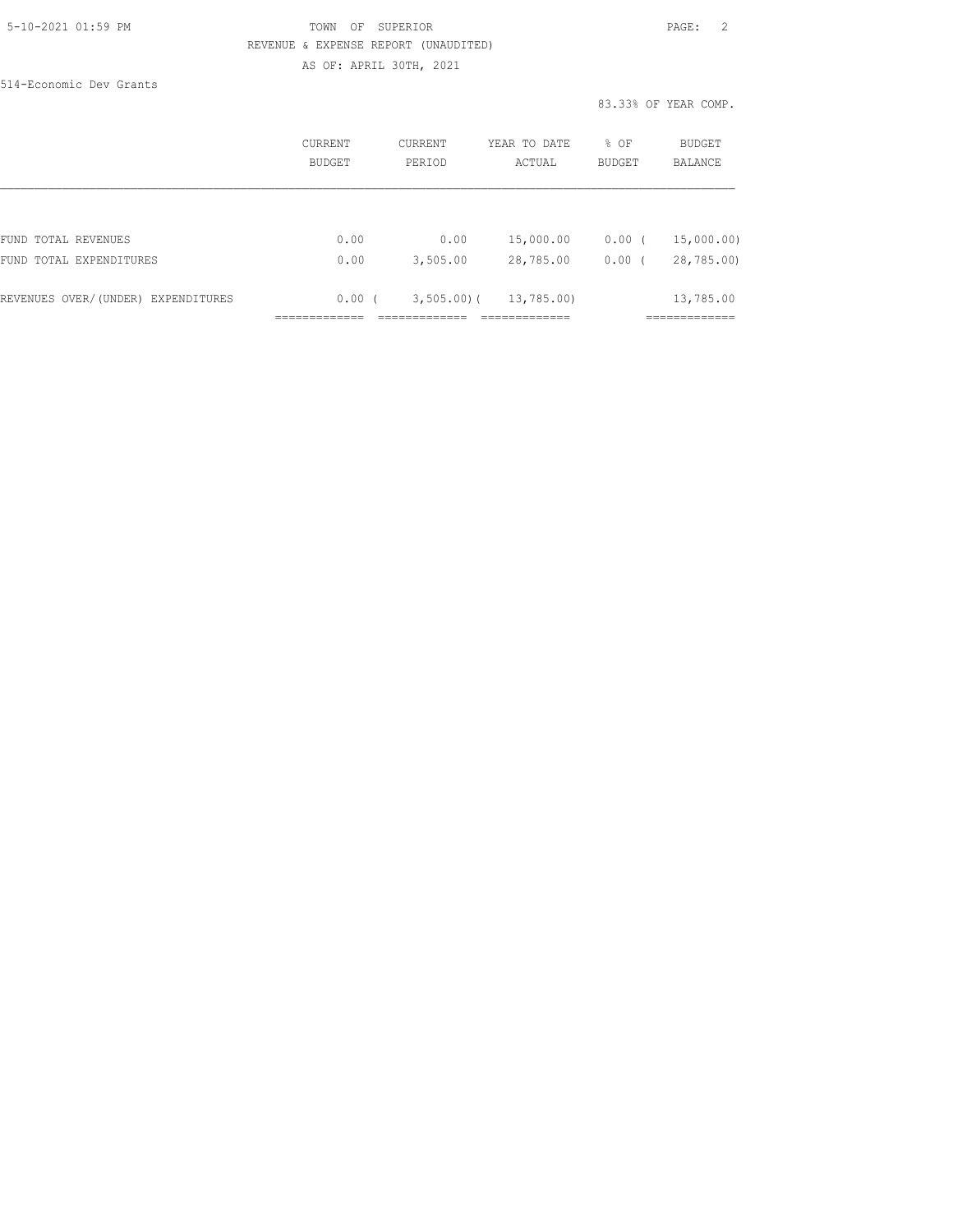# 5-10-2021 01:59 PM TOWN OF SUPERIOR PAGE: 2 REVENUE & EXPENSE REPORT (UNAUDITED) AS OF: APRIL 30TH, 2021

514-Economic Dev Grants

83.33% OF YEAR COMP.

|                                    | CURRENT<br>BUDGET | <b>CURRENT</b><br>PERIOD | YEAR TO DATE<br>ACTUAL | % OF<br><b>BUDGET</b> | <b>BUDGET</b><br>BALANCE |
|------------------------------------|-------------------|--------------------------|------------------------|-----------------------|--------------------------|
|                                    |                   |                          |                        |                       |                          |
| FUND TOTAL REVENUES                | 0.00              | 0.00                     | 15,000.00              | 0.00(                 | 15,000.00)               |
| FUND TOTAL EXPENDITURES            | 0.00              | 3,505.00                 | 28,785.00              | 0.00(                 | 28,785.00)               |
| REVENUES OVER/(UNDER) EXPENDITURES | 0.00(             | $3,505.00$ (             | 13,785.00)             |                       | 13,785.00                |
|                                    |                   |                          |                        |                       |                          |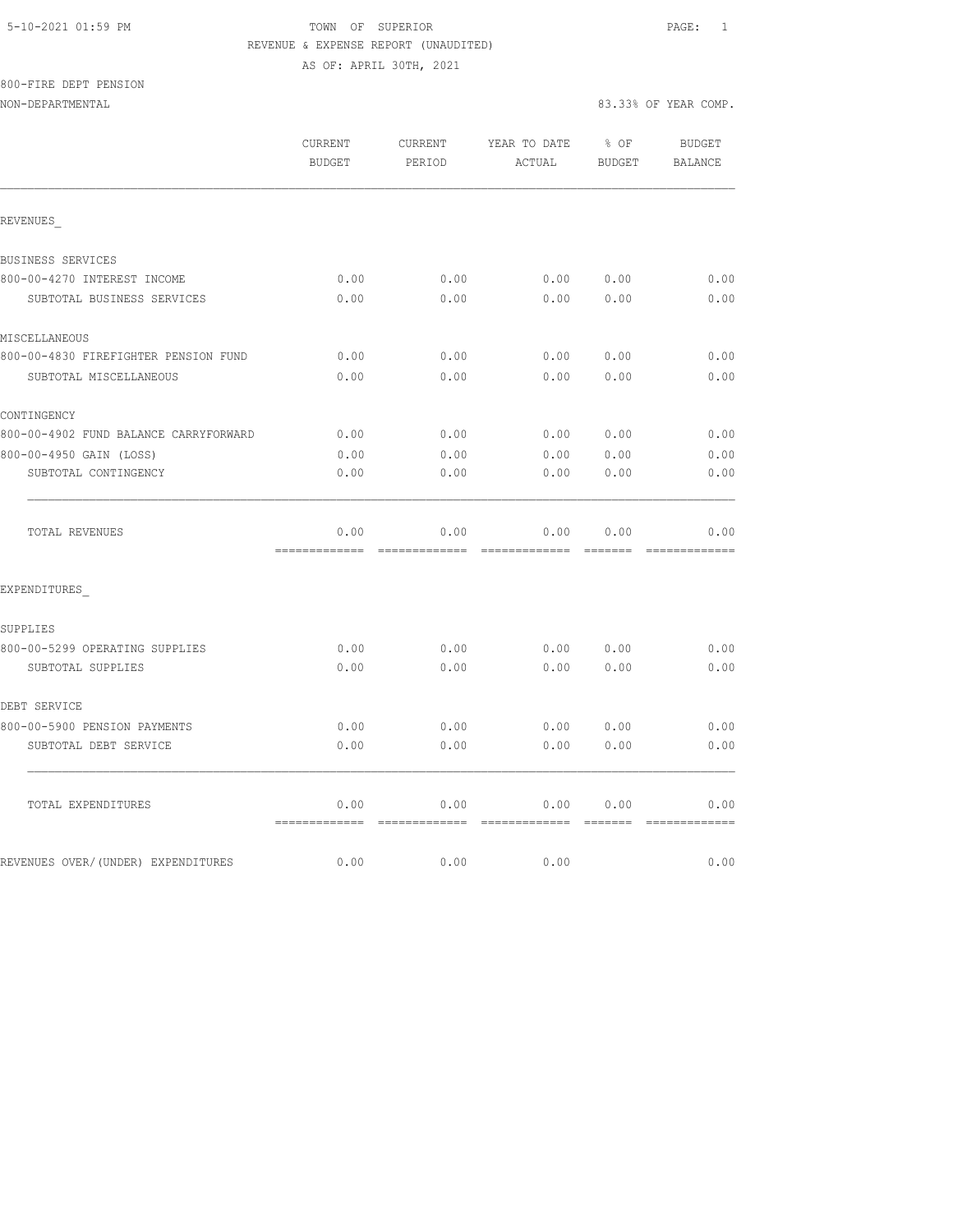# 800-FIRE DEPT PENSION

NON-DEPARTMENTAL 83.33% OF YEAR COMP.

|                                       | CURRENT<br><b>BUDGET</b> | CURRENT<br>PERIOD | YEAR TO DATE<br>ACTUAL | $8$ OF<br>BUDGET                                                                                                                                                                                                                                                                                                                                                                                                                                                                                   | <b>BUDGET</b><br>BALANCE |
|---------------------------------------|--------------------------|-------------------|------------------------|----------------------------------------------------------------------------------------------------------------------------------------------------------------------------------------------------------------------------------------------------------------------------------------------------------------------------------------------------------------------------------------------------------------------------------------------------------------------------------------------------|--------------------------|
| REVENUES                              |                          |                   |                        |                                                                                                                                                                                                                                                                                                                                                                                                                                                                                                    |                          |
| BUSINESS SERVICES                     |                          |                   |                        |                                                                                                                                                                                                                                                                                                                                                                                                                                                                                                    |                          |
| 800-00-4270 INTEREST INCOME           | 0.00                     | 0.00              | 0.00                   | 0.00                                                                                                                                                                                                                                                                                                                                                                                                                                                                                               | 0.00                     |
| SUBTOTAL BUSINESS SERVICES            | 0.00                     | 0.00              | 0.00                   | 0.00                                                                                                                                                                                                                                                                                                                                                                                                                                                                                               | 0.00                     |
| MISCELLANEOUS                         |                          |                   |                        |                                                                                                                                                                                                                                                                                                                                                                                                                                                                                                    |                          |
| 800-00-4830 FIREFIGHTER PENSION FUND  | 0.00                     | 0.00              | 0.00                   | 0.00                                                                                                                                                                                                                                                                                                                                                                                                                                                                                               | 0.00                     |
| SUBTOTAL MISCELLANEOUS                | 0.00                     | 0.00              | 0.00                   | 0.00                                                                                                                                                                                                                                                                                                                                                                                                                                                                                               | 0.00                     |
| CONTINGENCY                           |                          |                   |                        |                                                                                                                                                                                                                                                                                                                                                                                                                                                                                                    |                          |
| 800-00-4902 FUND BALANCE CARRYFORWARD | 0.00                     | 0.00              |                        | 0.00 0.00                                                                                                                                                                                                                                                                                                                                                                                                                                                                                          | 0.00                     |
| 800-00-4950 GAIN (LOSS)               | 0.00                     | 0.00              | 0.00                   | 0.00                                                                                                                                                                                                                                                                                                                                                                                                                                                                                               | 0.00                     |
| SUBTOTAL CONTINGENCY                  | 0.00                     | 0.00              | 0.00                   | 0.00                                                                                                                                                                                                                                                                                                                                                                                                                                                                                               | 0.00                     |
| TOTAL REVENUES                        | 0.00                     | 0.00              | 0.00                   | 0.00                                                                                                                                                                                                                                                                                                                                                                                                                                                                                               | 0.00                     |
| EXPENDITURES                          |                          |                   |                        |                                                                                                                                                                                                                                                                                                                                                                                                                                                                                                    |                          |
| SUPPLIES                              |                          |                   |                        |                                                                                                                                                                                                                                                                                                                                                                                                                                                                                                    |                          |
| 800-00-5299 OPERATING SUPPLIES        | 0.00                     | 0.00              | 0.00                   | 0.00                                                                                                                                                                                                                                                                                                                                                                                                                                                                                               | 0.00                     |
| SUBTOTAL SUPPLIES                     | 0.00                     | 0.00              | 0.00                   | 0.00                                                                                                                                                                                                                                                                                                                                                                                                                                                                                               | 0.00                     |
| DEBT SERVICE                          |                          |                   |                        |                                                                                                                                                                                                                                                                                                                                                                                                                                                                                                    |                          |
| 800-00-5900 PENSION PAYMENTS          | 0.00                     | 0.00              | 0.00                   | 0.00                                                                                                                                                                                                                                                                                                                                                                                                                                                                                               | 0.00                     |
| SUBTOTAL DEBT SERVICE                 | 0.00                     | 0.00              | 0.00                   | 0.00                                                                                                                                                                                                                                                                                                                                                                                                                                                                                               | 0.00                     |
| TOTAL EXPENDITURES                    | 0.00<br>=============    | 0.00              | 0.00                   | 0.00<br>$\qquad \qquad \qquad =\qquad \qquad =\qquad \qquad =\qquad \qquad =\qquad \qquad =\qquad \qquad =\qquad \qquad =\qquad \qquad =\qquad \qquad =\qquad \qquad =\qquad \qquad =\qquad \qquad =\qquad \qquad =\qquad \qquad =\qquad \qquad =\qquad \qquad =\qquad \qquad =\qquad \qquad =\qquad \qquad =\qquad \qquad =\qquad \qquad =\qquad \qquad =\qquad \qquad =\qquad \qquad =\qquad \qquad =\qquad \qquad =\qquad \qquad =\qquad \qquad =\qquad \qquad =\qquad \qquad =\qquad \qquad =$ | 0.00<br>=============    |
| REVENUES OVER/(UNDER) EXPENDITURES    | 0.00                     | 0.00              | 0.00                   |                                                                                                                                                                                                                                                                                                                                                                                                                                                                                                    | 0.00                     |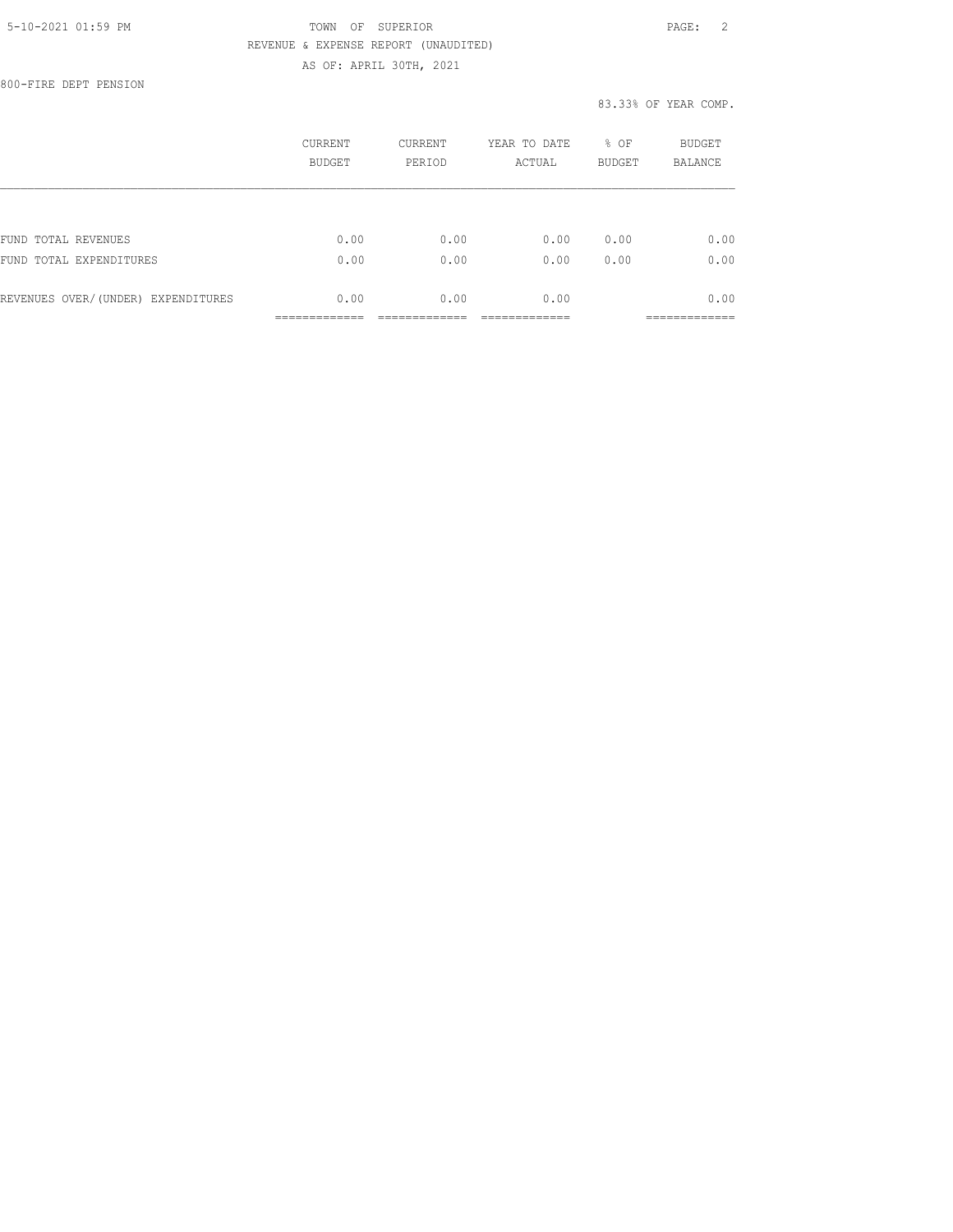800-FIRE DEPT PENSION

|                                    | CURRENT<br><b>BUDGET</b> | CURRENT<br>PERIOD | YEAR TO DATE<br>ACTUAL | % OF<br><b>BUDGET</b> | BUDGET<br><b>BALANCE</b> |
|------------------------------------|--------------------------|-------------------|------------------------|-----------------------|--------------------------|
|                                    |                          |                   |                        |                       |                          |
| FUND TOTAL REVENUES                | 0.00                     | 0.00              | 0.00                   | 0.00                  | 0.00                     |
| FUND TOTAL EXPENDITURES            | 0.00                     | 0.00              | 0.00                   | 0.00                  | 0.00                     |
| REVENUES OVER/(UNDER) EXPENDITURES | 0.00                     | 0.00              | 0.00                   |                       | 0.00                     |
|                                    |                          |                   |                        |                       | __________               |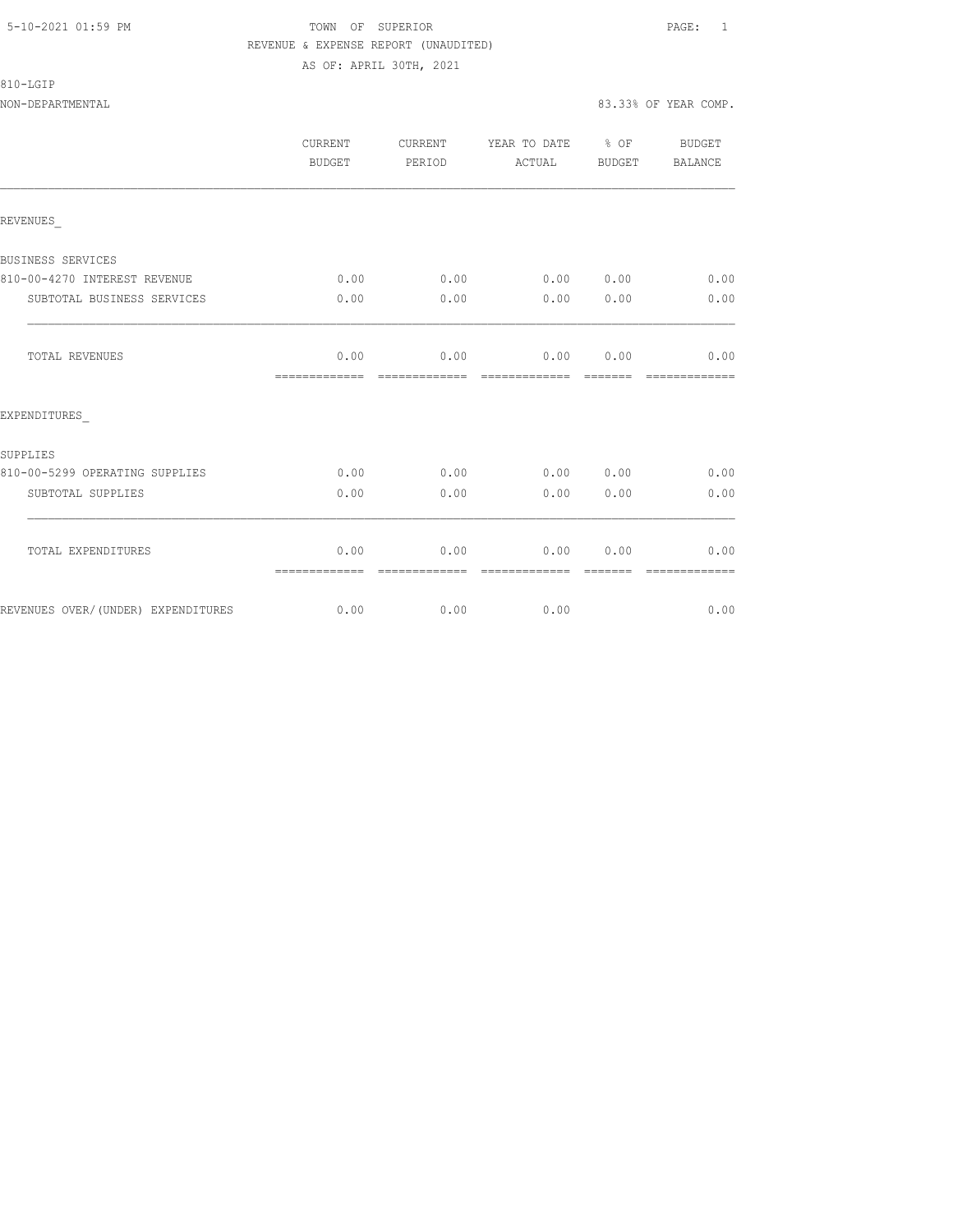810-LGIP

|                                    | CURRENT<br>BUDGET     | CURRENT<br>PERIOD     | YEAR TO DATE % OF<br>ACTUAL    | BUDGET  | BUDGET<br>BALANCE |
|------------------------------------|-----------------------|-----------------------|--------------------------------|---------|-------------------|
| REVENUES                           |                       |                       |                                |         |                   |
| BUSINESS SERVICES                  |                       |                       |                                |         |                   |
| 810-00-4270 INTEREST REVENUE       | 0.00                  |                       | $0.00$ $0.00$ $0.00$ $0.00$    |         | 0.00              |
| SUBTOTAL BUSINESS SERVICES         | 0.00                  | 0.00                  | 0.00                           | 0.00    | 0.00              |
| TOTAL REVENUES                     | 0.00<br>============= | 0.00<br>============= | $0.00$ $0.00$<br>============= | ======= | 0.00              |
| EXPENDITURES                       |                       |                       |                                |         |                   |
| SUPPLIES                           |                       |                       |                                |         |                   |
| 810-00-5299 OPERATING SUPPLIES     | 0.00                  | 0.00                  | 0.00 0.00                      |         | 0.00              |
| SUBTOTAL SUPPLIES                  | 0.00                  | 0.00                  | 0.00                           | 0.00    | 0.00              |
| TOTAL EXPENDITURES                 | 0.00<br>============= | 0.00<br>------------- | 0.00<br>--------------         | 0.00    | 0.00              |
| REVENUES OVER/(UNDER) EXPENDITURES |                       | $0.00$ 0.00           | 0.00                           |         | 0.00              |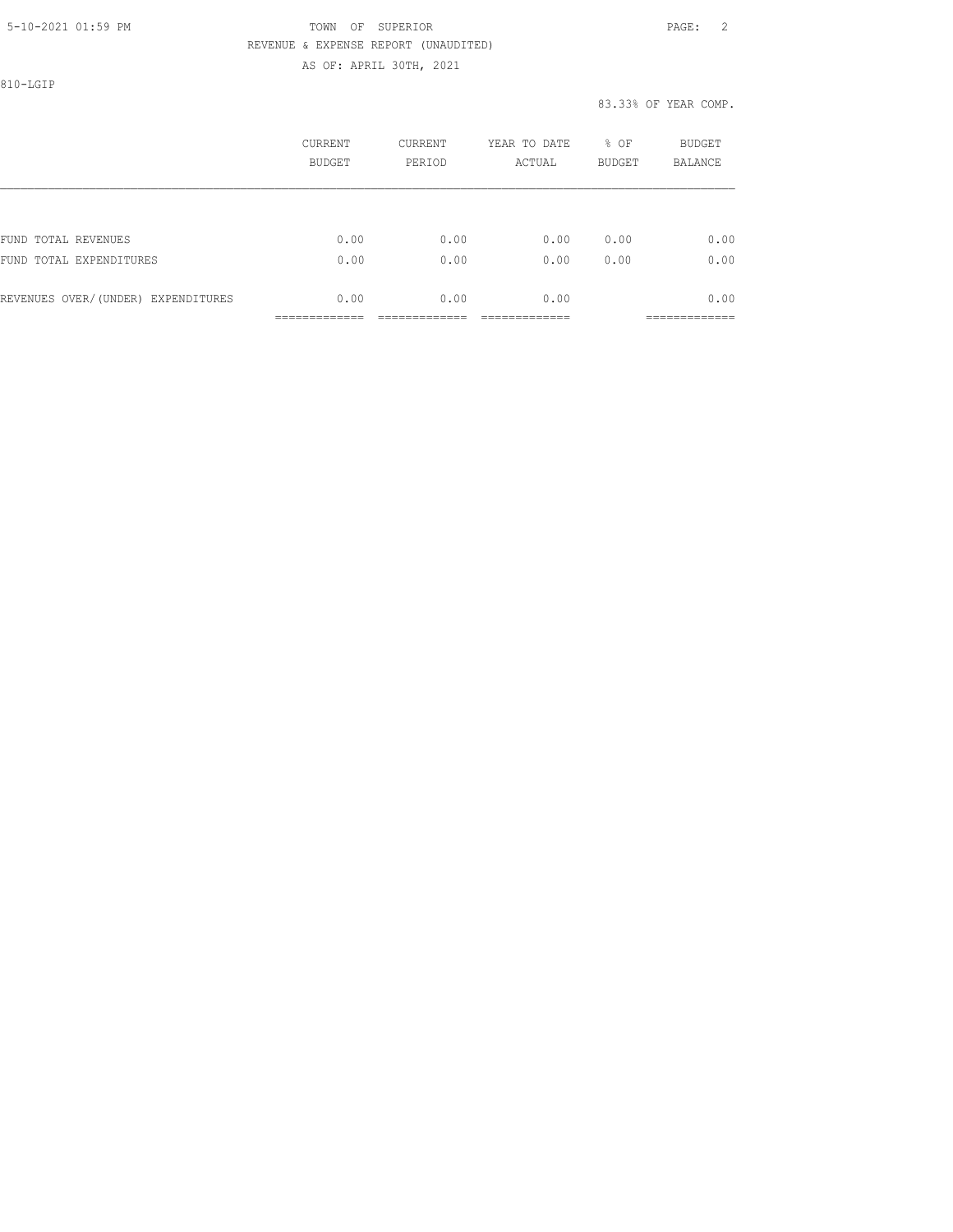810-LGIP

|                                    | CURRENT<br>BUDGET | <b>CURRENT</b><br>PERIOD | YEAR TO DATE<br>ACTUAL | % OF<br><b>BUDGET</b> | BUDGET<br><b>BALANCE</b> |
|------------------------------------|-------------------|--------------------------|------------------------|-----------------------|--------------------------|
|                                    |                   |                          |                        |                       |                          |
| FUND TOTAL REVENUES                | 0.00              | 0.00                     | 0.00                   | 0.00                  | 0.00                     |
| FUND TOTAL EXPENDITURES            | 0.00              | 0.00                     | 0.00                   | 0.00                  | 0.00                     |
| REVENUES OVER/(UNDER) EXPENDITURES | 0.00              | 0.00                     | 0.00                   |                       | 0.00                     |
|                                    |                   |                          |                        |                       | _________                |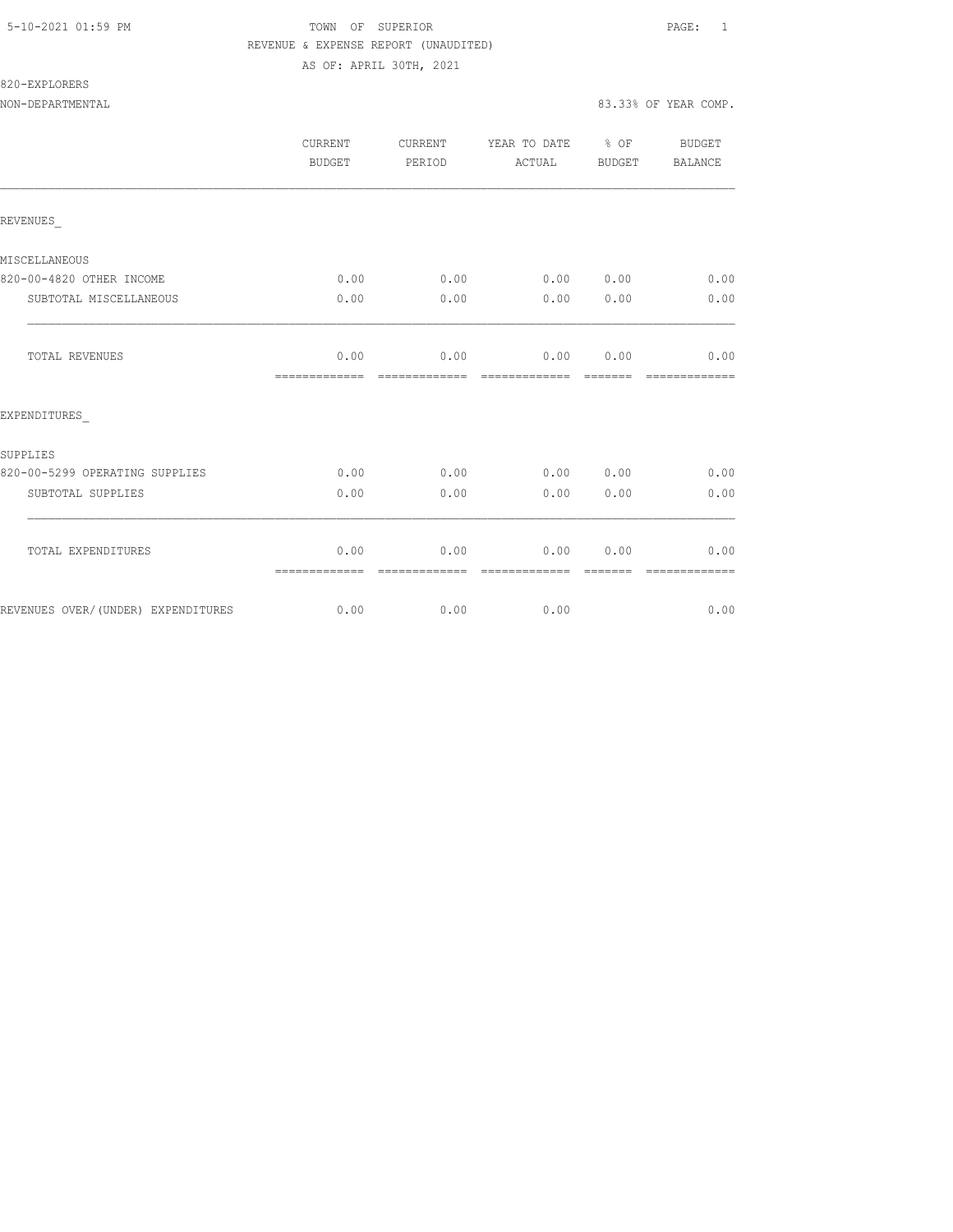NON-DEPARTMENTAL 83.33% OF YEAR COMP.

820-EXPLORERS

|                                    | CURRENT<br><b>BUDGET</b> | CURRENT<br>PERIOD     | YEAR TO DATE % OF<br>ACTUAL | BUDGET                | BUDGET<br>BALANCE     |
|------------------------------------|--------------------------|-----------------------|-----------------------------|-----------------------|-----------------------|
| REVENUES                           |                          |                       |                             |                       |                       |
| MISCELLANEOUS                      |                          |                       |                             |                       |                       |
| 820-00-4820 OTHER INCOME           | 0.00                     |                       | $0.00$ $0.00$ $0.00$ $0.00$ |                       | 0.00                  |
| SUBTOTAL MISCELLANEOUS             | 0.00                     | 0.00                  | 0.00                        | 0.00                  | 0.00                  |
| TOTAL REVENUES                     | 0.00<br>-------------    | =============         | $0.00$ $0.00$ $0.00$        |                       | 0.00<br>============= |
| EXPENDITURES                       |                          |                       |                             |                       |                       |
| SUPPLIES                           |                          |                       |                             |                       |                       |
| 820-00-5299 OPERATING SUPPLIES     | 0.00                     | 0.00                  | 0.00 0.00                   |                       | 0.00                  |
| SUBTOTAL SUPPLIES                  | 0.00                     | 0.00                  | 0.00                        | 0.00                  | 0.00                  |
| TOTAL EXPENDITURES                 | 0.00<br>=============    | 0.00<br>------------- | =============               | 0.00 0.00<br>-------- | 0.00<br>============= |
| REVENUES OVER/(UNDER) EXPENDITURES |                          | $0.00$ 0.00           | 0.00                        |                       | 0.00                  |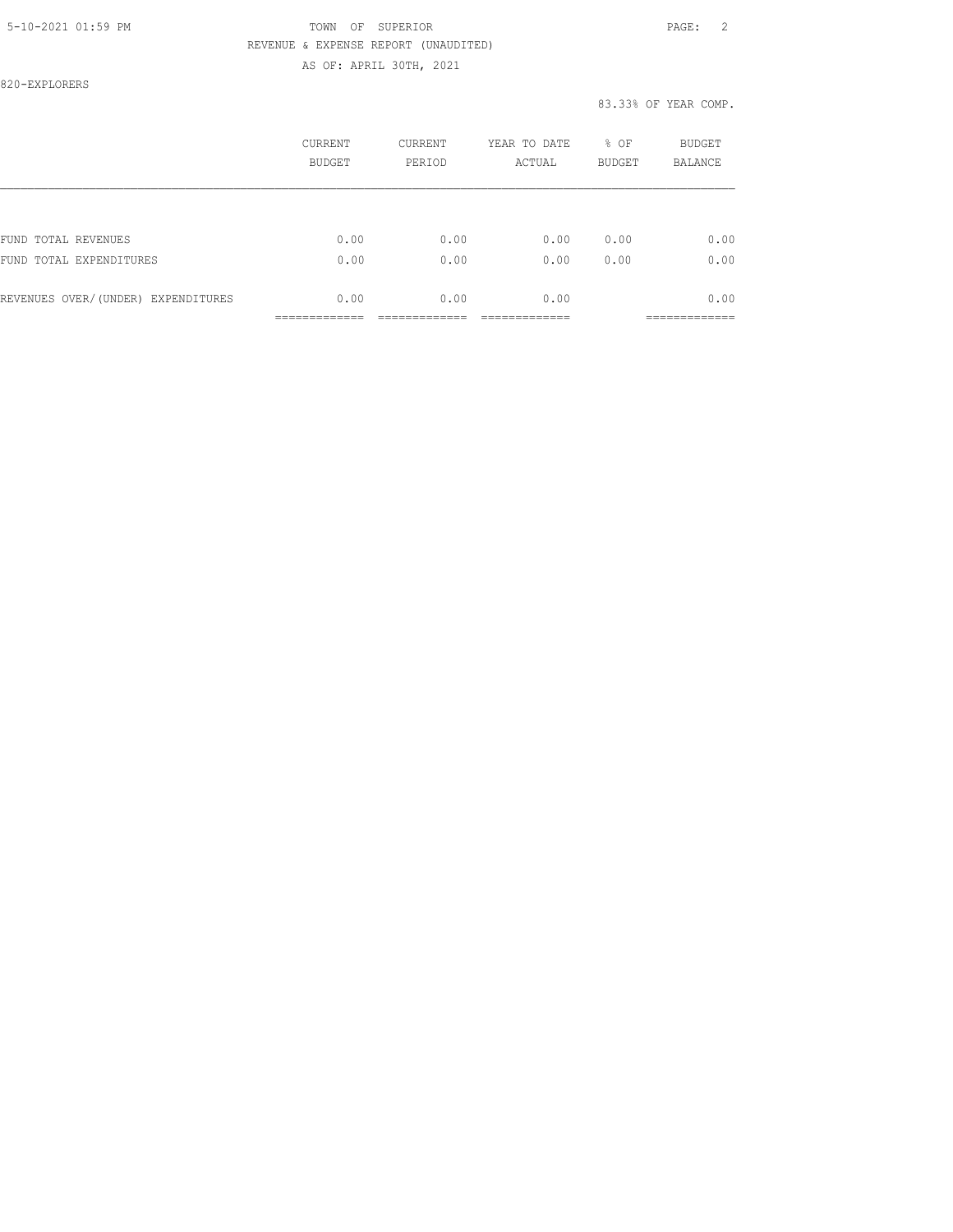820-EXPLORERS

|                                    | CURRENT<br><b>BUDGET</b> | CURRENT<br>PERIOD | YEAR TO DATE<br>ACTUAL | % OF<br><b>BUDGET</b> | <b>BUDGET</b><br><b>BALANCE</b> |
|------------------------------------|--------------------------|-------------------|------------------------|-----------------------|---------------------------------|
|                                    |                          |                   |                        |                       |                                 |
| FUND TOTAL REVENUES                | 0.00                     | 0.00              | 0.00                   | 0.00                  | 0.00                            |
| FUND TOTAL EXPENDITURES            | 0.00                     | 0.00              | 0.00                   | 0.00                  | 0.00                            |
| REVENUES OVER/(UNDER) EXPENDITURES | 0.00                     | 0.00              | 0.00                   |                       | 0.00                            |
|                                    |                          |                   |                        |                       |                                 |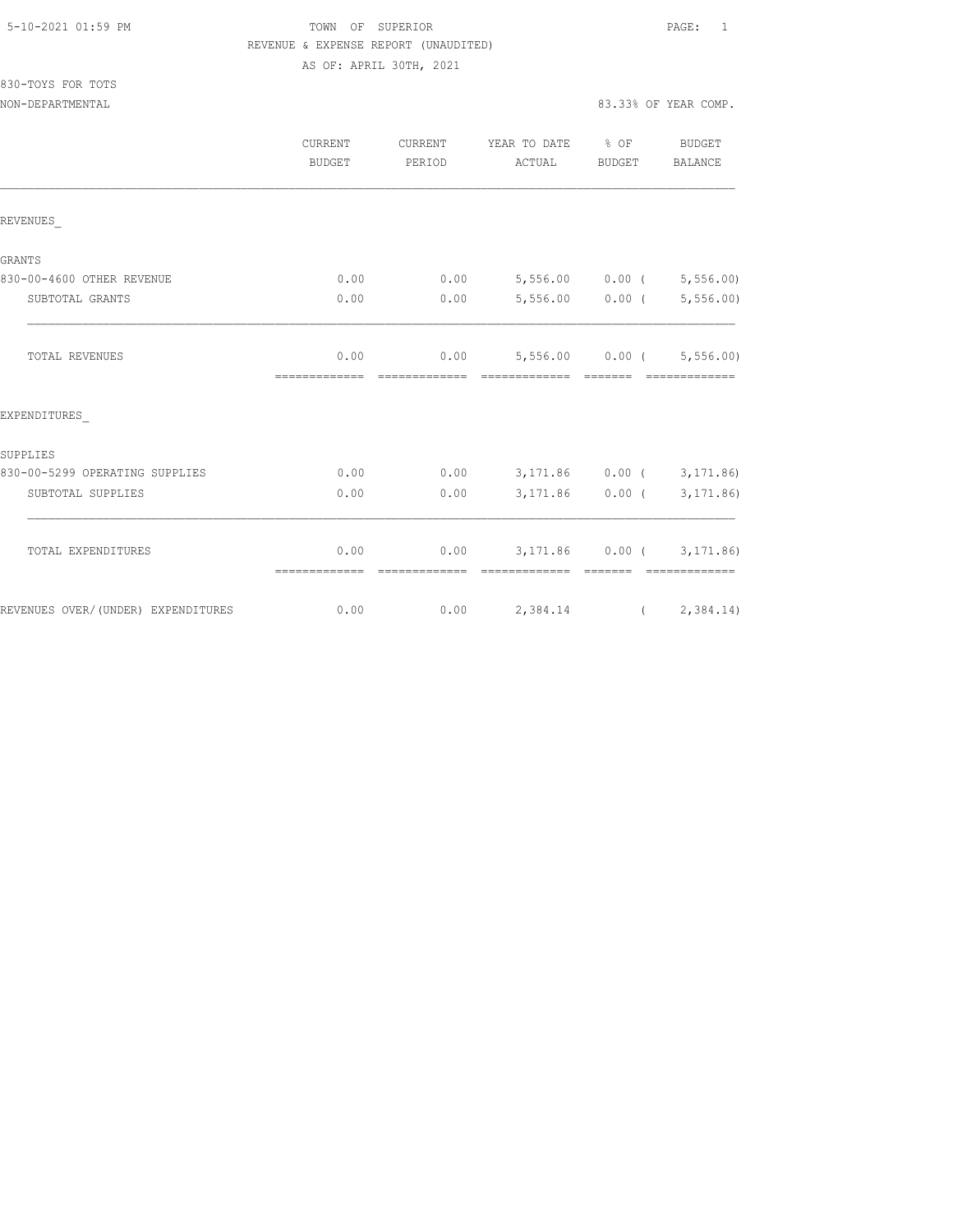| 5-10-2021 01:59 PM |  |  |  |  |  |  |
|--------------------|--|--|--|--|--|--|
|--------------------|--|--|--|--|--|--|

# TOWN OF SUPERIOR **Example 2010** PAGE: 1 REVENUE & EXPENSE REPORT (UNAUDITED) AS OF: APRIL 30TH, 2021

830-TOYS FOR TOTS

NON-DEPARTMENTAL 83.33% OF YEAR COMP.

|                                    | CURRENT<br>BUDGET     | CURRENT<br>PERIOD     | YEAR TO DATE % OF<br>ACTUAL                       | <b>BUDGET</b>     | BUDGET<br>BALANCE                            |
|------------------------------------|-----------------------|-----------------------|---------------------------------------------------|-------------------|----------------------------------------------|
| REVENUES                           |                       |                       |                                                   |                   |                                              |
| GRANTS                             |                       |                       |                                                   |                   |                                              |
| 830-00-4600 OTHER REVENUE          | 0.00                  | 0.00                  | $5,556.00$ 0.00 ( 5,556.00)                       |                   |                                              |
| SUBTOTAL GRANTS                    | 0.00                  | 0.00                  |                                                   | $5,556.00$ 0.00 ( | 5, 556.00                                    |
| TOTAL REVENUES                     | 0.00<br>============= | --------------        | $0.00$ 5,556.00 0.00 ( 5,556.00)<br>============= | $------$          | -------------                                |
| EXPENDITURES                       |                       |                       |                                                   |                   |                                              |
| SUPPLIES                           |                       |                       |                                                   |                   |                                              |
| 830-00-5299 OPERATING SUPPLIES     | 0.00                  | 0.00                  | 3,171.86 0.00 (3,171.86)                          |                   |                                              |
| SUBTOTAL SUPPLIES                  | 0.00                  | 0.00                  |                                                   | 3,171.86 0.00 (   | 3, 171, 86)                                  |
| TOTAL EXPENDITURES                 | 0.00<br>============= | 0.00<br>============= | =============                                     |                   | 3, 171.86 0.00 (3, 171.86)<br>-------------- |
| REVENUES OVER/(UNDER) EXPENDITURES | 0.00                  |                       | $0.00$ 2,384.14                                   |                   | (2, 384.14)                                  |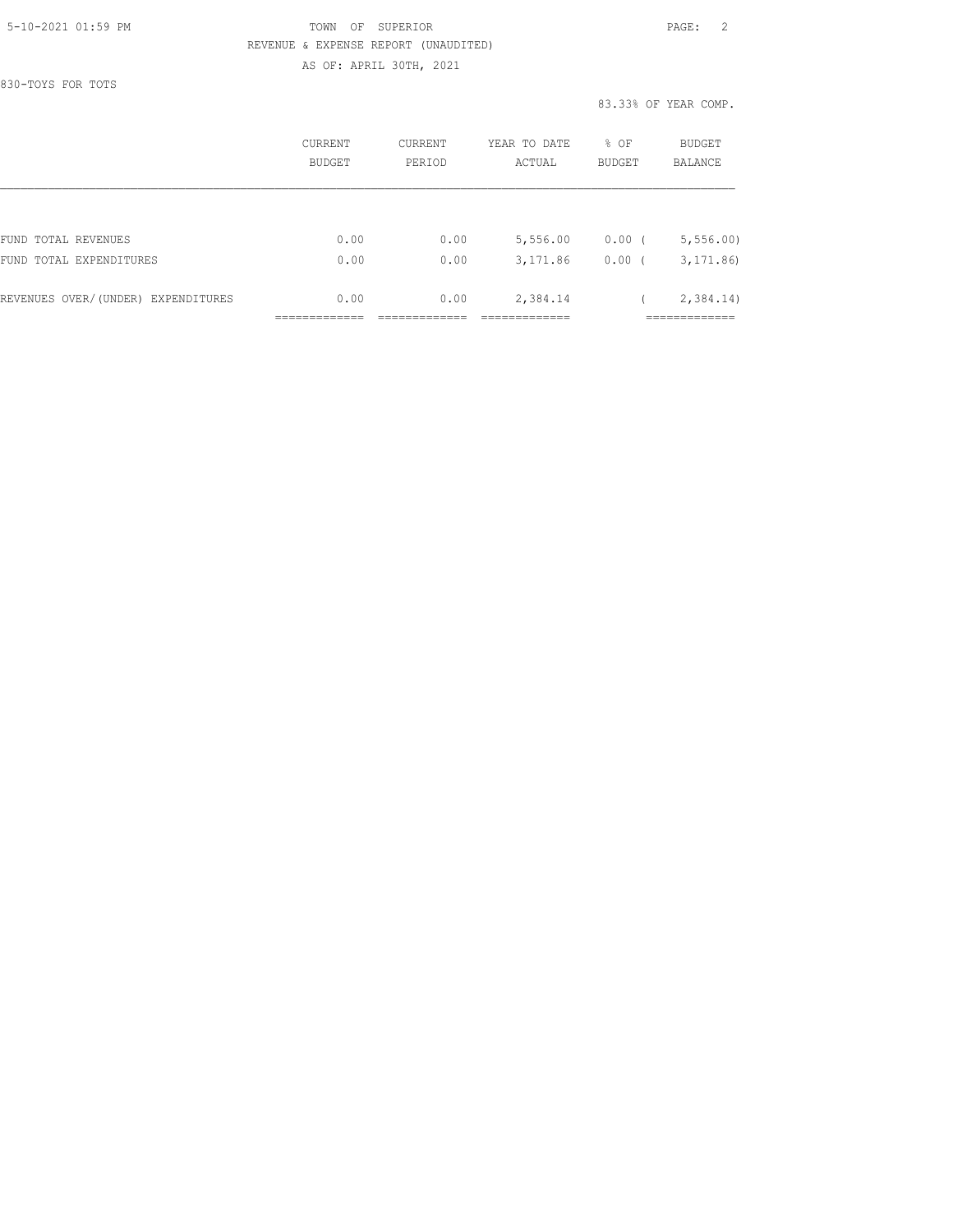830-TOYS FOR TOTS

|                                    | CURRENT<br>BUDGET | CURRENT<br>PERIOD | YEAR TO DATE<br>ACTUAL | % OF<br><b>BUDGET</b> | BUDGET<br><b>BALANCE</b> |
|------------------------------------|-------------------|-------------------|------------------------|-----------------------|--------------------------|
|                                    |                   |                   |                        |                       |                          |
| FUND TOTAL REVENUES                | 0.00              | 0.00              | 5,556.00               | $0.00$ (              | 5, 556.00                |
| FUND TOTAL EXPENDITURES            | 0.00              | 0.00              | 3,171.86               | 0.00(                 | 3, 171, 86               |
| REVENUES OVER/(UNDER) EXPENDITURES | 0.00              | 0.00              | 2,384.14               |                       | 2,384.14)                |
|                                    |                   |                   |                        |                       |                          |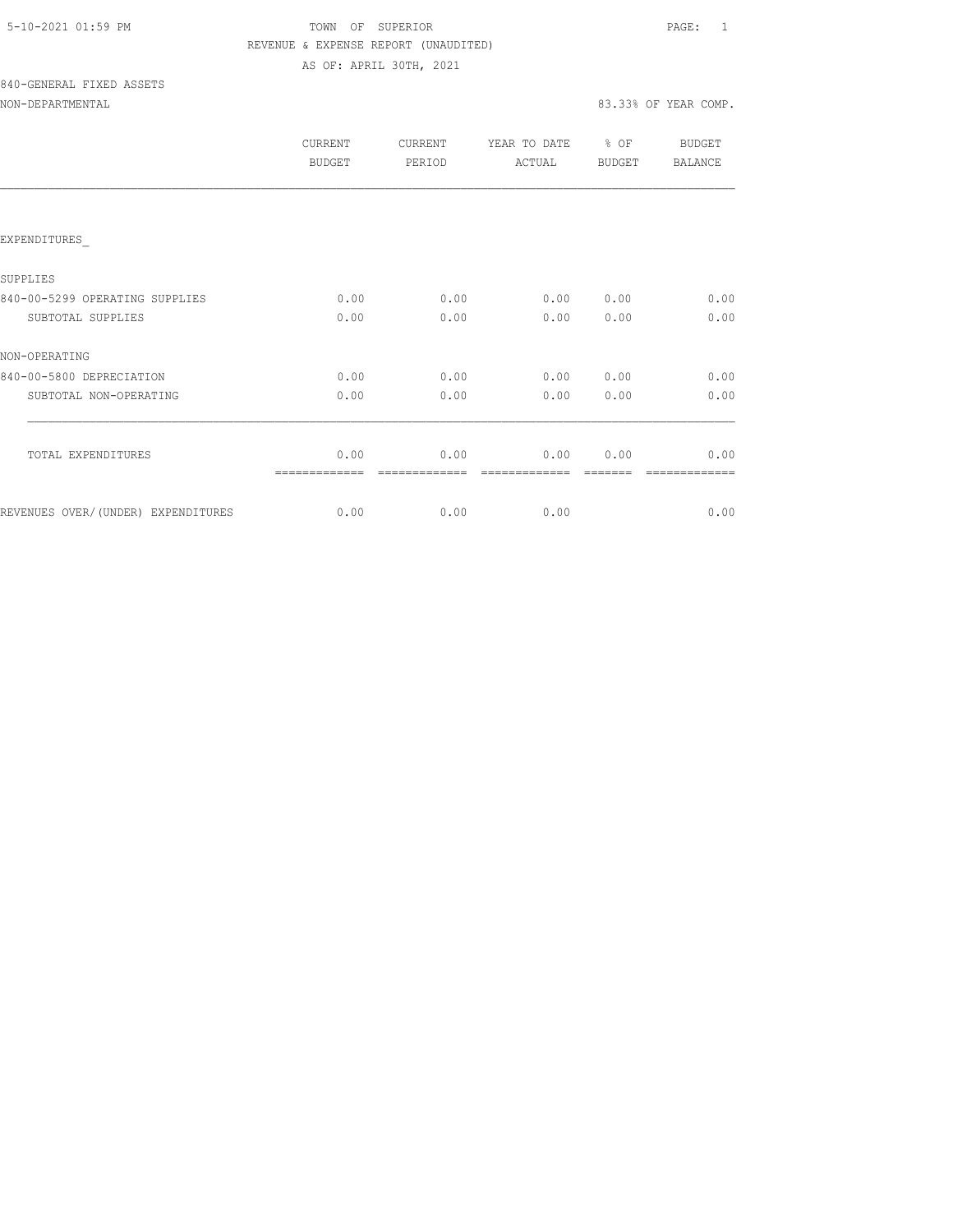| 5-10-2021 01:59 PM |  |
|--------------------|--|
|                    |  |

# TOWN OF SUPERIOR **Example 2010** PAGE: 1 REVENUE & EXPENSE REPORT (UNAUDITED) AS OF: APRIL 30TH, 2021

# 840-GENERAL FIXED ASSETS NON-DEPARTMENTAL 83.33% OF YEAR COMP.

|  |  |  | NON-DEPARTMENTAL |  |  |
|--|--|--|------------------|--|--|
|  |  |  |                  |  |  |

|                                     | <b>CURRENT</b><br>BUDGET | <b>CURRENT</b><br>PERIOD | YEAR TO DATE<br>ACTUAL | % OF<br><b>BUDGET</b> | BUDGET<br><b>BALANCE</b> |  |
|-------------------------------------|--------------------------|--------------------------|------------------------|-----------------------|--------------------------|--|
|                                     |                          |                          |                        |                       |                          |  |
| EXPENDITURES                        |                          |                          |                        |                       |                          |  |
| SUPPLIES                            |                          |                          |                        |                       |                          |  |
| 840-00-5299 OPERATING SUPPLIES      | 0.00                     | 0.00                     | 0.00                   | 0.00                  | 0.00                     |  |
| SUBTOTAL SUPPLIES                   | 0.00                     | 0.00                     | 0.00                   | 0.00                  | 0.00                     |  |
| NON-OPERATING                       |                          |                          |                        |                       |                          |  |
| 840-00-5800 DEPRECIATION            | 0.00                     | 0.00                     | 0.00                   | 0.00                  | 0.00                     |  |
| SUBTOTAL NON-OPERATING              | 0.00                     | 0.00                     | 0.00                   | 0.00                  | 0.00                     |  |
| TOTAL EXPENDITURES                  | 0.00                     | 0.00                     | 0.00                   | 0.00                  | 0.00                     |  |
|                                     |                          |                          |                        |                       |                          |  |
| REVENUES OVER/ (UNDER) EXPENDITURES | 0.00                     | 0.00                     | 0.00                   |                       | 0.00                     |  |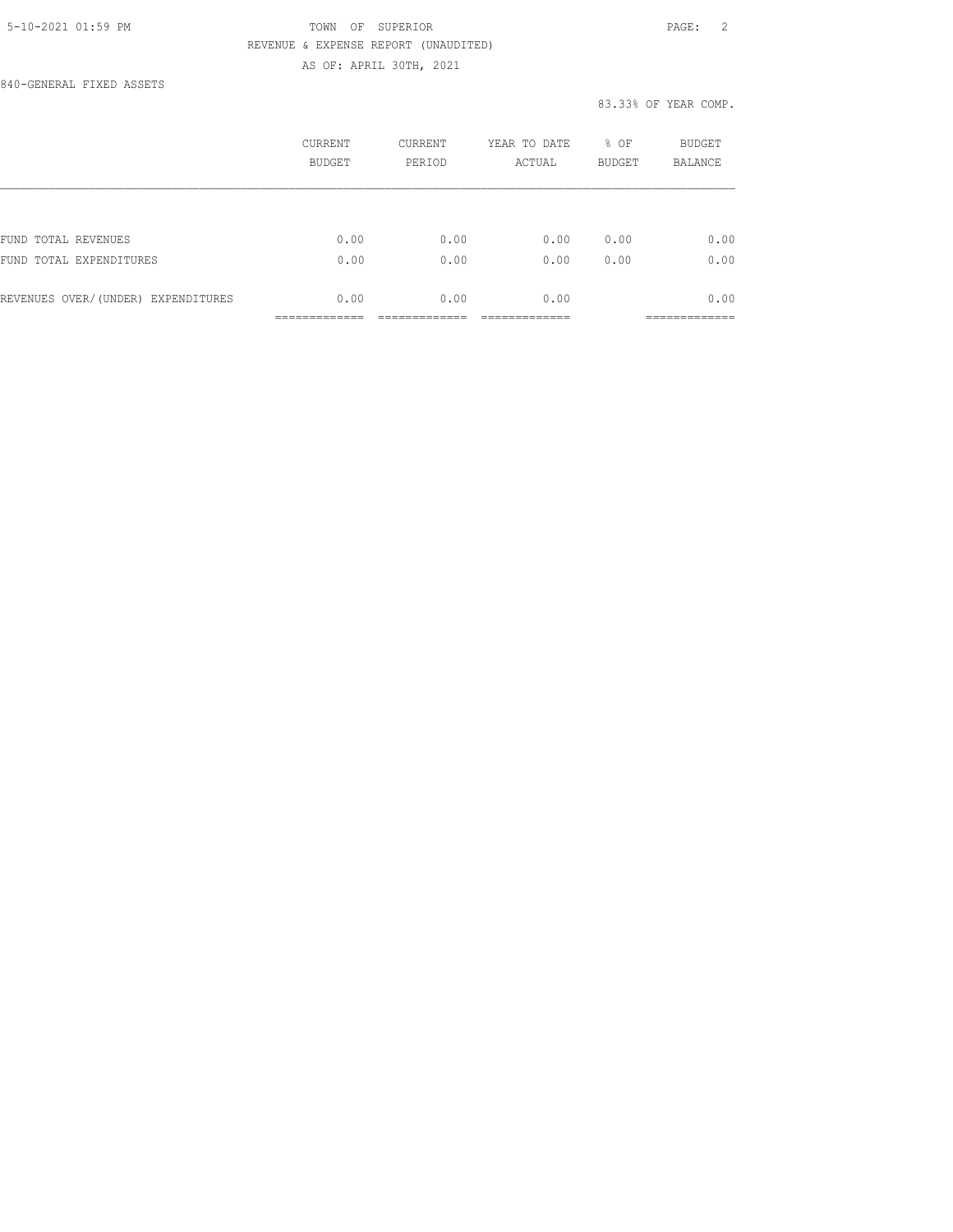840-GENERAL FIXED ASSETS

|                                    | CURRENT<br>BUDGET | CURRENT<br>PERIOD | YEAR TO DATE<br>ACTUAL | % OF<br><b>BUDGET</b> | <b>BUDGET</b><br><b>BALANCE</b> |
|------------------------------------|-------------------|-------------------|------------------------|-----------------------|---------------------------------|
|                                    |                   |                   |                        |                       |                                 |
| FUND TOTAL REVENUES                | 0.00              | 0.00              | 0.00                   | 0.00                  | 0.00                            |
| FUND TOTAL EXPENDITURES            | 0.00              | 0.00              | 0.00                   | 0.00                  | 0.00                            |
| REVENUES OVER/(UNDER) EXPENDITURES | 0.00              | 0.00              | 0.00                   |                       | 0.00                            |
|                                    |                   |                   |                        |                       | __________                      |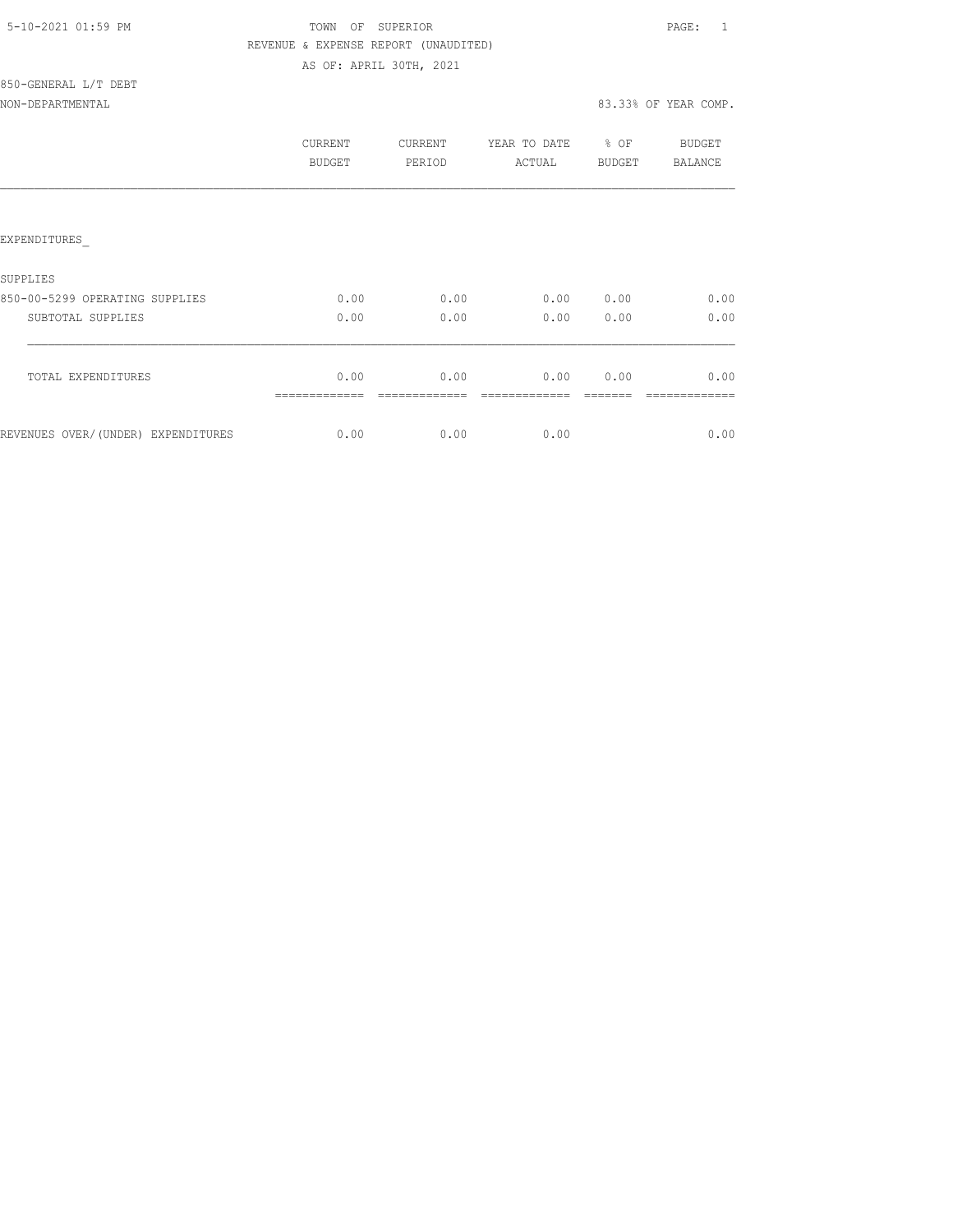| 5-10-2021 01:59 PM |  |
|--------------------|--|
|                    |  |

850-GENERAL L/T DEBT

# TOWN OF SUPERIOR **Example 2010** PAGE: 1 REVENUE & EXPENSE REPORT (UNAUDITED) AS OF: APRIL 30TH, 2021

NON-DEPARTMENTAL 83.33% OF YEAR COMP.

|                                     | CURRENT<br><b>BUDGET</b> | CURRENT<br>PERIOD | YEAR TO DATE<br>ACTUAL | % OF<br><b>BUDGET</b> | BUDGET<br>BALANCE |
|-------------------------------------|--------------------------|-------------------|------------------------|-----------------------|-------------------|
|                                     |                          |                   |                        |                       |                   |
| EXPENDITURES                        |                          |                   |                        |                       |                   |
| SUPPLIES                            |                          |                   |                        |                       |                   |
| 850-00-5299 OPERATING SUPPLIES      | 0.00                     | 0.00              | 0.00                   | 0.00                  | 0.00              |
| SUBTOTAL SUPPLIES                   | 0.00                     | 0.00              | 0.00                   | 0.00                  | 0.00              |
| TOTAL EXPENDITURES                  | 0.00                     | 0.00              | 0.00                   | 0.00                  | 0.00              |
| REVENUES OVER/ (UNDER) EXPENDITURES | 0.00                     | 0.00              | 0.00                   |                       | 0.00              |